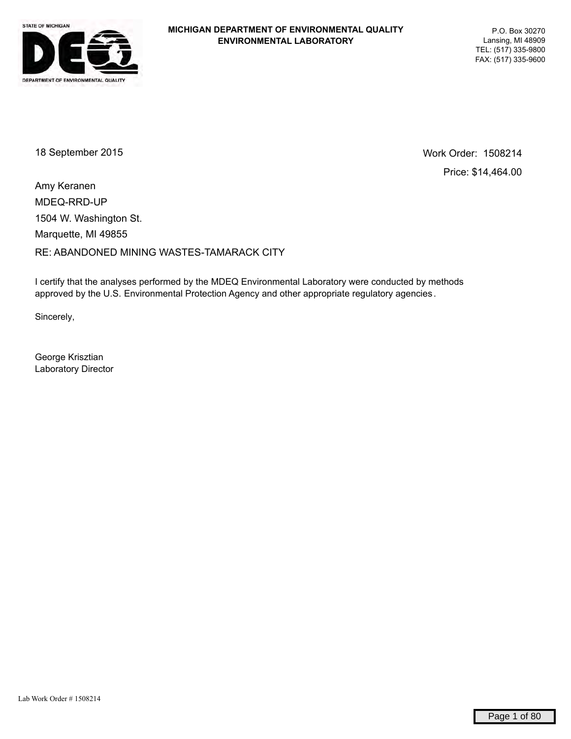

18 September 2015 Work Order: 1508214 Price: \$14,464.00

MDEQ-RRD-UP RE: ABANDONED MINING WASTES-TAMARACK CITY Marquette, MI 49855 1504 W. Washington St. Amy Keranen

I certify that the analyses performed by the MDEQ Environmental Laboratory were conducted by methods approved by the U.S. Environmental Protection Agency and other appropriate regulatory agencies .

Sincerely,

George Krisztian Laboratory Director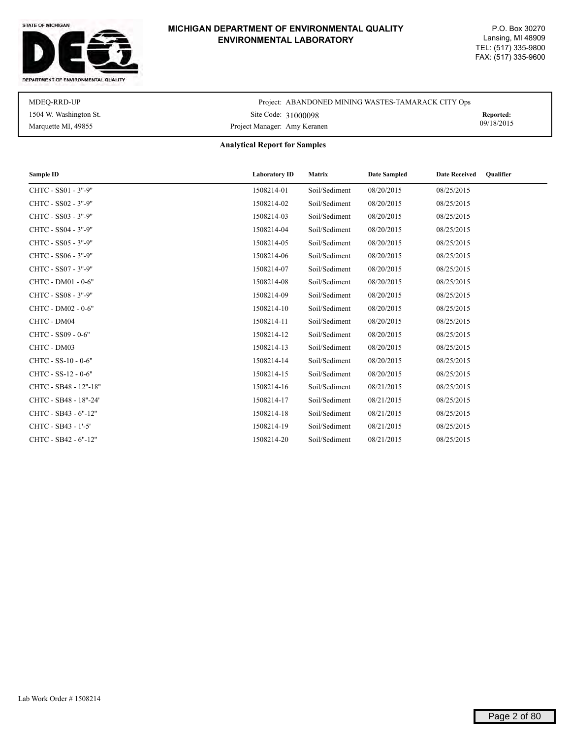#### STATE OF MICHIGAN



# **MICHIGAN DEPARTMENT OF ENVIRONMENTAL QUALITY ENVIRONMENTAL LABORATORY**

| MDEO-RRD-UP            | Project: ABANDONED MINING WASTES-TAMARACK CITY Ops |            |
|------------------------|----------------------------------------------------|------------|
| 1504 W. Washington St. | Site Code: 31000098                                | Reported:  |
| Marquette MI, 49855    | Project Manager: Amy Keranen                       | 09/18/2015 |

**Analytical Report for Samples**

| Sample ID             | <b>Laboratory ID</b> | <b>Matrix</b> | <b>Date Sampled</b> | <b>Date Received</b><br>Oualifier |
|-----------------------|----------------------|---------------|---------------------|-----------------------------------|
| CHTC - SS01 - 3"-9"   | 1508214-01           | Soil/Sediment | 08/20/2015          | 08/25/2015                        |
| CHTC - SS02 - 3"-9"   | 1508214-02           | Soil/Sediment | 08/20/2015          | 08/25/2015                        |
| CHTC - SS03 - 3"-9"   | 1508214-03           | Soil/Sediment | 08/20/2015          | 08/25/2015                        |
| CHTC - SS04 - 3"-9"   | 1508214-04           | Soil/Sediment | 08/20/2015          | 08/25/2015                        |
| CHTC - SS05 - 3"-9"   | 1508214-05           | Soil/Sediment | 08/20/2015          | 08/25/2015                        |
| CHTC - SS06 - 3"-9"   | 1508214-06           | Soil/Sediment | 08/20/2015          | 08/25/2015                        |
| CHTC - SS07 - 3"-9"   | 1508214-07           | Soil/Sediment | 08/20/2015          | 08/25/2015                        |
| CHTC - DM01 - 0-6"    | 1508214-08           | Soil/Sediment | 08/20/2015          | 08/25/2015                        |
| CHTC - SS08 - 3"-9"   | 1508214-09           | Soil/Sediment | 08/20/2015          | 08/25/2015                        |
| CHTC - DM02 - 0-6"    | 1508214-10           | Soil/Sediment | 08/20/2015          | 08/25/2015                        |
| CHTC - DM04           | 1508214-11           | Soil/Sediment | 08/20/2015          | 08/25/2015                        |
| CHTC - SS09 - 0-6"    | 1508214-12           | Soil/Sediment | 08/20/2015          | 08/25/2015                        |
| CHTC - DM03           | 1508214-13           | Soil/Sediment | 08/20/2015          | 08/25/2015                        |
| CHTC - SS-10 - 0-6"   | 1508214-14           | Soil/Sediment | 08/20/2015          | 08/25/2015                        |
| CHTC - SS-12 - 0-6"   | 1508214-15           | Soil/Sediment | 08/20/2015          | 08/25/2015                        |
| CHTC - SB48 - 12"-18" | 1508214-16           | Soil/Sediment | 08/21/2015          | 08/25/2015                        |
| CHTC - SB48 - 18"-24" | 1508214-17           | Soil/Sediment | 08/21/2015          | 08/25/2015                        |
| CHTC - SB43 - 6"-12"  | 1508214-18           | Soil/Sediment | 08/21/2015          | 08/25/2015                        |
| CHTC - SB43 - 1'-5'   | 1508214-19           | Soil/Sediment | 08/21/2015          | 08/25/2015                        |
| CHTC - SB42 - 6"-12"  | 1508214-20           | Soil/Sediment | 08/21/2015          | 08/25/2015                        |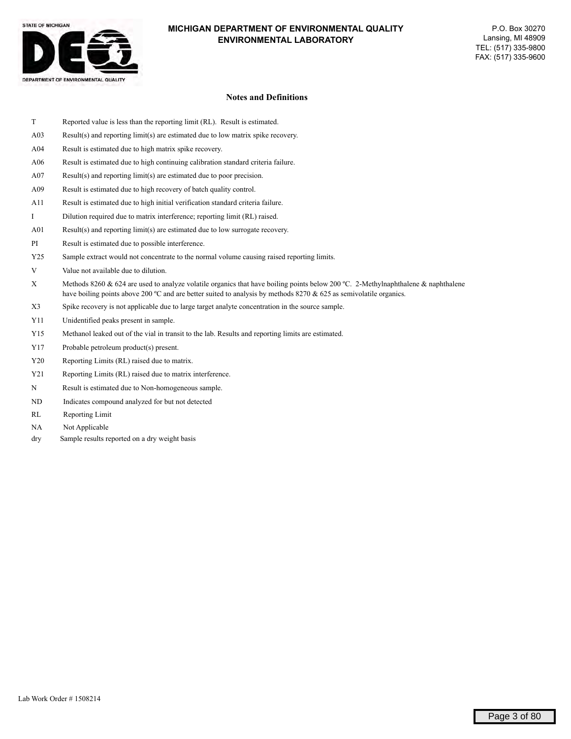

#### **Notes and Definitions**

- T Reported value is less than the reporting limit (RL). Result is estimated.
- A03 Result(s) and reporting limit(s) are estimated due to low matrix spike recovery.
- A04 Result is estimated due to high matrix spike recovery.
- A06 Result is estimated due to high continuing calibration standard criteria failure.
- A07 Result(s) and reporting limit(s) are estimated due to poor precision.
- A09 Result is estimated due to high recovery of batch quality control.
- A11 Result is estimated due to high initial verification standard criteria failure.
- I Dilution required due to matrix interference; reporting limit (RL) raised.
- A01 Result(s) and reporting limit(s) are estimated due to low surrogate recovery.
- PI Result is estimated due to possible interference.
- Y25 Sample extract would not concentrate to the normal volume causing raised reporting limits.
- V Value not available due to dilution.
- X Methods 8260  $\&$  624 are used to analyze volatile organics that have boiling points below 200 °C. 2-Methylnaphthalene  $\&$  naphthalene have boiling points above 200 °C and are better suited to analysis by methods 8270 & 625 as semivolatile organics.
- X3 Spike recovery is not applicable due to large target analyte concentration in the source sample.
- Y11 Unidentified peaks present in sample.
- Y15 Methanol leaked out of the vial in transit to the lab. Results and reporting limits are estimated.
- Y17 Probable petroleum product(s) present.
- Y20 Reporting Limits (RL) raised due to matrix.
- Y21 Reporting Limits (RL) raised due to matrix interference.
- N Result is estimated due to Non-homogeneous sample.
- ND Indicates compound analyzed for but not detected
- RL Reporting Limit
- NA Not Applicable
- dry Sample results reported on a dry weight basis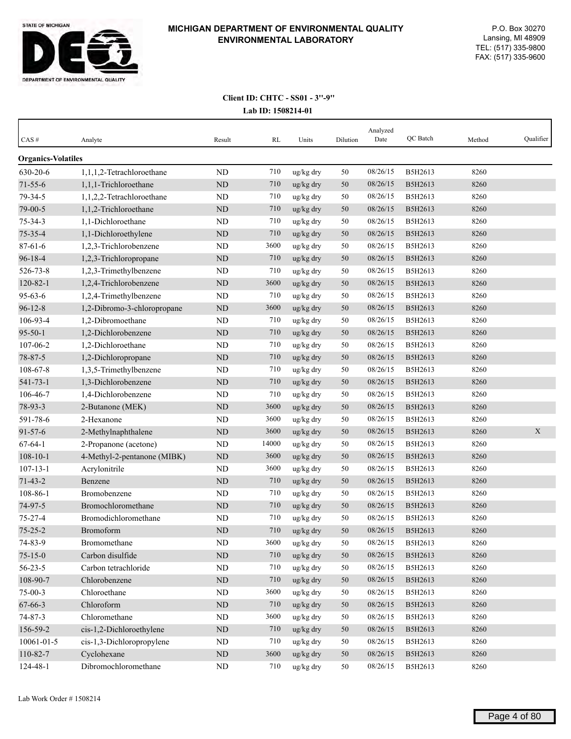

| CAS#                      | Analyte                     | Result    | RL    | Units                 | Dilution | Analyzed<br>Date | QC Batch | Method | Qualifier |
|---------------------------|-----------------------------|-----------|-------|-----------------------|----------|------------------|----------|--------|-----------|
| <b>Organics-Volatiles</b> |                             |           |       |                       |          |                  |          |        |           |
| 630-20-6                  | 1.1.1.2-Tetrachloroethane   | <b>ND</b> | 710   | ug/kg dry             | 50       | 08/26/15         | B5H2613  | 8260   |           |
| $71 - 55 - 6$             | 1,1,1-Trichloroethane       | ND        | 710   | $\frac{u g}{k g}$ dry | 50       | 08/26/15         | B5H2613  | 8260   |           |
| 79-34-5                   | 1,1,2,2-Tetrachloroethane   | ND        | 710   | ug/kg dry             | 50       | 08/26/15         | B5H2613  | 8260   |           |
| 79-00-5                   | 1,1,2-Trichloroethane       | <b>ND</b> | 710   | ug/kg dry             | 50       | 08/26/15         | B5H2613  | 8260   |           |
| $75 - 34 - 3$             | 1,1-Dichloroethane          | <b>ND</b> | 710   | ug/kg dry             | 50       | 08/26/15         | B5H2613  | 8260   |           |
| $75 - 35 - 4$             | 1,1-Dichloroethylene        | <b>ND</b> | 710   | ug/kg dry             | 50       | 08/26/15         | B5H2613  | 8260   |           |
| $87 - 61 - 6$             | 1,2,3-Trichlorobenzene      | ND        | 3600  | ug/kg dry             | 50       | 08/26/15         | B5H2613  | 8260   |           |
| $96 - 18 - 4$             | 1,2,3-Trichloropropane      | ND        | 710   | ug/kg dry             | 50       | 08/26/15         | B5H2613  | 8260   |           |
| 526-73-8                  | 1,2,3-Trimethylbenzene      | ND        | 710   | ug/kg dry             | 50       | 08/26/15         | B5H2613  | 8260   |           |
| $120 - 82 - 1$            | 1,2,4-Trichlorobenzene      | ND        | 3600  | ug/kg dry             | 50       | 08/26/15         | B5H2613  | 8260   |           |
| $95 - 63 - 6$             | 1,2,4-Trimethylbenzene      | <b>ND</b> | 710   | ug/kg dry             | 50       | 08/26/15         | B5H2613  | 8260   |           |
| $96 - 12 - 8$             | 1,2-Dibromo-3-chloropropane | ND        | 3600  | ug/kg dry             | 50       | 08/26/15         | B5H2613  | 8260   |           |
| 106-93-4                  | 1,2-Dibromoethane           | <b>ND</b> | 710   | ug/kg dry             | 50       | 08/26/15         | B5H2613  | 8260   |           |
| $95 - 50 - 1$             | 1,2-Dichlorobenzene         | ND        | 710   | ug/kg dry             | 50       | 08/26/15         | B5H2613  | 8260   |           |
| 107-06-2                  | 1,2-Dichloroethane          | <b>ND</b> | 710   | ug/kg dry             | 50       | 08/26/15         | B5H2613  | 8260   |           |
| 78-87-5                   | 1,2-Dichloropropane         | ND        | 710   | ug/kg dry             | 50       | 08/26/15         | B5H2613  | 8260   |           |
| 108-67-8                  | 1,3,5-Trimethylbenzene      | <b>ND</b> | 710   | ug/kg dry             | 50       | 08/26/15         | B5H2613  | 8260   |           |
| $541 - 73 - 1$            | 1,3-Dichlorobenzene         | ND        | 710   | ug/kg dry             | 50       | 08/26/15         | B5H2613  | 8260   |           |
| 106-46-7                  | 1,4-Dichlorobenzene         | <b>ND</b> | 710   | ug/kg dry             | 50       | 08/26/15         | B5H2613  | 8260   |           |
| 78-93-3                   | 2-Butanone (MEK)            | ND        | 3600  | ug/kg dry             | 50       | 08/26/15         | B5H2613  | 8260   |           |
| 591-78-6                  | 2-Hexanone                  | ND        | 3600  | ug/kg dry             | 50       | 08/26/15         | B5H2613  | 8260   |           |
| $91 - 57 - 6$             | 2-Methylnaphthalene         | ND        | 3600  | ug/kg dry             | 50       | 08/26/15         | B5H2613  | 8260   | X         |
| $67 - 64 - 1$             | 2-Propanone (acetone)       | <b>ND</b> | 14000 | ug/kg dry             | 50       | 08/26/15         | B5H2613  | 8260   |           |
| $108 - 10 - 1$            | 4-Methyl-2-pentanone (MIBK) | ND        | 3600  | ug/kg dry             | 50       | 08/26/15         | B5H2613  | 8260   |           |
| $107 - 13 - 1$            | Acrylonitrile               | <b>ND</b> | 3600  | ug/kg dry             | 50       | 08/26/15         | B5H2613  | 8260   |           |
| $71 - 43 - 2$             | Benzene                     | ND        | 710   | ug/kg dry             | 50       | 08/26/15         | B5H2613  | 8260   |           |
| 108-86-1                  | Bromobenzene                | ND        | 710   | ug/kg dry             | 50       | 08/26/15         | B5H2613  | 8260   |           |
| 74-97-5                   | Bromochloromethane          | ND        | 710   | ug/kg dry             | 50       | 08/26/15         | B5H2613  | 8260   |           |
| $75 - 27 - 4$             | Bromodichloromethane        | <b>ND</b> | 710   | ug/kg dry             | 50       | 08/26/15         | B5H2613  | 8260   |           |
| $75 - 25 - 2$             | Bromoform                   | ND        | 710   | ug/kg dry             | 50       | 08/26/15         | B5H2613  | 8260   |           |
| 74-83-9                   | Bromomethane                | $\rm ND$  | 3600  | ug/kg dry             | 50       | 08/26/15         | B5H2613  | 8260   |           |
| $75 - 15 - 0$             | Carbon disulfide            | $\rm ND$  | 710   | ug/kg dry             | 50       | 08/26/15         | B5H2613  | 8260   |           |
| $56 - 23 - 5$             | Carbon tetrachloride        | $\rm ND$  | 710   | ug/kg dry             | 50       | 08/26/15         | B5H2613  | 8260   |           |
| 108-90-7                  | Chlorobenzene               | $\rm ND$  | 710   | ug/kg dry             | 50       | 08/26/15         | B5H2613  | 8260   |           |
| $75-00-3$                 | Chloroethane                | ND        | 3600  | ug/kg dry             | 50       | 08/26/15         | B5H2613  | 8260   |           |
| 67-66-3                   | Chloroform                  | ND        | 710   | ug/kg dry             | 50       | 08/26/15         | B5H2613  | 8260   |           |
| $74 - 87 - 3$             | Chloromethane               | ND        | 3600  | ug/kg dry             | 50       | 08/26/15         | B5H2613  | 8260   |           |
| 156-59-2                  | cis-1,2-Dichloroethylene    | $\rm ND$  | 710   | ug/kg dry             | 50       | 08/26/15         | B5H2613  | 8260   |           |
| 10061-01-5                | cis-1,3-Dichloropropylene   | ND        | 710   | ug/kg dry             | 50       | 08/26/15         | B5H2613  | 8260   |           |
| 110-82-7                  | Cyclohexane                 | ND        | 3600  | ug/kg dry             | 50       | 08/26/15         | B5H2613  | 8260   |           |
| 124-48-1                  | Dibromochloromethane        | ND        | 710   | ug/kg dry             | 50       | 08/26/15         | B5H2613  | 8260   |           |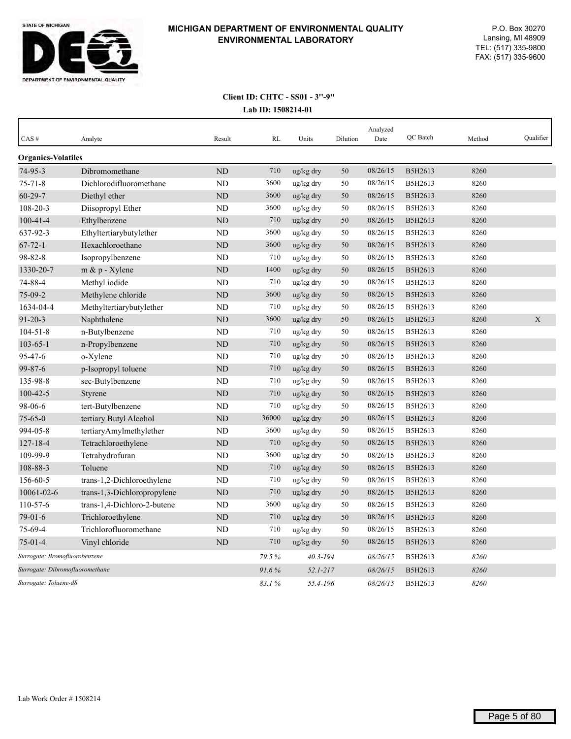

| CAS#                          | Analyte                         | Result         | RL    | Units        | Dilution | Analyzed<br>Date | <b>OC</b> Batch | Method | Qualifier |
|-------------------------------|---------------------------------|----------------|-------|--------------|----------|------------------|-----------------|--------|-----------|
| <b>Organics-Volatiles</b>     |                                 |                |       |              |          |                  |                 |        |           |
| $74-95-3$                     | Dibromomethane                  | <b>ND</b>      | 710   | ug/kg dry    | 50       | 08/26/15         | B5H2613         | 8260   |           |
| $75 - 71 - 8$                 | Dichlorodifluoromethane         | <b>ND</b>      | 3600  | ug/kg dry    | 50       | 08/26/15         | B5H2613         | 8260   |           |
| $60 - 29 - 7$                 | Diethyl ether                   | N <sub>D</sub> | 3600  | ug/kg dry    | 50       | 08/26/15         | B5H2613         | 8260   |           |
| 108-20-3                      | Diisopropyl Ether               | <b>ND</b>      | 3600  | ug/kg dry    | 50       | 08/26/15         | B5H2613         | 8260   |           |
| $100 - 41 - 4$                | Ethylbenzene                    | <b>ND</b>      | 710   | ug/kg dry    | 50       | 08/26/15         | B5H2613         | 8260   |           |
| 637-92-3                      | Ethyltertiarybutylether         | <b>ND</b>      | 3600  | ug/kg dry    | 50       | 08/26/15         | B5H2613         | 8260   |           |
| $67 - 72 - 1$                 | Hexachloroethane                | ND             | 3600  | ug/kg dry    | 50       | 08/26/15         | B5H2613         | 8260   |           |
| 98-82-8                       | Isopropylbenzene                | ND             | 710   | ug/kg dry    | 50       | 08/26/15         | B5H2613         | 8260   |           |
| 1330-20-7                     | m & p - Xylene                  | ND             | 1400  | ug/kg dry    | 50       | 08/26/15         | B5H2613         | 8260   |           |
| 74-88-4                       | Methyl iodide                   | <b>ND</b>      | 710   | ug/kg dry    | 50       | 08/26/15         | B5H2613         | 8260   |           |
| 75-09-2                       | Methylene chloride              | ND             | 3600  | ug/kg dry    | 50       | 08/26/15         | B5H2613         | 8260   |           |
| 1634-04-4                     | Methyltertiarybutylether        | ND             | 710   | ug/kg dry    | 50       | 08/26/15         | B5H2613         | 8260   |           |
| $91 - 20 - 3$                 | Naphthalene                     | N <sub>D</sub> | 3600  | ug/kg dry    | 50       | 08/26/15         | B5H2613         | 8260   | X         |
| $104 - 51 - 8$                | n-Butylbenzene                  | <b>ND</b>      | 710   | ug/kg dry    | 50       | 08/26/15         | B5H2613         | 8260   |           |
| $103 - 65 - 1$                | n-Propylbenzene                 | <b>ND</b>      | 710   | ug/kg dry    | 50       | 08/26/15         | B5H2613         | 8260   |           |
| 95-47-6                       | o-Xylene                        | <b>ND</b>      | 710   | ug/kg dry    | 50       | 08/26/15         | B5H2613         | 8260   |           |
| $99 - 87 - 6$                 | p-Isopropyl toluene             | <b>ND</b>      | 710   | ug/kg dry    | 50       | 08/26/15         | B5H2613         | 8260   |           |
| 135-98-8                      | sec-Butylbenzene                | ND             | 710   | ug/kg dry    | 50       | 08/26/15         | B5H2613         | 8260   |           |
| $100 - 42 - 5$                | Styrene                         | <b>ND</b>      | 710   | ug/kg dry    | 50       | 08/26/15         | B5H2613         | 8260   |           |
| 98-06-6                       | tert-Butylbenzene               | <b>ND</b>      | 710   | ug/kg dry    | 50       | 08/26/15         | B5H2613         | 8260   |           |
| $75 - 65 - 0$                 | tertiary Butyl Alcohol          | ND             | 36000 | ug/kg dry    | 50       | 08/26/15         | B5H2613         | 8260   |           |
| 994-05-8                      | tertiaryAmylmethylether         | ND             | 3600  | ug/kg dry    | 50       | 08/26/15         | B5H2613         | 8260   |           |
| $127 - 18 - 4$                | Tetrachloroethylene             | <b>ND</b>      | 710   | ug/kg dry    | 50       | 08/26/15         | B5H2613         | 8260   |           |
| 109-99-9                      | Tetrahydrofuran                 | <b>ND</b>      | 3600  | ug/kg dry    | 50       | 08/26/15         | B5H2613         | 8260   |           |
| 108-88-3                      | Toluene                         | <b>ND</b>      | 710   | ug/kg dry    | 50       | 08/26/15         | B5H2613         | 8260   |           |
| 156-60-5                      | trans-1,2-Dichloroethylene      | <b>ND</b>      | 710   | ug/kg dry    | 50       | 08/26/15         | B5H2613         | 8260   |           |
| 10061-02-6                    | trans-1,3-Dichloropropylene     | <b>ND</b>      | 710   | ug/kg dry    | 50       | 08/26/15         | B5H2613         | 8260   |           |
| 110-57-6                      | trans-1,4-Dichloro-2-butene     | <b>ND</b>      | 3600  | ug/kg dry    | 50       | 08/26/15         | B5H2613         | 8260   |           |
| $79-01-6$                     | Trichloroethylene               | ND             | 710   | ug/kg dry    | 50       | 08/26/15         | B5H2613         | 8260   |           |
| 75-69-4                       | Trichlorofluoromethane          | <b>ND</b>      | 710   | ug/kg dry    | 50       | 08/26/15         | B5H2613         | 8260   |           |
| $75 - 01 - 4$                 | Vinyl chloride                  | <b>ND</b>      | 710   | ug/kg dry    | 50       | 08/26/15         | B5H2613         | 8260   |           |
| Surrogate: Bromofluorobenzene |                                 |                | 79.5% | $40.3 - 194$ |          | 08/26/15         | B5H2613         | 8260   |           |
|                               | Surrogate: Dibromofluoromethane |                | 91.6% | $52.1 - 217$ |          | 08/26/15         | B5H2613         | 8260   |           |
| Surrogate: Toluene-d8         |                                 |                | 83.1% | 55.4-196     |          | 08/26/15         | B5H2613         | 8260   |           |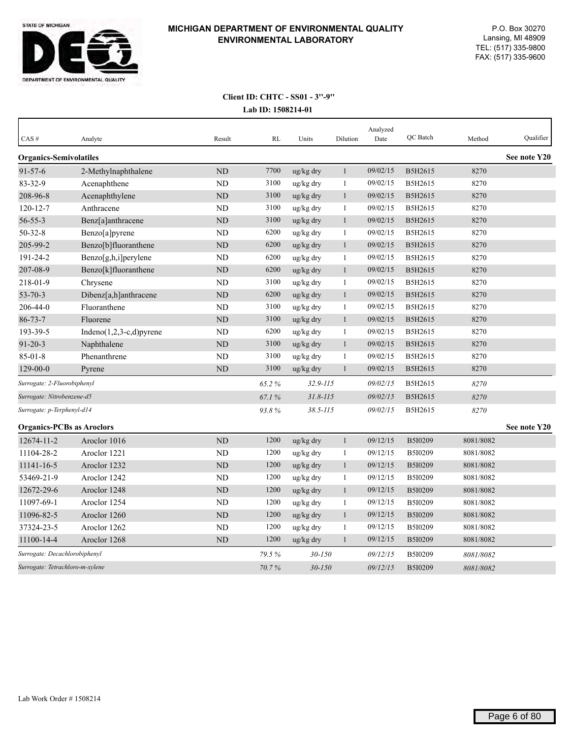

| CAS#                             | Analyte                     | Result         | <b>RL</b> | Units        | Dilution     | Analyzed<br>Date | QC Batch       | Method    | Qualifier    |
|----------------------------------|-----------------------------|----------------|-----------|--------------|--------------|------------------|----------------|-----------|--------------|
| <b>Organics-Semivolatiles</b>    |                             |                |           |              |              |                  |                |           | See note Y20 |
| $91 - 57 - 6$                    | 2-Methylnaphthalene         | <b>ND</b>      | 7700      | ug/kg dry    | $\mathbf{1}$ | 09/02/15         | B5H2615        | 8270      |              |
| 83-32-9                          | Acenaphthene                | N <sub>D</sub> | 3100      | ug/kg dry    | $\mathbf{1}$ | 09/02/15         | B5H2615        | 8270      |              |
| 208-96-8                         | Acenaphthylene              | <b>ND</b>      | 3100      | ug/kg dry    | 1            | 09/02/15         | B5H2615        | 8270      |              |
| $120 - 12 - 7$                   | Anthracene                  | N <sub>D</sub> | 3100      | ug/kg dry    | 1            | 09/02/15         | B5H2615        | 8270      |              |
| $56 - 55 - 3$                    | Benz[a]anthracene           | ND             | 3100      | ug/kg dry    | $\mathbf{1}$ | 09/02/15         | B5H2615        | 8270      |              |
| $50 - 32 - 8$                    | Benzo[a]pyrene              | <b>ND</b>      | 6200      | ug/kg dry    | $\mathbf{1}$ | 09/02/15         | B5H2615        | 8270      |              |
| 205-99-2                         | Benzo[b]fluoranthene        | ND             | 6200      | ug/kg dry    | $\mathbf{1}$ | 09/02/15         | B5H2615        | 8270      |              |
| 191-24-2                         | $Benzo[g,h,i]$ perylene     | <b>ND</b>      | 6200      | ug/kg dry    | 1            | 09/02/15         | B5H2615        | 8270      |              |
| 207-08-9                         | Benzo[k]fluoranthene        | ND             | 6200      | ug/kg dry    | $\mathbf{1}$ | 09/02/15         | B5H2615        | 8270      |              |
| 218-01-9                         | Chrysene                    | <b>ND</b>      | 3100      | ug/kg dry    | $\mathbf{1}$ | 09/02/15         | B5H2615        | 8270      |              |
| $53 - 70 - 3$                    | Dibenz[a,h]anthracene       | <b>ND</b>      | 6200      | ug/kg dry    | $\mathbf{1}$ | 09/02/15         | B5H2615        | 8270      |              |
| 206-44-0                         | Fluoranthene                | <b>ND</b>      | 3100      | ug/kg dry    | 1            | 09/02/15         | B5H2615        | 8270      |              |
| $86 - 73 - 7$                    | Fluorene                    | <b>ND</b>      | 3100      | ug/kg dry    | $\mathbf{1}$ | 09/02/15         | B5H2615        | 8270      |              |
| 193-39-5                         | Indeno $(1,2,3-c,d)$ pyrene | <b>ND</b>      | 6200      | ug/kg dry    | 1            | 09/02/15         | B5H2615        | 8270      |              |
| $91 - 20 - 3$                    | Naphthalene                 | ND             | 3100      | ug/kg dry    | $\mathbf{1}$ | 09/02/15         | B5H2615        | 8270      |              |
| $85 - 01 - 8$                    | Phenanthrene                | <b>ND</b>      | 3100      | ug/kg dry    | 1            | 09/02/15         | B5H2615        | 8270      |              |
| $129 - 00 - 0$                   | Pyrene                      | ND             | 3100      | ug/kg dry    | $\mathbf{1}$ | 09/02/15         | B5H2615        | 8270      |              |
| Surrogate: 2-Fluorobiphenyl      |                             |                | 65.2%     | $32.9 - 115$ |              | 09/02/15         | B5H2615        | 8270      |              |
| Surrogate: Nitrobenzene-d5       |                             |                | 67.1%     | $31.8 - 115$ |              | 09/02/15         | B5H2615        | 8270      |              |
| Surrogate: p-Terphenyl-d14       |                             |                | 93.8%     | $38.5 - 115$ |              | 09/02/15         | B5H2615        | 8270      |              |
| <b>Organics-PCBs as Aroclors</b> |                             |                |           |              |              |                  |                |           | See note Y20 |
| 12674-11-2                       | Aroclor 1016                | <b>ND</b>      | 1200      | ug/kg dry    | $\mathbf{1}$ | 09/12/15         | B5I0209        | 8081/8082 |              |
| 11104-28-2                       | Aroclor 1221                | <b>ND</b>      | 1200      | ug/kg dry    | $\mathbf{1}$ | 09/12/15         | B5I0209        | 8081/8082 |              |
| 11141-16-5                       | Aroclor 1232                | <b>ND</b>      | 1200      | ug/kg dry    | $\mathbf{1}$ | 09/12/15         | B5I0209        | 8081/8082 |              |
| 53469-21-9                       | Aroclor 1242                | <b>ND</b>      | 1200      | ug/kg dry    | 1            | 09/12/15         | B5I0209        | 8081/8082 |              |
| 12672-29-6                       | Aroclor 1248                | <b>ND</b>      | 1200      | ug/kg dry    | 1            | 09/12/15         | B5I0209        | 8081/8082 |              |
| 11097-69-1                       | Aroclor 1254                | <b>ND</b>      | 1200      | ug/kg dry    | 1            | 09/12/15         | B5I0209        | 8081/8082 |              |
| 11096-82-5                       | Aroclor 1260                | <b>ND</b>      | 1200      | ug/kg dry    | $\mathbf{1}$ | 09/12/15         | B5I0209        | 8081/8082 |              |
| 37324-23-5                       | Aroclor 1262                | <b>ND</b>      | 1200      | ug/kg dry    | 1            | 09/12/15         | B5I0209        | 8081/8082 |              |
| 11100-14-4                       | Aroclor 1268                | <b>ND</b>      | 1200      | ug/kg dry    | $\mathbf{1}$ | 09/12/15         | B5I0209        | 8081/8082 |              |
| Surrogate: Decachlorobiphenyl    |                             |                | 79.5%     | 30-150       |              | 09/12/15         | B5I0209        | 8081/8082 |              |
| Surrogate: Tetrachloro-m-xylene  |                             |                | 70.7%     | $30 - 150$   |              | 09/12/15         | <b>B5I0209</b> | 8081/8082 |              |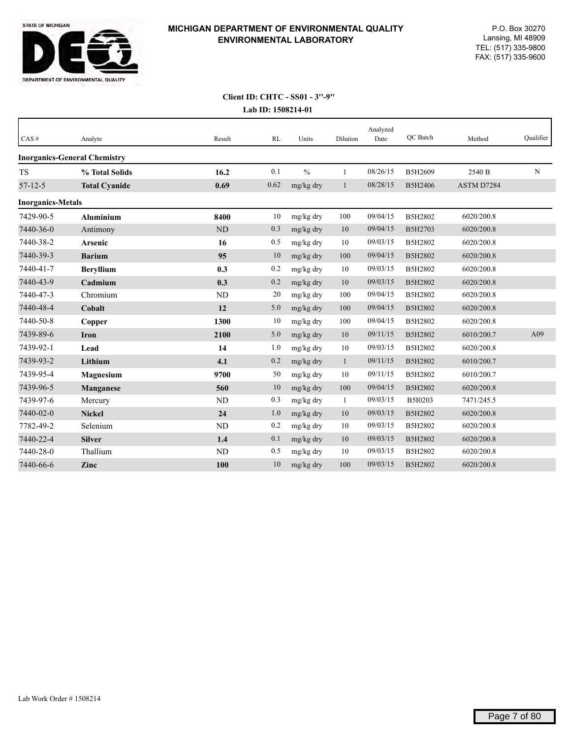

| $CAS \#$                 | Analyte                             | Result         | RL   | Units         | Dilution     | Analyzed<br>Date | QC Batch | Method     | Qualifier |
|--------------------------|-------------------------------------|----------------|------|---------------|--------------|------------------|----------|------------|-----------|
|                          | <b>Inorganics-General Chemistry</b> |                |      |               |              |                  |          |            |           |
| <b>TS</b>                | % Total Solids                      | 16.2           | 0.1  | $\frac{0}{0}$ | 1            | 08/26/15         | B5H2609  | 2540 B     | N         |
| $57 - 12 - 5$            | <b>Total Cyanide</b>                | 0.69           | 0.62 | mg/kg dry     | $\mathbf{1}$ | 08/28/15         | B5H2406  | ASTM D7284 |           |
| <b>Inorganics-Metals</b> |                                     |                |      |               |              |                  |          |            |           |
| 7429-90-5                | <b>Aluminium</b>                    | 8400           | 10   | mg/kg dry     | 100          | 09/04/15         | B5H2802  | 6020/200.8 |           |
| 7440-36-0                | Antimony                            | N <sub>D</sub> | 0.3  | mg/kg dry     | 10           | 09/04/15         | B5H2703  | 6020/200.8 |           |
| 7440-38-2                | Arsenic                             | 16             | 0.5  | mg/kg dry     | 10           | 09/03/15         | B5H2802  | 6020/200.8 |           |
| 7440-39-3                | <b>Barium</b>                       | 95             | 10   | mg/kg dry     | 100          | 09/04/15         | B5H2802  | 6020/200.8 |           |
| 7440-41-7                | <b>Beryllium</b>                    | 0.3            | 0.2  | mg/kg dry     | 10           | 09/03/15         | B5H2802  | 6020/200.8 |           |
| 7440-43-9                | Cadmium                             | 0.3            | 0.2  | mg/kg dry     | $10\,$       | 09/03/15         | B5H2802  | 6020/200.8 |           |
| 7440-47-3                | Chromium                            | ND             | 20   | mg/kg dry     | 100          | 09/04/15         | B5H2802  | 6020/200.8 |           |
| 7440-48-4                | Cobalt                              | 12             | 5.0  | mg/kg dry     | 100          | 09/04/15         | B5H2802  | 6020/200.8 |           |
| 7440-50-8                | Copper                              | 1300           | 10   | mg/kg dry     | 100          | 09/04/15         | B5H2802  | 6020/200.8 |           |
| 7439-89-6                | Iron                                | 2100           | 5.0  | mg/kg dry     | 10           | 09/11/15         | B5H2802  | 6010/200.7 | A09       |
| 7439-92-1                | Lead                                | 14             | 1.0  | mg/kg dry     | 10           | 09/03/15         | B5H2802  | 6020/200.8 |           |
| 7439-93-2                | Lithium                             | 4.1            | 0.2  | mg/kg dry     | $\mathbf{1}$ | 09/11/15         | B5H2802  | 6010/200.7 |           |
| 7439-95-4                | Magnesium                           | 9700           | 50   | mg/kg dry     | 10           | 09/11/15         | B5H2802  | 6010/200.7 |           |
| 7439-96-5                | Manganese                           | 560            | 10   | mg/kg dry     | 100          | 09/04/15         | B5H2802  | 6020/200.8 |           |
| 7439-97-6                | Mercury                             | ND             | 0.3  | mg/kg dry     | $\mathbf{1}$ | 09/03/15         | B5I0203  | 7471/245.5 |           |
| 7440-02-0                | <b>Nickel</b>                       | 24             | 1.0  | mg/kg dry     | 10           | 09/03/15         | B5H2802  | 6020/200.8 |           |
| 7782-49-2                | Selenium                            | ND             | 0.2  | mg/kg dry     | 10           | 09/03/15         | B5H2802  | 6020/200.8 |           |
| 7440-22-4                | <b>Silver</b>                       | 1.4            | 0.1  | mg/kg dry     | 10           | 09/03/15         | B5H2802  | 6020/200.8 |           |
| 7440-28-0                | Thallium                            | <b>ND</b>      | 0.5  | mg/kg dry     | 10           | 09/03/15         | B5H2802  | 6020/200.8 |           |
| 7440-66-6                | Zinc                                | 100            | 10   | mg/kg dry     | 100          | 09/03/15         | B5H2802  | 6020/200.8 |           |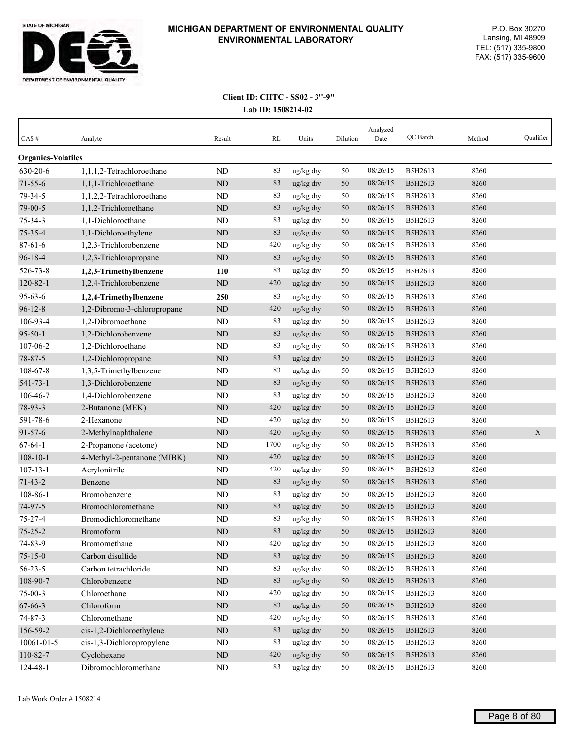

| $CAS \#$                  | Analyte                     | Result    | RL   | Units     | Dilution | Analyzed<br>Date | QC Batch | Method | Qualifier   |
|---------------------------|-----------------------------|-----------|------|-----------|----------|------------------|----------|--------|-------------|
| <b>Organics-Volatiles</b> |                             |           |      |           |          |                  |          |        |             |
| 630-20-6                  | 1,1,1,2-Tetrachloroethane   | ND        | 83   | ug/kg dry | 50       | 08/26/15         | B5H2613  | 8260   |             |
| $71 - 55 - 6$             | 1,1,1-Trichloroethane       | ND        | 83   | ug/kg dry | 50       | 08/26/15         | B5H2613  | 8260   |             |
| 79-34-5                   | 1,1,2,2-Tetrachloroethane   | ND        | 83   | ug/kg dry | 50       | 08/26/15         | B5H2613  | 8260   |             |
| 79-00-5                   | 1,1,2-Trichloroethane       | ND        | 83   | ug/kg dry | 50       | 08/26/15         | B5H2613  | 8260   |             |
| $75 - 34 - 3$             | 1,1-Dichloroethane          | ND        | 83   | ug/kg dry | 50       | 08/26/15         | B5H2613  | 8260   |             |
| 75-35-4                   | 1,1-Dichloroethylene        | ND        | 83   | ug/kg dry | 50       | 08/26/15         | B5H2613  | 8260   |             |
| $87 - 61 - 6$             | 1,2,3-Trichlorobenzene      | ND        | 420  | ug/kg dry | 50       | 08/26/15         | B5H2613  | 8260   |             |
| $96 - 18 - 4$             | 1,2,3-Trichloropropane      | ND        | 83   | ug/kg dry | 50       | 08/26/15         | B5H2613  | 8260   |             |
| 526-73-8                  | 1,2,3-Trimethylbenzene      | 110       | 83   | ug/kg dry | 50       | 08/26/15         | B5H2613  | 8260   |             |
| $120 - 82 - 1$            | 1,2,4-Trichlorobenzene      | <b>ND</b> | 420  | ug/kg dry | 50       | 08/26/15         | B5H2613  | 8260   |             |
| $95 - 63 - 6$             | 1,2,4-Trimethylbenzene      | 250       | 83   | ug/kg dry | 50       | 08/26/15         | B5H2613  | 8260   |             |
| $96 - 12 - 8$             | 1,2-Dibromo-3-chloropropane | ND        | 420  | ug/kg dry | 50       | 08/26/15         | B5H2613  | 8260   |             |
| 106-93-4                  | 1,2-Dibromoethane           | ND        | 83   | ug/kg dry | 50       | 08/26/15         | B5H2613  | 8260   |             |
| $95 - 50 - 1$             | 1,2-Dichlorobenzene         | <b>ND</b> | 83   | ug/kg dry | 50       | 08/26/15         | B5H2613  | 8260   |             |
| 107-06-2                  | 1,2-Dichloroethane          | ND        | 83   | ug/kg dry | 50       | 08/26/15         | B5H2613  | 8260   |             |
| 78-87-5                   | 1,2-Dichloropropane         | $\rm ND$  | 83   | ug/kg dry | 50       | 08/26/15         | B5H2613  | 8260   |             |
| 108-67-8                  | 1,3,5-Trimethylbenzene      | ND        | 83   | ug/kg dry | 50       | 08/26/15         | B5H2613  | 8260   |             |
| 541-73-1                  | 1,3-Dichlorobenzene         | $\rm ND$  | 83   | ug/kg dry | 50       | 08/26/15         | B5H2613  | 8260   |             |
| 106-46-7                  | 1,4-Dichlorobenzene         | ND        | 83   | ug/kg dry | 50       | 08/26/15         | B5H2613  | 8260   |             |
| 78-93-3                   | 2-Butanone (MEK)            | <b>ND</b> | 420  | ug/kg dry | 50       | 08/26/15         | B5H2613  | 8260   |             |
| 591-78-6                  | 2-Hexanone                  | ND        | 420  | ug/kg dry | 50       | 08/26/15         | B5H2613  | 8260   |             |
| $91 - 57 - 6$             | 2-Methylnaphthalene         | <b>ND</b> | 420  | ug/kg dry | 50       | 08/26/15         | B5H2613  | 8260   | $\mathbf X$ |
| $67 - 64 - 1$             | 2-Propanone (acetone)       | ND        | 1700 | ug/kg dry | 50       | 08/26/15         | B5H2613  | 8260   |             |
| $108 - 10 - 1$            | 4-Methyl-2-pentanone (MIBK) | ND        | 420  | ug/kg dry | 50       | 08/26/15         | B5H2613  | 8260   |             |
| $107 - 13 - 1$            | Acrylonitrile               | ND        | 420  | ug/kg dry | 50       | 08/26/15         | B5H2613  | 8260   |             |
| $71 - 43 - 2$             | Benzene                     | ND        | 83   | ug/kg dry | 50       | 08/26/15         | B5H2613  | 8260   |             |
| 108-86-1                  | Bromobenzene                | ND        | 83   | ug/kg dry | 50       | 08/26/15         | B5H2613  | 8260   |             |
| 74-97-5                   | Bromochloromethane          | $\rm ND$  | 83   | ug/kg dry | 50       | 08/26/15         | B5H2613  | 8260   |             |
| $75 - 27 - 4$             | Bromodichloromethane        | ND        | 83   | ug/kg dry | 50       | 08/26/15         | B5H2613  | 8260   |             |
| $75 - 25 - 2$             | Bromoform                   | ND        | 83   | ug/kg dry | 50       | 08/26/15         | B5H2613  | 8260   |             |
| 74-83-9                   | Bromomethane                | ND        | 420  | ug/kg dry | 50       | 08/26/15         | B5H2613  | 8260   |             |
| $75 - 15 - 0$             | Carbon disulfide            | $\rm ND$  | 83   | ug/kg dry | 50       | 08/26/15         | B5H2613  | 8260   |             |
| $56 - 23 - 5$             | Carbon tetrachloride        | $\rm ND$  | 83   | ug/kg dry | 50       | 08/26/15         | B5H2613  | 8260   |             |
| 108-90-7                  | Chlorobenzene               | $\rm ND$  | 83   | ug/kg dry | 50       | 08/26/15         | B5H2613  | 8260   |             |
| $75-00-3$                 | Chloroethane                | ND        | 420  | ug/kg dry | 50       | 08/26/15         | B5H2613  | 8260   |             |
| $67 - 66 - 3$             | Chloroform                  | $\rm ND$  | 83   | ug/kg dry | 50       | 08/26/15         | B5H2613  | 8260   |             |
| $74 - 87 - 3$             | Chloromethane               | ND        | 420  | ug/kg dry | 50       | 08/26/15         | B5H2613  | 8260   |             |
| 156-59-2                  | cis-1,2-Dichloroethylene    | $\rm ND$  | 83   | ug/kg dry | 50       | 08/26/15         | B5H2613  | 8260   |             |
| 10061-01-5                | cis-1,3-Dichloropropylene   | ND        | 83   | ug/kg dry | 50       | 08/26/15         | B5H2613  | 8260   |             |
| 110-82-7                  | Cyclohexane                 | $\rm ND$  | 420  | ug/kg dry | 50       | 08/26/15         | B5H2613  | 8260   |             |
| 124-48-1                  | Dibromochloromethane        | ND        | 83   | ug/kg dry | 50       | 08/26/15         | B5H2613  | 8260   |             |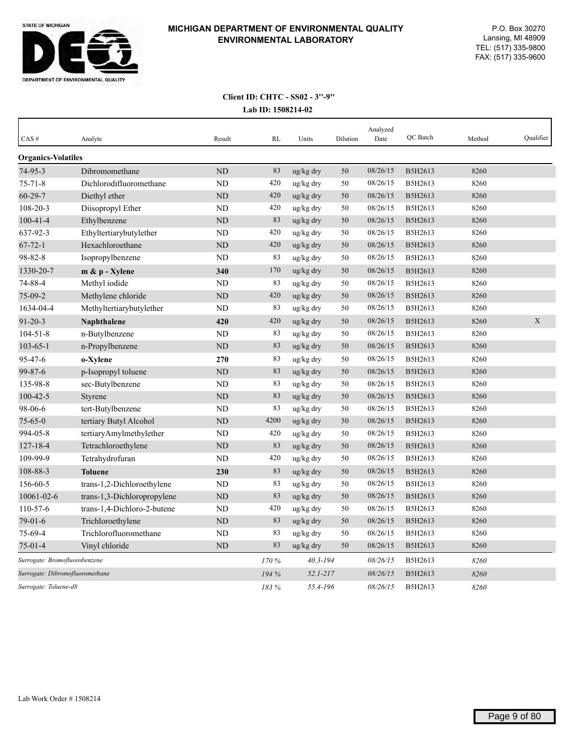

| CAS#                            | Analyte                     | Result    | RL    | Units        | Dilution | Analyzed<br>Date | QC Batch | Method | Qualifier   |
|---------------------------------|-----------------------------|-----------|-------|--------------|----------|------------------|----------|--------|-------------|
| <b>Organics-Volatiles</b>       |                             |           |       |              |          |                  |          |        |             |
| $74-95-3$                       | Dibromomethane              | <b>ND</b> | 83    | ug/kg dry    | 50       | 08/26/15         | B5H2613  | 8260   |             |
| $75 - 71 - 8$                   | Dichlorodifluoromethane     | <b>ND</b> | 420   | ug/kg dry    | 50       | 08/26/15         | B5H2613  | 8260   |             |
| $60 - 29 - 7$                   | Diethyl ether               | <b>ND</b> | 420   | ug/kg dry    | 50       | 08/26/15         | B5H2613  | 8260   |             |
| $108 - 20 - 3$                  | Diisopropyl Ether           | <b>ND</b> | 420   | ug/kg dry    | 50       | 08/26/15         | B5H2613  | 8260   |             |
| $100 - 41 - 4$                  | Ethylbenzene                | <b>ND</b> | 83    | ug/kg dry    | 50       | 08/26/15         | B5H2613  | 8260   |             |
| 637-92-3                        | Ethyltertiarybutylether     | ND        | 420   | ug/kg dry    | 50       | 08/26/15         | B5H2613  | 8260   |             |
| $67 - 72 - 1$                   | Hexachloroethane            | ND        | 420   | ug/kg dry    | 50       | 08/26/15         | B5H2613  | 8260   |             |
| 98-82-8                         | Isopropylbenzene            | ND        | 83    | ug/kg dry    | 50       | 08/26/15         | B5H2613  | 8260   |             |
| 1330-20-7                       | m & p - Xylene              | 340       | 170   | ug/kg dry    | 50       | 08/26/15         | B5H2613  | 8260   |             |
| 74-88-4                         | Methyl iodide               | ND        | 83    | ug/kg dry    | 50       | 08/26/15         | B5H2613  | 8260   |             |
| $75-09-2$                       | Methylene chloride          | <b>ND</b> | 420   | ug/kg dry    | 50       | 08/26/15         | B5H2613  | 8260   |             |
| 1634-04-4                       | Methyltertiarybutylether    | <b>ND</b> | 83    | ug/kg dry    | 50       | 08/26/15         | B5H2613  | 8260   |             |
| $91 - 20 - 3$                   | Naphthalene                 | 420       | 420   | ug/kg dry    | 50       | 08/26/15         | B5H2613  | 8260   | $\mathbf X$ |
| $104 - 51 - 8$                  | n-Butylbenzene              | <b>ND</b> | 83    | ug/kg dry    | 50       | 08/26/15         | B5H2613  | 8260   |             |
| $103 - 65 - 1$                  | n-Propylbenzene             | <b>ND</b> | 83    | ug/kg dry    | 50       | 08/26/15         | B5H2613  | 8260   |             |
| 95-47-6                         | o-Xylene                    | 270       | 83    | ug/kg dry    | 50       | 08/26/15         | B5H2613  | 8260   |             |
| $99 - 87 - 6$                   | p-Isopropyl toluene         | ND        | 83    | ug/kg dry    | 50       | 08/26/15         | B5H2613  | 8260   |             |
| 135-98-8                        | sec-Butylbenzene            | ND        | 83    | ug/kg dry    | 50       | 08/26/15         | B5H2613  | 8260   |             |
| $100 - 42 - 5$                  | Styrene                     | <b>ND</b> | 83    | ug/kg dry    | 50       | 08/26/15         | B5H2613  | 8260   |             |
| 98-06-6                         | tert-Butylbenzene           | <b>ND</b> | 83    | ug/kg dry    | 50       | 08/26/15         | B5H2613  | 8260   |             |
| $75 - 65 - 0$                   | tertiary Butyl Alcohol      | <b>ND</b> | 4200  | ug/kg dry    | 50       | 08/26/15         | B5H2613  | 8260   |             |
| 994-05-8                        | tertiaryAmylmethylether     | ND        | 420   | ug/kg dry    | 50       | 08/26/15         | B5H2613  | 8260   |             |
| $127 - 18 - 4$                  | Tetrachloroethylene         | ND        | 83    | ug/kg dry    | 50       | 08/26/15         | B5H2613  | 8260   |             |
| 109-99-9                        | Tetrahydrofuran             | <b>ND</b> | 420   | ug/kg dry    | 50       | 08/26/15         | B5H2613  | 8260   |             |
| 108-88-3                        | <b>Toluene</b>              | 230       | 83    | ug/kg dry    | 50       | 08/26/15         | B5H2613  | 8260   |             |
| 156-60-5                        | trans-1,2-Dichloroethylene  | <b>ND</b> | 83    | ug/kg dry    | 50       | 08/26/15         | B5H2613  | 8260   |             |
| 10061-02-6                      | trans-1,3-Dichloropropylene | <b>ND</b> | 83    | ug/kg dry    | 50       | 08/26/15         | B5H2613  | 8260   |             |
| 110-57-6                        | trans-1,4-Dichloro-2-butene | <b>ND</b> | 420   | ug/kg dry    | 50       | 08/26/15         | B5H2613  | 8260   |             |
| $79-01-6$                       | Trichloroethylene           | ND        | 83    | ug/kg dry    | 50       | 08/26/15         | B5H2613  | 8260   |             |
| 75-69-4                         | Trichlorofluoromethane      | <b>ND</b> | 83    | ug/kg dry    | 50       | 08/26/15         | B5H2613  | 8260   |             |
| $75-01-4$                       | Vinyl chloride              | ND        | 83    | ug/kg dry    | 50       | 08/26/15         | B5H2613  | 8260   |             |
| Surrogate: Bromofluorobenzene   |                             |           | 170 % | $40.3 - 194$ |          | 08/26/15         | B5H2613  | 8260   |             |
| Surrogate: Dibromofluoromethane |                             |           | 194 % | $52.1 - 217$ |          | 08/26/15         | B5H2613  | 8260   |             |
| Surrogate: Toluene-d8           |                             |           | 183 % | 55.4-196     |          | 08/26/15         | B5H2613  | 8260   |             |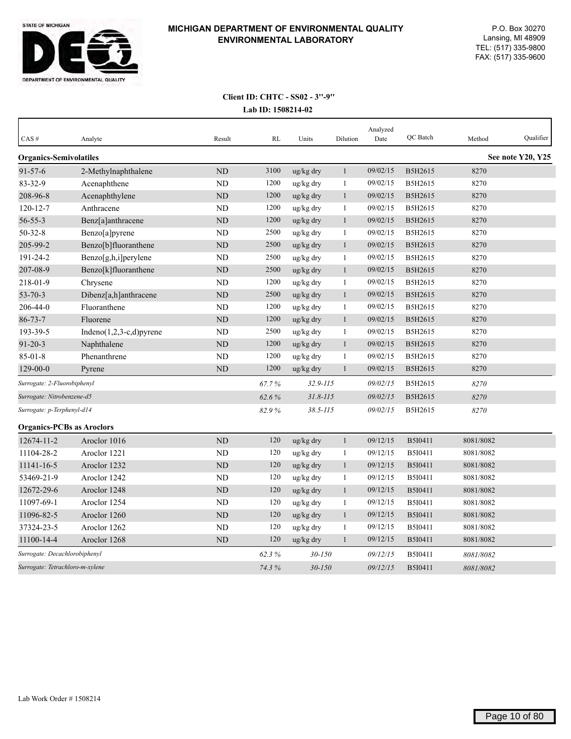

| CAS#                             | Analyte                     | Result         | <b>RL</b> | Units                 | Dilution     | Analyzed<br>Date | QC Batch       | Method    | Qualifier         |
|----------------------------------|-----------------------------|----------------|-----------|-----------------------|--------------|------------------|----------------|-----------|-------------------|
| <b>Organics-Semivolatiles</b>    |                             |                |           |                       |              |                  |                |           | See note Y20, Y25 |
| $91 - 57 - 6$                    | 2-Methylnaphthalene         | <b>ND</b>      | 3100      | ug/kg dry             | $\mathbf{1}$ | 09/02/15         | B5H2615        | 8270      |                   |
| 83-32-9                          | Acenaphthene                | ND             | 1200      | ug/kg dry             | $\mathbf{1}$ | 09/02/15         | B5H2615        | 8270      |                   |
| 208-96-8                         | Acenaphthylene              | ND             | 1200      | ug/kg dry             | $\mathbf{1}$ | 09/02/15         | B5H2615        | 8270      |                   |
| $120 - 12 - 7$                   | Anthracene                  | N <sub>D</sub> | 1200      | ug/kg dry             | 1            | 09/02/15         | B5H2615        | 8270      |                   |
| $56 - 55 - 3$                    | Benz[a]anthracene           | ND             | 1200      | ug/kg dry             | $\mathbf{1}$ | 09/02/15         | B5H2615        | 8270      |                   |
| $50 - 32 - 8$                    | Benzo[a]pyrene              | <b>ND</b>      | 2500      | ug/kg dry             | 1            | 09/02/15         | B5H2615        | 8270      |                   |
| 205-99-2                         | Benzo[b]fluoranthene        | ND             | 2500      | ug/kg dry             | $\mathbf{1}$ | 09/02/15         | B5H2615        | 8270      |                   |
| 191-24-2                         | Benzo[g,h,i]perylene        | <b>ND</b>      | 2500      | ug/kg dry             | $\mathbf{1}$ | 09/02/15         | B5H2615        | 8270      |                   |
| 207-08-9                         | Benzo[k]fluoranthene        | ND             | 2500      | ug/kg dry             | 1            | 09/02/15         | B5H2615        | 8270      |                   |
| 218-01-9                         | Chrysene                    | ND             | 1200      | ug/kg dry             | 1            | 09/02/15         | B5H2615        | 8270      |                   |
| $53 - 70 - 3$                    | Dibenz[a,h]anthracene       | <b>ND</b>      | 2500      | ug/kg dry             | $\mathbf{1}$ | 09/02/15         | B5H2615        | 8270      |                   |
| 206-44-0                         | Fluoranthene                | <b>ND</b>      | 1200      | ug/kg dry             | $\mathbf{1}$ | 09/02/15         | B5H2615        | 8270      |                   |
| $86 - 73 - 7$                    | Fluorene                    | <b>ND</b>      | 1200      | ug/kg dry             | $\mathbf{1}$ | 09/02/15         | B5H2615        | 8270      |                   |
| 193-39-5                         | Indeno $(1,2,3-c,d)$ pyrene | <b>ND</b>      | 2500      | ug/kg dry             | $\mathbf{1}$ | 09/02/15         | B5H2615        | 8270      |                   |
| $91 - 20 - 3$                    | Naphthalene                 | ND             | 1200      | ug/kg dry             | $\mathbf{1}$ | 09/02/15         | B5H2615        | 8270      |                   |
| $85 - 01 - 8$                    | Phenanthrene                | <b>ND</b>      | 1200      | ug/kg dry             | 1            | 09/02/15         | B5H2615        | 8270      |                   |
| $129 - 00 - 0$                   | Pyrene                      | <b>ND</b>      | 1200      | $\frac{u g}{k g}$ dry | $\mathbf{1}$ | 09/02/15         | B5H2615        | 8270      |                   |
| Surrogate: 2-Fluorobiphenyl      |                             |                | 67.7%     | $32.9 - 115$          |              | 09/02/15         | B5H2615        | 8270      |                   |
| Surrogate: Nitrobenzene-d5       |                             |                | 62.6%     | $31.8 - 115$          |              | 09/02/15         | B5H2615        | 8270      |                   |
| Surrogate: p-Terphenyl-d14       |                             |                | 82.9%     | $38.5 - 115$          |              | 09/02/15         | B5H2615        | 8270      |                   |
| <b>Organics-PCBs as Aroclors</b> |                             |                |           |                       |              |                  |                |           |                   |
| 12674-11-2                       | Aroclor 1016                | <b>ND</b>      | 120       | ug/kg dry             | $\mathbf{1}$ | 09/12/15         | B5I0411        | 8081/8082 |                   |
| 11104-28-2                       | Aroclor 1221                | N <sub>D</sub> | 120       | ug/kg dry             | $\mathbf{1}$ | 09/12/15         | B5I0411        | 8081/8082 |                   |
| 11141-16-5                       | Aroclor 1232                | <b>ND</b>      | 120       | ug/kg dry             | $\mathbf{1}$ | 09/12/15         | <b>B5I0411</b> | 8081/8082 |                   |
| 53469-21-9                       | Aroclor 1242                | ND             | 120       | ug/kg dry             | 1            | 09/12/15         | B5I0411        | 8081/8082 |                   |
| 12672-29-6                       | Aroclor 1248                | <b>ND</b>      | 120       | ug/kg dry             | $\mathbf{1}$ | 09/12/15         | B5I0411        | 8081/8082 |                   |
| 11097-69-1                       | Aroclor 1254                | <b>ND</b>      | 120       | ug/kg dry             | 1            | 09/12/15         | B5I0411        | 8081/8082 |                   |
| 11096-82-5                       | Aroclor 1260                | ND             | 120       | ug/kg dry             | 1            | 09/12/15         | B5I0411        | 8081/8082 |                   |
| 37324-23-5                       | Aroclor 1262                | <b>ND</b>      | 120       | ug/kg dry             | 1            | 09/12/15         | B5I0411        | 8081/8082 |                   |
| 11100-14-4                       | Aroclor 1268                | <b>ND</b>      | 120       | $\frac{u g}{k g}$ dry | 1            | 09/12/15         | B5I0411        | 8081/8082 |                   |
| Surrogate: Decachlorobiphenyl    |                             |                | 62.3%     | $30 - 150$            |              | 09/12/15         | B5I0411        | 8081/8082 |                   |
| Surrogate: Tetrachloro-m-xylene  |                             |                | 74.3%     | $30 - 150$            |              | 09/12/15         | B5I0411        | 8081/8082 |                   |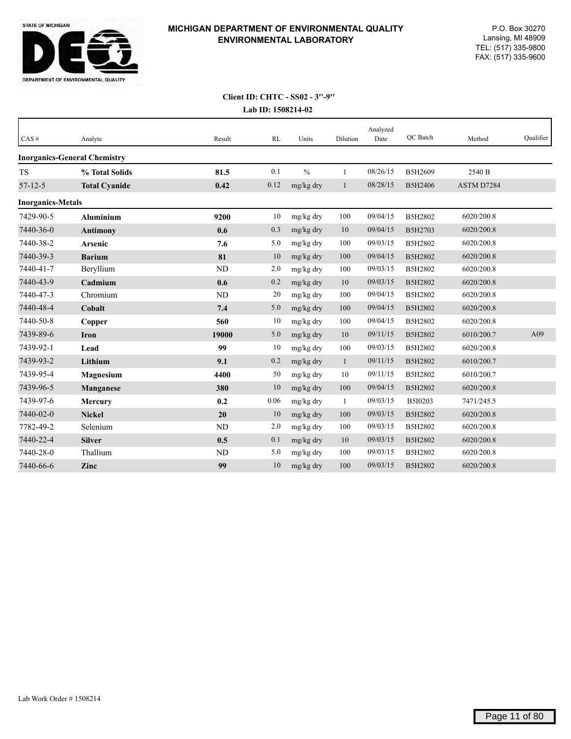

| CAS#                     | Analyte                             | Result    | RL   | Units         | Dilution     | Analyzed<br>Date | QC Batch | Method     | Qualifier |
|--------------------------|-------------------------------------|-----------|------|---------------|--------------|------------------|----------|------------|-----------|
|                          | <b>Inorganics-General Chemistry</b> |           |      |               |              |                  |          |            |           |
| <b>TS</b>                | % Total Solids                      | 81.5      | 0.1  | $\frac{0}{0}$ | 1            | 08/26/15         | B5H2609  | 2540 B     |           |
| $57 - 12 - 5$            | <b>Total Cyanide</b>                | 0.42      | 0.12 | mg/kg dry     | $\mathbf{1}$ | 08/28/15         | B5H2406  | ASTM D7284 |           |
| <b>Inorganics-Metals</b> |                                     |           |      |               |              |                  |          |            |           |
| 7429-90-5                | <b>Aluminium</b>                    | 9200      | 10   | mg/kg dry     | 100          | 09/04/15         | B5H2802  | 6020/200.8 |           |
| 7440-36-0                | <b>Antimony</b>                     | 0.6       | 0.3  | mg/kg dry     | $10\,$       | 09/04/15         | B5H2703  | 6020/200.8 |           |
| 7440-38-2                | Arsenic                             | 7.6       | 5.0  | mg/kg dry     | 100          | 09/03/15         | B5H2802  | 6020/200.8 |           |
| 7440-39-3                | <b>Barium</b>                       | 81        | 10   | mg/kg dry     | 100          | 09/04/15         | B5H2802  | 6020/200.8 |           |
| 7440-41-7                | Beryllium                           | <b>ND</b> | 2.0  | mg/kg dry     | 100          | 09/03/15         | B5H2802  | 6020/200.8 |           |
| 7440-43-9                | Cadmium                             | 0.6       | 0.2  | mg/kg dry     | 10           | 09/03/15         | B5H2802  | 6020/200.8 |           |
| 7440-47-3                | Chromium                            | <b>ND</b> | 20   | mg/kg dry     | 100          | 09/04/15         | B5H2802  | 6020/200.8 |           |
| 7440-48-4                | Cobalt                              | 7.4       | 5.0  | mg/kg dry     | 100          | 09/04/15         | B5H2802  | 6020/200.8 |           |
| 7440-50-8                | Copper                              | 560       | 10   | mg/kg dry     | 100          | 09/04/15         | B5H2802  | 6020/200.8 |           |
| 7439-89-6                | <b>Iron</b>                         | 19000     | 5.0  | mg/kg dry     | $10\,$       | 09/11/15         | B5H2802  | 6010/200.7 | A09       |
| 7439-92-1                | Lead                                | 99        | 10   | mg/kg dry     | 100          | 09/03/15         | B5H2802  | 6020/200.8 |           |
| 7439-93-2                | Lithium                             | 9.1       | 0.2  | mg/kg dry     | $\mathbf{1}$ | 09/11/15         | B5H2802  | 6010/200.7 |           |
| 7439-95-4                | Magnesium                           | 4400      | 50   | mg/kg dry     | 10           | 09/11/15         | B5H2802  | 6010/200.7 |           |
| 7439-96-5                | Manganese                           | 380       | 10   | mg/kg dry     | 100          | 09/04/15         | B5H2802  | 6020/200.8 |           |
| 7439-97-6                | Mercury                             | 0.2       | 0.06 | mg/kg dry     | -1           | 09/03/15         | B5I0203  | 7471/245.5 |           |
| 7440-02-0                | <b>Nickel</b>                       | 20        | 10   | mg/kg dry     | 100          | 09/03/15         | B5H2802  | 6020/200.8 |           |
| 7782-49-2                | Selenium                            | <b>ND</b> | 2.0  | mg/kg dry     | 100          | 09/03/15         | B5H2802  | 6020/200.8 |           |
| 7440-22-4                | <b>Silver</b>                       | 0.5       | 0.1  | mg/kg dry     | 10           | 09/03/15         | B5H2802  | 6020/200.8 |           |
| 7440-28-0                | Thallium                            | ND        | 5.0  | mg/kg dry     | 100          | 09/03/15         | B5H2802  | 6020/200.8 |           |
| 7440-66-6                | Zinc                                | 99        | 10   | mg/kg dry     | 100          | 09/03/15         | B5H2802  | 6020/200.8 |           |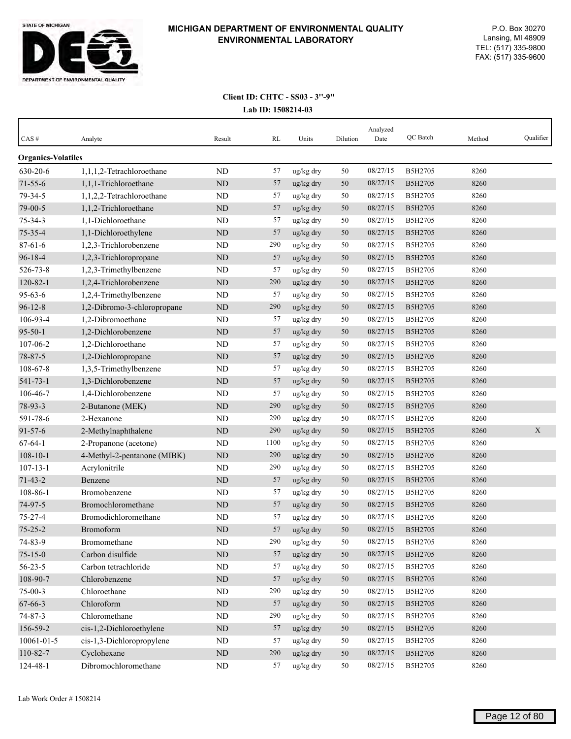

| CAS#                      | Analyte                     | Result    | RL   | Units                 | Dilution | Analyzed<br>Date | QC Batch | Method | Qualifier |
|---------------------------|-----------------------------|-----------|------|-----------------------|----------|------------------|----------|--------|-----------|
| <b>Organics-Volatiles</b> |                             |           |      |                       |          |                  |          |        |           |
| 630-20-6                  | 1,1,1,2-Tetrachloroethane   | <b>ND</b> | 57   | ug/kg dry             | 50       | 08/27/15         | B5H2705  | 8260   |           |
| $71 - 55 - 6$             | 1,1,1-Trichloroethane       | ND        | 57   | ug/kg dry             | 50       | 08/27/15         | B5H2705  | 8260   |           |
| 79-34-5                   | 1,1,2,2-Tetrachloroethane   | ND        | 57   | ug/kg dry             | 50       | 08/27/15         | B5H2705  | 8260   |           |
| 79-00-5                   | 1,1,2-Trichloroethane       | ND        | 57   | ug/kg dry             | 50       | 08/27/15         | B5H2705  | 8260   |           |
| $75 - 34 - 3$             | 1,1-Dichloroethane          | ND        | 57   | ug/kg dry             | 50       | 08/27/15         | B5H2705  | 8260   |           |
| $75 - 35 - 4$             | 1,1-Dichloroethylene        | <b>ND</b> | 57   | ug/kg dry             | 50       | 08/27/15         | B5H2705  | 8260   |           |
| $87 - 61 - 6$             | 1,2,3-Trichlorobenzene      | ND        | 290  | ug/kg dry             | 50       | 08/27/15         | B5H2705  | 8260   |           |
| $96 - 18 - 4$             | 1,2,3-Trichloropropane      | $\rm ND$  | 57   | ug/kg dry             | 50       | 08/27/15         | B5H2705  | 8260   |           |
| 526-73-8                  | 1,2,3-Trimethylbenzene      | ND        | 57   | ug/kg dry             | 50       | 08/27/15         | B5H2705  | 8260   |           |
| $120 - 82 - 1$            | 1,2,4-Trichlorobenzene      | $\rm ND$  | 290  | ug/kg dry             | 50       | 08/27/15         | B5H2705  | 8260   |           |
| $95 - 63 - 6$             | 1,2,4-Trimethylbenzene      | ND        | 57   | ug/kg dry             | 50       | 08/27/15         | B5H2705  | 8260   |           |
| $96 - 12 - 8$             | 1,2-Dibromo-3-chloropropane | ND        | 290  | ug/kg dry             | 50       | 08/27/15         | B5H2705  | 8260   |           |
| 106-93-4                  | 1,2-Dibromoethane           | ND        | 57   | ug/kg dry             | 50       | 08/27/15         | B5H2705  | 8260   |           |
| $95 - 50 - 1$             | 1,2-Dichlorobenzene         | ND        | 57   | ug/kg dry             | 50       | 08/27/15         | B5H2705  | 8260   |           |
| 107-06-2                  | 1,2-Dichloroethane          | ND        | 57   | ug/kg dry             | 50       | 08/27/15         | B5H2705  | 8260   |           |
| 78-87-5                   | 1,2-Dichloropropane         | ND        | 57   | ug/kg dry             | 50       | 08/27/15         | B5H2705  | 8260   |           |
| 108-67-8                  | 1,3,5-Trimethylbenzene      | ND        | 57   | ug/kg dry             | 50       | 08/27/15         | B5H2705  | 8260   |           |
| $541 - 73 - 1$            | 1,3-Dichlorobenzene         | ND        | 57   | ug/kg dry             | 50       | 08/27/15         | B5H2705  | 8260   |           |
| 106-46-7                  | 1,4-Dichlorobenzene         | ND        | 57   | ug/kg dry             | 50       | 08/27/15         | B5H2705  | 8260   |           |
| 78-93-3                   | 2-Butanone (MEK)            | $\rm ND$  | 290  | ug/kg dry             | 50       | 08/27/15         | B5H2705  | 8260   |           |
| 591-78-6                  | 2-Hexanone                  | ND        | 290  | $ug/kg$ dry           | 50       | 08/27/15         | B5H2705  | 8260   |           |
| $91 - 57 - 6$             | 2-Methylnaphthalene         | ND        | 290  | $\frac{u g}{k g}$ dry | 50       | 08/27/15         | B5H2705  | 8260   | X         |
| $67 - 64 - 1$             | 2-Propanone (acetone)       | ND        | 1100 | ug/kg dry             | 50       | 08/27/15         | B5H2705  | 8260   |           |
| $108 - 10 - 1$            | 4-Methyl-2-pentanone (MIBK) | <b>ND</b> | 290  | ug/kg dry             | 50       | 08/27/15         | B5H2705  | 8260   |           |
| $107 - 13 - 1$            | Acrylonitrile               | ND        | 290  | ug/kg dry             | 50       | 08/27/15         | B5H2705  | 8260   |           |
| $71 - 43 - 2$             | Benzene                     | ND        | 57   | ug/kg dry             | 50       | 08/27/15         | B5H2705  | 8260   |           |
| 108-86-1                  | Bromobenzene                | ND        | 57   | ug/kg dry             | 50       | 08/27/15         | B5H2705  | 8260   |           |
| 74-97-5                   | Bromochloromethane          | <b>ND</b> | 57   | ug/kg dry             | 50       | 08/27/15         | B5H2705  | 8260   |           |
| $75 - 27 - 4$             | Bromodichloromethane        | <b>ND</b> | 57   | ug/kg dry             | 50       | 08/27/15         | B5H2705  | 8260   |           |
| $75 - 25 - 2$             | Bromoform                   | <b>ND</b> | 57   | ug/kg dry             | 50       | 08/27/15         | B5H2705  | 8260   |           |
| 74-83-9                   | Bromomethane                | ND        | 290  | ug/kg dry             | 50       | 08/27/15         | B5H2705  | 8260   |           |
| $75 - 15 - 0$             | Carbon disulfide            | $\rm ND$  | 57   | ug/kg dry             | 50       | 08/27/15         | B5H2705  | 8260   |           |
| $56 - 23 - 5$             | Carbon tetrachloride        | ND        | 57   | ug/kg dry             | 50       | 08/27/15         | B5H2705  | 8260   |           |
| 108-90-7                  | Chlorobenzene               | $\rm ND$  | 57   | ug/kg dry             | $50\,$   | 08/27/15         | B5H2705  | 8260   |           |
| $75 - 00 - 3$             | Chloroethane                | $\rm ND$  | 290  | ug/kg dry             | 50       | 08/27/15         | B5H2705  | 8260   |           |
| 67-66-3                   | Chloroform                  | $\rm ND$  | 57   | ug/kg dry             | 50       | 08/27/15         | B5H2705  | 8260   |           |
| $74 - 87 - 3$             | Chloromethane               | $\rm ND$  | 290  | ug/kg dry             | 50       | 08/27/15         | B5H2705  | 8260   |           |
| 156-59-2                  | cis-1,2-Dichloroethylene    | ND        | 57   | ug/kg dry             | 50       | 08/27/15         | B5H2705  | 8260   |           |
| 10061-01-5                | cis-1,3-Dichloropropylene   | ND        | 57   | ug/kg dry             | 50       | 08/27/15         | B5H2705  | 8260   |           |
| 110-82-7                  | Cyclohexane                 | $\rm ND$  | 290  | ug/kg dry             | $50\,$   | 08/27/15         | B5H2705  | 8260   |           |
| 124-48-1                  | Dibromochloromethane        | $\rm ND$  | 57   | ug/kg dry             | 50       | 08/27/15         | B5H2705  | 8260   |           |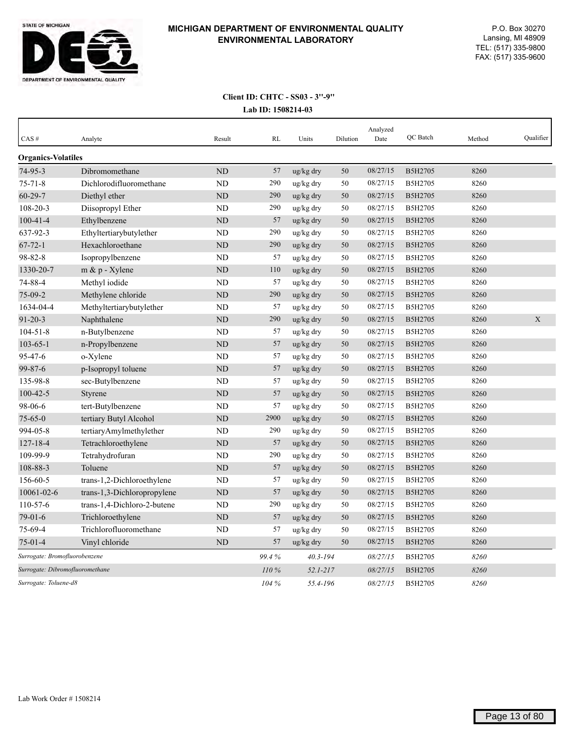

| CAS#                          | Analyte                         | Result         | RL    | Units        | Dilution | Analyzed<br>Date | <b>OC</b> Batch | Method | Qualifier   |
|-------------------------------|---------------------------------|----------------|-------|--------------|----------|------------------|-----------------|--------|-------------|
| <b>Organics-Volatiles</b>     |                                 |                |       |              |          |                  |                 |        |             |
| $74-95-3$                     | Dibromomethane                  | ND             | 57    | ug/kg dry    | 50       | 08/27/15         | B5H2705         | 8260   |             |
| $75 - 71 - 8$                 | Dichlorodifluoromethane         | ND             | 290   | ug/kg dry    | 50       | 08/27/15         | B5H2705         | 8260   |             |
| $60 - 29 - 7$                 | Diethyl ether                   | ND             | 290   | ug/kg dry    | 50       | 08/27/15         | B5H2705         | 8260   |             |
| 108-20-3                      | Diisopropyl Ether               | ND             | 290   | ug/kg dry    | 50       | 08/27/15         | B5H2705         | 8260   |             |
| $100 - 41 - 4$                | Ethylbenzene                    | ND             | 57    | ug/kg dry    | 50       | 08/27/15         | <b>B5H2705</b>  | 8260   |             |
| 637-92-3                      | Ethyltertiarybutylether         | N <sub>D</sub> | 290   | ug/kg dry    | 50       | 08/27/15         | B5H2705         | 8260   |             |
| $67 - 72 - 1$                 | Hexachloroethane                | <b>ND</b>      | 290   | ug/kg dry    | 50       | 08/27/15         | B5H2705         | 8260   |             |
| 98-82-8                       | Isopropylbenzene                | <b>ND</b>      | 57    | ug/kg dry    | 50       | 08/27/15         | B5H2705         | 8260   |             |
| 1330-20-7                     | $m \& p$ - Xylene               | <b>ND</b>      | 110   | ug/kg dry    | 50       | 08/27/15         | B5H2705         | 8260   |             |
| 74-88-4                       | Methyl iodide                   | ND             | 57    | ug/kg dry    | 50       | 08/27/15         | B5H2705         | 8260   |             |
| $75-09-2$                     | Methylene chloride              | <b>ND</b>      | 290   | ug/kg dry    | 50       | 08/27/15         | B5H2705         | 8260   |             |
| 1634-04-4                     | Methyltertiarybutylether        | ND             | 57    | ug/kg dry    | 50       | 08/27/15         | B5H2705         | 8260   |             |
| $91 - 20 - 3$                 | Naphthalene                     | <b>ND</b>      | 290   | ug/kg dry    | 50       | 08/27/15         | B5H2705         | 8260   | $\mathbf X$ |
| $104 - 51 - 8$                | n-Butylbenzene                  | <b>ND</b>      | 57    | ug/kg dry    | 50       | 08/27/15         | B5H2705         | 8260   |             |
| $103 - 65 - 1$                | n-Propylbenzene                 | ND             | 57    | ug/kg dry    | 50       | 08/27/15         | B5H2705         | 8260   |             |
| 95-47-6                       | o-Xylene                        | ND             | 57    | ug/kg dry    | 50       | 08/27/15         | B5H2705         | 8260   |             |
| $99 - 87 - 6$                 | p-Isopropyl toluene             | <b>ND</b>      | 57    | ug/kg dry    | 50       | 08/27/15         | B5H2705         | 8260   |             |
| 135-98-8                      | sec-Butylbenzene                | <b>ND</b>      | 57    | ug/kg dry    | 50       | 08/27/15         | B5H2705         | 8260   |             |
| $100 - 42 - 5$                | Styrene                         | N <sub>D</sub> | 57    | ug/kg dry    | 50       | 08/27/15         | B5H2705         | 8260   |             |
| 98-06-6                       | tert-Butylbenzene               | ND             | 57    | ug/kg dry    | 50       | 08/27/15         | <b>B5H2705</b>  | 8260   |             |
| $75 - 65 - 0$                 | tertiary Butyl Alcohol          | N <sub>D</sub> | 2900  | ug/kg dry    | 50       | 08/27/15         | B5H2705         | 8260   |             |
| 994-05-8                      | tertiaryAmylmethylether         | <b>ND</b>      | 290   | ug/kg dry    | 50       | 08/27/15         | B5H2705         | 8260   |             |
| $127 - 18 - 4$                | Tetrachloroethylene             | ND             | 57    | ug/kg dry    | 50       | 08/27/15         | B5H2705         | 8260   |             |
| 109-99-9                      | Tetrahydrofuran                 | <b>ND</b>      | 290   | ug/kg dry    | 50       | 08/27/15         | B5H2705         | 8260   |             |
| 108-88-3                      | Toluene                         | ND             | 57    | ug/kg dry    | 50       | 08/27/15         | B5H2705         | 8260   |             |
| 156-60-5                      | trans-1,2-Dichloroethylene      | <b>ND</b>      | 57    | ug/kg dry    | 50       | 08/27/15         | B5H2705         | 8260   |             |
| 10061-02-6                    | trans-1,3-Dichloropropylene     | ND             | 57    | ug/kg dry    | 50       | 08/27/15         | B5H2705         | 8260   |             |
| 110-57-6                      | trans-1,4-Dichloro-2-butene     | <b>ND</b>      | 290   | ug/kg dry    | 50       | 08/27/15         | B5H2705         | 8260   |             |
| $79-01-6$                     | Trichloroethylene               | ND             | 57    | ug/kg dry    | 50       | 08/27/15         | B5H2705         | 8260   |             |
| 75-69-4                       | Trichlorofluoromethane          | <b>ND</b>      | 57    | ug/kg dry    | 50       | 08/27/15         | B5H2705         | 8260   |             |
| $75-01-4$                     | Vinyl chloride                  | <b>ND</b>      | 57    | ug/kg dry    | 50       | 08/27/15         | B5H2705         | 8260   |             |
| Surrogate: Bromofluorobenzene |                                 |                | 99.4% | $40.3 - 194$ |          | 08/27/15         | B5H2705         | 8260   |             |
|                               | Surrogate: Dibromofluoromethane |                | 110%  | $52.1 - 217$ |          | 08/27/15         | B5H2705         | 8260   |             |
| Surrogate: Toluene-d8         |                                 |                | 104 % | 55.4-196     |          | 08/27/15         | B5H2705         | 8260   |             |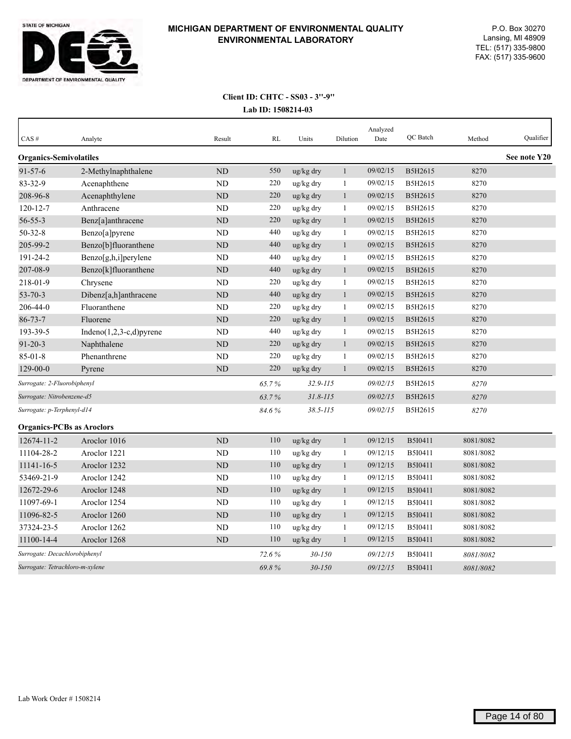

| CAS#                             | Analyte                     | Result         | RL    | Units        | Dilution     | Analyzed<br>Date | QC Batch       | Method    | Qualifier    |
|----------------------------------|-----------------------------|----------------|-------|--------------|--------------|------------------|----------------|-----------|--------------|
| <b>Organics-Semivolatiles</b>    |                             |                |       |              |              |                  |                |           | See note Y20 |
| $91 - 57 - 6$                    | 2-Methylnaphthalene         | <b>ND</b>      | 550   | ug/kg dry    | $\mathbf{1}$ | 09/02/15         | B5H2615        | 8270      |              |
| 83-32-9                          | Acenaphthene                | ND             | 220   | ug/kg dry    | $\mathbf{1}$ | 09/02/15         | B5H2615        | 8270      |              |
| 208-96-8                         | Acenaphthylene              | ND             | 220   | ug/kg dry    | $\mathbf{1}$ | 09/02/15         | B5H2615        | 8270      |              |
| $120 - 12 - 7$                   | Anthracene                  | N <sub>D</sub> | 220   | ug/kg dry    | 1            | 09/02/15         | B5H2615        | 8270      |              |
| $56 - 55 - 3$                    | Benz[a]anthracene           | ND             | 220   | ug/kg dry    | $\mathbf{1}$ | 09/02/15         | B5H2615        | 8270      |              |
| $50 - 32 - 8$                    | Benzo[a]pyrene              | <b>ND</b>      | 440   | ug/kg dry    | 1            | 09/02/15         | B5H2615        | 8270      |              |
| 205-99-2                         | Benzo[b]fluoranthene        | ND             | 440   | ug/kg dry    | $\mathbf{1}$ | 09/02/15         | B5H2615        | 8270      |              |
| 191-24-2                         | Benzo[g,h,i]perylene        | <b>ND</b>      | 440   | ug/kg dry    | $\mathbf{1}$ | 09/02/15         | B5H2615        | 8270      |              |
| 207-08-9                         | Benzo[k]fluoranthene        | ND             | 440   | ug/kg dry    | 1            | 09/02/15         | B5H2615        | 8270      |              |
| 218-01-9                         | Chrysene                    | ND             | 220   | ug/kg dry    | 1            | 09/02/15         | B5H2615        | 8270      |              |
| $53 - 70 - 3$                    | Dibenz[a,h]anthracene       | <b>ND</b>      | 440   | ug/kg dry    | $\mathbf{1}$ | 09/02/15         | B5H2615        | 8270      |              |
| 206-44-0                         | Fluoranthene                | <b>ND</b>      | 220   | ug/kg dry    | $\mathbf{1}$ | 09/02/15         | B5H2615        | 8270      |              |
| $86 - 73 - 7$                    | Fluorene                    | <b>ND</b>      | 220   | ug/kg dry    | $\mathbf{1}$ | 09/02/15         | B5H2615        | 8270      |              |
| 193-39-5                         | Indeno $(1,2,3-c,d)$ pyrene | <b>ND</b>      | 440   | ug/kg dry    | $\mathbf{1}$ | 09/02/15         | B5H2615        | 8270      |              |
| $91 - 20 - 3$                    | Naphthalene                 | ND             | 220   | ug/kg dry    | $\mathbf{1}$ | 09/02/15         | B5H2615        | 8270      |              |
| $85 - 01 - 8$                    | Phenanthrene                | <b>ND</b>      | 220   | ug/kg dry    | 1            | 09/02/15         | B5H2615        | 8270      |              |
| $129 - 00 - 0$                   | Pyrene                      | <b>ND</b>      | 220   | ug/kg dry    | $\mathbf{1}$ | 09/02/15         | B5H2615        | 8270      |              |
| Surrogate: 2-Fluorobiphenyl      |                             |                | 65.7% | $32.9 - 115$ |              | 09/02/15         | B5H2615        | 8270      |              |
| Surrogate: Nitrobenzene-d5       |                             |                | 63.7% | $31.8 - 115$ |              | 09/02/15         | B5H2615        | 8270      |              |
| Surrogate: p-Terphenyl-d14       |                             |                | 84.6% | $38.5 - 115$ |              | 09/02/15         | B5H2615        | 8270      |              |
| <b>Organics-PCBs as Aroclors</b> |                             |                |       |              |              |                  |                |           |              |
| 12674-11-2                       | Aroclor 1016                | <b>ND</b>      | 110   | ug/kg dry    | $\mathbf{1}$ | 09/12/15         | B5I0411        | 8081/8082 |              |
| 11104-28-2                       | Aroclor 1221                | N <sub>D</sub> | 110   | ug/kg dry    | $\mathbf{1}$ | 09/12/15         | B5I0411        | 8081/8082 |              |
| 11141-16-5                       | Aroclor 1232                | <b>ND</b>      | 110   | ug/kg dry    | $\mathbf{1}$ | 09/12/15         | <b>B5I0411</b> | 8081/8082 |              |
| 53469-21-9                       | Aroclor 1242                | ND             | 110   | ug/kg dry    | 1            | 09/12/15         | B5I0411        | 8081/8082 |              |
| 12672-29-6                       | Aroclor 1248                | <b>ND</b>      | 110   | ug/kg dry    | $\mathbf{1}$ | 09/12/15         | B5I0411        | 8081/8082 |              |
| 11097-69-1                       | Aroclor 1254                | <b>ND</b>      | 110   | ug/kg dry    | 1            | 09/12/15         | B5I0411        | 8081/8082 |              |
| 11096-82-5                       | Aroclor 1260                | ND             | 110   | ug/kg dry    | 1            | 09/12/15         | B5I0411        | 8081/8082 |              |
| 37324-23-5                       | Aroclor 1262                | <b>ND</b>      | 110   | ug/kg dry    | 1            | 09/12/15         | B5I0411        | 8081/8082 |              |
| 11100-14-4                       | Aroclor 1268                | <b>ND</b>      | 110   | ug/kg dry    | 1            | 09/12/15         | B5I0411        | 8081/8082 |              |
| Surrogate: Decachlorobiphenyl    |                             |                | 72.6% | $30 - 150$   |              | 09/12/15         | B5I0411        | 8081/8082 |              |
| Surrogate: Tetrachloro-m-xylene  |                             |                | 69.8% | $30 - 150$   |              | 09/12/15         | B5I0411        | 8081/8082 |              |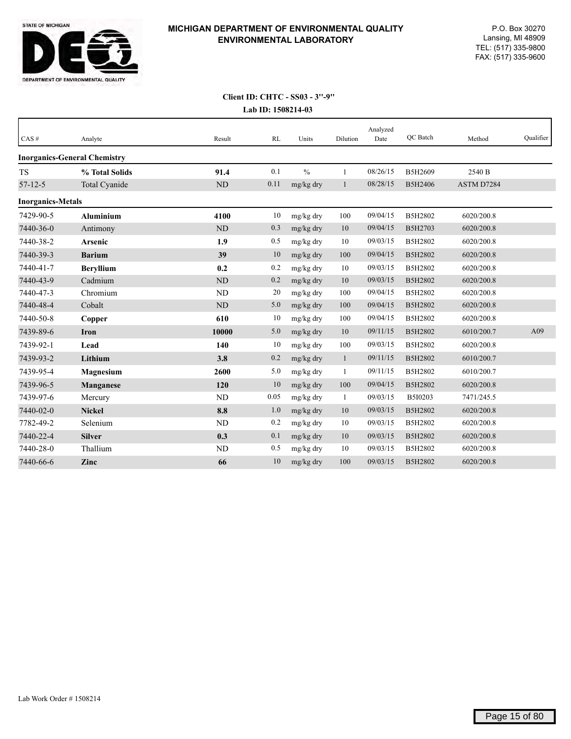

| CAS#                     | Analyte                             | Result    | RL   | Units         | Dilution     | Analyzed<br>Date | QC Batch | Method     | Qualifier |
|--------------------------|-------------------------------------|-----------|------|---------------|--------------|------------------|----------|------------|-----------|
|                          | <b>Inorganics-General Chemistry</b> |           |      |               |              |                  |          |            |           |
| <b>TS</b>                | % Total Solids                      | 91.4      | 0.1  | $\frac{0}{0}$ | 1            | 08/26/15         | B5H2609  | 2540 B     |           |
| $57 - 12 - 5$            | Total Cyanide                       | ND        | 0.11 | mg/kg dry     | 1            | 08/28/15         | B5H2406  | ASTM D7284 |           |
| <b>Inorganics-Metals</b> |                                     |           |      |               |              |                  |          |            |           |
| 7429-90-5                | <b>Aluminium</b>                    | 4100      | 10   | mg/kg dry     | 100          | 09/04/15         | B5H2802  | 6020/200.8 |           |
| 7440-36-0                | Antimony                            | $\rm ND$  | 0.3  | mg/kg dry     | 10           | 09/04/15         | B5H2703  | 6020/200.8 |           |
| 7440-38-2                | <b>Arsenic</b>                      | 1.9       | 0.5  | mg/kg dry     | 10           | 09/03/15         | B5H2802  | 6020/200.8 |           |
| 7440-39-3                | <b>Barium</b>                       | 39        | 10   | mg/kg dry     | 100          | 09/04/15         | B5H2802  | 6020/200.8 |           |
| 7440-41-7                | <b>Beryllium</b>                    | 0.2       | 0.2  | mg/kg dry     | 10           | 09/03/15         | B5H2802  | 6020/200.8 |           |
| 7440-43-9                | Cadmium                             | <b>ND</b> | 0.2  | mg/kg dry     | 10           | 09/03/15         | B5H2802  | 6020/200.8 |           |
| 7440-47-3                | Chromium                            | <b>ND</b> | 20   | mg/kg dry     | 100          | 09/04/15         | B5H2802  | 6020/200.8 |           |
| 7440-48-4                | Cobalt                              | ND        | 5.0  | mg/kg dry     | 100          | 09/04/15         | B5H2802  | 6020/200.8 |           |
| 7440-50-8                | Copper                              | 610       | 10   | mg/kg dry     | 100          | 09/04/15         | B5H2802  | 6020/200.8 |           |
| 7439-89-6                | Iron                                | 10000     | 5.0  | mg/kg dry     | 10           | 09/11/15         | B5H2802  | 6010/200.7 | A09       |
| 7439-92-1                | Lead                                | 140       | 10   | mg/kg dry     | 100          | 09/03/15         | B5H2802  | 6020/200.8 |           |
| 7439-93-2                | Lithium                             | 3.8       | 0.2  | mg/kg dry     | $\mathbf{1}$ | 09/11/15         | B5H2802  | 6010/200.7 |           |
| 7439-95-4                | Magnesium                           | 2600      | 5.0  | mg/kg dry     | 1            | 09/11/15         | B5H2802  | 6010/200.7 |           |
| 7439-96-5                | <b>Manganese</b>                    | 120       | 10   | mg/kg dry     | 100          | 09/04/15         | B5H2802  | 6020/200.8 |           |
| 7439-97-6                | Mercury                             | <b>ND</b> | 0.05 | mg/kg dry     | 1            | 09/03/15         | B5I0203  | 7471/245.5 |           |
| 7440-02-0                | <b>Nickel</b>                       | 8.8       | 1.0  | mg/kg dry     | 10           | 09/03/15         | B5H2802  | 6020/200.8 |           |
| 7782-49-2                | Selenium                            | <b>ND</b> | 0.2  | mg/kg dry     | 10           | 09/03/15         | B5H2802  | 6020/200.8 |           |
| 7440-22-4                | <b>Silver</b>                       | 0.3       | 0.1  | mg/kg dry     | 10           | 09/03/15         | B5H2802  | 6020/200.8 |           |
| 7440-28-0                | Thallium                            | <b>ND</b> | 0.5  | mg/kg dry     | 10           | 09/03/15         | B5H2802  | 6020/200.8 |           |
| 7440-66-6                | Zinc                                | 66        | 10   | mg/kg dry     | 100          | 09/03/15         | B5H2802  | 6020/200.8 |           |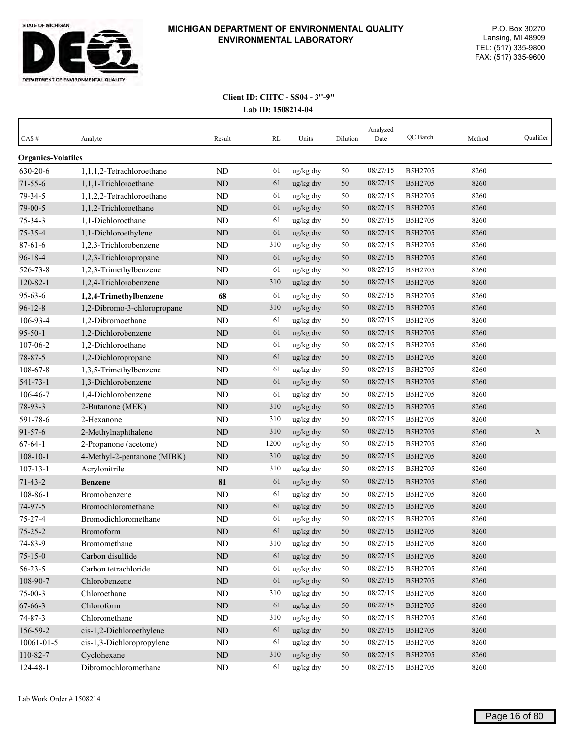

| $CAS \#$                  | Analyte                     | Result    | RL   | Units     | Dilution | Analyzed<br>Date | QC Batch       | Method | Qualifier |
|---------------------------|-----------------------------|-----------|------|-----------|----------|------------------|----------------|--------|-----------|
| <b>Organics-Volatiles</b> |                             |           |      |           |          |                  |                |        |           |
| 630-20-6                  | 1,1,1,2-Tetrachloroethane   | ND        | 61   | ug/kg dry | 50       | 08/27/15         | B5H2705        | 8260   |           |
| $71 - 55 - 6$             | 1,1,1-Trichloroethane       | ND        | 61   | ug/kg dry | 50       | 08/27/15         | <b>B5H2705</b> | 8260   |           |
| $79 - 34 - 5$             | 1,1,2,2-Tetrachloroethane   | ND        | 61   | ug/kg dry | 50       | 08/27/15         | B5H2705        | 8260   |           |
| 79-00-5                   | 1,1,2-Trichloroethane       | ND        | 61   | ug/kg dry | 50       | 08/27/15         | B5H2705        | 8260   |           |
| $75 - 34 - 3$             | 1,1-Dichloroethane          | ND        | 61   | ug/kg dry | 50       | 08/27/15         | B5H2705        | 8260   |           |
| 75-35-4                   | 1,1-Dichloroethylene        | <b>ND</b> | 61   | ug/kg dry | 50       | 08/27/15         | B5H2705        | 8260   |           |
| $87 - 61 - 6$             | 1,2,3-Trichlorobenzene      | ND        | 310  | ug/kg dry | 50       | 08/27/15         | B5H2705        | 8260   |           |
| $96 - 18 - 4$             | 1,2,3-Trichloropropane      | $\rm ND$  | 61   | ug/kg dry | 50       | 08/27/15         | B5H2705        | 8260   |           |
| 526-73-8                  | 1,2,3-Trimethylbenzene      | ND        | 61   | ug/kg dry | 50       | 08/27/15         | B5H2705        | 8260   |           |
| $120 - 82 - 1$            | 1,2,4-Trichlorobenzene      | ND        | 310  | ug/kg dry | 50       | 08/27/15         | B5H2705        | 8260   |           |
| $95 - 63 - 6$             | 1,2,4-Trimethylbenzene      | 68        | 61   | ug/kg dry | 50       | 08/27/15         | B5H2705        | 8260   |           |
| $96 - 12 - 8$             | 1,2-Dibromo-3-chloropropane | $\rm ND$  | 310  | ug/kg dry | 50       | 08/27/15         | B5H2705        | 8260   |           |
| 106-93-4                  | 1,2-Dibromoethane           | ND        | 61   | ug/kg dry | 50       | 08/27/15         | B5H2705        | 8260   |           |
| $95 - 50 - 1$             | 1,2-Dichlorobenzene         | $\rm ND$  | 61   | ug/kg dry | 50       | 08/27/15         | B5H2705        | 8260   |           |
| 107-06-2                  | 1,2-Dichloroethane          | ND        | 61   | ug/kg dry | 50       | 08/27/15         | B5H2705        | 8260   |           |
| 78-87-5                   | 1,2-Dichloropropane         | ND        | 61   | ug/kg dry | 50       | 08/27/15         | B5H2705        | 8260   |           |
| 108-67-8                  | 1,3,5-Trimethylbenzene      | ND        | 61   | ug/kg dry | 50       | 08/27/15         | B5H2705        | 8260   |           |
| $541 - 73 - 1$            | 1,3-Dichlorobenzene         | <b>ND</b> | 61   | ug/kg dry | 50       | 08/27/15         | B5H2705        | 8260   |           |
| 106-46-7                  | 1,4-Dichlorobenzene         | ND        | 61   | ug/kg dry | 50       | 08/27/15         | B5H2705        | 8260   |           |
| 78-93-3                   | 2-Butanone (MEK)            | ND        | 310  | ug/kg dry | 50       | 08/27/15         | B5H2705        | 8260   |           |
| 591-78-6                  | 2-Hexanone                  | ND        | 310  | ug/kg dry | 50       | 08/27/15         | B5H2705        | 8260   |           |
| $91 - 57 - 6$             | 2-Methylnaphthalene         | ND        | 310  | ug/kg dry | 50       | 08/27/15         | B5H2705        | 8260   | X         |
| $67 - 64 - 1$             | 2-Propanone (acetone)       | <b>ND</b> | 1200 | ug/kg dry | 50       | 08/27/15         | B5H2705        | 8260   |           |
| $108 - 10 - 1$            | 4-Methyl-2-pentanone (MIBK) | $\rm ND$  | 310  | ug/kg dry | 50       | 08/27/15         | <b>B5H2705</b> | 8260   |           |
| $107 - 13 - 1$            | Acrylonitrile               | ND        | 310  | ug/kg dry | 50       | 08/27/15         | B5H2705        | 8260   |           |
| $71 - 43 - 2$             | <b>Benzene</b>              | 81        | 61   | ug/kg dry | 50       | 08/27/15         | B5H2705        | 8260   |           |
| 108-86-1                  | Bromobenzene                | ND        | 61   | ug/kg dry | 50       | 08/27/15         | B5H2705        | 8260   |           |
| 74-97-5                   | Bromochloromethane          | $\rm ND$  | 61   | ug/kg dry | 50       | 08/27/15         | B5H2705        | 8260   |           |
| $75 - 27 - 4$             | Bromodichloromethane        | ND        | 61   | ug/kg dry | 50       | 08/27/15         | B5H2705        | 8260   |           |
| $75 - 25 - 2$             | Bromoform                   | ND        | 61   | ug/kg dry | 50       | 08/27/15         | B5H2705        | 8260   |           |
| 74-83-9                   | Bromomethane                | ND        | 310  | ug/kg dry | 50       | 08/27/15         | B5H2705        | 8260   |           |
| $75 - 15 - 0$             | Carbon disulfide            | $\rm ND$  | 61   | ug/kg dry | 50       | 08/27/15         | B5H2705        | 8260   |           |
| $56 - 23 - 5$             | Carbon tetrachloride        | $\rm ND$  | 61   | ug/kg dry | 50       | 08/27/15         | B5H2705        | 8260   |           |
| 108-90-7                  | Chlorobenzene               | $\rm ND$  | 61   | ug/kg dry | 50       | 08/27/15         | B5H2705        | 8260   |           |
| $75-00-3$                 | Chloroethane                | ND        | 310  | ug/kg dry | 50       | 08/27/15         | B5H2705        | 8260   |           |
| 67-66-3                   | Chloroform                  | $\rm ND$  | 61   | ug/kg dry | 50       | 08/27/15         | B5H2705        | 8260   |           |
| 74-87-3                   | Chloromethane               | ND        | 310  | ug/kg dry | 50       | 08/27/15         | B5H2705        | 8260   |           |
| 156-59-2                  | cis-1,2-Dichloroethylene    | $\rm ND$  | 61   | ug/kg dry | $50\,$   | 08/27/15         | B5H2705        | 8260   |           |
| 10061-01-5                | cis-1,3-Dichloropropylene   | ND        | 61   | ug/kg dry | 50       | 08/27/15         | B5H2705        | 8260   |           |
| 110-82-7                  | Cyclohexane                 | $\rm ND$  | 310  | ug/kg dry | 50       | 08/27/15         | B5H2705        | 8260   |           |
| 124-48-1                  | Dibromochloromethane        | ND        | 61   | ug/kg dry | 50       | 08/27/15         | B5H2705        | 8260   |           |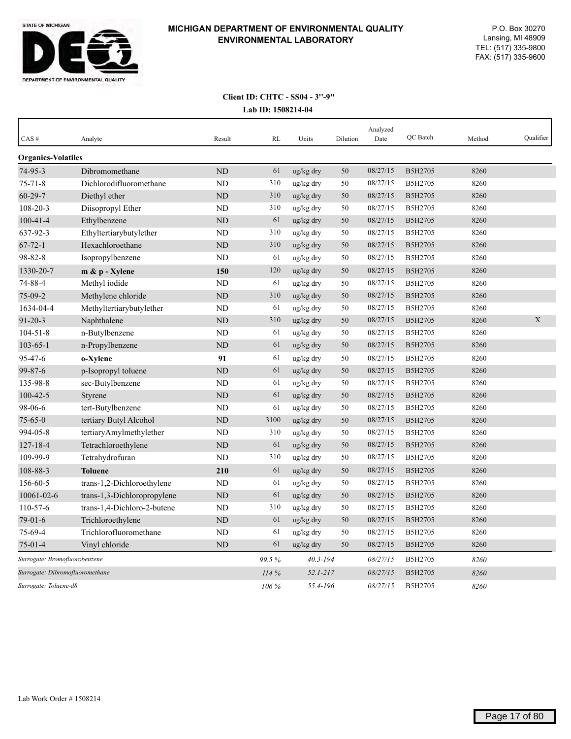

| CAS#                            | Analyte                     | Result    | RL    | Units        | Dilution | Analyzed<br>Date | <b>OC</b> Batch | Method | Qualifier |
|---------------------------------|-----------------------------|-----------|-------|--------------|----------|------------------|-----------------|--------|-----------|
| <b>Organics-Volatiles</b>       |                             |           |       |              |          |                  |                 |        |           |
| 74-95-3                         | Dibromomethane              | <b>ND</b> | 61    | ug/kg dry    | 50       | 08/27/15         | B5H2705         | 8260   |           |
| $75 - 71 - 8$                   | Dichlorodifluoromethane     | ND        | 310   | ug/kg dry    | 50       | 08/27/15         | B5H2705         | 8260   |           |
| $60 - 29 - 7$                   | Diethyl ether               | <b>ND</b> | 310   | ug/kg dry    | 50       | 08/27/15         | B5H2705         | 8260   |           |
| $108 - 20 - 3$                  | Diisopropyl Ether           | <b>ND</b> | 310   | ug/kg dry    | 50       | 08/27/15         | B5H2705         | 8260   |           |
| $100 - 41 - 4$                  | Ethylbenzene                | <b>ND</b> | 61    | ug/kg dry    | 50       | 08/27/15         | B5H2705         | 8260   |           |
| 637-92-3                        | Ethyltertiarybutylether     | ND        | 310   | ug/kg dry    | 50       | 08/27/15         | B5H2705         | 8260   |           |
| $67 - 72 - 1$                   | Hexachloroethane            | <b>ND</b> | 310   | ug/kg dry    | 50       | 08/27/15         | B5H2705         | 8260   |           |
| 98-82-8                         | Isopropylbenzene            | <b>ND</b> | 61    | ug/kg dry    | 50       | 08/27/15         | B5H2705         | 8260   |           |
| 1330-20-7                       | m & p - Xylene              | 150       | 120   | ug/kg dry    | 50       | 08/27/15         | B5H2705         | 8260   |           |
| 74-88-4                         | Methyl iodide               | <b>ND</b> | 61    | ug/kg dry    | 50       | 08/27/15         | B5H2705         | 8260   |           |
| $75-09-2$                       | Methylene chloride          | <b>ND</b> | 310   | ug/kg dry    | 50       | 08/27/15         | B5H2705         | 8260   |           |
| 1634-04-4                       | Methyltertiarybutylether    | ND        | 61    | ug/kg dry    | 50       | 08/27/15         | B5H2705         | 8260   |           |
| $91 - 20 - 3$                   | Naphthalene                 | <b>ND</b> | 310   | ug/kg dry    | 50       | 08/27/15         | B5H2705         | 8260   | X         |
| $104 - 51 - 8$                  | n-Butylbenzene              | <b>ND</b> | 61    | ug/kg dry    | 50       | 08/27/15         | B5H2705         | 8260   |           |
| $103 - 65 - 1$                  | n-Propylbenzene             | <b>ND</b> | 61    | ug/kg dry    | 50       | 08/27/15         | B5H2705         | 8260   |           |
| 95-47-6                         | o-Xylene                    | 91        | 61    | ug/kg dry    | 50       | 08/27/15         | B5H2705         | 8260   |           |
| $99 - 87 - 6$                   | p-Isopropyl toluene         | <b>ND</b> | 61    | ug/kg dry    | 50       | 08/27/15         | B5H2705         | 8260   |           |
| 135-98-8                        | sec-Butylbenzene            | ND        | 61    | ug/kg dry    | 50       | 08/27/15         | B5H2705         | 8260   |           |
| $100 - 42 - 5$                  | Styrene                     | <b>ND</b> | 61    | ug/kg dry    | 50       | 08/27/15         | B5H2705         | 8260   |           |
| 98-06-6                         | tert-Butylbenzene           | ND        | 61    | ug/kg dry    | 50       | 08/27/15         | B5H2705         | 8260   |           |
| $75 - 65 - 0$                   | tertiary Butyl Alcohol      | ND        | 3100  | ug/kg dry    | 50       | 08/27/15         | B5H2705         | 8260   |           |
| 994-05-8                        | tertiaryAmylmethylether     | <b>ND</b> | 310   | ug/kg dry    | 50       | 08/27/15         | B5H2705         | 8260   |           |
| $127 - 18 - 4$                  | Tetrachloroethylene         | <b>ND</b> | 61    | ug/kg dry    | 50       | 08/27/15         | B5H2705         | 8260   |           |
| 109-99-9                        | Tetrahydrofuran             | <b>ND</b> | 310   | ug/kg dry    | 50       | 08/27/15         | B5H2705         | 8260   |           |
| 108-88-3                        | <b>Toluene</b>              | 210       | 61    | ug/kg dry    | 50       | 08/27/15         | B5H2705         | 8260   |           |
| 156-60-5                        | trans-1,2-Dichloroethylene  | ND        | 61    | ug/kg dry    | 50       | 08/27/15         | B5H2705         | 8260   |           |
| 10061-02-6                      | trans-1,3-Dichloropropylene | <b>ND</b> | 61    | ug/kg dry    | 50       | 08/27/15         | B5H2705         | 8260   |           |
| 110-57-6                        | trans-1,4-Dichloro-2-butene | ND        | 310   | ug/kg dry    | 50       | 08/27/15         | B5H2705         | 8260   |           |
| $79-01-6$                       | Trichloroethylene           | <b>ND</b> | 61    | ug/kg dry    | 50       | 08/27/15         | B5H2705         | 8260   |           |
| 75-69-4                         | Trichlorofluoromethane      | <b>ND</b> | 61    | ug/kg dry    | 50       | 08/27/15         | B5H2705         | 8260   |           |
| $75 - 01 - 4$                   | Vinyl chloride              | ND        | 61    | ug/kg dry    | 50       | 08/27/15         | B5H2705         | 8260   |           |
| Surrogate: Bromofluorobenzene   |                             |           | 99.5% | $40.3 - 194$ |          | 08/27/15         | B5H2705         | 8260   |           |
| Surrogate: Dibromofluoromethane |                             |           | 114%  | $52.1 - 217$ |          | 08/27/15         | B5H2705         | 8260   |           |
| Surrogate: Toluene-d8           |                             |           | 106 % | 55.4-196     |          | 08/27/15         | B5H2705         | 8260   |           |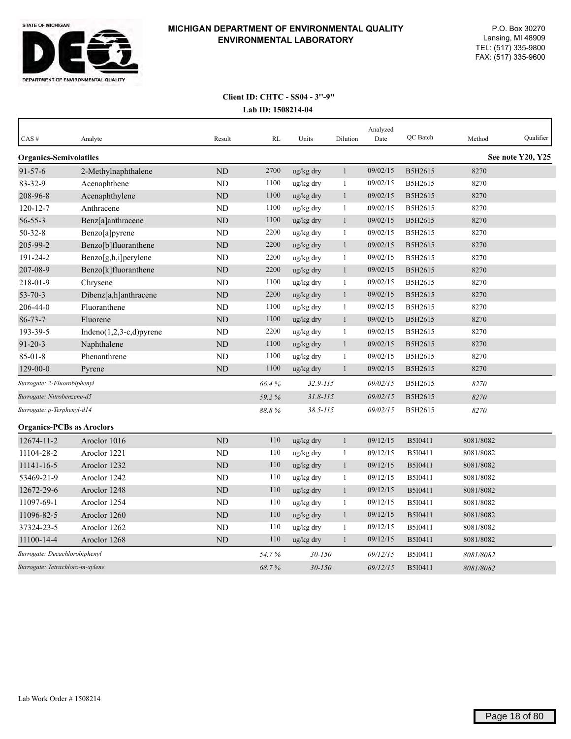

| CAS#                             | Analyte                     | Result         | RL    | Units                 | Dilution     | Analyzed<br>Date | QC Batch       | Method    | Qualifier         |
|----------------------------------|-----------------------------|----------------|-------|-----------------------|--------------|------------------|----------------|-----------|-------------------|
| <b>Organics-Semivolatiles</b>    |                             |                |       |                       |              |                  |                |           | See note Y20, Y25 |
| $91 - 57 - 6$                    | 2-Methylnaphthalene         | <b>ND</b>      | 2700  | ug/kg dry             | $\mathbf{1}$ | 09/02/15         | B5H2615        | 8270      |                   |
| 83-32-9                          | Acenaphthene                | ND             | 1100  | ug/kg dry             | $\mathbf{1}$ | 09/02/15         | B5H2615        | 8270      |                   |
| 208-96-8                         | Acenaphthylene              | <b>ND</b>      | 1100  | ug/kg dry             | $\mathbf{1}$ | 09/02/15         | B5H2615        | 8270      |                   |
| $120 - 12 - 7$                   | Anthracene                  | N <sub>D</sub> | 1100  | ug/kg dry             | 1            | 09/02/15         | B5H2615        | 8270      |                   |
| $56 - 55 - 3$                    | Benz[a]anthracene           | ND             | 1100  | ug/kg dry             | $\mathbf{1}$ | 09/02/15         | B5H2615        | 8270      |                   |
| $50 - 32 - 8$                    | Benzo[a]pyrene              | <b>ND</b>      | 2200  | ug/kg dry             | 1            | 09/02/15         | B5H2615        | 8270      |                   |
| 205-99-2                         | Benzo[b]fluoranthene        | ND             | 2200  | ug/kg dry             | $\mathbf{1}$ | 09/02/15         | B5H2615        | 8270      |                   |
| 191-24-2                         | Benzo[g,h,i]perylene        | <b>ND</b>      | 2200  | ug/kg dry             | $\mathbf{1}$ | 09/02/15         | B5H2615        | 8270      |                   |
| 207-08-9                         | Benzo[k]fluoranthene        | ND             | 2200  | ug/kg dry             | 1            | 09/02/15         | B5H2615        | 8270      |                   |
| 218-01-9                         | Chrysene                    | ND             | 1100  | ug/kg dry             | 1            | 09/02/15         | B5H2615        | 8270      |                   |
| $53 - 70 - 3$                    | Dibenz[a,h]anthracene       | <b>ND</b>      | 2200  | ug/kg dry             | $\mathbf{1}$ | 09/02/15         | B5H2615        | 8270      |                   |
| 206-44-0                         | Fluoranthene                | <b>ND</b>      | 1100  | ug/kg dry             | $\mathbf{1}$ | 09/02/15         | B5H2615        | 8270      |                   |
| $86 - 73 - 7$                    | Fluorene                    | <b>ND</b>      | 1100  | ug/kg dry             | $\mathbf{1}$ | 09/02/15         | B5H2615        | 8270      |                   |
| 193-39-5                         | Indeno $(1,2,3-c,d)$ pyrene | <b>ND</b>      | 2200  | ug/kg dry             | $\mathbf{1}$ | 09/02/15         | B5H2615        | 8270      |                   |
| $91 - 20 - 3$                    | Naphthalene                 | ND             | 1100  | ug/kg dry             | $\mathbf{1}$ | 09/02/15         | B5H2615        | 8270      |                   |
| $85 - 01 - 8$                    | Phenanthrene                | <b>ND</b>      | 1100  | ug/kg dry             | 1            | 09/02/15         | B5H2615        | 8270      |                   |
| $129 - 00 - 0$                   | Pyrene                      | ND             | 1100  | $\frac{u g}{k g}$ dry | $\mathbf{1}$ | 09/02/15         | B5H2615        | 8270      |                   |
| Surrogate: 2-Fluorobiphenyl      |                             |                | 66.4% | $32.9 - 115$          |              | 09/02/15         | B5H2615        | 8270      |                   |
| Surrogate: Nitrobenzene-d5       |                             |                | 59.2% | $31.8 - 115$          |              | 09/02/15         | B5H2615        | 8270      |                   |
| Surrogate: p-Terphenyl-d14       |                             |                | 88.8% | $38.5 - 115$          |              | 09/02/15         | B5H2615        | 8270      |                   |
| <b>Organics-PCBs as Aroclors</b> |                             |                |       |                       |              |                  |                |           |                   |
| 12674-11-2                       | Aroclor 1016                | <b>ND</b>      | 110   | ug/kg dry             | $\mathbf{1}$ | 09/12/15         | B5I0411        | 8081/8082 |                   |
| 11104-28-2                       | Aroclor 1221                | N <sub>D</sub> | 110   | ug/kg dry             | $\mathbf{1}$ | 09/12/15         | B5I0411        | 8081/8082 |                   |
| 11141-16-5                       | Aroclor 1232                | <b>ND</b>      | 110   | ug/kg dry             | $\mathbf{1}$ | 09/12/15         | <b>B5I0411</b> | 8081/8082 |                   |
| 53469-21-9                       | Aroclor 1242                | ND             | 110   | ug/kg dry             | 1            | 09/12/15         | B5I0411        | 8081/8082 |                   |
| 12672-29-6                       | Aroclor 1248                | <b>ND</b>      | 110   | ug/kg dry             | $\mathbf{1}$ | 09/12/15         | B5I0411        | 8081/8082 |                   |
| 11097-69-1                       | Aroclor 1254                | <b>ND</b>      | 110   | ug/kg dry             | 1            | 09/12/15         | B5I0411        | 8081/8082 |                   |
| 11096-82-5                       | Aroclor 1260                | ND             | 110   | ug/kg dry             | 1            | 09/12/15         | B5I0411        | 8081/8082 |                   |
| 37324-23-5                       | Aroclor 1262                | <b>ND</b>      | 110   | ug/kg dry             | 1            | 09/12/15         | B5I0411        | 8081/8082 |                   |
| 11100-14-4                       | Aroclor 1268                | <b>ND</b>      | 110   | $\frac{u g}{k g}$ dry | $\mathbf{1}$ | 09/12/15         | B5I0411        | 8081/8082 |                   |
| Surrogate: Decachlorobiphenyl    |                             |                | 54.7% | $30 - 150$            |              | 09/12/15         | B5I0411        | 8081/8082 |                   |
| Surrogate: Tetrachloro-m-xylene  |                             |                | 68.7% | $30 - 150$            |              | 09/12/15         | B5I0411        | 8081/8082 |                   |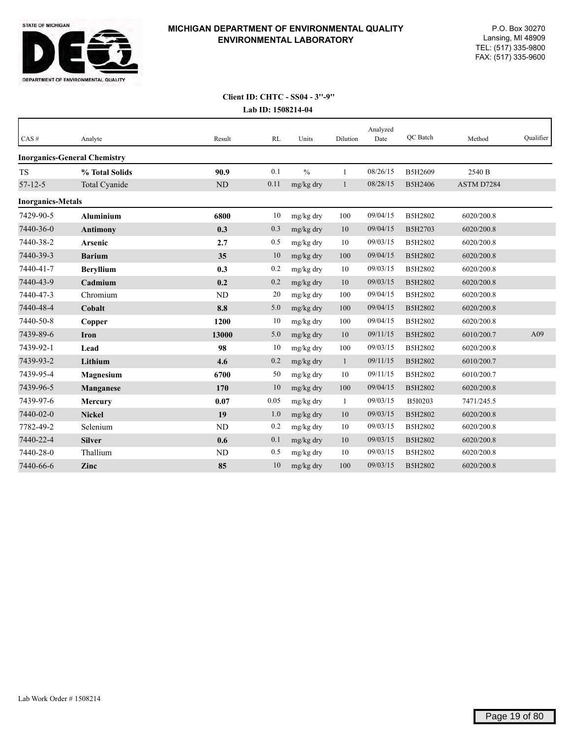

| CAS#                     | Analyte                             | Result    | RL   | Units         | Dilution     | Analyzed<br>Date | QC Batch | Method     | Qualifier |
|--------------------------|-------------------------------------|-----------|------|---------------|--------------|------------------|----------|------------|-----------|
|                          | <b>Inorganics-General Chemistry</b> |           |      |               |              |                  |          |            |           |
| <b>TS</b>                | % Total Solids                      | 90.9      | 0.1  | $\frac{0}{0}$ | 1            | 08/26/15         | B5H2609  | 2540 B     |           |
| $57 - 12 - 5$            | Total Cyanide                       | <b>ND</b> | 0.11 | mg/kg dry     | $\mathbf{1}$ | 08/28/15         | B5H2406  | ASTM D7284 |           |
| <b>Inorganics-Metals</b> |                                     |           |      |               |              |                  |          |            |           |
| 7429-90-5                | <b>Aluminium</b>                    | 6800      | 10   | mg/kg dry     | 100          | 09/04/15         | B5H2802  | 6020/200.8 |           |
| 7440-36-0                | <b>Antimony</b>                     | 0.3       | 0.3  | mg/kg dry     | 10           | 09/04/15         | B5H2703  | 6020/200.8 |           |
| 7440-38-2                | Arsenic                             | 2.7       | 0.5  | mg/kg dry     | 10           | 09/03/15         | B5H2802  | 6020/200.8 |           |
| 7440-39-3                | <b>Barium</b>                       | 35        | 10   | mg/kg dry     | 100          | 09/04/15         | B5H2802  | 6020/200.8 |           |
| 7440-41-7                | <b>Beryllium</b>                    | 0.3       | 0.2  | mg/kg dry     | 10           | 09/03/15         | B5H2802  | 6020/200.8 |           |
| 7440-43-9                | Cadmium                             | 0.2       | 0.2  | mg/kg dry     | 10           | 09/03/15         | B5H2802  | 6020/200.8 |           |
| 7440-47-3                | Chromium                            | <b>ND</b> | 20   | mg/kg dry     | 100          | 09/04/15         | B5H2802  | 6020/200.8 |           |
| 7440-48-4                | Cobalt                              | 8.8       | 5.0  | mg/kg dry     | 100          | 09/04/15         | B5H2802  | 6020/200.8 |           |
| 7440-50-8                | Copper                              | 1200      | 10   | mg/kg dry     | 100          | 09/04/15         | B5H2802  | 6020/200.8 |           |
| 7439-89-6                | Iron                                | 13000     | 5.0  | mg/kg dry     | 10           | 09/11/15         | B5H2802  | 6010/200.7 | A09       |
| 7439-92-1                | Lead                                | 98        | 10   | mg/kg dry     | 100          | 09/03/15         | B5H2802  | 6020/200.8 |           |
| 7439-93-2                | Lithium                             | 4.6       | 0.2  | mg/kg dry     | $\mathbf{1}$ | 09/11/15         | B5H2802  | 6010/200.7 |           |
| 7439-95-4                | <b>Magnesium</b>                    | 6700      | 50   | mg/kg dry     | 10           | 09/11/15         | B5H2802  | 6010/200.7 |           |
| 7439-96-5                | Manganese                           | 170       | 10   | mg/kg dry     | 100          | 09/04/15         | B5H2802  | 6020/200.8 |           |
| 7439-97-6                | <b>Mercury</b>                      | 0.07      | 0.05 | mg/kg dry     | 1            | 09/03/15         | B5I0203  | 7471/245.5 |           |
| 7440-02-0                | <b>Nickel</b>                       | 19        | 1.0  | mg/kg dry     | 10           | 09/03/15         | B5H2802  | 6020/200.8 |           |
| 7782-49-2                | Selenium                            | <b>ND</b> | 0.2  | mg/kg dry     | 10           | 09/03/15         | B5H2802  | 6020/200.8 |           |
| 7440-22-4                | <b>Silver</b>                       | 0.6       | 0.1  | mg/kg dry     | 10           | 09/03/15         | B5H2802  | 6020/200.8 |           |
| 7440-28-0                | Thallium                            | <b>ND</b> | 0.5  | mg/kg dry     | 10           | 09/03/15         | B5H2802  | 6020/200.8 |           |
| 7440-66-6                | Zinc                                | 85        | 10   | mg/kg dry     | 100          | 09/03/15         | B5H2802  | 6020/200.8 |           |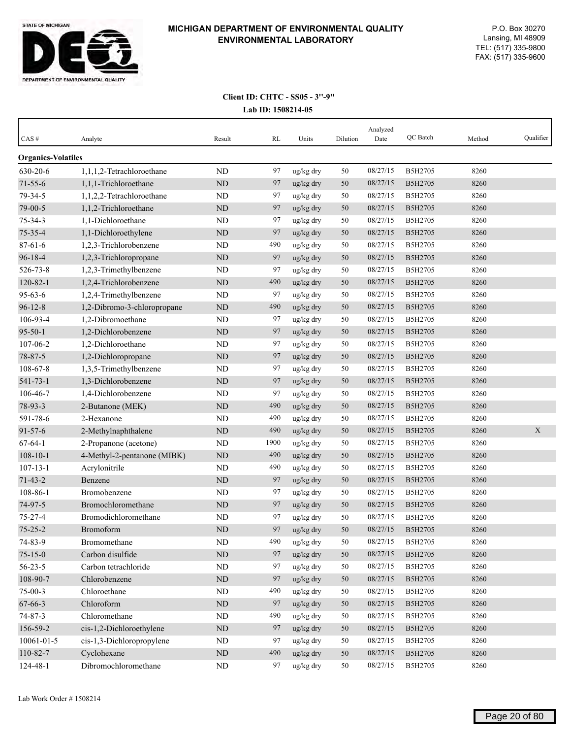

| CAS#                      | Analyte                     | Result    | RL   | Units                 | Dilution | Analyzed<br>Date | QC Batch | Method | Qualifier |
|---------------------------|-----------------------------|-----------|------|-----------------------|----------|------------------|----------|--------|-----------|
| <b>Organics-Volatiles</b> |                             |           |      |                       |          |                  |          |        |           |
| 630-20-6                  | 1,1,1,2-Tetrachloroethane   | <b>ND</b> | 97   | ug/kg dry             | 50       | 08/27/15         | B5H2705  | 8260   |           |
| $71 - 55 - 6$             | 1,1,1-Trichloroethane       | <b>ND</b> | 97   | ug/kg dry             | 50       | 08/27/15         | B5H2705  | 8260   |           |
| 79-34-5                   | 1,1,2,2-Tetrachloroethane   | ND        | 97   | ug/kg dry             | 50       | 08/27/15         | B5H2705  | 8260   |           |
| 79-00-5                   | 1,1,2-Trichloroethane       | ND        | 97   | ug/kg dry             | 50       | 08/27/15         | B5H2705  | 8260   |           |
| $75 - 34 - 3$             | 1,1-Dichloroethane          | ND        | 97   | ug/kg dry             | 50       | 08/27/15         | B5H2705  | 8260   |           |
| $75 - 35 - 4$             | 1,1-Dichloroethylene        | <b>ND</b> | 97   | ug/kg dry             | 50       | 08/27/15         | B5H2705  | 8260   |           |
| $87 - 61 - 6$             | 1,2,3-Trichlorobenzene      | <b>ND</b> | 490  | ug/kg dry             | 50       | 08/27/15         | B5H2705  | 8260   |           |
| $96 - 18 - 4$             | 1,2,3-Trichloropropane      | ND        | 97   | ug/kg dry             | 50       | 08/27/15         | B5H2705  | 8260   |           |
| 526-73-8                  | 1,2,3-Trimethylbenzene      | <b>ND</b> | 97   | ug/kg dry             | 50       | 08/27/15         | B5H2705  | 8260   |           |
| $120 - 82 - 1$            | 1,2,4-Trichlorobenzene      | ND        | 490  | ug/kg dry             | 50       | 08/27/15         | B5H2705  | 8260   |           |
| $95 - 63 - 6$             | 1,2,4-Trimethylbenzene      | ND        | 97   | ug/kg dry             | 50       | 08/27/15         | B5H2705  | 8260   |           |
| $96 - 12 - 8$             | 1,2-Dibromo-3-chloropropane | <b>ND</b> | 490  | ug/kg dry             | 50       | 08/27/15         | B5H2705  | 8260   |           |
| 106-93-4                  | 1,2-Dibromoethane           | <b>ND</b> | 97   | ug/kg dry             | 50       | 08/27/15         | B5H2705  | 8260   |           |
| $95 - 50 - 1$             | 1.2-Dichlorobenzene         | <b>ND</b> | 97   | ug/kg dry             | 50       | 08/27/15         | B5H2705  | 8260   |           |
| 107-06-2                  | 1,2-Dichloroethane          | <b>ND</b> | 97   | ug/kg dry             | 50       | 08/27/15         | B5H2705  | 8260   |           |
| 78-87-5                   | 1,2-Dichloropropane         | ND        | 97   | ug/kg dry             | 50       | 08/27/15         | B5H2705  | 8260   |           |
| 108-67-8                  | 1,3,5-Trimethylbenzene      | ND        | 97   | ug/kg dry             | 50       | 08/27/15         | B5H2705  | 8260   |           |
| $541 - 73 - 1$            | 1,3-Dichlorobenzene         | ND        | 97   | ug/kg dry             | 50       | 08/27/15         | B5H2705  | 8260   |           |
| 106-46-7                  | 1,4-Dichlorobenzene         | <b>ND</b> | 97   | ug/kg dry             | 50       | 08/27/15         | B5H2705  | 8260   |           |
| 78-93-3                   | 2-Butanone (MEK)            | ND        | 490  | ug/kg dry             | 50       | 08/27/15         | B5H2705  | 8260   |           |
| 591-78-6                  | 2-Hexanone                  | ND        | 490  | ug/kg dry             | 50       | 08/27/15         | B5H2705  | 8260   |           |
| $91 - 57 - 6$             | 2-Methylnaphthalene         | <b>ND</b> | 490  | $\frac{u g}{k g}$ dry | 50       | 08/27/15         | B5H2705  | 8260   | X         |
| $67 - 64 - 1$             | 2-Propanone (acetone)       | ND        | 1900 | ug/kg dry             | 50       | 08/27/15         | B5H2705  | 8260   |           |
| $108 - 10 - 1$            | 4-Methyl-2-pentanone (MIBK) | <b>ND</b> | 490  | ug/kg dry             | 50       | 08/27/15         | B5H2705  | 8260   |           |
| $107 - 13 - 1$            | Acrylonitrile               | <b>ND</b> | 490  | ug/kg dry             | 50       | 08/27/15         | B5H2705  | 8260   |           |
| $71 - 43 - 2$             | Benzene                     | <b>ND</b> | 97   | ug/kg dry             | 50       | 08/27/15         | B5H2705  | 8260   |           |
| 108-86-1                  | Bromobenzene                | ND        | 97   | ug/kg dry             | 50       | 08/27/15         | B5H2705  | 8260   |           |
| 74-97-5                   | Bromochloromethane          | ND        | 97   | ug/kg dry             | 50       | 08/27/15         | B5H2705  | 8260   |           |
| $75 - 27 - 4$             | Bromodichloromethane        | ND        | 97   | ug/kg dry             | 50       | 08/27/15         | B5H2705  | 8260   |           |
| $75 - 25 - 2$             | Bromoform                   | <b>ND</b> | 97   | ug/kg dry             | 50       | 08/27/15         | B5H2705  | 8260   |           |
| 74-83-9                   | Bromomethane                | ND        | 490  | ug/kg dry             | 50       | 08/27/15         | B5H2705  | 8260   |           |
| $75 - 15 - 0$             | Carbon disulfide            | $\rm ND$  | 97   | ug/kg dry             | 50       | 08/27/15         | B5H2705  | 8260   |           |
| $56 - 23 - 5$             | Carbon tetrachloride        | ND        | 97   | ug/kg dry             | 50       | 08/27/15         | B5H2705  | 8260   |           |
| 108-90-7                  | Chlorobenzene               | $\rm ND$  | 97   | ug/kg dry             | $50\,$   | 08/27/15         | B5H2705  | 8260   |           |
| $75 - 00 - 3$             | Chloroethane                | ND        | 490  | ug/kg dry             | 50       | 08/27/15         | B5H2705  | 8260   |           |
| 67-66-3                   | Chloroform                  | ND        | 97   | ug/kg dry             | 50       | 08/27/15         | B5H2705  | 8260   |           |
| 74-87-3                   | Chloromethane               | $\rm ND$  | 490  | ug/kg dry             | 50       | 08/27/15         | B5H2705  | 8260   |           |
| 156-59-2                  | cis-1,2-Dichloroethylene    | ND        | 97   | ug/kg dry             | 50       | 08/27/15         | B5H2705  | 8260   |           |
| 10061-01-5                | cis-1,3-Dichloropropylene   | ND        | 97   | ug/kg dry             | 50       | 08/27/15         | B5H2705  | 8260   |           |
| 110-82-7                  | Cyclohexane                 | $\rm ND$  | 490  | ug/kg dry             | $50\,$   | 08/27/15         | B5H2705  | 8260   |           |
| 124-48-1                  | Dibromochloromethane        | $\rm ND$  | 97   | ug/kg dry             | 50       | 08/27/15         | B5H2705  | 8260   |           |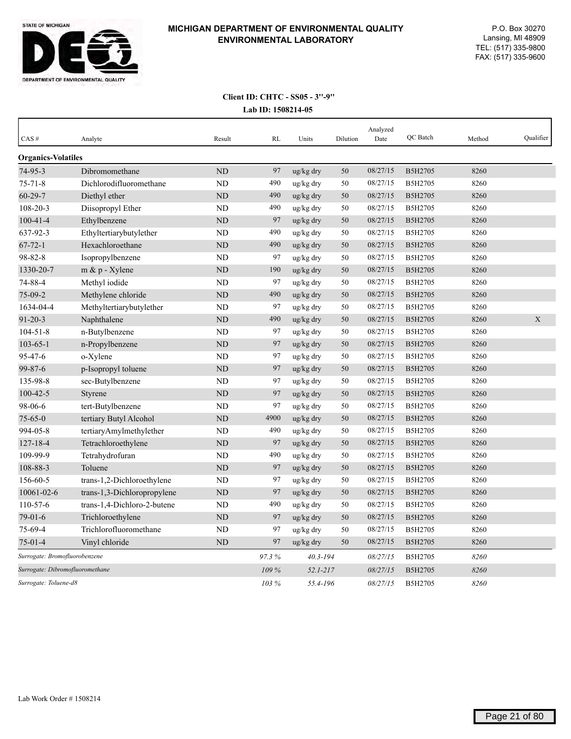

| CAS#                            | Analyte                     | Result    | RL    | Units        | Dilution | Analyzed<br>Date | OC Batch | Method | Oualifier   |
|---------------------------------|-----------------------------|-----------|-------|--------------|----------|------------------|----------|--------|-------------|
| <b>Organics-Volatiles</b>       |                             |           |       |              |          |                  |          |        |             |
| 74-95-3                         | Dibromomethane              | <b>ND</b> | 97    | ug/kg dry    | 50       | 08/27/15         | B5H2705  | 8260   |             |
| $75 - 71 - 8$                   | Dichlorodifluoromethane     | <b>ND</b> | 490   | ug/kg dry    | 50       | 08/27/15         | B5H2705  | 8260   |             |
| $60 - 29 - 7$                   | Diethyl ether               | ND        | 490   | ug/kg dry    | 50       | 08/27/15         | B5H2705  | 8260   |             |
| $108 - 20 - 3$                  | Diisopropyl Ether           | <b>ND</b> | 490   | ug/kg dry    | 50       | 08/27/15         | B5H2705  | 8260   |             |
| $100 - 41 - 4$                  | Ethylbenzene                | ND        | 97    | ug/kg dry    | 50       | 08/27/15         | B5H2705  | 8260   |             |
| 637-92-3                        | Ethyltertiarybutylether     | <b>ND</b> | 490   | ug/kg dry    | 50       | 08/27/15         | B5H2705  | 8260   |             |
| $67 - 72 - 1$                   | Hexachloroethane            | <b>ND</b> | 490   | ug/kg dry    | 50       | 08/27/15         | B5H2705  | 8260   |             |
| 98-82-8                         | Isopropylbenzene            | <b>ND</b> | 97    | ug/kg dry    | 50       | 08/27/15         | B5H2705  | 8260   |             |
| 1330-20-7                       | $m \& p$ - Xylene           | <b>ND</b> | 190   | ug/kg dry    | 50       | 08/27/15         | B5H2705  | 8260   |             |
| 74-88-4                         | Methyl iodide               | <b>ND</b> | 97    | ug/kg dry    | 50       | 08/27/15         | B5H2705  | 8260   |             |
| 75-09-2                         | Methylene chloride          | <b>ND</b> | 490   | ug/kg dry    | 50       | 08/27/15         | B5H2705  | 8260   |             |
| 1634-04-4                       | Methyltertiarybutylether    | <b>ND</b> | 97    | ug/kg dry    | 50       | 08/27/15         | B5H2705  | 8260   |             |
| $91 - 20 - 3$                   | Naphthalene                 | <b>ND</b> | 490   | ug/kg dry    | 50       | 08/27/15         | B5H2705  | 8260   | $\mathbf X$ |
| $104 - 51 - 8$                  | n-Butylbenzene              | ND        | 97    | ug/kg dry    | 50       | 08/27/15         | B5H2705  | 8260   |             |
| $103 - 65 - 1$                  | n-Propylbenzene             | <b>ND</b> | 97    | ug/kg dry    | 50       | 08/27/15         | B5H2705  | 8260   |             |
| $95 - 47 - 6$                   | o-Xylene                    | ND        | 97    | ug/kg dry    | 50       | 08/27/15         | B5H2705  | 8260   |             |
| 99-87-6                         | p-Isopropyl toluene         | ND        | 97    | ug/kg dry    | 50       | 08/27/15         | B5H2705  | 8260   |             |
| 135-98-8                        | sec-Butylbenzene            | ND        | 97    | ug/kg dry    | 50       | 08/27/15         | B5H2705  | 8260   |             |
| $100 - 42 - 5$                  | Styrene                     | ND        | 97    | ug/kg dry    | 50       | 08/27/15         | B5H2705  | 8260   |             |
| 98-06-6                         | tert-Butylbenzene           | <b>ND</b> | 97    | ug/kg dry    | 50       | 08/27/15         | B5H2705  | 8260   |             |
| $75 - 65 - 0$                   | tertiary Butyl Alcohol      | ND        | 4900  | ug/kg dry    | 50       | 08/27/15         | B5H2705  | 8260   |             |
| 994-05-8                        | tertiaryAmylmethylether     | <b>ND</b> | 490   | ug/kg dry    | 50       | 08/27/15         | B5H2705  | 8260   |             |
| $127 - 18 - 4$                  | Tetrachloroethylene         | ND        | 97    | ug/kg dry    | 50       | 08/27/15         | B5H2705  | 8260   |             |
| 109-99-9                        | Tetrahydrofuran             | <b>ND</b> | 490   | ug/kg dry    | 50       | 08/27/15         | B5H2705  | 8260   |             |
| 108-88-3                        | Toluene                     | <b>ND</b> | 97    | ug/kg dry    | 50       | 08/27/15         | B5H2705  | 8260   |             |
| 156-60-5                        | trans-1,2-Dichloroethylene  | <b>ND</b> | 97    | ug/kg dry    | 50       | 08/27/15         | B5H2705  | 8260   |             |
| 10061-02-6                      | trans-1,3-Dichloropropylene | <b>ND</b> | 97    | ug/kg dry    | 50       | 08/27/15         | B5H2705  | 8260   |             |
| 110-57-6                        | trans-1,4-Dichloro-2-butene | <b>ND</b> | 490   | ug/kg dry    | 50       | 08/27/15         | B5H2705  | 8260   |             |
| $79-01-6$                       | Trichloroethylene           | ND        | 97    | ug/kg dry    | 50       | 08/27/15         | B5H2705  | 8260   |             |
| 75-69-4                         | Trichlorofluoromethane      | <b>ND</b> | 97    | ug/kg dry    | 50       | 08/27/15         | B5H2705  | 8260   |             |
| $75-01-4$                       | Vinyl chloride              | ND        | 97    | ug/kg dry    | 50       | 08/27/15         | B5H2705  | 8260   |             |
| Surrogate: Bromofluorobenzene   |                             |           | 97.3% | $40.3 - 194$ |          | 08/27/15         | B5H2705  | 8260   |             |
| Surrogate: Dibromofluoromethane |                             |           | 109 % | $52.1 - 217$ |          | 08/27/15         | B5H2705  | 8260   |             |
| Surrogate: Toluene-d8           |                             |           | 103 % | 55.4-196     |          | 08/27/15         | B5H2705  | 8260   |             |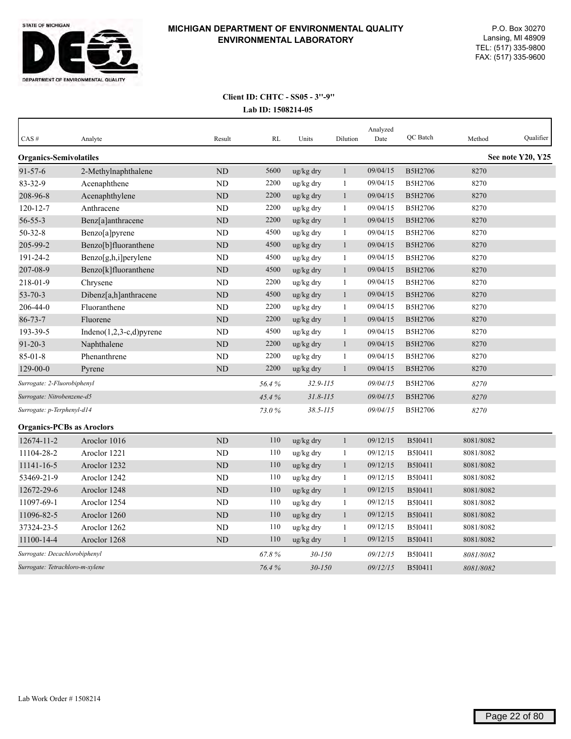

| CAS#                             | Analyte                     | Result         | RL    | Units                 | Dilution     | Analyzed<br>Date | QC Batch       | Method    | Qualifier         |
|----------------------------------|-----------------------------|----------------|-------|-----------------------|--------------|------------------|----------------|-----------|-------------------|
| <b>Organics-Semivolatiles</b>    |                             |                |       |                       |              |                  |                |           | See note Y20, Y25 |
| $91 - 57 - 6$                    | 2-Methylnaphthalene         | <b>ND</b>      | 5600  | ug/kg dry             | $\mathbf{1}$ | 09/04/15         | <b>B5H2706</b> | 8270      |                   |
| 83-32-9                          | Acenaphthene                | ND             | 2200  | ug/kg dry             | $\mathbf{1}$ | 09/04/15         | B5H2706        | 8270      |                   |
| 208-96-8                         | Acenaphthylene              | <b>ND</b>      | 2200  | ug/kg dry             | $\mathbf{1}$ | 09/04/15         | B5H2706        | 8270      |                   |
| $120 - 12 - 7$                   | Anthracene                  | N <sub>D</sub> | 2200  | ug/kg dry             | 1            | 09/04/15         | B5H2706        | 8270      |                   |
| $56 - 55 - 3$                    | Benz[a]anthracene           | <b>ND</b>      | 2200  | ug/kg dry             | $\mathbf{1}$ | 09/04/15         | B5H2706        | 8270      |                   |
| $50 - 32 - 8$                    | Benzo[a]pyrene              | <b>ND</b>      | 4500  | ug/kg dry             | 1            | 09/04/15         | B5H2706        | 8270      |                   |
| 205-99-2                         | Benzo[b]fluoranthene        | <b>ND</b>      | 4500  | ug/kg dry             | $\mathbf{1}$ | 09/04/15         | B5H2706        | 8270      |                   |
| $191 - 24 - 2$                   | Benzo[g,h,i]perylene        | N <sub>D</sub> | 4500  | ug/kg dry             | $\mathbf{1}$ | 09/04/15         | B5H2706        | 8270      |                   |
| 207-08-9                         | Benzo[k]fluoranthene        | <b>ND</b>      | 4500  | ug/kg dry             | $\mathbf{1}$ | 09/04/15         | B5H2706        | 8270      |                   |
| 218-01-9                         | Chrysene                    | <b>ND</b>      | 2200  | ug/kg dry             | 1            | 09/04/15         | B5H2706        | 8270      |                   |
| $53 - 70 - 3$                    | Dibenz[a,h]anthracene       | <b>ND</b>      | 4500  | ug/kg dry             | 1            | 09/04/15         | B5H2706        | 8270      |                   |
| 206-44-0                         | Fluoranthene                | ND             | 2200  | ug/kg dry             | 1            | 09/04/15         | B5H2706        | 8270      |                   |
| $86 - 73 - 7$                    | Fluorene                    | <b>ND</b>      | 2200  | ug/kg dry             | $\mathbf{1}$ | 09/04/15         | B5H2706        | 8270      |                   |
| 193-39-5                         | Indeno $(1,2,3-c,d)$ pyrene | <b>ND</b>      | 4500  | ug/kg dry             | $\mathbf{1}$ | 09/04/15         | B5H2706        | 8270      |                   |
| $91 - 20 - 3$                    | Naphthalene                 | <b>ND</b>      | 2200  | ug/kg dry             | 1            | 09/04/15         | B5H2706        | 8270      |                   |
| $85 - 01 - 8$                    | Phenanthrene                | <b>ND</b>      | 2200  | ug/kg dry             | $\mathbf{1}$ | 09/04/15         | B5H2706        | 8270      |                   |
| $129 - 00 - 0$                   | Pyrene                      | <b>ND</b>      | 2200  | $\frac{u g}{k g}$ dry | 1            | 09/04/15         | <b>B5H2706</b> | 8270      |                   |
| Surrogate: 2-Fluorobiphenyl      |                             |                | 56.4% | $32.9 - 115$          |              | 09/04/15         | B5H2706        | 8270      |                   |
| Surrogate: Nitrobenzene-d5       |                             |                | 45.4% | $31.8 - 115$          |              | 09/04/15         | <b>B5H2706</b> | 8270      |                   |
| Surrogate: p-Terphenyl-d14       |                             |                | 73.0% | $38.5 - 115$          |              | 09/04/15         | <b>B5H2706</b> | 8270      |                   |
| <b>Organics-PCBs as Aroclors</b> |                             |                |       |                       |              |                  |                |           |                   |
| 12674-11-2                       | Aroclor 1016                | ND             | 110   | ug/kg dry             | $\mathbf{1}$ | 09/12/15         | B5I0411        | 8081/8082 |                   |
| 11104-28-2                       | Aroclor 1221                | <b>ND</b>      | 110   | ug/kg dry             | 1            | 09/12/15         | B5I0411        | 8081/8082 |                   |
| 11141-16-5                       | Aroclor 1232                | ND             | 110   | ug/kg dry             | $\mathbf{1}$ | 09/12/15         | <b>B5I0411</b> | 8081/8082 |                   |
| 53469-21-9                       | Aroclor 1242                | <b>ND</b>      | 110   | ug/kg dry             | $\mathbf{1}$ | 09/12/15         | B5I0411        | 8081/8082 |                   |
| 12672-29-6                       | Aroclor 1248                | <b>ND</b>      | 110   | ug/kg dry             | $\mathbf{1}$ | 09/12/15         | <b>B5I0411</b> | 8081/8082 |                   |
| 11097-69-1                       | Aroclor 1254                | ND             | 110   | ug/kg dry             | 1            | 09/12/15         | B5I0411        | 8081/8082 |                   |
| 11096-82-5                       | Aroclor 1260                | <b>ND</b>      | 110   | ug/kg dry             | $\mathbf{1}$ | 09/12/15         | B5I0411        | 8081/8082 |                   |
| 37324-23-5                       | Aroclor 1262                | <b>ND</b>      | 110   | ug/kg dry             | 1            | 09/12/15         | B5I0411        | 8081/8082 |                   |
| 11100-14-4                       | Aroclor 1268                | ND             | 110   | ug/kg dry             | 1            | 09/12/15         | B5I0411        | 8081/8082 |                   |
| Surrogate: Decachlorobiphenyl    |                             |                | 67.8% | $30 - 150$            |              | 09/12/15         | B5I0411        | 8081/8082 |                   |
| Surrogate: Tetrachloro-m-xylene  |                             |                | 76.4% | $30 - 150$            |              | 09/12/15         | B5I0411        | 8081/8082 |                   |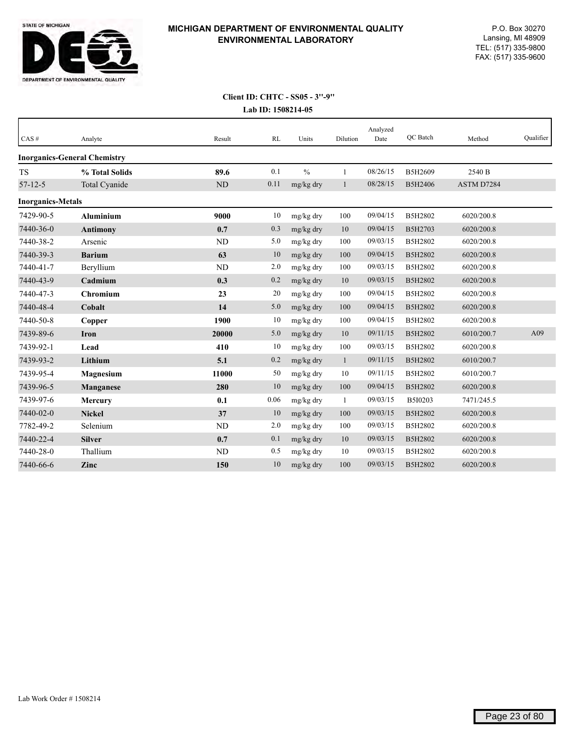

| CAS#                     | Analyte                             | Result    | RL   | Units         | Dilution     | Analyzed<br>Date | <b>OC</b> Batch | Method     | Qualifier |
|--------------------------|-------------------------------------|-----------|------|---------------|--------------|------------------|-----------------|------------|-----------|
|                          | <b>Inorganics-General Chemistry</b> |           |      |               |              |                  |                 |            |           |
| <b>TS</b>                | % Total Solids                      | 89.6      | 0.1  | $\frac{0}{0}$ | $\mathbf{1}$ | 08/26/15         | B5H2609         | 2540 B     |           |
| $57 - 12 - 5$            | Total Cyanide                       | ND        | 0.11 | mg/kg dry     | 1            | 08/28/15         | B5H2406         | ASTM D7284 |           |
| <b>Inorganics-Metals</b> |                                     |           |      |               |              |                  |                 |            |           |
| 7429-90-5                | <b>Aluminium</b>                    | 9000      | 10   | mg/kg dry     | 100          | 09/04/15         | B5H2802         | 6020/200.8 |           |
| 7440-36-0                | <b>Antimony</b>                     | 0.7       | 0.3  | mg/kg dry     | $10\,$       | 09/04/15         | B5H2703         | 6020/200.8 |           |
| 7440-38-2                | Arsenic                             | <b>ND</b> | 5.0  | mg/kg dry     | 100          | 09/03/15         | B5H2802         | 6020/200.8 |           |
| 7440-39-3                | <b>Barium</b>                       | 63        | 10   | mg/kg dry     | 100          | 09/04/15         | B5H2802         | 6020/200.8 |           |
| 7440-41-7                | Beryllium                           | ND        | 2.0  | mg/kg dry     | 100          | 09/03/15         | B5H2802         | 6020/200.8 |           |
| 7440-43-9                | Cadmium                             | 0.3       | 0.2  | mg/kg dry     | 10           | 09/03/15         | B5H2802         | 6020/200.8 |           |
| 7440-47-3                | Chromium                            | 23        | 20   | mg/kg dry     | 100          | 09/04/15         | B5H2802         | 6020/200.8 |           |
| 7440-48-4                | Cobalt                              | 14        | 5.0  | mg/kg dry     | 100          | 09/04/15         | B5H2802         | 6020/200.8 |           |
| 7440-50-8                | Copper                              | 1900      | 10   | mg/kg dry     | 100          | 09/04/15         | B5H2802         | 6020/200.8 |           |
| 7439-89-6                | Iron                                | 20000     | 5.0  | mg/kg dry     | $10\,$       | 09/11/15         | B5H2802         | 6010/200.7 | A09       |
| 7439-92-1                | Lead                                | 410       | 10   | mg/kg dry     | 100          | 09/03/15         | B5H2802         | 6020/200.8 |           |
| 7439-93-2                | Lithium                             | 5.1       | 0.2  | mg/kg dry     | $\mathbf{1}$ | 09/11/15         | B5H2802         | 6010/200.7 |           |
| 7439-95-4                | Magnesium                           | 11000     | 50   | mg/kg dry     | 10           | 09/11/15         | B5H2802         | 6010/200.7 |           |
| 7439-96-5                | Manganese                           | 280       | 10   | mg/kg dry     | 100          | 09/04/15         | B5H2802         | 6020/200.8 |           |
| 7439-97-6                | <b>Mercury</b>                      | 0.1       | 0.06 | mg/kg dry     | $\mathbf{1}$ | 09/03/15         | B5I0203         | 7471/245.5 |           |
| 7440-02-0                | <b>Nickel</b>                       | 37        | 10   | mg/kg dry     | 100          | 09/03/15         | B5H2802         | 6020/200.8 |           |
| 7782-49-2                | Selenium                            | ND        | 2.0  | mg/kg dry     | 100          | 09/03/15         | B5H2802         | 6020/200.8 |           |
| 7440-22-4                | <b>Silver</b>                       | 0.7       | 0.1  | mg/kg dry     | 10           | 09/03/15         | B5H2802         | 6020/200.8 |           |
| 7440-28-0                | Thallium                            | ND        | 0.5  | mg/kg dry     | 10           | 09/03/15         | B5H2802         | 6020/200.8 |           |
| 7440-66-6                | Zinc                                | 150       | 10   | mg/kg dry     | 100          | 09/03/15         | B5H2802         | 6020/200.8 |           |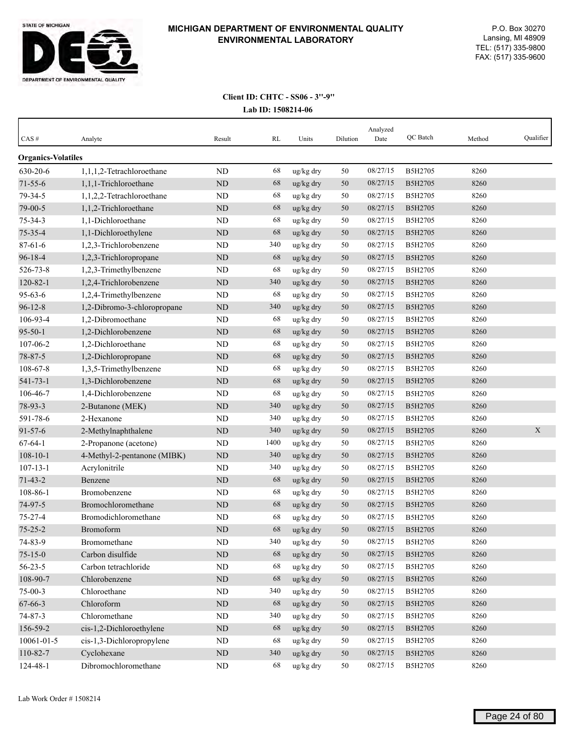

| <b>Organics-Volatiles</b><br>08/27/15<br>630-20-6<br>1,1,1,2-Tetrachloroethane<br><b>ND</b><br>68<br>B5H2705<br>8260<br>ug/kg dry<br>50<br>68<br>$71 - 55 - 6$<br>50<br>08/27/15<br>B5H2705<br>8260<br>1,1,1-Trichloroethane<br><b>ND</b><br>ug/kg dry<br>68<br>79-34-5<br>1,1,2,2-Tetrachloroethane<br>ND<br>ug/kg dry<br>08/27/15<br>50<br>B5H2705<br>8260<br>79-00-5<br>ND<br>68<br>08/27/15<br>B5H2705<br>8260<br>1,1,2-Trichloroethane<br>ug/kg dry<br>50<br>$75 - 34 - 3$<br>1,1-Dichloroethane<br>68<br>ug/kg dry<br>50<br>08/27/15<br>B5H2705<br>8260<br><b>ND</b><br>$75 - 35 - 4$<br>1,1-Dichloroethylene<br>68<br>08/27/15<br><b>ND</b><br>ug/kg dry<br>50<br>B5H2705<br>8260<br>$87 - 61 - 6$<br>08/27/15<br>1,2,3-Trichlorobenzene<br><b>ND</b><br>340<br>ug/kg dry<br>50<br>B5H2705<br>8260<br>$96 - 18 - 4$<br>68<br>08/27/15<br>50<br>B5H2705<br>8260<br>1,2,3-Trichloropropane<br>ND<br>ug/kg dry<br>68<br>08/27/15<br>526-73-8<br>1,2,3-Trimethylbenzene<br><b>ND</b><br>50<br>B5H2705<br>8260<br>ug/kg dry<br>$120 - 82 - 1$<br>ND<br>340<br>08/27/15<br>1,2,4-Trichlorobenzene<br>50<br>B5H2705<br>8260<br>ug/kg dry<br>$95 - 63 - 6$<br>68<br>08/27/15<br>1,2,4-Trimethylbenzene<br>ND<br>50<br>B5H2705<br>8260<br>ug/kg dry<br>$96 - 12 - 8$<br>340<br>08/27/15<br>1,2-Dibromo-3-chloropropane<br><b>ND</b><br>50<br>B5H2705<br>8260<br>ug/kg dry<br>08/27/15<br>106-93-4<br>1,2-Dibromoethane<br><b>ND</b><br>68<br>ug/kg dry<br>50<br>B5H2705<br>8260<br>68<br>$95 - 50 - 1$<br>50<br>08/27/15<br>B5H2705<br>8260<br>1,2-Dichlorobenzene<br><b>ND</b><br>ug/kg dry<br>68<br>107-06-2<br>08/27/15<br>1,2-Dichloroethane<br><b>ND</b><br>ug/kg dry<br>50<br>B5H2705<br>8260<br>78-87-5<br>ND<br>68<br>08/27/15<br>B5H2705<br>8260<br>1,2-Dichloropropane<br>ug/kg dry<br>50<br>08/27/15<br>108-67-8<br>1,3,5-Trimethylbenzene<br>ND<br>68<br>ug/kg dry<br>50<br>B5H2705<br>8260<br>08/27/15<br>$541 - 73 - 1$<br>1,3-Dichlorobenzene<br>ND<br>68<br>8260<br>ug/kg dry<br>50<br>B5H2705<br>68<br>08/27/15<br>106-46-7<br>1,4-Dichlorobenzene<br><b>ND</b><br>ug/kg dry<br>50<br>B5H2705<br>8260<br>340<br>78-93-3<br>ND<br>50<br>08/27/15<br>B5H2705<br>8260<br>2-Butanone (MEK)<br>ug/kg dry<br>340<br>591-78-6<br>ND<br>08/27/15<br>2-Hexanone<br>ug/kg dry<br>50<br>B5H2705<br>8260<br>$91 - 57 - 6$<br>340<br>08/27/15<br>X<br>2-Methylnaphthalene<br><b>ND</b><br>50<br>B5H2705<br>8260<br>ug/kg dry<br>$67 - 64 - 1$<br>1400<br>08/27/15<br>8260<br>ND<br>ug/kg dry<br>50<br>B5H2705<br>2-Propanone (acetone)<br>340<br>$108 - 10 - 1$<br>08/27/15<br>4-Methyl-2-pentanone (MIBK)<br><b>ND</b><br>50<br>B5H2705<br>8260<br>ug/kg dry<br>$107 - 13 - 1$<br>08/27/15<br>Acrylonitrile<br><b>ND</b><br>340<br>ug/kg dry<br>50<br>B5H2705<br>8260<br>68<br>08/27/15<br>$71 - 43 - 2$<br>50<br>B5H2705<br>8260<br>Benzene<br><b>ND</b><br>ug/kg dry<br>68<br>08/27/15<br>108-86-1<br>Bromobenzene<br>ND<br>ug/kg dry<br>50<br>B5H2705<br>8260<br>08/27/15<br>74-97-5<br>Bromochloromethane<br>ND<br>68<br>B5H2705<br>8260<br>ug/kg dry<br>50<br>68<br>8260<br>$75 - 27 - 4$<br>ND<br>ug/kg dry<br>50<br>08/27/15<br>B5H2705<br>Bromodichloromethane<br>$75 - 25 - 2$<br>68<br>08/27/15<br>8260<br>Bromoform<br><b>ND</b><br>ug/kg dry<br>50<br>B5H2705<br>74-83-9<br>Bromomethane<br>ND<br>340<br>ug/kg dry<br>50<br>08/27/15<br>B5H2705<br>8260<br>68<br>$75 - 15 - 0$<br>Carbon disulfide<br>$\rm ND$<br>08/27/15<br>B5H2705<br>8260<br>ug/kg dry<br>50<br>$56 - 23 - 5$<br>68<br>Carbon tetrachloride<br>ND<br>08/27/15<br>8260<br>ug/kg dry<br>B5H2705<br>50<br>108-90-7<br>$\rm ND$<br>68<br>08/27/15<br>8260<br>Chlorobenzene<br>ug/kg dry<br>50<br>B5H2705<br>340<br>08/27/15<br>8260<br>$75 - 00 - 3$<br>Chloroethane<br>ND<br>ug/kg dry<br>50<br>B5H2705<br>67-66-3<br>Chloroform<br>68<br>08/27/15<br>B5H2705<br>8260<br>ND<br>ug/kg dry<br>50<br>Chloromethane<br>08/27/15<br>74-87-3<br>$\rm ND$<br>340<br>8260<br>ug/kg dry<br>B5H2705<br>50<br>8260<br>156-59-2<br>cis-1,2-Dichloroethylene<br>68<br>ug/kg dry<br>08/27/15<br>B5H2705<br>ND<br>50<br>cis-1,3-Dichloropropylene<br>68<br>ug/kg dry<br>08/27/15<br>8260<br>10061-01-5<br>ND<br>B5H2705<br>50<br>110-82-7<br>$\rm ND$<br>08/27/15<br>B5H2705<br>8260<br>Cyclohexane<br>340<br>ug/kg dry<br>$50\,$ | CAS# | Analyte | Result | RL | Units | Dilution | Analyzed<br>Date | QC Batch | Method | Qualifier |
|----------------------------------------------------------------------------------------------------------------------------------------------------------------------------------------------------------------------------------------------------------------------------------------------------------------------------------------------------------------------------------------------------------------------------------------------------------------------------------------------------------------------------------------------------------------------------------------------------------------------------------------------------------------------------------------------------------------------------------------------------------------------------------------------------------------------------------------------------------------------------------------------------------------------------------------------------------------------------------------------------------------------------------------------------------------------------------------------------------------------------------------------------------------------------------------------------------------------------------------------------------------------------------------------------------------------------------------------------------------------------------------------------------------------------------------------------------------------------------------------------------------------------------------------------------------------------------------------------------------------------------------------------------------------------------------------------------------------------------------------------------------------------------------------------------------------------------------------------------------------------------------------------------------------------------------------------------------------------------------------------------------------------------------------------------------------------------------------------------------------------------------------------------------------------------------------------------------------------------------------------------------------------------------------------------------------------------------------------------------------------------------------------------------------------------------------------------------------------------------------------------------------------------------------------------------------------------------------------------------------------------------------------------------------------------------------------------------------------------------------------------------------------------------------------------------------------------------------------------------------------------------------------------------------------------------------------------------------------------------------------------------------------------------------------------------------------------------------------------------------------------------------------------------------------------------------------------------------------------------------------------------------------------------------------------------------------------------------------------------------------------------------------------------------------------------------------------------------------------------------------------------------------------------------------------------------------------------------------------------------------------------------------------------------------------------------------------------------------------------------------------------------------------------------------------------------------------------------------------------------------------------------------------------------------------------------------------------------------------------------------------------------------------------------------------------------------------------------------------------------------------------------------------------------------------------------------------------------------------------------------------------------------------------------------|------|---------|--------|----|-------|----------|------------------|----------|--------|-----------|
|                                                                                                                                                                                                                                                                                                                                                                                                                                                                                                                                                                                                                                                                                                                                                                                                                                                                                                                                                                                                                                                                                                                                                                                                                                                                                                                                                                                                                                                                                                                                                                                                                                                                                                                                                                                                                                                                                                                                                                                                                                                                                                                                                                                                                                                                                                                                                                                                                                                                                                                                                                                                                                                                                                                                                                                                                                                                                                                                                                                                                                                                                                                                                                                                                                                                                                                                                                                                                                                                                                                                                                                                                                                                                                                                                                                                                                                                                                                                                                                                                                                                                                                                                                                                                                                                                                    |      |         |        |    |       |          |                  |          |        |           |
|                                                                                                                                                                                                                                                                                                                                                                                                                                                                                                                                                                                                                                                                                                                                                                                                                                                                                                                                                                                                                                                                                                                                                                                                                                                                                                                                                                                                                                                                                                                                                                                                                                                                                                                                                                                                                                                                                                                                                                                                                                                                                                                                                                                                                                                                                                                                                                                                                                                                                                                                                                                                                                                                                                                                                                                                                                                                                                                                                                                                                                                                                                                                                                                                                                                                                                                                                                                                                                                                                                                                                                                                                                                                                                                                                                                                                                                                                                                                                                                                                                                                                                                                                                                                                                                                                                    |      |         |        |    |       |          |                  |          |        |           |
|                                                                                                                                                                                                                                                                                                                                                                                                                                                                                                                                                                                                                                                                                                                                                                                                                                                                                                                                                                                                                                                                                                                                                                                                                                                                                                                                                                                                                                                                                                                                                                                                                                                                                                                                                                                                                                                                                                                                                                                                                                                                                                                                                                                                                                                                                                                                                                                                                                                                                                                                                                                                                                                                                                                                                                                                                                                                                                                                                                                                                                                                                                                                                                                                                                                                                                                                                                                                                                                                                                                                                                                                                                                                                                                                                                                                                                                                                                                                                                                                                                                                                                                                                                                                                                                                                                    |      |         |        |    |       |          |                  |          |        |           |
|                                                                                                                                                                                                                                                                                                                                                                                                                                                                                                                                                                                                                                                                                                                                                                                                                                                                                                                                                                                                                                                                                                                                                                                                                                                                                                                                                                                                                                                                                                                                                                                                                                                                                                                                                                                                                                                                                                                                                                                                                                                                                                                                                                                                                                                                                                                                                                                                                                                                                                                                                                                                                                                                                                                                                                                                                                                                                                                                                                                                                                                                                                                                                                                                                                                                                                                                                                                                                                                                                                                                                                                                                                                                                                                                                                                                                                                                                                                                                                                                                                                                                                                                                                                                                                                                                                    |      |         |        |    |       |          |                  |          |        |           |
|                                                                                                                                                                                                                                                                                                                                                                                                                                                                                                                                                                                                                                                                                                                                                                                                                                                                                                                                                                                                                                                                                                                                                                                                                                                                                                                                                                                                                                                                                                                                                                                                                                                                                                                                                                                                                                                                                                                                                                                                                                                                                                                                                                                                                                                                                                                                                                                                                                                                                                                                                                                                                                                                                                                                                                                                                                                                                                                                                                                                                                                                                                                                                                                                                                                                                                                                                                                                                                                                                                                                                                                                                                                                                                                                                                                                                                                                                                                                                                                                                                                                                                                                                                                                                                                                                                    |      |         |        |    |       |          |                  |          |        |           |
|                                                                                                                                                                                                                                                                                                                                                                                                                                                                                                                                                                                                                                                                                                                                                                                                                                                                                                                                                                                                                                                                                                                                                                                                                                                                                                                                                                                                                                                                                                                                                                                                                                                                                                                                                                                                                                                                                                                                                                                                                                                                                                                                                                                                                                                                                                                                                                                                                                                                                                                                                                                                                                                                                                                                                                                                                                                                                                                                                                                                                                                                                                                                                                                                                                                                                                                                                                                                                                                                                                                                                                                                                                                                                                                                                                                                                                                                                                                                                                                                                                                                                                                                                                                                                                                                                                    |      |         |        |    |       |          |                  |          |        |           |
|                                                                                                                                                                                                                                                                                                                                                                                                                                                                                                                                                                                                                                                                                                                                                                                                                                                                                                                                                                                                                                                                                                                                                                                                                                                                                                                                                                                                                                                                                                                                                                                                                                                                                                                                                                                                                                                                                                                                                                                                                                                                                                                                                                                                                                                                                                                                                                                                                                                                                                                                                                                                                                                                                                                                                                                                                                                                                                                                                                                                                                                                                                                                                                                                                                                                                                                                                                                                                                                                                                                                                                                                                                                                                                                                                                                                                                                                                                                                                                                                                                                                                                                                                                                                                                                                                                    |      |         |        |    |       |          |                  |          |        |           |
|                                                                                                                                                                                                                                                                                                                                                                                                                                                                                                                                                                                                                                                                                                                                                                                                                                                                                                                                                                                                                                                                                                                                                                                                                                                                                                                                                                                                                                                                                                                                                                                                                                                                                                                                                                                                                                                                                                                                                                                                                                                                                                                                                                                                                                                                                                                                                                                                                                                                                                                                                                                                                                                                                                                                                                                                                                                                                                                                                                                                                                                                                                                                                                                                                                                                                                                                                                                                                                                                                                                                                                                                                                                                                                                                                                                                                                                                                                                                                                                                                                                                                                                                                                                                                                                                                                    |      |         |        |    |       |          |                  |          |        |           |
|                                                                                                                                                                                                                                                                                                                                                                                                                                                                                                                                                                                                                                                                                                                                                                                                                                                                                                                                                                                                                                                                                                                                                                                                                                                                                                                                                                                                                                                                                                                                                                                                                                                                                                                                                                                                                                                                                                                                                                                                                                                                                                                                                                                                                                                                                                                                                                                                                                                                                                                                                                                                                                                                                                                                                                                                                                                                                                                                                                                                                                                                                                                                                                                                                                                                                                                                                                                                                                                                                                                                                                                                                                                                                                                                                                                                                                                                                                                                                                                                                                                                                                                                                                                                                                                                                                    |      |         |        |    |       |          |                  |          |        |           |
|                                                                                                                                                                                                                                                                                                                                                                                                                                                                                                                                                                                                                                                                                                                                                                                                                                                                                                                                                                                                                                                                                                                                                                                                                                                                                                                                                                                                                                                                                                                                                                                                                                                                                                                                                                                                                                                                                                                                                                                                                                                                                                                                                                                                                                                                                                                                                                                                                                                                                                                                                                                                                                                                                                                                                                                                                                                                                                                                                                                                                                                                                                                                                                                                                                                                                                                                                                                                                                                                                                                                                                                                                                                                                                                                                                                                                                                                                                                                                                                                                                                                                                                                                                                                                                                                                                    |      |         |        |    |       |          |                  |          |        |           |
|                                                                                                                                                                                                                                                                                                                                                                                                                                                                                                                                                                                                                                                                                                                                                                                                                                                                                                                                                                                                                                                                                                                                                                                                                                                                                                                                                                                                                                                                                                                                                                                                                                                                                                                                                                                                                                                                                                                                                                                                                                                                                                                                                                                                                                                                                                                                                                                                                                                                                                                                                                                                                                                                                                                                                                                                                                                                                                                                                                                                                                                                                                                                                                                                                                                                                                                                                                                                                                                                                                                                                                                                                                                                                                                                                                                                                                                                                                                                                                                                                                                                                                                                                                                                                                                                                                    |      |         |        |    |       |          |                  |          |        |           |
|                                                                                                                                                                                                                                                                                                                                                                                                                                                                                                                                                                                                                                                                                                                                                                                                                                                                                                                                                                                                                                                                                                                                                                                                                                                                                                                                                                                                                                                                                                                                                                                                                                                                                                                                                                                                                                                                                                                                                                                                                                                                                                                                                                                                                                                                                                                                                                                                                                                                                                                                                                                                                                                                                                                                                                                                                                                                                                                                                                                                                                                                                                                                                                                                                                                                                                                                                                                                                                                                                                                                                                                                                                                                                                                                                                                                                                                                                                                                                                                                                                                                                                                                                                                                                                                                                                    |      |         |        |    |       |          |                  |          |        |           |
|                                                                                                                                                                                                                                                                                                                                                                                                                                                                                                                                                                                                                                                                                                                                                                                                                                                                                                                                                                                                                                                                                                                                                                                                                                                                                                                                                                                                                                                                                                                                                                                                                                                                                                                                                                                                                                                                                                                                                                                                                                                                                                                                                                                                                                                                                                                                                                                                                                                                                                                                                                                                                                                                                                                                                                                                                                                                                                                                                                                                                                                                                                                                                                                                                                                                                                                                                                                                                                                                                                                                                                                                                                                                                                                                                                                                                                                                                                                                                                                                                                                                                                                                                                                                                                                                                                    |      |         |        |    |       |          |                  |          |        |           |
|                                                                                                                                                                                                                                                                                                                                                                                                                                                                                                                                                                                                                                                                                                                                                                                                                                                                                                                                                                                                                                                                                                                                                                                                                                                                                                                                                                                                                                                                                                                                                                                                                                                                                                                                                                                                                                                                                                                                                                                                                                                                                                                                                                                                                                                                                                                                                                                                                                                                                                                                                                                                                                                                                                                                                                                                                                                                                                                                                                                                                                                                                                                                                                                                                                                                                                                                                                                                                                                                                                                                                                                                                                                                                                                                                                                                                                                                                                                                                                                                                                                                                                                                                                                                                                                                                                    |      |         |        |    |       |          |                  |          |        |           |
|                                                                                                                                                                                                                                                                                                                                                                                                                                                                                                                                                                                                                                                                                                                                                                                                                                                                                                                                                                                                                                                                                                                                                                                                                                                                                                                                                                                                                                                                                                                                                                                                                                                                                                                                                                                                                                                                                                                                                                                                                                                                                                                                                                                                                                                                                                                                                                                                                                                                                                                                                                                                                                                                                                                                                                                                                                                                                                                                                                                                                                                                                                                                                                                                                                                                                                                                                                                                                                                                                                                                                                                                                                                                                                                                                                                                                                                                                                                                                                                                                                                                                                                                                                                                                                                                                                    |      |         |        |    |       |          |                  |          |        |           |
|                                                                                                                                                                                                                                                                                                                                                                                                                                                                                                                                                                                                                                                                                                                                                                                                                                                                                                                                                                                                                                                                                                                                                                                                                                                                                                                                                                                                                                                                                                                                                                                                                                                                                                                                                                                                                                                                                                                                                                                                                                                                                                                                                                                                                                                                                                                                                                                                                                                                                                                                                                                                                                                                                                                                                                                                                                                                                                                                                                                                                                                                                                                                                                                                                                                                                                                                                                                                                                                                                                                                                                                                                                                                                                                                                                                                                                                                                                                                                                                                                                                                                                                                                                                                                                                                                                    |      |         |        |    |       |          |                  |          |        |           |
|                                                                                                                                                                                                                                                                                                                                                                                                                                                                                                                                                                                                                                                                                                                                                                                                                                                                                                                                                                                                                                                                                                                                                                                                                                                                                                                                                                                                                                                                                                                                                                                                                                                                                                                                                                                                                                                                                                                                                                                                                                                                                                                                                                                                                                                                                                                                                                                                                                                                                                                                                                                                                                                                                                                                                                                                                                                                                                                                                                                                                                                                                                                                                                                                                                                                                                                                                                                                                                                                                                                                                                                                                                                                                                                                                                                                                                                                                                                                                                                                                                                                                                                                                                                                                                                                                                    |      |         |        |    |       |          |                  |          |        |           |
|                                                                                                                                                                                                                                                                                                                                                                                                                                                                                                                                                                                                                                                                                                                                                                                                                                                                                                                                                                                                                                                                                                                                                                                                                                                                                                                                                                                                                                                                                                                                                                                                                                                                                                                                                                                                                                                                                                                                                                                                                                                                                                                                                                                                                                                                                                                                                                                                                                                                                                                                                                                                                                                                                                                                                                                                                                                                                                                                                                                                                                                                                                                                                                                                                                                                                                                                                                                                                                                                                                                                                                                                                                                                                                                                                                                                                                                                                                                                                                                                                                                                                                                                                                                                                                                                                                    |      |         |        |    |       |          |                  |          |        |           |
|                                                                                                                                                                                                                                                                                                                                                                                                                                                                                                                                                                                                                                                                                                                                                                                                                                                                                                                                                                                                                                                                                                                                                                                                                                                                                                                                                                                                                                                                                                                                                                                                                                                                                                                                                                                                                                                                                                                                                                                                                                                                                                                                                                                                                                                                                                                                                                                                                                                                                                                                                                                                                                                                                                                                                                                                                                                                                                                                                                                                                                                                                                                                                                                                                                                                                                                                                                                                                                                                                                                                                                                                                                                                                                                                                                                                                                                                                                                                                                                                                                                                                                                                                                                                                                                                                                    |      |         |        |    |       |          |                  |          |        |           |
|                                                                                                                                                                                                                                                                                                                                                                                                                                                                                                                                                                                                                                                                                                                                                                                                                                                                                                                                                                                                                                                                                                                                                                                                                                                                                                                                                                                                                                                                                                                                                                                                                                                                                                                                                                                                                                                                                                                                                                                                                                                                                                                                                                                                                                                                                                                                                                                                                                                                                                                                                                                                                                                                                                                                                                                                                                                                                                                                                                                                                                                                                                                                                                                                                                                                                                                                                                                                                                                                                                                                                                                                                                                                                                                                                                                                                                                                                                                                                                                                                                                                                                                                                                                                                                                                                                    |      |         |        |    |       |          |                  |          |        |           |
|                                                                                                                                                                                                                                                                                                                                                                                                                                                                                                                                                                                                                                                                                                                                                                                                                                                                                                                                                                                                                                                                                                                                                                                                                                                                                                                                                                                                                                                                                                                                                                                                                                                                                                                                                                                                                                                                                                                                                                                                                                                                                                                                                                                                                                                                                                                                                                                                                                                                                                                                                                                                                                                                                                                                                                                                                                                                                                                                                                                                                                                                                                                                                                                                                                                                                                                                                                                                                                                                                                                                                                                                                                                                                                                                                                                                                                                                                                                                                                                                                                                                                                                                                                                                                                                                                                    |      |         |        |    |       |          |                  |          |        |           |
|                                                                                                                                                                                                                                                                                                                                                                                                                                                                                                                                                                                                                                                                                                                                                                                                                                                                                                                                                                                                                                                                                                                                                                                                                                                                                                                                                                                                                                                                                                                                                                                                                                                                                                                                                                                                                                                                                                                                                                                                                                                                                                                                                                                                                                                                                                                                                                                                                                                                                                                                                                                                                                                                                                                                                                                                                                                                                                                                                                                                                                                                                                                                                                                                                                                                                                                                                                                                                                                                                                                                                                                                                                                                                                                                                                                                                                                                                                                                                                                                                                                                                                                                                                                                                                                                                                    |      |         |        |    |       |          |                  |          |        |           |
|                                                                                                                                                                                                                                                                                                                                                                                                                                                                                                                                                                                                                                                                                                                                                                                                                                                                                                                                                                                                                                                                                                                                                                                                                                                                                                                                                                                                                                                                                                                                                                                                                                                                                                                                                                                                                                                                                                                                                                                                                                                                                                                                                                                                                                                                                                                                                                                                                                                                                                                                                                                                                                                                                                                                                                                                                                                                                                                                                                                                                                                                                                                                                                                                                                                                                                                                                                                                                                                                                                                                                                                                                                                                                                                                                                                                                                                                                                                                                                                                                                                                                                                                                                                                                                                                                                    |      |         |        |    |       |          |                  |          |        |           |
|                                                                                                                                                                                                                                                                                                                                                                                                                                                                                                                                                                                                                                                                                                                                                                                                                                                                                                                                                                                                                                                                                                                                                                                                                                                                                                                                                                                                                                                                                                                                                                                                                                                                                                                                                                                                                                                                                                                                                                                                                                                                                                                                                                                                                                                                                                                                                                                                                                                                                                                                                                                                                                                                                                                                                                                                                                                                                                                                                                                                                                                                                                                                                                                                                                                                                                                                                                                                                                                                                                                                                                                                                                                                                                                                                                                                                                                                                                                                                                                                                                                                                                                                                                                                                                                                                                    |      |         |        |    |       |          |                  |          |        |           |
|                                                                                                                                                                                                                                                                                                                                                                                                                                                                                                                                                                                                                                                                                                                                                                                                                                                                                                                                                                                                                                                                                                                                                                                                                                                                                                                                                                                                                                                                                                                                                                                                                                                                                                                                                                                                                                                                                                                                                                                                                                                                                                                                                                                                                                                                                                                                                                                                                                                                                                                                                                                                                                                                                                                                                                                                                                                                                                                                                                                                                                                                                                                                                                                                                                                                                                                                                                                                                                                                                                                                                                                                                                                                                                                                                                                                                                                                                                                                                                                                                                                                                                                                                                                                                                                                                                    |      |         |        |    |       |          |                  |          |        |           |
|                                                                                                                                                                                                                                                                                                                                                                                                                                                                                                                                                                                                                                                                                                                                                                                                                                                                                                                                                                                                                                                                                                                                                                                                                                                                                                                                                                                                                                                                                                                                                                                                                                                                                                                                                                                                                                                                                                                                                                                                                                                                                                                                                                                                                                                                                                                                                                                                                                                                                                                                                                                                                                                                                                                                                                                                                                                                                                                                                                                                                                                                                                                                                                                                                                                                                                                                                                                                                                                                                                                                                                                                                                                                                                                                                                                                                                                                                                                                                                                                                                                                                                                                                                                                                                                                                                    |      |         |        |    |       |          |                  |          |        |           |
|                                                                                                                                                                                                                                                                                                                                                                                                                                                                                                                                                                                                                                                                                                                                                                                                                                                                                                                                                                                                                                                                                                                                                                                                                                                                                                                                                                                                                                                                                                                                                                                                                                                                                                                                                                                                                                                                                                                                                                                                                                                                                                                                                                                                                                                                                                                                                                                                                                                                                                                                                                                                                                                                                                                                                                                                                                                                                                                                                                                                                                                                                                                                                                                                                                                                                                                                                                                                                                                                                                                                                                                                                                                                                                                                                                                                                                                                                                                                                                                                                                                                                                                                                                                                                                                                                                    |      |         |        |    |       |          |                  |          |        |           |
|                                                                                                                                                                                                                                                                                                                                                                                                                                                                                                                                                                                                                                                                                                                                                                                                                                                                                                                                                                                                                                                                                                                                                                                                                                                                                                                                                                                                                                                                                                                                                                                                                                                                                                                                                                                                                                                                                                                                                                                                                                                                                                                                                                                                                                                                                                                                                                                                                                                                                                                                                                                                                                                                                                                                                                                                                                                                                                                                                                                                                                                                                                                                                                                                                                                                                                                                                                                                                                                                                                                                                                                                                                                                                                                                                                                                                                                                                                                                                                                                                                                                                                                                                                                                                                                                                                    |      |         |        |    |       |          |                  |          |        |           |
|                                                                                                                                                                                                                                                                                                                                                                                                                                                                                                                                                                                                                                                                                                                                                                                                                                                                                                                                                                                                                                                                                                                                                                                                                                                                                                                                                                                                                                                                                                                                                                                                                                                                                                                                                                                                                                                                                                                                                                                                                                                                                                                                                                                                                                                                                                                                                                                                                                                                                                                                                                                                                                                                                                                                                                                                                                                                                                                                                                                                                                                                                                                                                                                                                                                                                                                                                                                                                                                                                                                                                                                                                                                                                                                                                                                                                                                                                                                                                                                                                                                                                                                                                                                                                                                                                                    |      |         |        |    |       |          |                  |          |        |           |
|                                                                                                                                                                                                                                                                                                                                                                                                                                                                                                                                                                                                                                                                                                                                                                                                                                                                                                                                                                                                                                                                                                                                                                                                                                                                                                                                                                                                                                                                                                                                                                                                                                                                                                                                                                                                                                                                                                                                                                                                                                                                                                                                                                                                                                                                                                                                                                                                                                                                                                                                                                                                                                                                                                                                                                                                                                                                                                                                                                                                                                                                                                                                                                                                                                                                                                                                                                                                                                                                                                                                                                                                                                                                                                                                                                                                                                                                                                                                                                                                                                                                                                                                                                                                                                                                                                    |      |         |        |    |       |          |                  |          |        |           |
|                                                                                                                                                                                                                                                                                                                                                                                                                                                                                                                                                                                                                                                                                                                                                                                                                                                                                                                                                                                                                                                                                                                                                                                                                                                                                                                                                                                                                                                                                                                                                                                                                                                                                                                                                                                                                                                                                                                                                                                                                                                                                                                                                                                                                                                                                                                                                                                                                                                                                                                                                                                                                                                                                                                                                                                                                                                                                                                                                                                                                                                                                                                                                                                                                                                                                                                                                                                                                                                                                                                                                                                                                                                                                                                                                                                                                                                                                                                                                                                                                                                                                                                                                                                                                                                                                                    |      |         |        |    |       |          |                  |          |        |           |
|                                                                                                                                                                                                                                                                                                                                                                                                                                                                                                                                                                                                                                                                                                                                                                                                                                                                                                                                                                                                                                                                                                                                                                                                                                                                                                                                                                                                                                                                                                                                                                                                                                                                                                                                                                                                                                                                                                                                                                                                                                                                                                                                                                                                                                                                                                                                                                                                                                                                                                                                                                                                                                                                                                                                                                                                                                                                                                                                                                                                                                                                                                                                                                                                                                                                                                                                                                                                                                                                                                                                                                                                                                                                                                                                                                                                                                                                                                                                                                                                                                                                                                                                                                                                                                                                                                    |      |         |        |    |       |          |                  |          |        |           |
|                                                                                                                                                                                                                                                                                                                                                                                                                                                                                                                                                                                                                                                                                                                                                                                                                                                                                                                                                                                                                                                                                                                                                                                                                                                                                                                                                                                                                                                                                                                                                                                                                                                                                                                                                                                                                                                                                                                                                                                                                                                                                                                                                                                                                                                                                                                                                                                                                                                                                                                                                                                                                                                                                                                                                                                                                                                                                                                                                                                                                                                                                                                                                                                                                                                                                                                                                                                                                                                                                                                                                                                                                                                                                                                                                                                                                                                                                                                                                                                                                                                                                                                                                                                                                                                                                                    |      |         |        |    |       |          |                  |          |        |           |
|                                                                                                                                                                                                                                                                                                                                                                                                                                                                                                                                                                                                                                                                                                                                                                                                                                                                                                                                                                                                                                                                                                                                                                                                                                                                                                                                                                                                                                                                                                                                                                                                                                                                                                                                                                                                                                                                                                                                                                                                                                                                                                                                                                                                                                                                                                                                                                                                                                                                                                                                                                                                                                                                                                                                                                                                                                                                                                                                                                                                                                                                                                                                                                                                                                                                                                                                                                                                                                                                                                                                                                                                                                                                                                                                                                                                                                                                                                                                                                                                                                                                                                                                                                                                                                                                                                    |      |         |        |    |       |          |                  |          |        |           |
|                                                                                                                                                                                                                                                                                                                                                                                                                                                                                                                                                                                                                                                                                                                                                                                                                                                                                                                                                                                                                                                                                                                                                                                                                                                                                                                                                                                                                                                                                                                                                                                                                                                                                                                                                                                                                                                                                                                                                                                                                                                                                                                                                                                                                                                                                                                                                                                                                                                                                                                                                                                                                                                                                                                                                                                                                                                                                                                                                                                                                                                                                                                                                                                                                                                                                                                                                                                                                                                                                                                                                                                                                                                                                                                                                                                                                                                                                                                                                                                                                                                                                                                                                                                                                                                                                                    |      |         |        |    |       |          |                  |          |        |           |
|                                                                                                                                                                                                                                                                                                                                                                                                                                                                                                                                                                                                                                                                                                                                                                                                                                                                                                                                                                                                                                                                                                                                                                                                                                                                                                                                                                                                                                                                                                                                                                                                                                                                                                                                                                                                                                                                                                                                                                                                                                                                                                                                                                                                                                                                                                                                                                                                                                                                                                                                                                                                                                                                                                                                                                                                                                                                                                                                                                                                                                                                                                                                                                                                                                                                                                                                                                                                                                                                                                                                                                                                                                                                                                                                                                                                                                                                                                                                                                                                                                                                                                                                                                                                                                                                                                    |      |         |        |    |       |          |                  |          |        |           |
|                                                                                                                                                                                                                                                                                                                                                                                                                                                                                                                                                                                                                                                                                                                                                                                                                                                                                                                                                                                                                                                                                                                                                                                                                                                                                                                                                                                                                                                                                                                                                                                                                                                                                                                                                                                                                                                                                                                                                                                                                                                                                                                                                                                                                                                                                                                                                                                                                                                                                                                                                                                                                                                                                                                                                                                                                                                                                                                                                                                                                                                                                                                                                                                                                                                                                                                                                                                                                                                                                                                                                                                                                                                                                                                                                                                                                                                                                                                                                                                                                                                                                                                                                                                                                                                                                                    |      |         |        |    |       |          |                  |          |        |           |
|                                                                                                                                                                                                                                                                                                                                                                                                                                                                                                                                                                                                                                                                                                                                                                                                                                                                                                                                                                                                                                                                                                                                                                                                                                                                                                                                                                                                                                                                                                                                                                                                                                                                                                                                                                                                                                                                                                                                                                                                                                                                                                                                                                                                                                                                                                                                                                                                                                                                                                                                                                                                                                                                                                                                                                                                                                                                                                                                                                                                                                                                                                                                                                                                                                                                                                                                                                                                                                                                                                                                                                                                                                                                                                                                                                                                                                                                                                                                                                                                                                                                                                                                                                                                                                                                                                    |      |         |        |    |       |          |                  |          |        |           |
|                                                                                                                                                                                                                                                                                                                                                                                                                                                                                                                                                                                                                                                                                                                                                                                                                                                                                                                                                                                                                                                                                                                                                                                                                                                                                                                                                                                                                                                                                                                                                                                                                                                                                                                                                                                                                                                                                                                                                                                                                                                                                                                                                                                                                                                                                                                                                                                                                                                                                                                                                                                                                                                                                                                                                                                                                                                                                                                                                                                                                                                                                                                                                                                                                                                                                                                                                                                                                                                                                                                                                                                                                                                                                                                                                                                                                                                                                                                                                                                                                                                                                                                                                                                                                                                                                                    |      |         |        |    |       |          |                  |          |        |           |
|                                                                                                                                                                                                                                                                                                                                                                                                                                                                                                                                                                                                                                                                                                                                                                                                                                                                                                                                                                                                                                                                                                                                                                                                                                                                                                                                                                                                                                                                                                                                                                                                                                                                                                                                                                                                                                                                                                                                                                                                                                                                                                                                                                                                                                                                                                                                                                                                                                                                                                                                                                                                                                                                                                                                                                                                                                                                                                                                                                                                                                                                                                                                                                                                                                                                                                                                                                                                                                                                                                                                                                                                                                                                                                                                                                                                                                                                                                                                                                                                                                                                                                                                                                                                                                                                                                    |      |         |        |    |       |          |                  |          |        |           |
|                                                                                                                                                                                                                                                                                                                                                                                                                                                                                                                                                                                                                                                                                                                                                                                                                                                                                                                                                                                                                                                                                                                                                                                                                                                                                                                                                                                                                                                                                                                                                                                                                                                                                                                                                                                                                                                                                                                                                                                                                                                                                                                                                                                                                                                                                                                                                                                                                                                                                                                                                                                                                                                                                                                                                                                                                                                                                                                                                                                                                                                                                                                                                                                                                                                                                                                                                                                                                                                                                                                                                                                                                                                                                                                                                                                                                                                                                                                                                                                                                                                                                                                                                                                                                                                                                                    |      |         |        |    |       |          |                  |          |        |           |
|                                                                                                                                                                                                                                                                                                                                                                                                                                                                                                                                                                                                                                                                                                                                                                                                                                                                                                                                                                                                                                                                                                                                                                                                                                                                                                                                                                                                                                                                                                                                                                                                                                                                                                                                                                                                                                                                                                                                                                                                                                                                                                                                                                                                                                                                                                                                                                                                                                                                                                                                                                                                                                                                                                                                                                                                                                                                                                                                                                                                                                                                                                                                                                                                                                                                                                                                                                                                                                                                                                                                                                                                                                                                                                                                                                                                                                                                                                                                                                                                                                                                                                                                                                                                                                                                                                    |      |         |        |    |       |          |                  |          |        |           |
| Dibromochloromethane<br>8260<br>124-48-1<br>$\rm ND$<br>68<br>ug/kg dry<br>50<br>08/27/15<br>B5H2705                                                                                                                                                                                                                                                                                                                                                                                                                                                                                                                                                                                                                                                                                                                                                                                                                                                                                                                                                                                                                                                                                                                                                                                                                                                                                                                                                                                                                                                                                                                                                                                                                                                                                                                                                                                                                                                                                                                                                                                                                                                                                                                                                                                                                                                                                                                                                                                                                                                                                                                                                                                                                                                                                                                                                                                                                                                                                                                                                                                                                                                                                                                                                                                                                                                                                                                                                                                                                                                                                                                                                                                                                                                                                                                                                                                                                                                                                                                                                                                                                                                                                                                                                                                               |      |         |        |    |       |          |                  |          |        |           |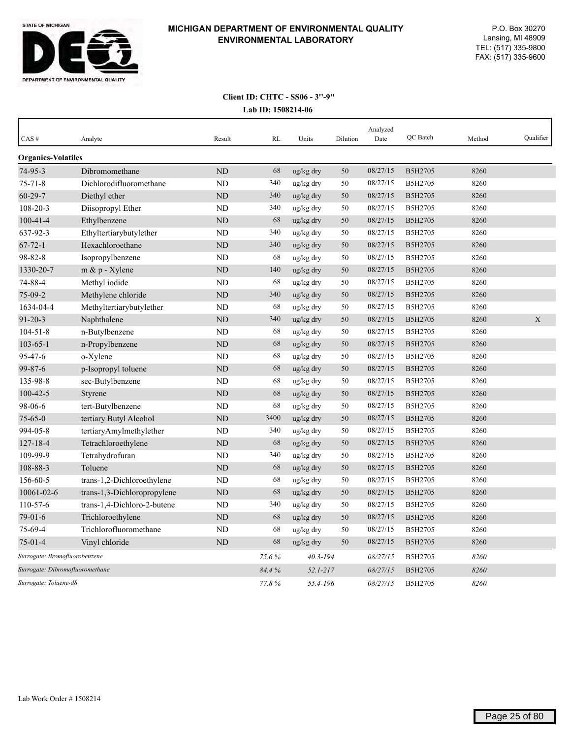

| CAS#                            | Analyte                     | Result         | RL    | Units           | Dilution | Analyzed<br>Date | <b>OC</b> Batch | Method | Oualifier   |
|---------------------------------|-----------------------------|----------------|-------|-----------------|----------|------------------|-----------------|--------|-------------|
| <b>Organics-Volatiles</b>       |                             |                |       |                 |          |                  |                 |        |             |
| 74-95-3                         | Dibromomethane              | <b>ND</b>      | 68    | ug/kg dry       | 50       | 08/27/15         | B5H2705         | 8260   |             |
| $75 - 71 - 8$                   | Dichlorodifluoromethane     | ND             | 340   | ug/kg dry       | 50       | 08/27/15         | B5H2705         | 8260   |             |
| $60 - 29 - 7$                   | Diethyl ether               | <b>ND</b>      | 340   | ug/kg dry       | 50       | 08/27/15         | B5H2705         | 8260   |             |
| 108-20-3                        | Diisopropyl Ether           | <b>ND</b>      | 340   | ug/kg dry       | 50       | 08/27/15         | B5H2705         | 8260   |             |
| $100 - 41 - 4$                  | Ethylbenzene                | ND             | 68    | ug/kg dry       | 50       | 08/27/15         | B5H2705         | 8260   |             |
| 637-92-3                        | Ethyltertiarybutylether     | <b>ND</b>      | 340   | ug/kg dry       | 50       | 08/27/15         | B5H2705         | 8260   |             |
| $67 - 72 - 1$                   | Hexachloroethane            | <b>ND</b>      | 340   | ug/kg dry       | 50       | 08/27/15         | B5H2705         | 8260   |             |
| 98-82-8                         | Isopropylbenzene            | <b>ND</b>      | 68    | $\rm ug/kg$ dry | 50       | 08/27/15         | B5H2705         | 8260   |             |
| 1330-20-7                       | $m \& p$ - Xylene           | N <sub>D</sub> | 140   | ug/kg dry       | 50       | 08/27/15         | <b>B5H2705</b>  | 8260   |             |
| 74-88-4                         | Methyl iodide               | <b>ND</b>      | 68    | ug/kg dry       | 50       | 08/27/15         | B5H2705         | 8260   |             |
| $75-09-2$                       | Methylene chloride          | ND             | 340   | ug/kg dry       | 50       | 08/27/15         | B5H2705         | 8260   |             |
| 1634-04-4                       | Methyltertiarybutylether    | <b>ND</b>      | 68    | ug/kg dry       | 50       | 08/27/15         | B5H2705         | 8260   |             |
| $91 - 20 - 3$                   | Naphthalene                 | <b>ND</b>      | 340   | ug/kg dry       | 50       | 08/27/15         | B5H2705         | 8260   | $\mathbf X$ |
| $104 - 51 - 8$                  | n-Butylbenzene              | ND             | 68    | ug/kg dry       | 50       | 08/27/15         | B5H2705         | 8260   |             |
| $103 - 65 - 1$                  | n-Propylbenzene             | <b>ND</b>      | 68    | ug/kg dry       | 50       | 08/27/15         | B5H2705         | 8260   |             |
| 95-47-6                         | o-Xylene                    | ND             | 68    | ug/kg dry       | 50       | 08/27/15         | B5H2705         | 8260   |             |
| 99-87-6                         | p-Isopropyl toluene         | <b>ND</b>      | 68    | ug/kg dry       | 50       | 08/27/15         | B5H2705         | 8260   |             |
| 135-98-8                        | sec-Butylbenzene            | ND             | 68    | ug/kg dry       | 50       | 08/27/15         | B5H2705         | 8260   |             |
| $100 - 42 - 5$                  | Styrene                     | <b>ND</b>      | 68    | ug/kg dry       | 50       | 08/27/15         | B5H2705         | 8260   |             |
| 98-06-6                         | tert-Butylbenzene           | <b>ND</b>      | 68    | ug/kg dry       | 50       | 08/27/15         | B5H2705         | 8260   |             |
| $75 - 65 - 0$                   | tertiary Butyl Alcohol      | N <sub>D</sub> | 3400  | ug/kg dry       | 50       | 08/27/15         | B5H2705         | 8260   |             |
| 994-05-8                        | tertiaryAmylmethylether     | <b>ND</b>      | 340   | ug/kg dry       | 50       | 08/27/15         | B5H2705         | 8260   |             |
| $127 - 18 - 4$                  | Tetrachloroethylene         | ND             | 68    | ug/kg dry       | 50       | 08/27/15         | B5H2705         | 8260   |             |
| 109-99-9                        | Tetrahydrofuran             | <b>ND</b>      | 340   | ug/kg dry       | 50       | 08/27/15         | B5H2705         | 8260   |             |
| 108-88-3                        | Toluene                     | <b>ND</b>      | 68    | ug/kg dry       | 50       | 08/27/15         | B5H2705         | 8260   |             |
| 156-60-5                        | trans-1,2-Dichloroethylene  | <b>ND</b>      | 68    | ug/kg dry       | 50       | 08/27/15         | B5H2705         | 8260   |             |
| 10061-02-6                      | trans-1,3-Dichloropropylene | <b>ND</b>      | 68    | ug/kg dry       | 50       | 08/27/15         | B5H2705         | 8260   |             |
| 110-57-6                        | trans-1,4-Dichloro-2-butene | ND             | 340   | ug/kg dry       | 50       | 08/27/15         | B5H2705         | 8260   |             |
| $79 - 01 - 6$                   | Trichloroethylene           | <b>ND</b>      | 68    | ug/kg dry       | 50       | 08/27/15         | B5H2705         | 8260   |             |
| 75-69-4                         | Trichlorofluoromethane      | <b>ND</b>      | 68    | ug/kg dry       | 50       | 08/27/15         | B5H2705         | 8260   |             |
| $75-01-4$                       | Vinyl chloride              | <b>ND</b>      | 68    | ug/kg dry       | 50       | 08/27/15         | B5H2705         | 8260   |             |
| Surrogate: Bromofluorobenzene   |                             |                | 75.6% | $40.3 - 194$    |          | 08/27/15         | B5H2705         | 8260   |             |
| Surrogate: Dibromofluoromethane |                             |                | 84.4% | $52.1 - 217$    |          | 08/27/15         | B5H2705         | 8260   |             |
| Surrogate: Toluene-d8           |                             |                | 77.8% | 55.4-196        |          | 08/27/15         | B5H2705         | 8260   |             |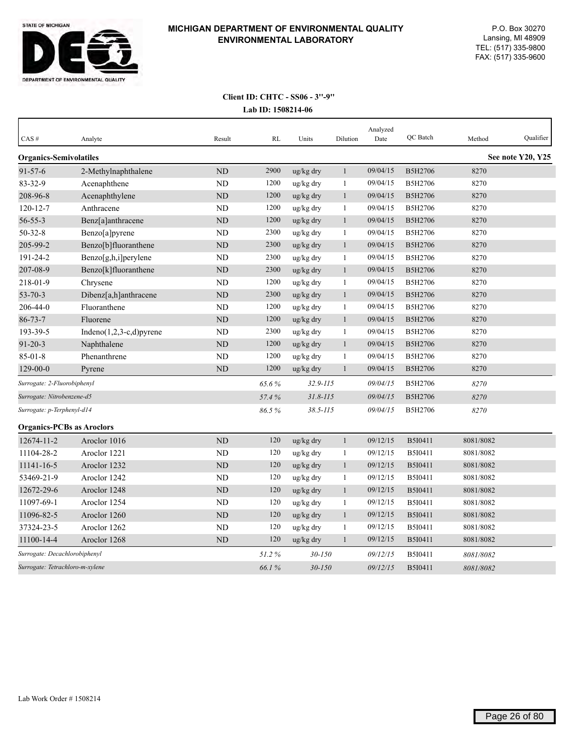

| CAS#                             | Analyte                       | Result         | RL    | Units                 | Dilution     | Analyzed<br>Date | QC Batch       | Method    | Qualifier         |
|----------------------------------|-------------------------------|----------------|-------|-----------------------|--------------|------------------|----------------|-----------|-------------------|
| <b>Organics-Semivolatiles</b>    |                               |                |       |                       |              |                  |                |           | See note Y20, Y25 |
| $91 - 57 - 6$                    | 2-Methylnaphthalene           | <b>ND</b>      | 2900  | ug/kg dry             | $\mathbf{1}$ | 09/04/15         | B5H2706        | 8270      |                   |
| $83 - 32 - 9$                    | Acenaphthene                  | <b>ND</b>      | 1200  | ug/kg dry             | 1            | 09/04/15         | B5H2706        | 8270      |                   |
| 208-96-8                         | Acenaphthylene                | ND             | 1200  | ug/kg dry             | 1            | 09/04/15         | B5H2706        | 8270      |                   |
| $120 - 12 - 7$                   | Anthracene                    | <b>ND</b>      | 1200  | ug/kg dry             | $\mathbf{1}$ | 09/04/15         | B5H2706        | 8270      |                   |
| $56 - 55 - 3$                    | Benz[a]anthracene             | <b>ND</b>      | 1200  | ug/kg dry             | 1            | 09/04/15         | B5H2706        | 8270      |                   |
| $50 - 32 - 8$                    | Benzo[a]pyrene                | N <sub>D</sub> | 2300  | ug/kg dry             | $\mathbf{1}$ | 09/04/15         | B5H2706        | 8270      |                   |
| 205-99-2                         | Benzo[b]fluoranthene          | <b>ND</b>      | 2300  | ug/kg dry             | $\mathbf{1}$ | 09/04/15         | B5H2706        | 8270      |                   |
| 191-24-2                         | Benzo[g,h,i]perylene          | <b>ND</b>      | 2300  | ug/kg dry             | 1            | 09/04/15         | B5H2706        | 8270      |                   |
| 207-08-9                         | Benzo[k]fluoranthene          | ND             | 2300  | ug/kg dry             | $\mathbf{1}$ | 09/04/15         | B5H2706        | 8270      |                   |
| 218-01-9                         | Chrysene                      | <b>ND</b>      | 1200  | ug/kg dry             | 1            | 09/04/15         | B5H2706        | 8270      |                   |
| $53 - 70 - 3$                    | Dibenz[a,h]anthracene         | ND             | 2300  | ug/kg dry             | $\mathbf{1}$ | 09/04/15         | B5H2706        | 8270      |                   |
| 206-44-0                         | Fluoranthene                  | ND             | 1200  | ug/kg dry             | 1            | 09/04/15         | B5H2706        | 8270      |                   |
| $86 - 73 - 7$                    | Fluorene                      | <b>ND</b>      | 1200  | ug/kg dry             | $\mathbf{1}$ | 09/04/15         | <b>B5H2706</b> | 8270      |                   |
| 193-39-5                         | Indeno $(1,2,3-c,d)$ pyrene   | <b>ND</b>      | 2300  | ug/kg dry             | $\mathbf{1}$ | 09/04/15         | B5H2706        | 8270      |                   |
| $91 - 20 - 3$                    | Naphthalene                   | <b>ND</b>      | 1200  | ug/kg dry             | 1            | 09/04/15         | B5H2706        | 8270      |                   |
| $85 - 01 - 8$                    | Phenanthrene                  | <b>ND</b>      | 1200  | ug/kg dry             | $\mathbf{1}$ | 09/04/15         | B5H2706        | 8270      |                   |
| $129 - 00 - 0$                   | Pyrene                        | <b>ND</b>      | 1200  | ug/kg dry             | $\mathbf{1}$ | 09/04/15         | B5H2706        | 8270      |                   |
| Surrogate: 2-Fluorobiphenyl      |                               |                | 65.6% | 32.9-115              |              | 09/04/15         | B5H2706        | 8270      |                   |
| Surrogate: Nitrobenzene-d5       |                               |                | 57.4% | $31.8 - 115$          |              | 09/04/15         | B5H2706        | 8270      |                   |
| Surrogate: p-Terphenyl-d14       |                               |                | 86.5% | $38.5 - 115$          |              | 09/04/15         | <b>B5H2706</b> | 8270      |                   |
| <b>Organics-PCBs as Aroclors</b> |                               |                |       |                       |              |                  |                |           |                   |
| 12674-11-2                       | Aroclor 1016                  | <b>ND</b>      | 120   | ug/kg dry             | $\mathbf{1}$ | 09/12/15         | B5I0411        | 8081/8082 |                   |
| 11104-28-2                       | Aroclor 1221                  | N <sub>D</sub> | 120   | ug/kg dry             | 1            | 09/12/15         | B5I0411        | 8081/8082 |                   |
| 11141-16-5                       | Aroclor 1232                  | <b>ND</b>      | 120   | ug/kg dry             | $\mathbf{1}$ | 09/12/15         | <b>B5I0411</b> | 8081/8082 |                   |
| 53469-21-9                       | Aroclor 1242                  | <b>ND</b>      | 120   | ug/kg dry             | 1            | 09/12/15         | B5I0411        | 8081/8082 |                   |
| 12672-29-6                       | Aroclor 1248                  | <b>ND</b>      | 120   | ug/kg dry             | $\mathbf{1}$ | 09/12/15         | B5I0411        | 8081/8082 |                   |
| 11097-69-1                       | Aroclor 1254                  | <b>ND</b>      | 120   | ug/kg dry             | $\mathbf{1}$ | 09/12/15         | B5I0411        | 8081/8082 |                   |
| 11096-82-5                       | Aroclor 1260                  | ND             | 120   | ug/kg dry             | 1            | 09/12/15         | B5I0411        | 8081/8082 |                   |
| 37324-23-5                       | Aroclor 1262                  | <b>ND</b>      | 120   | ug/kg dry             | 1            | 09/12/15         | B5I0411        | 8081/8082 |                   |
| 11100-14-4                       | Aroclor 1268                  | <b>ND</b>      | 120   | $\frac{u g}{k g}$ dry | 1            | 09/12/15         | B5I0411        | 8081/8082 |                   |
|                                  | Surrogate: Decachlorobiphenyl |                | 51.2% | $30 - 150$            |              | 09/12/15         | B5I0411        | 8081/8082 |                   |
| Surrogate: Tetrachloro-m-xylene  |                               |                | 66.1% | $30 - 150$            |              | 09/12/15         | B5I0411        | 8081/8082 |                   |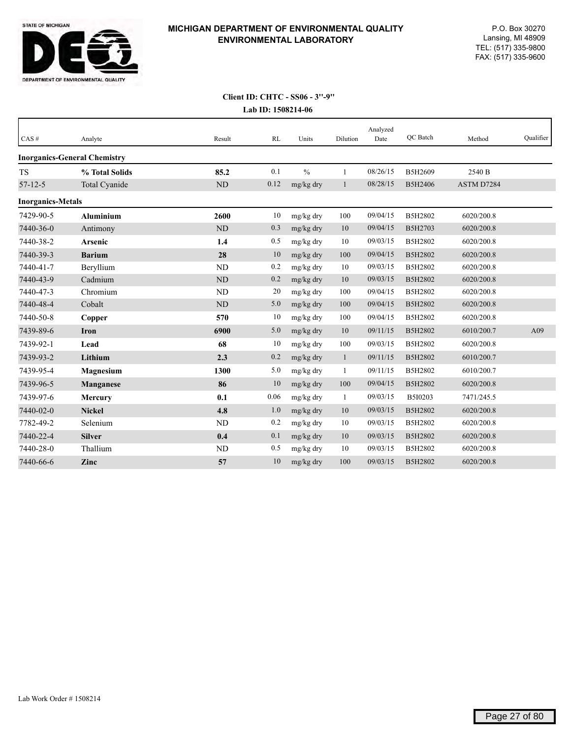

| CAS#                     | Analyte                             | Result    | <b>RL</b> | Units         | Dilution     | Analyzed<br>Date | QC Batch | Method     | Qualifier |
|--------------------------|-------------------------------------|-----------|-----------|---------------|--------------|------------------|----------|------------|-----------|
|                          | <b>Inorganics-General Chemistry</b> |           |           |               |              |                  |          |            |           |
| <b>TS</b>                | % Total Solids                      | 85.2      | 0.1       | $\frac{0}{0}$ | $\mathbf{1}$ | 08/26/15         | B5H2609  | 2540 B     |           |
| $57 - 12 - 5$            | Total Cyanide                       | ND        | 0.12      | mg/kg dry     | 1            | 08/28/15         | B5H2406  | ASTM D7284 |           |
| <b>Inorganics-Metals</b> |                                     |           |           |               |              |                  |          |            |           |
| 7429-90-5                | <b>Aluminium</b>                    | 2600      | 10        | mg/kg dry     | 100          | 09/04/15         | B5H2802  | 6020/200.8 |           |
| 7440-36-0                | Antimony                            | $\rm ND$  | 0.3       | mg/kg dry     | 10           | 09/04/15         | B5H2703  | 6020/200.8 |           |
| 7440-38-2                | <b>Arsenic</b>                      | 1.4       | 0.5       | mg/kg dry     | 10           | 09/03/15         | B5H2802  | 6020/200.8 |           |
| 7440-39-3                | <b>Barium</b>                       | 28        | 10        | mg/kg dry     | 100          | 09/04/15         | B5H2802  | 6020/200.8 |           |
| 7440-41-7                | Beryllium                           | ND        | 0.2       | mg/kg dry     | 10           | 09/03/15         | B5H2802  | 6020/200.8 |           |
| 7440-43-9                | Cadmium                             | <b>ND</b> | 0.2       | mg/kg dry     | 10           | 09/03/15         | B5H2802  | 6020/200.8 |           |
| 7440-47-3                | Chromium                            | ND        | 20        | mg/kg dry     | 100          | 09/04/15         | B5H2802  | 6020/200.8 |           |
| 7440-48-4                | Cobalt                              | ND        | 5.0       | mg/kg dry     | 100          | 09/04/15         | B5H2802  | 6020/200.8 |           |
| 7440-50-8                | Copper                              | 570       | 10        | mg/kg dry     | 100          | 09/04/15         | B5H2802  | 6020/200.8 |           |
| 7439-89-6                | <b>Iron</b>                         | 6900      | 5.0       | mg/kg dry     | 10           | 09/11/15         | B5H2802  | 6010/200.7 | A09       |
| 7439-92-1                | Lead                                | 68        | 10        | mg/kg dry     | 100          | 09/03/15         | B5H2802  | 6020/200.8 |           |
| 7439-93-2                | Lithium                             | 2.3       | 0.2       | mg/kg dry     | $\mathbf{1}$ | 09/11/15         | B5H2802  | 6010/200.7 |           |
| 7439-95-4                | <b>Magnesium</b>                    | 1300      | 5.0       | mg/kg dry     | $\mathbf{1}$ | 09/11/15         | B5H2802  | 6010/200.7 |           |
| 7439-96-5                | <b>Manganese</b>                    | 86        | 10        | mg/kg dry     | 100          | 09/04/15         | B5H2802  | 6020/200.8 |           |
| 7439-97-6                | <b>Mercury</b>                      | 0.1       | 0.06      | mg/kg dry     | 1            | 09/03/15         | B5I0203  | 7471/245.5 |           |
| 7440-02-0                | <b>Nickel</b>                       | 4.8       | 1.0       | mg/kg dry     | 10           | 09/03/15         | B5H2802  | 6020/200.8 |           |
| 7782-49-2                | Selenium                            | ND        | 0.2       | mg/kg dry     | 10           | 09/03/15         | B5H2802  | 6020/200.8 |           |
| 7440-22-4                | <b>Silver</b>                       | 0.4       | 0.1       | mg/kg dry     | 10           | 09/03/15         | B5H2802  | 6020/200.8 |           |
| 7440-28-0                | Thallium                            | ND        | 0.5       | mg/kg dry     | 10           | 09/03/15         | B5H2802  | 6020/200.8 |           |
| 7440-66-6                | Zinc                                | 57        | 10        | mg/kg dry     | 100          | 09/03/15         | B5H2802  | 6020/200.8 |           |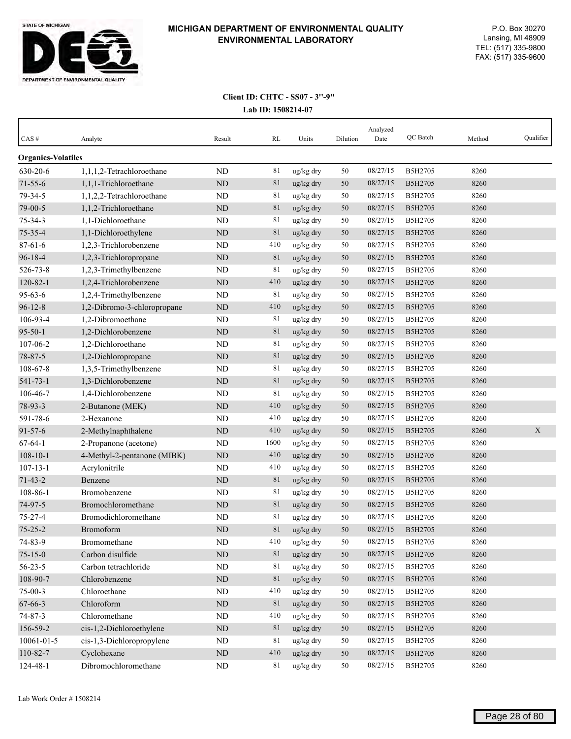

| CAS#                                  | Analyte                     | Result    | RL     | Units     | Dilution | Analyzed<br>Date | QC Batch | Method | Qualifier |
|---------------------------------------|-----------------------------|-----------|--------|-----------|----------|------------------|----------|--------|-----------|
|                                       |                             |           |        |           |          |                  |          |        |           |
| <b>Organics-Volatiles</b><br>630-20-6 | 1,1,1,2-Tetrachloroethane   | <b>ND</b> | 81     | ug/kg dry | 50       | 08/27/15         | B5H2705  | 8260   |           |
| $71 - 55 - 6$                         | 1,1,1-Trichloroethane       | <b>ND</b> | 81     | ug/kg dry | 50       | 08/27/15         | B5H2705  | 8260   |           |
| 79-34-5                               | 1,1,2,2-Tetrachloroethane   | ND        | 81     | ug/kg dry | 50       | 08/27/15         | B5H2705  | 8260   |           |
| 79-00-5                               | 1,1,2-Trichloroethane       | ND        | 81     | ug/kg dry | 50       | 08/27/15         | B5H2705  | 8260   |           |
| $75 - 34 - 3$                         | 1,1-Dichloroethane          | <b>ND</b> | 81     | ug/kg dry | 50       | 08/27/15         | B5H2705  | 8260   |           |
| $75 - 35 - 4$                         | 1,1-Dichloroethylene        | <b>ND</b> | 81     | ug/kg dry | 50       | 08/27/15         | B5H2705  | 8260   |           |
| $87 - 61 - 6$                         | 1,2,3-Trichlorobenzene      | <b>ND</b> | 410    | ug/kg dry | 50       | 08/27/15         | B5H2705  | 8260   |           |
| $96 - 18 - 4$                         | 1,2,3-Trichloropropane      | ND        | 81     | ug/kg dry | 50       | 08/27/15         | B5H2705  | 8260   |           |
| 526-73-8                              | 1,2,3-Trimethylbenzene      | <b>ND</b> | 81     | ug/kg dry | 50       | 08/27/15         | B5H2705  | 8260   |           |
| $120 - 82 - 1$                        | 1,2,4-Trichlorobenzene      | ND        | 410    | ug/kg dry | 50       | 08/27/15         | B5H2705  | 8260   |           |
| $95 - 63 - 6$                         | 1,2,4-Trimethylbenzene      | ND        | 81     | ug/kg dry | 50       | 08/27/15         | B5H2705  | 8260   |           |
| $96 - 12 - 8$                         | 1,2-Dibromo-3-chloropropane | <b>ND</b> | 410    | ug/kg dry | 50       | 08/27/15         | B5H2705  | 8260   |           |
| 106-93-4                              | 1,2-Dibromoethane           | <b>ND</b> | 81     | ug/kg dry | 50       | 08/27/15         | B5H2705  | 8260   |           |
| $95 - 50 - 1$                         | 1,2-Dichlorobenzene         | <b>ND</b> | 81     | ug/kg dry | 50       | 08/27/15         | B5H2705  | 8260   |           |
| 107-06-2                              | 1,2-Dichloroethane          | <b>ND</b> | 81     | ug/kg dry | 50       | 08/27/15         | B5H2705  | 8260   |           |
| 78-87-5                               | 1,2-Dichloropropane         | ND        | 81     | ug/kg dry | 50       | 08/27/15         | B5H2705  | 8260   |           |
| 108-67-8                              | 1,3,5-Trimethylbenzene      | ND        | 81     | ug/kg dry | 50       | 08/27/15         | B5H2705  | 8260   |           |
| $541 - 73 - 1$                        | 1,3-Dichlorobenzene         | ND        | 81     | ug/kg dry | 50       | 08/27/15         | B5H2705  | 8260   |           |
| 106-46-7                              | 1,4-Dichlorobenzene         | <b>ND</b> | 81     | ug/kg dry | 50       | 08/27/15         | B5H2705  | 8260   |           |
| 78-93-3                               | 2-Butanone (MEK)            | <b>ND</b> | 410    | ug/kg dry | 50       | 08/27/15         | B5H2705  | 8260   |           |
| 591-78-6                              | 2-Hexanone                  | ND        | 410    | ug/kg dry | 50       | 08/27/15         | B5H2705  | 8260   |           |
| $91 - 57 - 6$                         | 2-Methylnaphthalene         | <b>ND</b> | 410    | ug/kg dry | 50       | 08/27/15         | B5H2705  | 8260   | X         |
| $67 - 64 - 1$                         | 2-Propanone (acetone)       | <b>ND</b> | 1600   | ug/kg dry | 50       | 08/27/15         | B5H2705  | 8260   |           |
| $108 - 10 - 1$                        | 4-Methyl-2-pentanone (MIBK) | <b>ND</b> | 410    | ug/kg dry | 50       | 08/27/15         | B5H2705  | 8260   |           |
| $107 - 13 - 1$                        | Acrylonitrile               | <b>ND</b> | 410    | ug/kg dry | 50       | 08/27/15         | B5H2705  | 8260   |           |
| $71 - 43 - 2$                         | Benzene                     | <b>ND</b> | 81     | ug/kg dry | 50       | 08/27/15         | B5H2705  | 8260   |           |
| 108-86-1                              | Bromobenzene                | ND        | 81     | ug/kg dry | 50       | 08/27/15         | B5H2705  | 8260   |           |
| 74-97-5                               | Bromochloromethane          | ND        | 81     | ug/kg dry | 50       | 08/27/15         | B5H2705  | 8260   |           |
| $75 - 27 - 4$                         | Bromodichloromethane        | ND        | 81     | ug/kg dry | 50       | 08/27/15         | B5H2705  | 8260   |           |
| $75 - 25 - 2$                         | Bromoform                   | <b>ND</b> | 81     | ug/kg dry | 50       | 08/27/15         | B5H2705  | 8260   |           |
| 74-83-9                               | Bromomethane                | ND        | 410    | ug/kg dry | 50       | 08/27/15         | B5H2705  | 8260   |           |
| $75 - 15 - 0$                         | Carbon disulfide            | $\rm ND$  | $81\,$ | ug/kg dry | 50       | 08/27/15         | B5H2705  | 8260   |           |
| $56 - 23 - 5$                         | Carbon tetrachloride        | ND        | 81     | ug/kg dry | 50       | 08/27/15         | B5H2705  | 8260   |           |
| 108-90-7                              | Chlorobenzene               | $\rm ND$  | 81     | ug/kg dry | $50\,$   | 08/27/15         | B5H2705  | 8260   |           |
| $75 - 00 - 3$                         | Chloroethane                | ND        | 410    | ug/kg dry | 50       | 08/27/15         | B5H2705  | 8260   |           |
| 67-66-3                               | Chloroform                  | ND        | 81     | ug/kg dry | 50       | 08/27/15         | B5H2705  | 8260   |           |
| 74-87-3                               | Chloromethane               | $\rm ND$  | 410    | ug/kg dry | 50       | 08/27/15         | B5H2705  | 8260   |           |
| 156-59-2                              | cis-1,2-Dichloroethylene    | ND        | 81     | ug/kg dry | 50       | 08/27/15         | B5H2705  | 8260   |           |
| 10061-01-5                            | cis-1,3-Dichloropropylene   | ND        | 81     | ug/kg dry | 50       | 08/27/15         | B5H2705  | 8260   |           |
| 110-82-7                              | Cyclohexane                 | $\rm ND$  | 410    | ug/kg dry | $50\,$   | 08/27/15         | B5H2705  | 8260   |           |
| 124-48-1                              | Dibromochloromethane        | $\rm ND$  | 81     | ug/kg dry | 50       | 08/27/15         | B5H2705  | 8260   |           |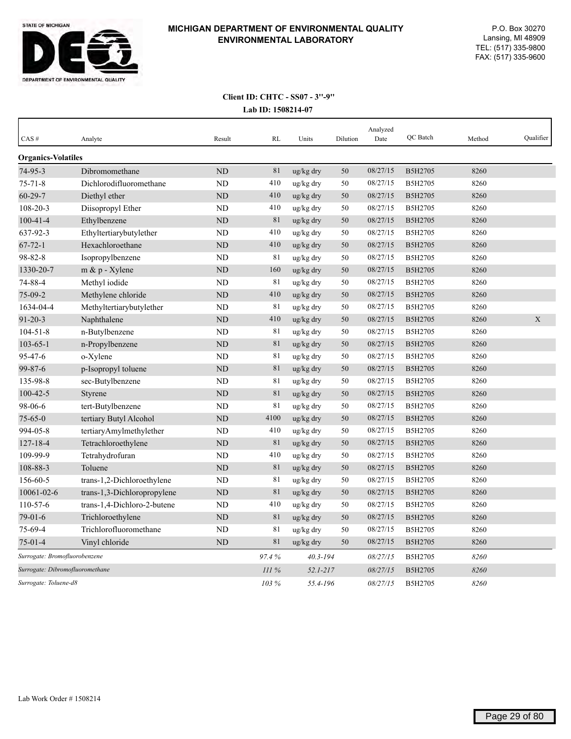

| CAS#                      | Analyte                         | Result         | RL    | Units        | Dilution | Analyzed<br>Date | <b>OC</b> Batch | Method | Qualifier   |
|---------------------------|---------------------------------|----------------|-------|--------------|----------|------------------|-----------------|--------|-------------|
| <b>Organics-Volatiles</b> |                                 |                |       |              |          |                  |                 |        |             |
| $74-95-3$                 | Dibromomethane                  | ND             | 81    | ug/kg dry    | 50       | 08/27/15         | B5H2705         | 8260   |             |
| $75 - 71 - 8$             | Dichlorodifluoromethane         | ND             | 410   | ug/kg dry    | 50       | 08/27/15         | B5H2705         | 8260   |             |
| $60 - 29 - 7$             | Diethyl ether                   | ND             | 410   | ug/kg dry    | 50       | 08/27/15         | B5H2705         | 8260   |             |
| 108-20-3                  | Diisopropyl Ether               | ND             | 410   | ug/kg dry    | 50       | 08/27/15         | B5H2705         | 8260   |             |
| $100 - 41 - 4$            | Ethylbenzene                    | ND             | 81    | ug/kg dry    | 50       | 08/27/15         | <b>B5H2705</b>  | 8260   |             |
| 637-92-3                  | Ethyltertiarybutylether         | N <sub>D</sub> | 410   | ug/kg dry    | 50       | 08/27/15         | B5H2705         | 8260   |             |
| $67 - 72 - 1$             | Hexachloroethane                | <b>ND</b>      | 410   | ug/kg dry    | 50       | 08/27/15         | B5H2705         | 8260   |             |
| 98-82-8                   | Isopropylbenzene                | <b>ND</b>      | 81    | ug/kg dry    | 50       | 08/27/15         | B5H2705         | 8260   |             |
| 1330-20-7                 | $m \& p$ - Xylene               | <b>ND</b>      | 160   | ug/kg dry    | 50       | 08/27/15         | B5H2705         | 8260   |             |
| 74-88-4                   | Methyl iodide                   | ND             | 81    | ug/kg dry    | 50       | 08/27/15         | B5H2705         | 8260   |             |
| 75-09-2                   | Methylene chloride              | <b>ND</b>      | 410   | ug/kg dry    | 50       | 08/27/15         | B5H2705         | 8260   |             |
| 1634-04-4                 | Methyltertiarybutylether        | ND             | 81    | ug/kg dry    | 50       | 08/27/15         | B5H2705         | 8260   |             |
| $91 - 20 - 3$             | Naphthalene                     | <b>ND</b>      | 410   | ug/kg dry    | 50       | 08/27/15         | B5H2705         | 8260   | $\mathbf X$ |
| $104 - 51 - 8$            | n-Butylbenzene                  | <b>ND</b>      | 81    | ug/kg dry    | 50       | 08/27/15         | B5H2705         | 8260   |             |
| $103 - 65 - 1$            | n-Propylbenzene                 | ND             | 81    | ug/kg dry    | 50       | 08/27/15         | B5H2705         | 8260   |             |
| 95-47-6                   | o-Xylene                        | ND             | 81    | ug/kg dry    | 50       | 08/27/15         | B5H2705         | 8260   |             |
| $99 - 87 - 6$             | p-Isopropyl toluene             | <b>ND</b>      | 81    | ug/kg dry    | 50       | 08/27/15         | B5H2705         | 8260   |             |
| 135-98-8                  | sec-Butylbenzene                | <b>ND</b>      | 81    | ug/kg dry    | 50       | 08/27/15         | B5H2705         | 8260   |             |
| $100 - 42 - 5$            | Styrene                         | N <sub>D</sub> | 81    | ug/kg dry    | 50       | 08/27/15         | B5H2705         | 8260   |             |
| 98-06-6                   | tert-Butylbenzene               | ND             | 81    | ug/kg dry    | 50       | 08/27/15         | <b>B5H2705</b>  | 8260   |             |
| $75 - 65 - 0$             | tertiary Butyl Alcohol          | N <sub>D</sub> | 4100  | ug/kg dry    | 50       | 08/27/15         | B5H2705         | 8260   |             |
| 994-05-8                  | tertiaryAmylmethylether         | <b>ND</b>      | 410   | ug/kg dry    | 50       | 08/27/15         | B5H2705         | 8260   |             |
| $127 - 18 - 4$            | Tetrachloroethylene             | N <sub>D</sub> | 81    | ug/kg dry    | 50       | 08/27/15         | B5H2705         | 8260   |             |
| 109-99-9                  | Tetrahydrofuran                 | <b>ND</b>      | 410   | ug/kg dry    | 50       | 08/27/15         | B5H2705         | 8260   |             |
| 108-88-3                  | Toluene                         | ND             | 81    | ug/kg dry    | 50       | 08/27/15         | B5H2705         | 8260   |             |
| 156-60-5                  | trans-1,2-Dichloroethylene      | <b>ND</b>      | 81    | ug/kg dry    | 50       | 08/27/15         | B5H2705         | 8260   |             |
| 10061-02-6                | trans-1,3-Dichloropropylene     | ND             | 81    | ug/kg dry    | 50       | 08/27/15         | B5H2705         | 8260   |             |
| 110-57-6                  | trans-1,4-Dichloro-2-butene     | <b>ND</b>      | 410   | ug/kg dry    | 50       | 08/27/15         | B5H2705         | 8260   |             |
| $79-01-6$                 | Trichloroethylene               | ND             | 81    | ug/kg dry    | 50       | 08/27/15         | B5H2705         | 8260   |             |
| 75-69-4                   | Trichlorofluoromethane          | <b>ND</b>      | 81    | ug/kg dry    | 50       | 08/27/15         | B5H2705         | 8260   |             |
| $75-01-4$                 | Vinyl chloride                  | <b>ND</b>      | 81    | ug/kg dry    | 50       | 08/27/15         | B5H2705         | 8260   |             |
|                           | Surrogate: Bromofluorobenzene   |                | 97.4% | $40.3 - 194$ |          | 08/27/15         | B5H2705         | 8260   |             |
|                           | Surrogate: Dibromofluoromethane |                |       | $52.1 - 217$ |          | 08/27/15         | B5H2705         | 8260   |             |
| Surrogate: Toluene-d8     |                                 |                | 103 % | 55.4-196     |          | 08/27/15         | B5H2705         | 8260   |             |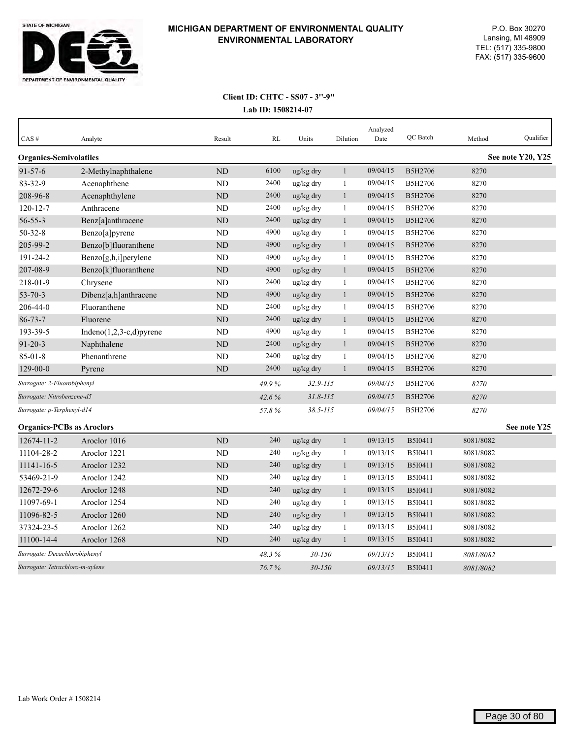

| CAS#                             | Analyte                       | Result         | RL    | Units                 | Dilution     | Analyzed<br>Date | QC Batch       | Method    | Qualifier         |
|----------------------------------|-------------------------------|----------------|-------|-----------------------|--------------|------------------|----------------|-----------|-------------------|
| <b>Organics-Semivolatiles</b>    |                               |                |       |                       |              |                  |                |           | See note Y20, Y25 |
| $91 - 57 - 6$                    | 2-Methylnaphthalene           | <b>ND</b>      | 6100  | ug/kg dry             | $\mathbf{1}$ | 09/04/15         | B5H2706        | 8270      |                   |
| $83 - 32 - 9$                    | Acenaphthene                  | <b>ND</b>      | 2400  | ug/kg dry             | 1            | 09/04/15         | B5H2706        | 8270      |                   |
| 208-96-8                         | Acenaphthylene                | <b>ND</b>      | 2400  | ug/kg dry             | $\mathbf{1}$ | 09/04/15         | B5H2706        | 8270      |                   |
| $120 - 12 - 7$                   | Anthracene                    | <b>ND</b>      | 2400  | ug/kg dry             | $\mathbf{1}$ | 09/04/15         | B5H2706        | 8270      |                   |
| $56 - 55 - 3$                    | Benz[a]anthracene             | <b>ND</b>      | 2400  | ug/kg dry             | $\mathbf{1}$ | 09/04/15         | B5H2706        | 8270      |                   |
| $50 - 32 - 8$                    | Benzo[a]pyrene                | <b>ND</b>      | 4900  | ug/kg dry             | $\mathbf{1}$ | 09/04/15         | B5H2706        | 8270      |                   |
| 205-99-2                         | Benzo[b]fluoranthene          | <b>ND</b>      | 4900  | ug/kg dry             | $\mathbf{1}$ | 09/04/15         | B5H2706        | 8270      |                   |
| 191-24-2                         | Benzo[g,h,i]perylene          | <b>ND</b>      | 4900  | ug/kg dry             | $\mathbf{1}$ | 09/04/15         | B5H2706        | 8270      |                   |
| 207-08-9                         | Benzo[k]fluoranthene          | ND             | 4900  | ug/kg dry             | $\mathbf{1}$ | 09/04/15         | B5H2706        | 8270      |                   |
| 218-01-9                         | Chrysene                      | <b>ND</b>      | 2400  | ug/kg dry             | $\mathbf{1}$ | 09/04/15         | B5H2706        | 8270      |                   |
| $53 - 70 - 3$                    | Dibenz[a,h]anthracene         | ND             | 4900  | ug/kg dry             | $\mathbf{1}$ | 09/04/15         | B5H2706        | 8270      |                   |
| 206-44-0                         | Fluoranthene                  | ND             | 2400  | ug/kg dry             | $\mathbf{1}$ | 09/04/15         | B5H2706        | 8270      |                   |
| $86 - 73 - 7$                    | Fluorene                      | <b>ND</b>      | 2400  | ug/kg dry             | $\mathbf{1}$ | 09/04/15         | B5H2706        | 8270      |                   |
| 193-39-5                         | Indeno $(1,2,3-c,d)$ pyrene   | <b>ND</b>      | 4900  | ug/kg dry             | $\mathbf{1}$ | 09/04/15         | B5H2706        | 8270      |                   |
| $91 - 20 - 3$                    | Naphthalene                   | <b>ND</b>      | 2400  | ug/kg dry             | $\mathbf{1}$ | 09/04/15         | <b>B5H2706</b> | 8270      |                   |
| $85 - 01 - 8$                    | Phenanthrene                  | N <sub>D</sub> | 2400  | ug/kg dry             | $\mathbf{1}$ | 09/04/15         | B5H2706        | 8270      |                   |
| $129 - 00 - 0$                   | Pyrene                        | <b>ND</b>      | 2400  | $\frac{u g}{k g}$ dry | $\mathbf{1}$ | 09/04/15         | B5H2706        | 8270      |                   |
| Surrogate: 2-Fluorobiphenyl      |                               |                | 49.9% | $32.9 - 115$          |              | 09/04/15         | B5H2706        | 8270      |                   |
| Surrogate: Nitrobenzene-d5       |                               |                | 42.6% | $31.8 - 115$          |              | 09/04/15         | B5H2706        | 8270      |                   |
| Surrogate: p-Terphenyl-d14       |                               |                | 57.8% | $38.5 - 115$          |              | 09/04/15         | <b>B5H2706</b> | 8270      |                   |
| <b>Organics-PCBs as Aroclors</b> |                               |                |       |                       |              |                  |                |           | See note Y25      |
| 12674-11-2                       | Aroclor 1016                  | <b>ND</b>      | 240   | ug/kg dry             | $\mathbf{1}$ | 09/13/15         | B5I0411        | 8081/8082 |                   |
| 11104-28-2                       | Aroclor 1221                  | N <sub>D</sub> | 240   | ug/kg dry             | 1            | 09/13/15         | B5I0411        | 8081/8082 |                   |
| 11141-16-5                       | Aroclor 1232                  | <b>ND</b>      | 240   | ug/kg dry             | $\mathbf{1}$ | 09/13/15         | B5I0411        | 8081/8082 |                   |
| 53469-21-9                       | Aroclor 1242                  | ND             | 240   | ug/kg dry             | -1           | 09/13/15         | B5I0411        | 8081/8082 |                   |
| 12672-29-6                       | Aroclor 1248                  | <b>ND</b>      | 240   | ug/kg dry             | $\mathbf{1}$ | 09/13/15         | B5I0411        | 8081/8082 |                   |
| 11097-69-1                       | Aroclor 1254                  | <b>ND</b>      | 240   | ug/kg dry             | 1            | 09/13/15         | B5I0411        | 8081/8082 |                   |
| 11096-82-5                       | Aroclor 1260                  | ND             | 240   | ug/kg dry             | $\mathbf{1}$ | 09/13/15         | B5I0411        | 8081/8082 |                   |
| 37324-23-5                       | Aroclor 1262                  | ND             | 240   | ug/kg dry             | $\mathbf{1}$ | 09/13/15         | B5I0411        | 8081/8082 |                   |
| 11100-14-4                       | Aroclor 1268                  | N <sub>D</sub> | 240   | $\frac{u g}{k g}$ dry | $\mathbf{1}$ | 09/13/15         | <b>B5I0411</b> | 8081/8082 |                   |
|                                  | Surrogate: Decachlorobiphenyl |                | 48.3% | $30 - 150$            |              | 09/13/15         | B5I0411        | 8081/8082 |                   |
| Surrogate: Tetrachloro-m-xylene  |                               |                | 76.7% | $30 - 150$            |              | 09/13/15         | <b>B5I0411</b> | 8081/8082 |                   |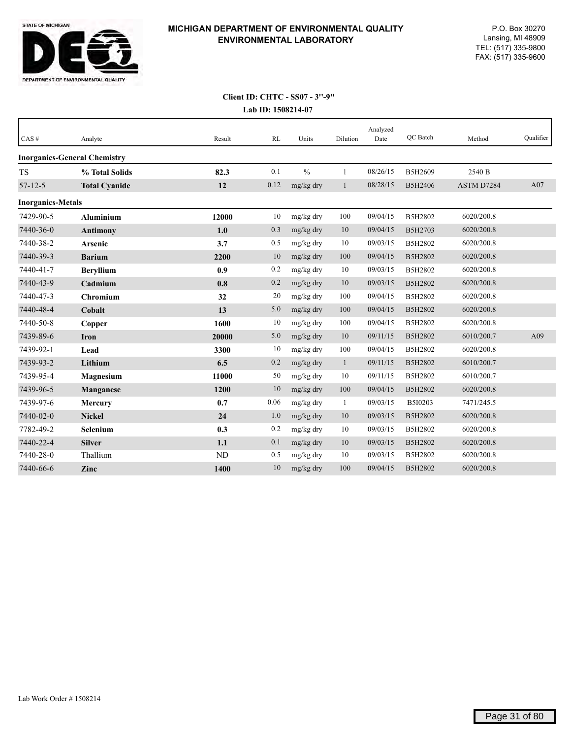

| CAS#                     | Analyte                             | Result    | RL   | Units         | Dilution     | Analyzed<br>Date | <b>OC</b> Batch | Method     | Qualifier |
|--------------------------|-------------------------------------|-----------|------|---------------|--------------|------------------|-----------------|------------|-----------|
|                          | <b>Inorganics-General Chemistry</b> |           |      |               |              |                  |                 |            |           |
| <b>TS</b>                | % Total Solids                      | 82.3      | 0.1  | $\frac{0}{0}$ | 1            | 08/26/15         | B5H2609         | 2540 B     |           |
| $57 - 12 - 5$            | <b>Total Cyanide</b>                | 12        | 0.12 | mg/kg dry     | $\mathbf{1}$ | 08/28/15         | B5H2406         | ASTM D7284 | A07       |
| <b>Inorganics-Metals</b> |                                     |           |      |               |              |                  |                 |            |           |
| 7429-90-5                | <b>Aluminium</b>                    | 12000     | 10   | mg/kg dry     | 100          | 09/04/15         | B5H2802         | 6020/200.8 |           |
| 7440-36-0                | <b>Antimony</b>                     | 1.0       | 0.3  | mg/kg dry     | 10           | 09/04/15         | B5H2703         | 6020/200.8 |           |
| 7440-38-2                | Arsenic                             | 3.7       | 0.5  | mg/kg dry     | 10           | 09/03/15         | B5H2802         | 6020/200.8 |           |
| 7440-39-3                | <b>Barium</b>                       | 2200      | 10   | mg/kg dry     | 100          | 09/04/15         | B5H2802         | 6020/200.8 |           |
| 7440-41-7                | <b>Beryllium</b>                    | 0.9       | 0.2  | mg/kg dry     | 10           | 09/03/15         | B5H2802         | 6020/200.8 |           |
| 7440-43-9                | Cadmium                             | 0.8       | 0.2  | mg/kg dry     | 10           | 09/03/15         | B5H2802         | 6020/200.8 |           |
| 7440-47-3                | Chromium                            | 32        | 20   | mg/kg dry     | 100          | 09/04/15         | B5H2802         | 6020/200.8 |           |
| 7440-48-4                | Cobalt                              | 13        | 5.0  | $mg/kg$ dry   | 100          | 09/04/15         | B5H2802         | 6020/200.8 |           |
| 7440-50-8                | Copper                              | 1600      | 10   | mg/kg dry     | 100          | 09/04/15         | B5H2802         | 6020/200.8 |           |
| 7439-89-6                | <b>Iron</b>                         | 20000     | 5.0  | mg/kg dry     | 10           | 09/11/15         | B5H2802         | 6010/200.7 | A09       |
| 7439-92-1                | Lead                                | 3300      | 10   | mg/kg dry     | 100          | 09/04/15         | B5H2802         | 6020/200.8 |           |
| 7439-93-2                | Lithium                             | 6.5       | 0.2  | mg/kg dry     | $\mathbf{1}$ | 09/11/15         | B5H2802         | 6010/200.7 |           |
| 7439-95-4                | <b>Magnesium</b>                    | 11000     | 50   | mg/kg dry     | 10           | 09/11/15         | B5H2802         | 6010/200.7 |           |
| 7439-96-5                | Manganese                           | 1200      | 10   | mg/kg dry     | 100          | 09/04/15         | B5H2802         | 6020/200.8 |           |
| 7439-97-6                | Mercury                             | 0.7       | 0.06 | mg/kg dry     | $\mathbf{1}$ | 09/03/15         | B5I0203         | 7471/245.5 |           |
| 7440-02-0                | <b>Nickel</b>                       | 24        | 1.0  | mg/kg dry     | 10           | 09/03/15         | B5H2802         | 6020/200.8 |           |
| 7782-49-2                | Selenium                            | 0.3       | 0.2  | mg/kg dry     | 10           | 09/03/15         | B5H2802         | 6020/200.8 |           |
| 7440-22-4                | <b>Silver</b>                       | 1.1       | 0.1  | mg/kg dry     | 10           | 09/03/15         | B5H2802         | 6020/200.8 |           |
| 7440-28-0                | Thallium                            | <b>ND</b> | 0.5  | mg/kg dry     | 10           | 09/03/15         | B5H2802         | 6020/200.8 |           |
| 7440-66-6                | Zinc                                | 1400      | 10   | mg/kg dry     | 100          | 09/04/15         | B5H2802         | 6020/200.8 |           |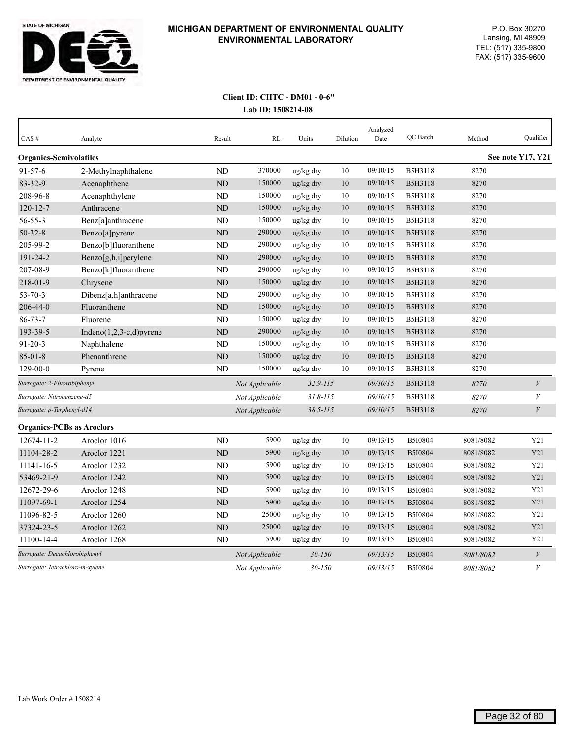

#### **Lab ID: 1508214-08 Client ID: CHTC - DM01 - 0-6''**

| CAS#                             | Analyte                         | Result    | <b>RL</b>      | Units        | Dilution | Analyzed<br>Date | QC Batch       | Method    | Qualifier         |
|----------------------------------|---------------------------------|-----------|----------------|--------------|----------|------------------|----------------|-----------|-------------------|
| <b>Organics-Semivolatiles</b>    |                                 |           |                |              |          |                  |                |           | See note Y17, Y21 |
| $91 - 57 - 6$                    | 2-Methylnaphthalene             | <b>ND</b> | 370000         | ug/kg dry    | 10       | 09/10/15         | B5H3118        | 8270      |                   |
| 83-32-9                          | Acenaphthene                    | ND        | 150000         | ug/kg dry    | 10       | 09/10/15         | <b>B5H3118</b> | 8270      |                   |
| 208-96-8                         | Acenaphthylene                  | ND        | 150000         | ug/kg dry    | 10       | 09/10/15         | B5H3118        | 8270      |                   |
| $120 - 12 - 7$                   | Anthracene                      | <b>ND</b> | 150000         | ug/kg dry    | $10\,$   | 09/10/15         | B5H3118        | 8270      |                   |
| $56 - 55 - 3$                    | Benz[a]anthracene               | <b>ND</b> | 150000         | ug/kg dry    | 10       | 09/10/15         | B5H3118        | 8270      |                   |
| $50 - 32 - 8$                    | Benzo[a]pyrene                  | ND        | 290000         | ug/kg dry    | $10\,$   | 09/10/15         | <b>B5H3118</b> | 8270      |                   |
| 205-99-2                         | Benzo[b]fluoranthene            | <b>ND</b> | 290000         | ug/kg dry    | 10       | 09/10/15         | <b>B5H3118</b> | 8270      |                   |
| 191-24-2                         | Benzo[g,h,i]perylene            | ND        | 290000         | ug/kg dry    | $10\,$   | 09/10/15         | B5H3118        | 8270      |                   |
| 207-08-9                         | Benzo[k]fluoranthene            | <b>ND</b> | 290000         | ug/kg dry    | 10       | 09/10/15         | B5H3118        | 8270      |                   |
| 218-01-9                         | Chrysene                        | ND        | 150000         | ug/kg dry    | 10       | 09/10/15         | <b>B5H3118</b> | 8270      |                   |
| $53 - 70 - 3$                    | Dibenz[a,h]anthracene           | <b>ND</b> | 290000         | ug/kg dry    | 10       | 09/10/15         | <b>B5H3118</b> | 8270      |                   |
| 206-44-0                         | Fluoranthene                    | <b>ND</b> | 150000         | ug/kg dry    | 10       | 09/10/15         | <b>B5H3118</b> | 8270      |                   |
| $86 - 73 - 7$                    | Fluorene                        | <b>ND</b> | 150000         | ug/kg dry    | 10       | 09/10/15         | <b>B5H3118</b> | 8270      |                   |
| 193-39-5                         | Indeno $(1,2,3-c,d)$ pyrene     | ND        | 290000         | ug/kg dry    | 10       | 09/10/15         | <b>B5H3118</b> | 8270      |                   |
| $91 - 20 - 3$                    | Naphthalene                     | <b>ND</b> | 150000         | ug/kg dry    | 10       | 09/10/15         | <b>B5H3118</b> | 8270      |                   |
| $85 - 01 - 8$                    | Phenanthrene                    | <b>ND</b> | 150000         | ug/kg dry    | 10       | 09/10/15         | <b>B5H3118</b> | 8270      |                   |
| $129 - 00 - 0$                   | Pyrene                          | <b>ND</b> | 150000         | ug/kg dry    | 10       | 09/10/15         | <b>B5H3118</b> | 8270      |                   |
| Surrogate: 2-Fluorobiphenyl      |                                 |           | Not Applicable | $32.9 - 115$ |          | 09/10/15         | <b>B5H3118</b> | 8270      | $\boldsymbol{V}$  |
| Surrogate: Nitrobenzene-d5       |                                 |           | Not Applicable | $31.8 - 115$ |          | 09/10/15         | <b>B5H3118</b> | 8270      | $\boldsymbol{V}$  |
| Surrogate: p-Terphenyl-d14       |                                 |           | Not Applicable | $38.5 - 115$ |          | 09/10/15         | <b>B5H3118</b> | 8270      | V                 |
| <b>Organics-PCBs as Aroclors</b> |                                 |           |                |              |          |                  |                |           |                   |
| 12674-11-2                       | Aroclor 1016                    | <b>ND</b> | 5900           | ug/kg dry    | 10       | 09/13/15         | B5I0804        | 8081/8082 | Y21               |
| 11104-28-2                       | Aroclor 1221                    | <b>ND</b> | 5900           | ug/kg dry    | 10       | 09/13/15         | B5I0804        | 8081/8082 | Y21               |
| 11141-16-5                       | Aroclor 1232                    | <b>ND</b> | 5900           | ug/kg dry    | 10       | 09/13/15         | B5I0804        | 8081/8082 | Y21               |
| 53469-21-9                       | Aroclor 1242                    | <b>ND</b> | 5900           | ug/kg dry    | 10       | 09/13/15         | B5I0804        | 8081/8082 | Y21               |
| 12672-29-6                       | Aroclor 1248                    | <b>ND</b> | 5900           | ug/kg dry    | 10       | 09/13/15         | B5I0804        | 8081/8082 | Y21               |
| 11097-69-1                       | Aroclor 1254                    | ND        | 5900           | ug/kg dry    | 10       | 09/13/15         | B5I0804        | 8081/8082 | Y21               |
| 11096-82-5                       | Aroclor 1260                    | ND        | 25000          | ug/kg dry    | 10       | 09/13/15         | B5I0804        | 8081/8082 | Y21               |
| 37324-23-5                       | Aroclor 1262                    | <b>ND</b> | 25000          | ug/kg dry    | 10       | 09/13/15         | B5I0804        | 8081/8082 | Y21               |
| 11100-14-4                       | Aroclor 1268                    | ND        | 5900           | ug/kg dry    | 10       | 09/13/15         | B5I0804        | 8081/8082 | Y21               |
| Surrogate: Decachlorobiphenyl    |                                 |           | Not Applicable | $30 - 150$   |          | 09/13/15         | B5I0804        | 8081/8082 | V                 |
|                                  | Surrogate: Tetrachloro-m-xylene |           | Not Applicable | $30 - 150$   |          | 09/13/15         | B5I0804        | 8081/8082 | $\boldsymbol{V}$  |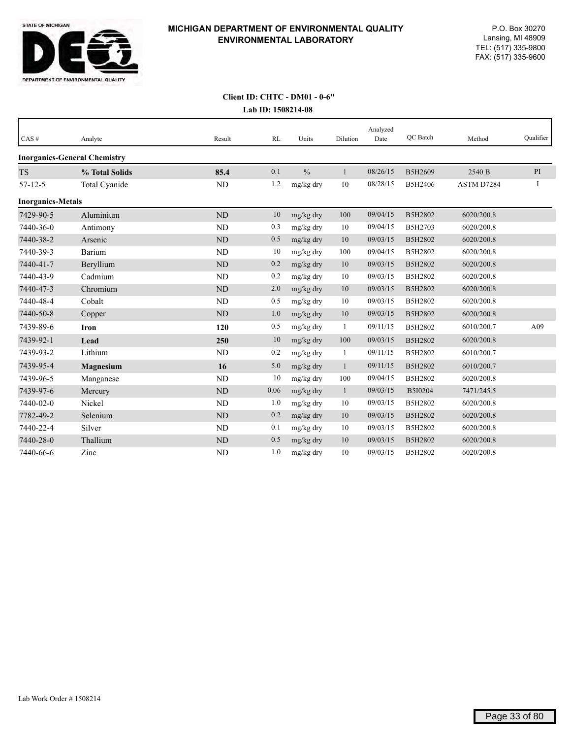

#### **Lab ID: 1508214-08 Client ID: CHTC - DM01 - 0-6''**

| $CAS \#$                 | Analyte                             | Result         | RL   | Units         | Dilution     | Analyzed<br>Date | QC Batch       | Method     | Qualifier |
|--------------------------|-------------------------------------|----------------|------|---------------|--------------|------------------|----------------|------------|-----------|
|                          | <b>Inorganics-General Chemistry</b> |                |      |               |              |                  |                |            |           |
| <b>TS</b>                | % Total Solids                      | 85.4           | 0.1  | $\frac{0}{0}$ | $\mathbf{1}$ | 08/26/15         | B5H2609        | 2540 B     | PI        |
| $57 - 12 - 5$            | Total Cyanide                       | ND             | 1.2  | mg/kg dry     | 10           | 08/28/15         | B5H2406        | ASTM D7284 | I         |
| <b>Inorganics-Metals</b> |                                     |                |      |               |              |                  |                |            |           |
| 7429-90-5                | Aluminium                           | ND             | 10   | mg/kg dry     | 100          | 09/04/15         | B5H2802        | 6020/200.8 |           |
| 7440-36-0                | Antimony                            | ND             | 0.3  | mg/kg dry     | 10           | 09/04/15         | <b>B5H2703</b> | 6020/200.8 |           |
| 7440-38-2                | Arsenic                             | <b>ND</b>      | 0.5  | mg/kg dry     | 10           | 09/03/15         | B5H2802        | 6020/200.8 |           |
| 7440-39-3                | Barium                              | ND             | 10   | mg/kg dry     | 100          | 09/04/15         | B5H2802        | 6020/200.8 |           |
| 7440-41-7                | Beryllium                           | N <sub>D</sub> | 0.2  | mg/kg dry     | 10           | 09/03/15         | B5H2802        | 6020/200.8 |           |
| 7440-43-9                | Cadmium                             | ND             | 0.2  | mg/kg dry     | 10           | 09/03/15         | B5H2802        | 6020/200.8 |           |
| 7440-47-3                | Chromium                            | N <sub>D</sub> | 2.0  | mg/kg dry     | 10           | 09/03/15         | B5H2802        | 6020/200.8 |           |
| 7440-48-4                | Cobalt                              | ND             | 0.5  | mg/kg dry     | 10           | 09/03/15         | B5H2802        | 6020/200.8 |           |
| 7440-50-8                | Copper                              | ND             | 1.0  | mg/kg dry     | 10           | 09/03/15         | B5H2802        | 6020/200.8 |           |
| 7439-89-6                | <b>Iron</b>                         | 120            | 0.5  | mg/kg dry     | 1            | 09/11/15         | B5H2802        | 6010/200.7 | A09       |
| 7439-92-1                | Lead                                | 250            | 10   | mg/kg dry     | 100          | 09/03/15         | B5H2802        | 6020/200.8 |           |
| 7439-93-2                | Lithium                             | ND             | 0.2  | mg/kg dry     | 1            | 09/11/15         | B5H2802        | 6010/200.7 |           |
| 7439-95-4                | Magnesium                           | 16             | 5.0  | mg/kg dry     | $\mathbf{1}$ | 09/11/15         | B5H2802        | 6010/200.7 |           |
| 7439-96-5                | Manganese                           | ND             | 10   | mg/kg dry     | 100          | 09/04/15         | B5H2802        | 6020/200.8 |           |
| 7439-97-6                | Mercury                             | <b>ND</b>      | 0.06 | mg/kg dry     | $\mathbf{1}$ | 09/03/15         | B5I0204        | 7471/245.5 |           |
| 7440-02-0                | Nickel                              | ND             | 1.0  | mg/kg dry     | 10           | 09/03/15         | B5H2802        | 6020/200.8 |           |
| 7782-49-2                | Selenium                            | N <sub>D</sub> | 0.2  | mg/kg dry     | 10           | 09/03/15         | B5H2802        | 6020/200.8 |           |
| 7440-22-4                | Silver                              | ND             | 0.1  | mg/kg dry     | 10           | 09/03/15         | B5H2802        | 6020/200.8 |           |
| 7440-28-0                | Thallium                            | ND             | 0.5  | mg/kg dry     | 10           | 09/03/15         | B5H2802        | 6020/200.8 |           |
| 7440-66-6                | Zinc                                | <b>ND</b>      | 1.0  | mg/kg dry     | 10           | 09/03/15         | B5H2802        | 6020/200.8 |           |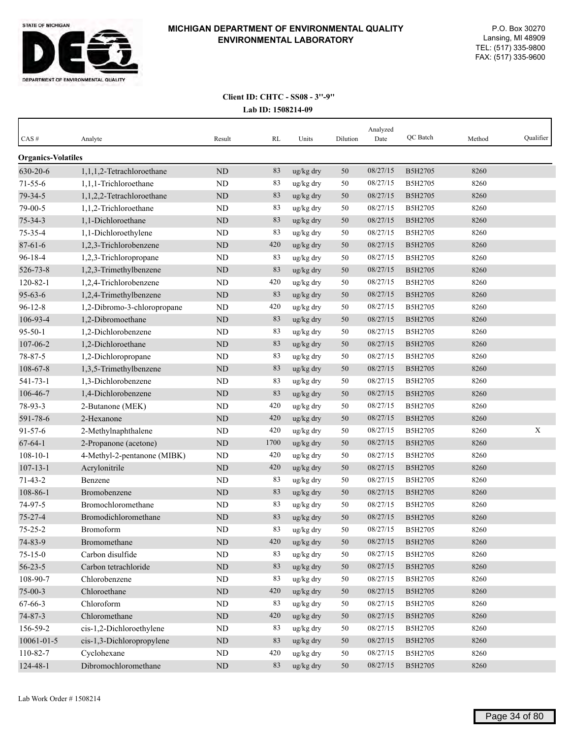

| $CAS \#$                  | Analyte                     | Result    | RL   | Units     | Dilution | Analyzed<br>Date | QC Batch | Method | Qualifier |
|---------------------------|-----------------------------|-----------|------|-----------|----------|------------------|----------|--------|-----------|
| <b>Organics-Volatiles</b> |                             |           |      |           |          |                  |          |        |           |
| 630-20-6                  | 1,1,1,2-Tetrachloroethane   | <b>ND</b> | 83   | ug/kg dry | 50       | 08/27/15         | B5H2705  | 8260   |           |
| $71 - 55 - 6$             | 1,1,1-Trichloroethane       | ND        | 83   | ug/kg dry | 50       | 08/27/15         | B5H2705  | 8260   |           |
| 79-34-5                   | 1,1,2,2-Tetrachloroethane   | ND        | 83   | ug/kg dry | 50       | 08/27/15         | B5H2705  | 8260   |           |
| 79-00-5                   | 1,1,2-Trichloroethane       | <b>ND</b> | 83   | ug/kg dry | 50       | 08/27/15         | B5H2705  | 8260   |           |
| $75 - 34 - 3$             | 1,1-Dichloroethane          | <b>ND</b> | 83   | ug/kg dry | 50       | 08/27/15         | B5H2705  | 8260   |           |
| 75-35-4                   | 1,1-Dichloroethylene        | ND        | 83   | ug/kg dry | 50       | 08/27/15         | B5H2705  | 8260   |           |
| $87 - 61 - 6$             | 1,2,3-Trichlorobenzene      | ND        | 420  | ug/kg dry | 50       | 08/27/15         | B5H2705  | 8260   |           |
| $96 - 18 - 4$             | 1,2,3-Trichloropropane      | ND        | 83   | ug/kg dry | 50       | 08/27/15         | B5H2705  | 8260   |           |
| 526-73-8                  | 1,2,3-Trimethylbenzene      | <b>ND</b> | 83   | ug/kg dry | 50       | 08/27/15         | B5H2705  | 8260   |           |
| $120 - 82 - 1$            | 1,2,4-Trichlorobenzene      | ND        | 420  | ug/kg dry | 50       | 08/27/15         | B5H2705  | 8260   |           |
| $95 - 63 - 6$             | 1,2,4-Trimethylbenzene      | ND        | 83   | ug/kg dry | 50       | 08/27/15         | B5H2705  | 8260   |           |
| $96 - 12 - 8$             | 1,2-Dibromo-3-chloropropane | ND        | 420  | ug/kg dry | 50       | 08/27/15         | B5H2705  | 8260   |           |
| 106-93-4                  | 1,2-Dibromoethane           | <b>ND</b> | 83   | ug/kg dry | 50       | 08/27/15         | B5H2705  | 8260   |           |
| $95 - 50 - 1$             | 1,2-Dichlorobenzene         | <b>ND</b> | 83   | ug/kg dry | 50       | 08/27/15         | B5H2705  | 8260   |           |
| 107-06-2                  | 1,2-Dichloroethane          | ND        | 83   | ug/kg dry | 50       | 08/27/15         | B5H2705  | 8260   |           |
| 78-87-5                   | 1,2-Dichloropropane         | ND        | 83   | ug/kg dry | 50       | 08/27/15         | B5H2705  | 8260   |           |
| 108-67-8                  | 1,3,5-Trimethylbenzene      | $\rm ND$  | 83   | ug/kg dry | 50       | 08/27/15         | B5H2705  | 8260   |           |
| 541-73-1                  | 1,3-Dichlorobenzene         | ND        | 83   | ug/kg dry | 50       | 08/27/15         | B5H2705  | 8260   |           |
| 106-46-7                  | 1,4-Dichlorobenzene         | <b>ND</b> | 83   | ug/kg dry | 50       | 08/27/15         | B5H2705  | 8260   |           |
| 78-93-3                   | 2-Butanone (MEK)            | ND        | 420  | ug/kg dry | 50       | 08/27/15         | B5H2705  | 8260   |           |
| 591-78-6                  | 2-Hexanone                  | <b>ND</b> | 420  | ug/kg dry | 50       | 08/27/15         | B5H2705  | 8260   |           |
| $91 - 57 - 6$             | 2-Methylnaphthalene         | ND        | 420  | ug/kg dry | 50       | 08/27/15         | B5H2705  | 8260   | X         |
| $67 - 64 - 1$             | 2-Propanone (acetone)       | ND        | 1700 | ug/kg dry | 50       | 08/27/15         | B5H2705  | 8260   |           |
| $108 - 10 - 1$            | 4-Methyl-2-pentanone (MIBK) | <b>ND</b> | 420  | ug/kg dry | 50       | 08/27/15         | B5H2705  | 8260   |           |
| $107 - 13 - 1$            | Acrylonitrile               | <b>ND</b> | 420  | ug/kg dry | 50       | 08/27/15         | B5H2705  | 8260   |           |
| $71 - 43 - 2$             | Benzene                     | ND        | 83   | ug/kg dry | 50       | 08/27/15         | B5H2705  | 8260   |           |
| 108-86-1                  | Bromobenzene                | <b>ND</b> | 83   | ug/kg dry | 50       | 08/27/15         | B5H2705  | 8260   |           |
| 74-97-5                   | Bromochloromethane          | <b>ND</b> | 83   | ug/kg dry | 50       | 08/27/15         | B5H2705  | 8260   |           |
| $75 - 27 - 4$             | Bromodichloromethane        | ND        | 83   | ug/kg dry | 50       | 08/27/15         | B5H2705  | 8260   |           |
| $75 - 25 - 2$             | Bromoform                   | ND        | 83   | ug/kg dry | 50       | 08/27/15         | B5H2705  | 8260   |           |
| 74-83-9                   | Bromomethane                | $\rm ND$  | 420  | ug/kg dry | 50       | 08/27/15         | B5H2705  | 8260   |           |
| $75 - 15 - 0$             | Carbon disulfide            | $\rm ND$  | 83   | ug/kg dry | 50       | 08/27/15         | B5H2705  | 8260   |           |
| $56 - 23 - 5$             | Carbon tetrachloride        | $\rm ND$  | 83   | ug/kg dry | 50       | 08/27/15         | B5H2705  | 8260   |           |
| 108-90-7                  | Chlorobenzene               | ND        | 83   | ug/kg dry | 50       | 08/27/15         | B5H2705  | 8260   |           |
| $75 - 00 - 3$             | Chloroethane                | $\rm ND$  | 420  | ug/kg dry | $50\,$   | 08/27/15         | B5H2705  | 8260   |           |
| 67-66-3                   | Chloroform                  | $\rm ND$  | 83   | ug/kg dry | 50       | 08/27/15         | B5H2705  | 8260   |           |
| $74 - 87 - 3$             | Chloromethane               | $\rm ND$  | 420  | ug/kg dry | 50       | 08/27/15         | B5H2705  | 8260   |           |
| 156-59-2                  | cis-1,2-Dichloroethylene    | ND        | 83   | ug/kg dry | 50       | 08/27/15         | B5H2705  | 8260   |           |
| 10061-01-5                | cis-1,3-Dichloropropylene   | $\rm ND$  | 83   | ug/kg dry | 50       | 08/27/15         | B5H2705  | 8260   |           |
| 110-82-7                  | Cyclohexane                 | ND        | 420  | ug/kg dry | 50       | 08/27/15         | B5H2705  | 8260   |           |
| 124-48-1                  | Dibromochloromethane        | $\rm ND$  | 83   | ug/kg dry | 50       | 08/27/15         | B5H2705  | 8260   |           |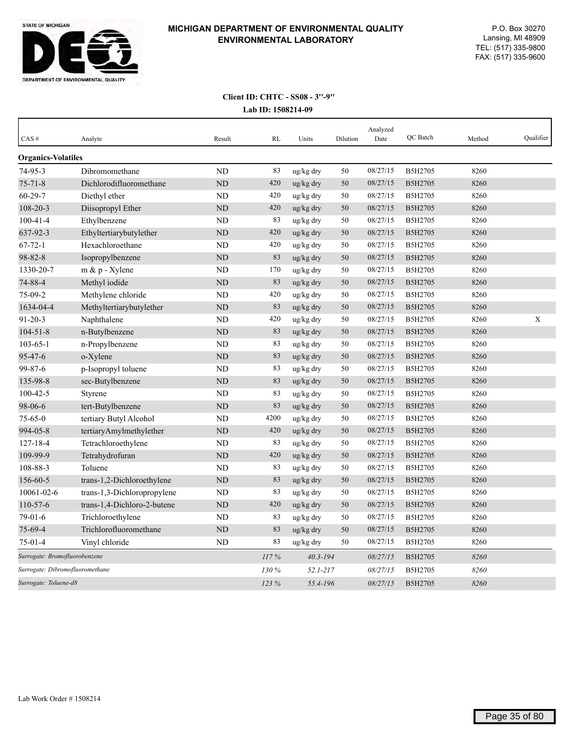

| CAS#                      | Analyte                         | Result         | <b>RL</b> | Units        | Dilution | Analyzed<br>Date | QC Batch       | Method | Qualifier |
|---------------------------|---------------------------------|----------------|-----------|--------------|----------|------------------|----------------|--------|-----------|
| <b>Organics-Volatiles</b> |                                 |                |           |              |          |                  |                |        |           |
| 74-95-3                   | Dibromomethane                  | <b>ND</b>      | 83        | ug/kg dry    | 50       | 08/27/15         | B5H2705        | 8260   |           |
| $75 - 71 - 8$             | Dichlorodifluoromethane         | ND             | 420       | ug/kg dry    | 50       | 08/27/15         | B5H2705        | 8260   |           |
| $60 - 29 - 7$             | Diethyl ether                   | <b>ND</b>      | 420       | ug/kg dry    | 50       | 08/27/15         | B5H2705        | 8260   |           |
| 108-20-3                  | Diisopropyl Ether               | <b>ND</b>      | 420       | ug/kg dry    | 50       | 08/27/15         | B5H2705        | 8260   |           |
| $100 - 41 - 4$            | Ethylbenzene                    | <b>ND</b>      | 83        | ug/kg dry    | 50       | 08/27/15         | B5H2705        | 8260   |           |
| 637-92-3                  | Ethyltertiarybutylether         | <b>ND</b>      | 420       | ug/kg dry    | 50       | 08/27/15         | <b>B5H2705</b> | 8260   |           |
| $67 - 72 - 1$             | Hexachloroethane                | <b>ND</b>      | 420       | ug/kg dry    | 50       | 08/27/15         | B5H2705        | 8260   |           |
| 98-82-8                   | Isopropylbenzene                | <b>ND</b>      | 83        | ug/kg dry    | 50       | 08/27/15         | B5H2705        | 8260   |           |
| 1330-20-7                 | $m \& p$ - Xylene               | ND             | 170       | ug/kg dry    | 50       | 08/27/15         | B5H2705        | 8260   |           |
| 74-88-4                   | Methyl iodide                   | <b>ND</b>      | 83        | ug/kg dry    | 50       | 08/27/15         | B5H2705        | 8260   |           |
| 75-09-2                   | Methylene chloride              | ND             | 420       | ug/kg dry    | 50       | 08/27/15         | B5H2705        | 8260   |           |
| 1634-04-4                 | Methyltertiarybutylether        | <b>ND</b>      | 83        | ug/kg dry    | 50       | 08/27/15         | B5H2705        | 8260   |           |
| $91 - 20 - 3$             | Naphthalene                     | ND             | 420       | ug/kg dry    | 50       | 08/27/15         | B5H2705        | 8260   | X         |
| $104 - 51 - 8$            | n-Butylbenzene                  | N <sub>D</sub> | 83        | ug/kg dry    | 50       | 08/27/15         | B5H2705        | 8260   |           |
| $103 - 65 - 1$            | n-Propylbenzene                 | <b>ND</b>      | 83        | ug/kg dry    | 50       | 08/27/15         | B5H2705        | 8260   |           |
| 95-47-6                   | o-Xylene                        | <b>ND</b>      | 83        | ug/kg dry    | 50       | 08/27/15         | B5H2705        | 8260   |           |
| 99-87-6                   | p-Isopropyl toluene             | <b>ND</b>      | 83        | ug/kg dry    | 50       | 08/27/15         | B5H2705        | 8260   |           |
| 135-98-8                  | sec-Butylbenzene                | <b>ND</b>      | 83        | ug/kg dry    | 50       | 08/27/15         | B5H2705        | 8260   |           |
| $100 - 42 - 5$            | Styrene                         | <b>ND</b>      | 83        | ug/kg dry    | 50       | 08/27/15         | B5H2705        | 8260   |           |
| 98-06-6                   | tert-Butylbenzene               | <b>ND</b>      | 83        | ug/kg dry    | 50       | 08/27/15         | B5H2705        | 8260   |           |
| $75 - 65 - 0$             | tertiary Butyl Alcohol          | ND             | 4200      | ug/kg dry    | 50       | 08/27/15         | B5H2705        | 8260   |           |
| 994-05-8                  | tertiaryAmylmethylether         | <b>ND</b>      | 420       | ug/kg dry    | 50       | 08/27/15         | B5H2705        | 8260   |           |
| $127 - 18 - 4$            | Tetrachloroethylene             | <b>ND</b>      | 83        | ug/kg dry    | 50       | 08/27/15         | B5H2705        | 8260   |           |
| 109-99-9                  | Tetrahydrofuran                 | <b>ND</b>      | 420       | ug/kg dry    | 50       | 08/27/15         | B5H2705        | 8260   |           |
| 108-88-3                  | Toluene                         | <b>ND</b>      | 83        | ug/kg dry    | 50       | 08/27/15         | B5H2705        | 8260   |           |
| 156-60-5                  | trans-1,2-Dichloroethylene      | <b>ND</b>      | 83        | ug/kg dry    | 50       | 08/27/15         | B5H2705        | 8260   |           |
| 10061-02-6                | trans-1,3-Dichloropropylene     | <b>ND</b>      | 83        | ug/kg dry    | 50       | 08/27/15         | B5H2705        | 8260   |           |
| $110-57-6$                | trans-1,4-Dichloro-2-butene     | <b>ND</b>      | 420       | ug/kg dry    | 50       | 08/27/15         | B5H2705        | 8260   |           |
| $79-01-6$                 | Trichloroethylene               | ND             | 83        | ug/kg dry    | 50       | 08/27/15         | B5H2705        | 8260   |           |
| 75-69-4                   | Trichlorofluoromethane          | <b>ND</b>      | 83        | ug/kg dry    | 50       | 08/27/15         | B5H2705        | 8260   |           |
| $75 - 01 - 4$             | Vinyl chloride                  | ND             | 83        | ug/kg dry    | 50       | 08/27/15         | B5H2705        | 8260   |           |
|                           | Surrogate: Bromofluorobenzene   |                |           | $40.3 - 194$ |          | 08/27/15         | B5H2705        | 8260   |           |
|                           | Surrogate: Dibromofluoromethane |                |           | $52.1 - 217$ |          | 08/27/15         | B5H2705        | 8260   |           |
|                           | Surrogate: Toluene-d8           |                |           | 55.4-196     |          | 08/27/15         | <b>B5H2705</b> | 8260   |           |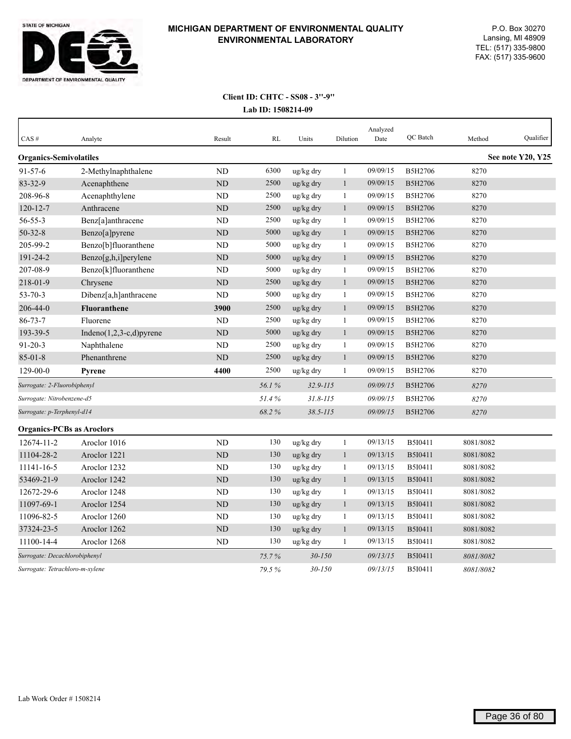

| CAS#                             | Analyte                         | Result    | RL    | Units        | Dilution     | Analyzed<br>Date | <b>OC</b> Batch | Method    | Oualifier         |
|----------------------------------|---------------------------------|-----------|-------|--------------|--------------|------------------|-----------------|-----------|-------------------|
| <b>Organics-Semivolatiles</b>    |                                 |           |       |              |              |                  |                 |           | See note Y20, Y25 |
| $91 - 57 - 6$                    | 2-Methylnaphthalene             | <b>ND</b> | 6300  | ug/kg dry    | $\mathbf{1}$ | 09/09/15         | B5H2706         | 8270      |                   |
| 83-32-9                          | Acenaphthene                    | <b>ND</b> | 2500  | ug/kg dry    | $\mathbf{1}$ | 09/09/15         | <b>B5H2706</b>  | 8270      |                   |
| 208-96-8                         | Acenaphthylene                  | ND        | 2500  | ug/kg dry    | 1            | 09/09/15         | B5H2706         | 8270      |                   |
| $120 - 12 - 7$                   | Anthracene                      | ND        | 2500  | ug/kg dry    | $\mathbf{1}$ | 09/09/15         | B5H2706         | 8270      |                   |
| 56-55-3                          | Benz[a]anthracene               | <b>ND</b> | 2500  | ug/kg dry    | 1            | 09/09/15         | B5H2706         | 8270      |                   |
| $50 - 32 - 8$                    | Benzo[a]pyrene                  | <b>ND</b> | 5000  | ug/kg dry    | $\mathbf{1}$ | 09/09/15         | B5H2706         | 8270      |                   |
| 205-99-2                         | Benzo[b]fluoranthene            | <b>ND</b> | 5000  | ug/kg dry    | $\mathbf{1}$ | 09/09/15         | B5H2706         | 8270      |                   |
| 191-24-2                         | Benzo[g,h,i]perylene            | ND        | 5000  | ug/kg dry    | $\mathbf{1}$ | 09/09/15         | B5H2706         | 8270      |                   |
| 207-08-9                         | Benzo[k]fluoranthene            | <b>ND</b> | 5000  | ug/kg dry    | $\mathbf{1}$ | 09/09/15         | B5H2706         | 8270      |                   |
| 218-01-9                         | Chrysene                        | ND        | 2500  | ug/kg dry    | $\mathbf{1}$ | 09/09/15         | B5H2706         | 8270      |                   |
| $53 - 70 - 3$                    | Dibenz[a,h]anthracene           | <b>ND</b> | 5000  | ug/kg dry    | $\mathbf{1}$ | 09/09/15         | B5H2706         | 8270      |                   |
| 206-44-0                         | <b>Fluoranthene</b>             | 3900      | 2500  | ug/kg dry    | $\mathbf{1}$ | 09/09/15         | B5H2706         | 8270      |                   |
| $86 - 73 - 7$                    | Fluorene                        | <b>ND</b> | 2500  | ug/kg dry    | $\mathbf{1}$ | 09/09/15         | B5H2706         | 8270      |                   |
| 193-39-5                         | $Indeno(1,2,3-c,d)pyrene$       | ND        | 5000  | ug/kg dry    | $\mathbf{1}$ | 09/09/15         | B5H2706         | 8270      |                   |
| $91 - 20 - 3$                    | Naphthalene                     | <b>ND</b> | 2500  | ug/kg dry    | $\mathbf{1}$ | 09/09/15         | B5H2706         | 8270      |                   |
| $85 - 01 - 8$                    | Phenanthrene                    | <b>ND</b> | 2500  | ug/kg dry    | $\mathbf{1}$ | 09/09/15         | B5H2706         | 8270      |                   |
| $129 - 00 - 0$                   | <b>Pyrene</b>                   | 4400      | 2500  | ug/kg dry    | $\mathbf{1}$ | 09/09/15         | B5H2706         | 8270      |                   |
| Surrogate: 2-Fluorobiphenyl      |                                 |           | 56.1% | $32.9 - 115$ |              | 09/09/15         | B5H2706         | 8270      |                   |
| Surrogate: Nitrobenzene-d5       |                                 |           | 51.4% | $31.8 - 115$ |              | 09/09/15         | B5H2706         | 8270      |                   |
| Surrogate: p-Terphenyl-d14       |                                 |           | 68.2% | $38.5 - 115$ |              | 09/09/15         | B5H2706         | 8270      |                   |
| <b>Organics-PCBs as Aroclors</b> |                                 |           |       |              |              |                  |                 |           |                   |
| 12674-11-2                       | Aroclor 1016                    | <b>ND</b> | 130   | ug/kg dry    | $\mathbf{1}$ | 09/13/15         | B5I0411         | 8081/8082 |                   |
| 11104-28-2                       | Aroclor 1221                    | ND        | 130   | ug/kg dry    | $\mathbf{1}$ | 09/13/15         | B5I0411         | 8081/8082 |                   |
| 11141-16-5                       | Aroclor 1232                    | <b>ND</b> | 130   | ug/kg dry    | $\mathbf{1}$ | 09/13/15         | B5I0411         | 8081/8082 |                   |
| 53469-21-9                       | Aroclor 1242                    | <b>ND</b> | 130   | ug/kg dry    | 1            | 09/13/15         | B5I0411         | 8081/8082 |                   |
| 12672-29-6                       | Aroclor 1248                    | ND        | 130   | ug/kg dry    | 1            | 09/13/15         | B5I0411         | 8081/8082 |                   |
| 11097-69-1                       | Aroclor 1254                    | <b>ND</b> | 130   | ug/kg dry    | $\mathbf{1}$ | 09/13/15         | B5I0411         | 8081/8082 |                   |
| 11096-82-5                       | Aroclor 1260                    | <b>ND</b> | 130   | ug/kg dry    | $\mathbf{1}$ | 09/13/15         | B5I0411         | 8081/8082 |                   |
| 37324-23-5                       | Aroclor 1262                    | <b>ND</b> | 130   | ug/kg dry    | 1            | 09/13/15         | B5I0411         | 8081/8082 |                   |
| 11100-14-4                       | Aroclor 1268                    | ND        | 130   | ug/kg dry    | 1            | 09/13/15         | B5I0411         | 8081/8082 |                   |
|                                  | Surrogate: Decachlorobiphenyl   |           |       | $30 - 150$   |              | 09/13/15         | <b>B5I0411</b>  | 8081/8082 |                   |
|                                  | Surrogate: Tetrachloro-m-xylene |           |       | $30 - 150$   |              | 09/13/15         | B5I0411         | 8081/8082 |                   |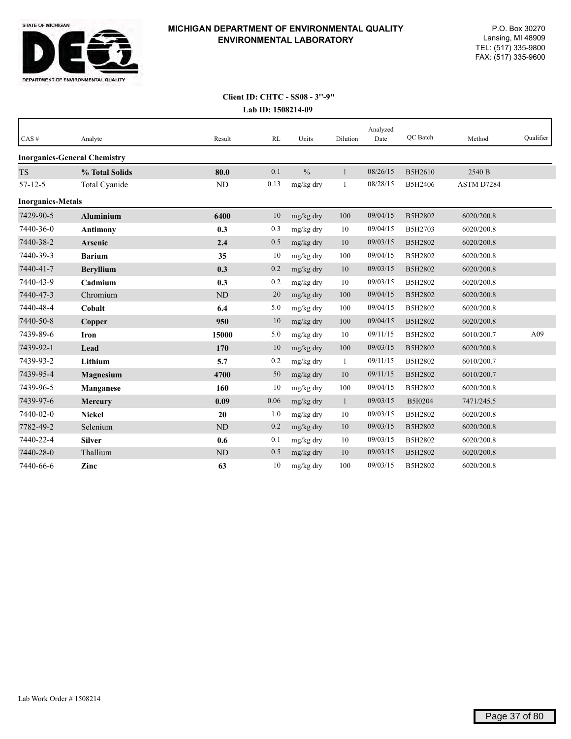

## **Lab ID: 1508214-09 Client ID: CHTC - SS08 - 3''-9''**

| CAS#                     | Analyte                             | Result         | RL   | Units         | Dilution     | Analyzed<br>Date | QC Batch | Method     | Qualifier |
|--------------------------|-------------------------------------|----------------|------|---------------|--------------|------------------|----------|------------|-----------|
|                          | <b>Inorganics-General Chemistry</b> |                |      |               |              |                  |          |            |           |
| <b>TS</b>                | % Total Solids                      | 80.0           | 0.1  | $\frac{0}{0}$ | $\mathbf{1}$ | 08/26/15         | B5H2610  | 2540 B     |           |
| $57 - 12 - 5$            | Total Cyanide                       | ND             | 0.13 | mg/kg dry     | 1            | 08/28/15         | B5H2406  | ASTM D7284 |           |
| <b>Inorganics-Metals</b> |                                     |                |      |               |              |                  |          |            |           |
| 7429-90-5                | <b>Aluminium</b>                    | 6400           | 10   | mg/kg dry     | $100\,$      | 09/04/15         | B5H2802  | 6020/200.8 |           |
| 7440-36-0                | <b>Antimony</b>                     | 0.3            | 0.3  | mg/kg dry     | 10           | 09/04/15         | B5H2703  | 6020/200.8 |           |
| 7440-38-2                | Arsenic                             | 2.4            | 0.5  | mg/kg dry     | 10           | 09/03/15         | B5H2802  | 6020/200.8 |           |
| 7440-39-3                | <b>Barium</b>                       | 35             | 10   | mg/kg dry     | 100          | 09/04/15         | B5H2802  | 6020/200.8 |           |
| 7440-41-7                | <b>Beryllium</b>                    | 0.3            | 0.2  | mg/kg dry     | 10           | 09/03/15         | B5H2802  | 6020/200.8 |           |
| 7440-43-9                | Cadmium                             | 0.3            | 0.2  | mg/kg dry     | 10           | 09/03/15         | B5H2802  | 6020/200.8 |           |
| 7440-47-3                | Chromium                            | N <sub>D</sub> | 20   | mg/kg dry     | 100          | 09/04/15         | B5H2802  | 6020/200.8 |           |
| 7440-48-4                | Cobalt                              | 6.4            | 5.0  | mg/kg dry     | 100          | 09/04/15         | B5H2802  | 6020/200.8 |           |
| 7440-50-8                | Copper                              | 950            | 10   | mg/kg dry     | 100          | 09/04/15         | B5H2802  | 6020/200.8 |           |
| 7439-89-6                | <b>Iron</b>                         | 15000          | 5.0  | mg/kg dry     | 10           | 09/11/15         | B5H2802  | 6010/200.7 | A09       |
| 7439-92-1                | Lead                                | 170            | 10   | mg/kg dry     | 100          | 09/03/15         | B5H2802  | 6020/200.8 |           |
| 7439-93-2                | Lithium                             | 5.7            | 0.2  | mg/kg dry     | $\mathbf{1}$ | 09/11/15         | B5H2802  | 6010/200.7 |           |
| 7439-95-4                | Magnesium                           | 4700           | 50   | mg/kg dry     | 10           | 09/11/15         | B5H2802  | 6010/200.7 |           |
| 7439-96-5                | <b>Manganese</b>                    | 160            | 10   | mg/kg dry     | 100          | 09/04/15         | B5H2802  | 6020/200.8 |           |
| 7439-97-6                | <b>Mercury</b>                      | 0.09           | 0.06 | mg/kg dry     | $\mathbf{1}$ | 09/03/15         | B5I0204  | 7471/245.5 |           |
| 7440-02-0                | <b>Nickel</b>                       | 20             | 1.0  | mg/kg dry     | 10           | 09/03/15         | B5H2802  | 6020/200.8 |           |
| 7782-49-2                | Selenium                            | N <sub>D</sub> | 0.2  | mg/kg dry     | 10           | 09/03/15         | B5H2802  | 6020/200.8 |           |
| 7440-22-4                | <b>Silver</b>                       | 0.6            | 0.1  | mg/kg dry     | 10           | 09/03/15         | B5H2802  | 6020/200.8 |           |
| 7440-28-0                | Thallium                            | ND             | 0.5  | mg/kg dry     | 10           | 09/03/15         | B5H2802  | 6020/200.8 |           |
| 7440-66-6                | Zinc                                | 63             | 10   | mg/kg dry     | 100          | 09/03/15         | B5H2802  | 6020/200.8 |           |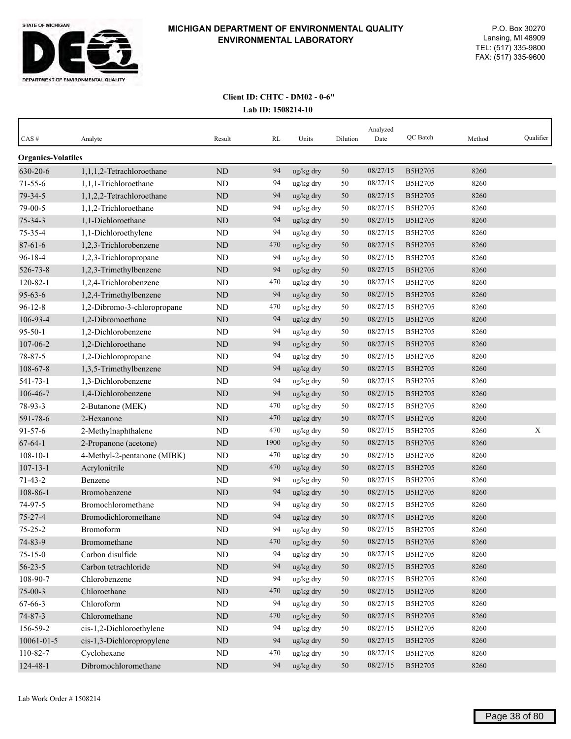

| $CAS \#$                  | Analyte                     | Result    | RL   | Units                 | Dilution | Analyzed<br>Date | QC Batch | Method | Qualifier   |
|---------------------------|-----------------------------|-----------|------|-----------------------|----------|------------------|----------|--------|-------------|
| <b>Organics-Volatiles</b> |                             |           |      |                       |          |                  |          |        |             |
| 630-20-6                  | 1,1,1,2-Tetrachloroethane   | ND        | 94   | ug/kg dry             | 50       | 08/27/15         | B5H2705  | 8260   |             |
| $71 - 55 - 6$             | 1,1,1-Trichloroethane       | ND        | 94   | ug/kg dry             | 50       | 08/27/15         | B5H2705  | 8260   |             |
| 79-34-5                   | 1,1,2,2-Tetrachloroethane   | ND        | 94   | ug/kg dry             | 50       | 08/27/15         | B5H2705  | 8260   |             |
| 79-00-5                   | 1,1,2-Trichloroethane       | <b>ND</b> | 94   | ug/kg dry             | 50       | 08/27/15         | B5H2705  | 8260   |             |
| $75 - 34 - 3$             | 1.1-Dichloroethane          | ND        | 94   | ug/kg dry             | 50       | 08/27/15         | B5H2705  | 8260   |             |
| 75-35-4                   | 1,1-Dichloroethylene        | ND        | 94   | ug/kg dry             | 50       | 08/27/15         | B5H2705  | 8260   |             |
| $87 - 61 - 6$             | 1,2,3-Trichlorobenzene      | ND        | 470  | ug/kg dry             | 50       | 08/27/15         | B5H2705  | 8260   |             |
| 96-18-4                   | 1,2,3-Trichloropropane      | ND        | 94   | ug/kg dry             | 50       | 08/27/15         | B5H2705  | 8260   |             |
| 526-73-8                  | 1,2,3-Trimethylbenzene      | ND        | 94   | ug/kg dry             | 50       | 08/27/15         | B5H2705  | 8260   |             |
| $120 - 82 - 1$            | 1,2,4-Trichlorobenzene      | <b>ND</b> | 470  | ug/kg dry             | 50       | 08/27/15         | B5H2705  | 8260   |             |
| $95 - 63 - 6$             | 1,2,4-Trimethylbenzene      | ND        | 94   | ug/kg dry             | 50       | 08/27/15         | B5H2705  | 8260   |             |
| $96 - 12 - 8$             | 1,2-Dibromo-3-chloropropane | ND        | 470  | ug/kg dry             | 50       | 08/27/15         | B5H2705  | 8260   |             |
| 106-93-4                  | 1,2-Dibromoethane           | ND        | 94   | ug/kg dry             | 50       | 08/27/15         | B5H2705  | 8260   |             |
| $95 - 50 - 1$             | 1,2-Dichlorobenzene         | <b>ND</b> | 94   | ug/kg dry             | 50       | 08/27/15         | B5H2705  | 8260   |             |
| 107-06-2                  | 1,2-Dichloroethane          | ND        | 94   | ug/kg dry             | 50       | 08/27/15         | B5H2705  | 8260   |             |
| 78-87-5                   | 1,2-Dichloropropane         | <b>ND</b> | 94   | ug/kg dry             | 50       | 08/27/15         | B5H2705  | 8260   |             |
| 108-67-8                  | 1,3,5-Trimethylbenzene      | $\rm ND$  | 94   | ug/kg dry             | 50       | 08/27/15         | B5H2705  | 8260   |             |
| 541-73-1                  | 1,3-Dichlorobenzene         | ND        | 94   | ug/kg dry             | 50       | 08/27/15         | B5H2705  | 8260   |             |
| 106-46-7                  | 1,4-Dichlorobenzene         | ND        | 94   | ug/kg dry             | 50       | 08/27/15         | B5H2705  | 8260   |             |
| 78-93-3                   | 2-Butanone (MEK)            | ND        | 470  | ug/kg dry             | 50       | 08/27/15         | B5H2705  | 8260   |             |
| 591-78-6                  | 2-Hexanone                  | ND        | 470  | ug/kg dry             | 50       | 08/27/15         | B5H2705  | 8260   |             |
| $91 - 57 - 6$             | 2-Methylnaphthalene         | ND        | 470  | ug/kg dry             | 50       | 08/27/15         | B5H2705  | 8260   | $\mathbf X$ |
| $67 - 64 - 1$             | 2-Propanone (acetone)       | ND        | 1900 | ug/kg dry             | 50       | 08/27/15         | B5H2705  | 8260   |             |
| $108 - 10 - 1$            | 4-Methyl-2-pentanone (MIBK) | <b>ND</b> | 470  | ug/kg dry             | 50       | 08/27/15         | B5H2705  | 8260   |             |
| $107 - 13 - 1$            | Acrylonitrile               | ND        | 470  | ug/kg dry             | 50       | 08/27/15         | B5H2705  | 8260   |             |
| $71 - 43 - 2$             | Benzene                     | <b>ND</b> | 94   | ug/kg dry             | 50       | 08/27/15         | B5H2705  | 8260   |             |
| 108-86-1                  | Bromobenzene                | ND        | 94   | ug/kg dry             | 50       | 08/27/15         | B5H2705  | 8260   |             |
| 74-97-5                   | Bromochloromethane          | ND        | 94   | ug/kg dry             | 50       | 08/27/15         | B5H2705  | 8260   |             |
| 75-27-4                   | Bromodichloromethane        | ND        | 94   | ug/kg dry             | 50       | 08/27/15         | B5H2705  | 8260   |             |
| $75 - 25 - 2$             | Bromoform                   | ND        | 94   | ug/kg dry             | 50       | 08/27/15         | B5H2705  | 8260   |             |
| 74-83-9                   | Bromomethane                | $\rm ND$  | 470  | ug/kg dry             | 50       | 08/27/15         | B5H2705  | 8260   |             |
| $75 - 15 - 0$             | Carbon disulfide            | $\rm ND$  | 94   | ug/kg dry             | 50       | 08/27/15         | B5H2705  | 8260   |             |
| $56 - 23 - 5$             | Carbon tetrachloride        | $\rm ND$  | 94   | ug/kg dry             | 50       | 08/27/15         | B5H2705  | 8260   |             |
| 108-90-7                  | Chlorobenzene               | $\rm ND$  | 94   | ug/kg dry             | 50       | 08/27/15         | B5H2705  | 8260   |             |
| $75 - 00 - 3$             | Chloroethane                | $\rm ND$  | 470  | ug/kg dry             | $50\,$   | 08/27/15         | B5H2705  | 8260   |             |
| 67-66-3                   | Chloroform                  | $\rm ND$  | 94   | ug/kg dry             | 50       | 08/27/15         | B5H2705  | 8260   |             |
| 74-87-3                   | Chloromethane               | $\rm ND$  | 470  | ug/kg dry             | 50       | 08/27/15         | B5H2705  | 8260   |             |
| 156-59-2                  | cis-1,2-Dichloroethylene    | ND        | 94   | ug/kg dry             | 50       | 08/27/15         | B5H2705  | 8260   |             |
| $10061 - 01 - 5$          | cis-1,3-Dichloropropylene   | $\rm ND$  | 94   | ug/kg dry             | 50       | 08/27/15         | B5H2705  | 8260   |             |
| 110-82-7                  | Cyclohexane                 | ND        | 470  | ug/kg dry             | 50       | 08/27/15         | B5H2705  | 8260   |             |
| 124-48-1                  | Dibromochloromethane        | $\rm ND$  | 94   | $\frac{u g}{k g}$ dry | 50       | 08/27/15         | B5H2705  | 8260   |             |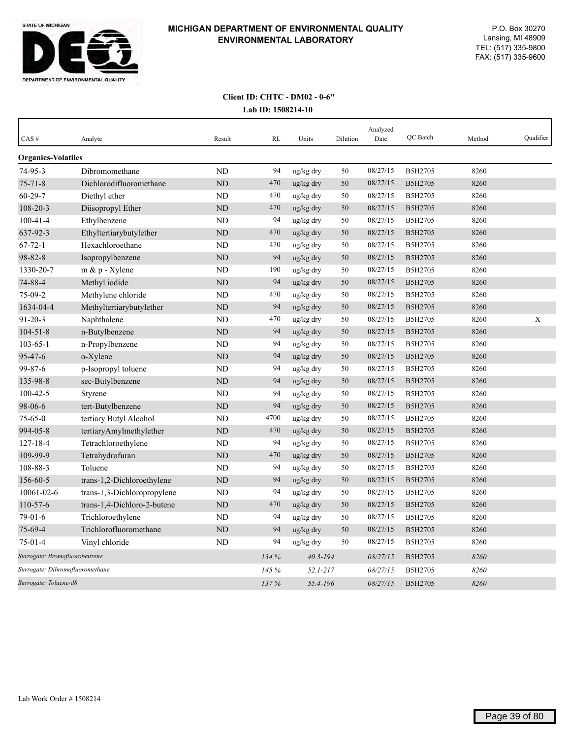

| CAS#                            | Analyte                     | Result         | <b>RL</b> | Units                 | Dilution | Analyzed<br>Date | QC Batch       | Method | Qualifier |
|---------------------------------|-----------------------------|----------------|-----------|-----------------------|----------|------------------|----------------|--------|-----------|
| <b>Organics-Volatiles</b>       |                             |                |           |                       |          |                  |                |        |           |
| 74-95-3                         | Dibromomethane              | ND             | 94        | ug/kg dry             | 50       | 08/27/15         | B5H2705        | 8260   |           |
| $75 - 71 - 8$                   | Dichlorodifluoromethane     | ND             | 470       | ug/kg dry             | 50       | 08/27/15         | B5H2705        | 8260   |           |
| $60 - 29 - 7$                   | Diethyl ether               | ND             | 470       | ug/kg dry             | 50       | 08/27/15         | B5H2705        | 8260   |           |
| 108-20-3                        | Diisopropyl Ether           | ND             | 470       | ug/kg dry             | 50       | 08/27/15         | B5H2705        | 8260   |           |
| $100 - 41 - 4$                  | Ethylbenzene                | ND             | 94        | ug/kg dry             | 50       | 08/27/15         | B5H2705        | 8260   |           |
| 637-92-3                        | Ethyltertiarybutylether     | ND             | 470       | ug/kg dry             | 50       | 08/27/15         | B5H2705        | 8260   |           |
| $67 - 72 - 1$                   | Hexachloroethane            | <b>ND</b>      | 470       | ug/kg dry             | 50       | 08/27/15         | B5H2705        | 8260   |           |
| 98-82-8                         | Isopropylbenzene            | <b>ND</b>      | 94        | ug/kg dry             | 50       | 08/27/15         | B5H2705        | 8260   |           |
| 1330-20-7                       | m & p - Xylene              | ND             | 190       | ug/kg dry             | 50       | 08/27/15         | B5H2705        | 8260   |           |
| 74-88-4                         | Methyl iodide               | <b>ND</b>      | 94        | ug/kg dry             | 50       | 08/27/15         | B5H2705        | 8260   |           |
| $75-09-2$                       | Methylene chloride          | ND             | 470       | ug/kg dry             | 50       | 08/27/15         | B5H2705        | 8260   |           |
| 1634-04-4                       | Methyltertiarybutylether    | N <sub>D</sub> | 94        | ug/kg dry             | 50       | 08/27/15         | B5H2705        | 8260   |           |
| $91 - 20 - 3$                   | Naphthalene                 | ND             | 470       | ug/kg dry             | 50       | 08/27/15         | B5H2705        | 8260   | X         |
| $104 - 51 - 8$                  | n-Butylbenzene              | <b>ND</b>      | 94        | ug/kg dry             | 50       | 08/27/15         | B5H2705        | 8260   |           |
| $103 - 65 - 1$                  | n-Propylbenzene             | ND             | 94        | ug/kg dry             | 50       | 08/27/15         | B5H2705        | 8260   |           |
| 95-47-6                         | o-Xylene                    | <b>ND</b>      | 94        | ug/kg dry             | 50       | 08/27/15         | B5H2705        | 8260   |           |
| 99-87-6                         | p-Isopropyl toluene         | ND             | 94        | ug/kg dry             | 50       | 08/27/15         | B5H2705        | 8260   |           |
| 135-98-8                        | sec-Butylbenzene            | <b>ND</b>      | 94        | ug/kg dry             | 50       | 08/27/15         | B5H2705        | 8260   |           |
| $100 - 42 - 5$                  | Styrene                     | ND             | 94        | ug/kg dry             | 50       | 08/27/15         | B5H2705        | 8260   |           |
| 98-06-6                         | tert-Butylbenzene           | <b>ND</b>      | 94        | ug/kg dry             | 50       | 08/27/15         | B5H2705        | 8260   |           |
| $75 - 65 - 0$                   | tertiary Butyl Alcohol      | ND             | 4700      | ug/kg dry             | 50       | 08/27/15         | B5H2705        | 8260   |           |
| 994-05-8                        | tertiaryAmylmethylether     | <b>ND</b>      | 470       | ug/kg dry             | 50       | 08/27/15         | B5H2705        | 8260   |           |
| $127 - 18 - 4$                  | Tetrachloroethylene         | ND             | 94        | ug/kg dry             | 50       | 08/27/15         | B5H2705        | 8260   |           |
| 109-99-9                        | Tetrahydrofuran             | <b>ND</b>      | 470       | ug/kg dry             | 50       | 08/27/15         | B5H2705        | 8260   |           |
| 108-88-3                        | Toluene                     | N <sub>D</sub> | 94        | ug/kg dry             | 50       | 08/27/15         | B5H2705        | 8260   |           |
| 156-60-5                        | trans-1,2-Dichloroethylene  | ND             | 94        | $\frac{u g}{k g}$ dry | 50       | 08/27/15         | B5H2705        | 8260   |           |
| 10061-02-6                      | trans-1,3-Dichloropropylene | ND             | 94        | ug/kg dry             | 50       | 08/27/15         | B5H2705        | 8260   |           |
| 110-57-6                        | trans-1,4-Dichloro-2-butene | ND             | 470       | ug/kg dry             | 50       | 08/27/15         | <b>B5H2705</b> | 8260   |           |
| 79-01-6                         | Trichloroethylene           | ND             | 94        | ug/kg dry             | 50       | 08/27/15         | B5H2705        | 8260   |           |
| $75 - 69 - 4$                   | Trichlorofluoromethane      | <b>ND</b>      | 94        | ug/kg dry             | 50       | 08/27/15         | <b>B5H2705</b> | 8260   |           |
| $75 - 01 - 4$                   | Vinyl chloride              | ND             | 94        | ug/kg dry             | 50       | 08/27/15         | B5H2705        | 8260   |           |
| Surrogate: Bromofluorobenzene   |                             |                | 134 %     | $40.3 - 194$          |          | 08/27/15         | B5H2705        | 8260   |           |
| Surrogate: Dibromofluoromethane |                             |                | 145 %     | $52.1 - 217$          |          | 08/27/15         | B5H2705        | 8260   |           |
| Surrogate: Toluene-d8           |                             |                | 137%      | 55.4-196              |          | 08/27/15         | <b>B5H2705</b> | 8260   |           |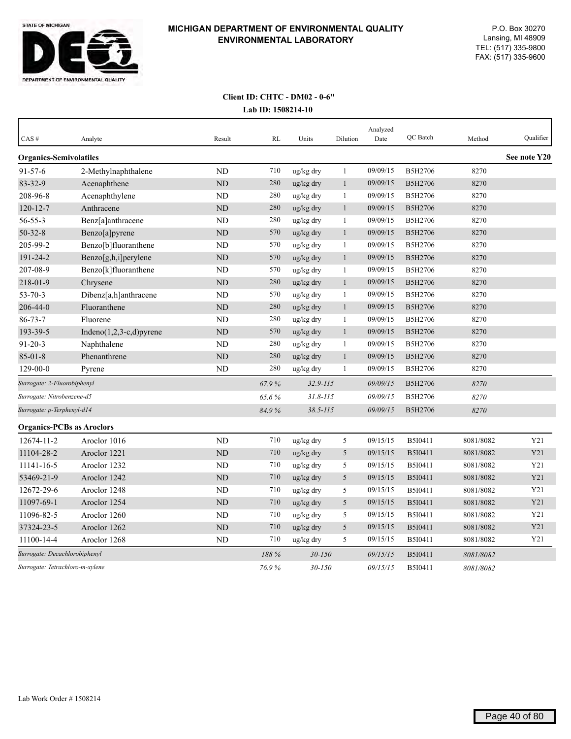

| CAS#                             | Analyte                     | Result    | RL    | Units        | Dilution     | Analyzed<br>Date | QC Batch       | Method    | Qualifier    |
|----------------------------------|-----------------------------|-----------|-------|--------------|--------------|------------------|----------------|-----------|--------------|
| <b>Organics-Semivolatiles</b>    |                             |           |       |              |              |                  |                |           | See note Y20 |
| $91 - 57 - 6$                    | 2-Methylnaphthalene         | <b>ND</b> | 710   | ug/kg dry    | 1            | 09/09/15         | B5H2706        | 8270      |              |
| 83-32-9                          | Acenaphthene                | $\rm ND$  | 280   | ug/kg dry    | $\mathbf{1}$ | 09/09/15         | B5H2706        | 8270      |              |
| 208-96-8                         | Acenaphthylene              | <b>ND</b> | 280   | ug/kg dry    | 1            | 09/09/15         | B5H2706        | 8270      |              |
| 120-12-7                         | Anthracene                  | ND        | 280   | ug/kg dry    | $\mathbf{1}$ | 09/09/15         | B5H2706        | 8270      |              |
| 56-55-3                          | Benz[a]anthracene           | <b>ND</b> | 280   | ug/kg dry    | 1            | 09/09/15         | B5H2706        | 8270      |              |
| $50 - 32 - 8$                    | Benzo[a]pyrene              | $\rm ND$  | 570   | ug/kg dry    | $\mathbf{1}$ | 09/09/15         | B5H2706        | 8270      |              |
| 205-99-2                         | Benzo[b]fluoranthene        | <b>ND</b> | 570   | ug/kg dry    | $\mathbf{1}$ | 09/09/15         | B5H2706        | 8270      |              |
| 191-24-2                         | Benzo[g,h,i]perylene        | <b>ND</b> | 570   | ug/kg dry    | $\mathbf{1}$ | 09/09/15         | B5H2706        | 8270      |              |
| 207-08-9                         | Benzo[k]fluoranthene        | <b>ND</b> | 570   | ug/kg dry    | 1            | 09/09/15         | B5H2706        | 8270      |              |
| 218-01-9                         | Chrysene                    | <b>ND</b> | 280   | ug/kg dry    | $\mathbf{1}$ | 09/09/15         | B5H2706        | 8270      |              |
| $53 - 70 - 3$                    | Dibenz[a,h]anthracene       | <b>ND</b> | 570   | ug/kg dry    | $\mathbf{1}$ | 09/09/15         | B5H2706        | 8270      |              |
| $206 - 44 - 0$                   | Fluoranthene                | <b>ND</b> | 280   | ug/kg dry    | $\mathbf{1}$ | 09/09/15         | B5H2706        | 8270      |              |
| $86 - 73 - 7$                    | Fluorene                    | ND        | 280   | ug/kg dry    | 1            | 09/09/15         | B5H2706        | 8270      |              |
| 193-39-5                         | Indeno $(1,2,3-c,d)$ pyrene | $\rm ND$  | 570   | ug/kg dry    | $\mathbf{1}$ | 09/09/15         | B5H2706        | 8270      |              |
| $91 - 20 - 3$                    | Naphthalene                 | <b>ND</b> | 280   | ug/kg dry    | 1            | 09/09/15         | B5H2706        | 8270      |              |
| $85 - 01 - 8$                    | Phenanthrene                | $\rm ND$  | 280   | ug/kg dry    | $\mathbf{1}$ | 09/09/15         | B5H2706        | 8270      |              |
| $129 - 00 - 0$                   | Pyrene                      | <b>ND</b> | 280   | ug/kg dry    | 1            | 09/09/15         | B5H2706        | 8270      |              |
| Surrogate: 2-Fluorobiphenyl      |                             |           | 67.9% | $32.9 - 115$ |              | 09/09/15         | B5H2706        | 8270      |              |
| Surrogate: Nitrobenzene-d5       |                             |           | 65.6% | $31.8 - 115$ |              | 09/09/15         | <b>B5H2706</b> | 8270      |              |
| Surrogate: p-Terphenyl-d14       |                             |           | 84.9% | $38.5 - 115$ |              | 09/09/15         | B5H2706        | 8270      |              |
| <b>Organics-PCBs as Aroclors</b> |                             |           |       |              |              |                  |                |           |              |
| 12674-11-2                       | Aroclor 1016                | <b>ND</b> | 710   | ug/kg dry    | 5            | 09/15/15         | B5I0411        | 8081/8082 | Y21          |
| 11104-28-2                       | Aroclor 1221                | ND        | 710   | ug/kg dry    | 5            | 09/15/15         | B5I0411        | 8081/8082 | Y21          |
| 11141-16-5                       | Aroclor 1232                | <b>ND</b> | 710   | ug/kg dry    | 5            | 09/15/15         | B5I0411        | 8081/8082 | Y21          |
| 53469-21-9                       | Aroclor 1242                | <b>ND</b> | 710   | ug/kg dry    | 5            | 09/15/15         | B5I0411        | 8081/8082 | Y21          |
| 12672-29-6                       | Aroclor 1248                | ND        | 710   | ug/kg dry    | 5            | 09/15/15         | B5I0411        | 8081/8082 | Y21          |
| 11097-69-1                       | Aroclor 1254                | ND        | 710   | ug/kg dry    | 5            | 09/15/15         | B5I0411        | 8081/8082 | Y21          |
| 11096-82-5                       | Aroclor 1260                | ND        | 710   | ug/kg dry    | 5            | 09/15/15         | B5I0411        | 8081/8082 | Y21          |
| 37324-23-5                       | Aroclor 1262                | <b>ND</b> | 710   | ug/kg dry    | 5            | 09/15/15         | B5I0411        | 8081/8082 | Y21          |
| 11100-14-4                       | Aroclor 1268                | ND        | 710   | ug/kg dry    | 5            | 09/15/15         | B5I0411        | 8081/8082 | Y21          |
| Surrogate: Decachlorobiphenyl    |                             |           | 188 % | $30 - 150$   |              | 09/15/15         | B5I0411        | 8081/8082 |              |
| Surrogate: Tetrachloro-m-xylene  |                             |           | 76.9% | $30 - 150$   |              | 09/15/15         | B5I0411        | 8081/8082 |              |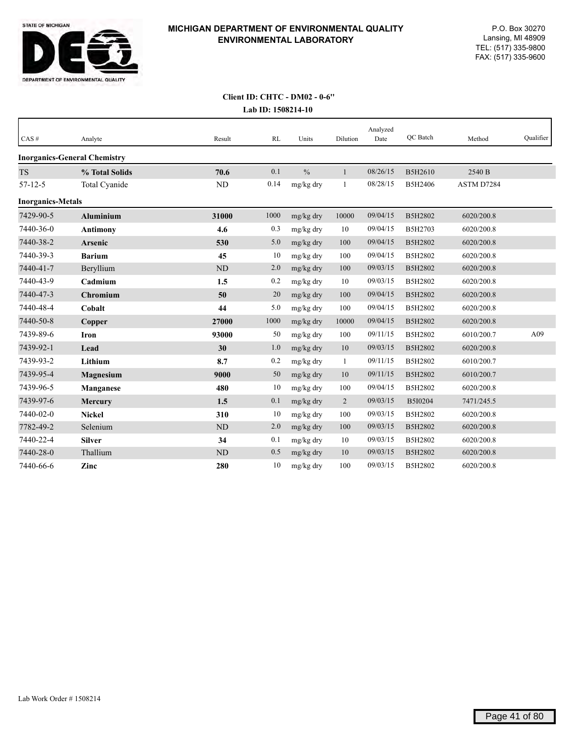

| CAS#                     | Analyte                             | Result    | RL   | Units         | Dilution       | Analyzed<br>Date | QC Batch | Method     | Qualifier |
|--------------------------|-------------------------------------|-----------|------|---------------|----------------|------------------|----------|------------|-----------|
|                          | <b>Inorganics-General Chemistry</b> |           |      |               |                |                  |          |            |           |
| <b>TS</b>                | % Total Solids                      | 70.6      | 0.1  | $\frac{0}{0}$ | 1              | 08/26/15         | B5H2610  | 2540 B     |           |
| $57 - 12 - 5$            | Total Cyanide                       | ND        | 0.14 | mg/kg dry     | 1              | 08/28/15         | B5H2406  | ASTM D7284 |           |
| <b>Inorganics-Metals</b> |                                     |           |      |               |                |                  |          |            |           |
| 7429-90-5                | <b>Aluminium</b>                    | 31000     | 1000 | mg/kg dry     | 10000          | 09/04/15         | B5H2802  | 6020/200.8 |           |
| 7440-36-0                | <b>Antimony</b>                     | 4.6       | 0.3  | mg/kg dry     | 10             | 09/04/15         | B5H2703  | 6020/200.8 |           |
| 7440-38-2                | <b>Arsenic</b>                      | 530       | 5.0  | mg/kg dry     | 100            | 09/04/15         | B5H2802  | 6020/200.8 |           |
| 7440-39-3                | <b>Barium</b>                       | 45        | 10   | mg/kg dry     | 100            | 09/04/15         | B5H2802  | 6020/200.8 |           |
| 7440-41-7                | Beryllium                           | ND        | 2.0  | mg/kg dry     | 100            | 09/03/15         | B5H2802  | 6020/200.8 |           |
| 7440-43-9                | Cadmium                             | 1.5       | 0.2  | mg/kg dry     | 10             | 09/03/15         | B5H2802  | 6020/200.8 |           |
| 7440-47-3                | Chromium                            | 50        | 20   | mg/kg dry     | 100            | 09/04/15         | B5H2802  | 6020/200.8 |           |
| 7440-48-4                | Cobalt                              | 44        | 5.0  | mg/kg dry     | 100            | 09/04/15         | B5H2802  | 6020/200.8 |           |
| 7440-50-8                | Copper                              | 27000     | 1000 | mg/kg dry     | 10000          | 09/04/15         | B5H2802  | 6020/200.8 |           |
| 7439-89-6                | Iron                                | 93000     | 50   | mg/kg dry     | 100            | 09/11/15         | B5H2802  | 6010/200.7 | A09       |
| 7439-92-1                | Lead                                | 30        | 1.0  | mg/kg dry     | 10             | 09/03/15         | B5H2802  | 6020/200.8 |           |
| 7439-93-2                | Lithium                             | 8.7       | 0.2  | mg/kg dry     | 1              | 09/11/15         | B5H2802  | 6010/200.7 |           |
| 7439-95-4                | Magnesium                           | 9000      | 50   | mg/kg dry     | 10             | 09/11/15         | B5H2802  | 6010/200.7 |           |
| 7439-96-5                | <b>Manganese</b>                    | 480       | 10   | mg/kg dry     | 100            | 09/04/15         | B5H2802  | 6020/200.8 |           |
| 7439-97-6                | <b>Mercury</b>                      | 1.5       | 0.1  | mg/kg dry     | $\overline{2}$ | 09/03/15         | B5I0204  | 7471/245.5 |           |
| 7440-02-0                | <b>Nickel</b>                       | 310       | 10   | mg/kg dry     | 100            | 09/03/15         | B5H2802  | 6020/200.8 |           |
| 7782-49-2                | Selenium                            | <b>ND</b> | 2.0  | mg/kg dry     | 100            | 09/03/15         | B5H2802  | 6020/200.8 |           |
| 7440-22-4                | <b>Silver</b>                       | 34        | 0.1  | mg/kg dry     | 10             | 09/03/15         | B5H2802  | 6020/200.8 |           |
| 7440-28-0                | Thallium                            | <b>ND</b> | 0.5  | mg/kg dry     | 10             | 09/03/15         | B5H2802  | 6020/200.8 |           |
| 7440-66-6                | Zinc                                | 280       | 10   | mg/kg dry     | 100            | 09/03/15         | B5H2802  | 6020/200.8 |           |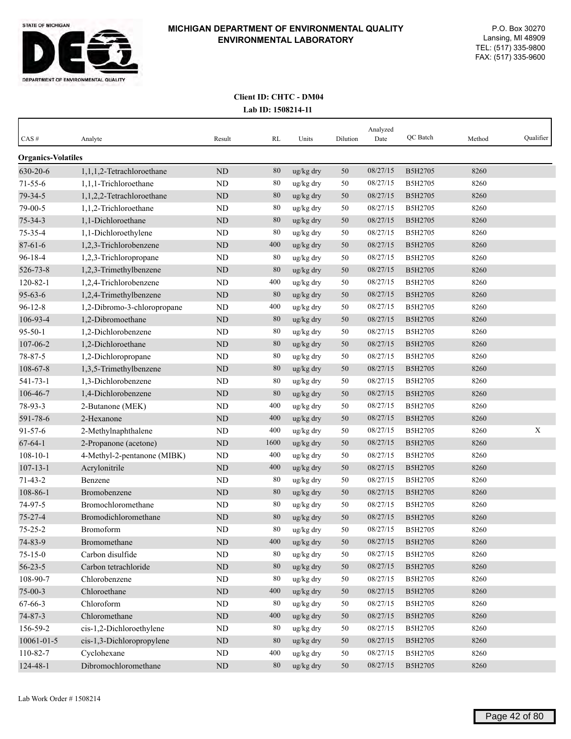

| CAS#                      | Analyte                     | Result    | RL   | Units     | Dilution | Analyzed<br>Date | QC Batch | Method | Qualifier |
|---------------------------|-----------------------------|-----------|------|-----------|----------|------------------|----------|--------|-----------|
| <b>Organics-Volatiles</b> |                             |           |      |           |          |                  |          |        |           |
| 630-20-6                  | 1,1,1,2-Tetrachloroethane   | ND        | 80   | ug/kg dry | 50       | 08/27/15         | B5H2705  | 8260   |           |
| $71 - 55 - 6$             | 1,1,1-Trichloroethane       | ND        | 80   | ug/kg dry | 50       | 08/27/15         | B5H2705  | 8260   |           |
| 79-34-5                   | 1,1,2,2-Tetrachloroethane   | <b>ND</b> | 80   | ug/kg dry | 50       | 08/27/15         | B5H2705  | 8260   |           |
| 79-00-5                   | 1,1,2-Trichloroethane       | <b>ND</b> | 80   | ug/kg dry | 50       | 08/27/15         | B5H2705  | 8260   |           |
| $75 - 34 - 3$             | 1,1-Dichloroethane          | <b>ND</b> | 80   | ug/kg dry | 50       | 08/27/15         | B5H2705  | 8260   |           |
| 75-35-4                   | 1,1-Dichloroethylene        | ND        | 80   | ug/kg dry | 50       | 08/27/15         | B5H2705  | 8260   |           |
| $87 - 61 - 6$             | 1,2,3-Trichlorobenzene      | ND        | 400  | ug/kg dry | 50       | 08/27/15         | B5H2705  | 8260   |           |
| $96 - 18 - 4$             | 1,2,3-Trichloropropane      | ND        | 80   | ug/kg dry | 50       | 08/27/15         | B5H2705  | 8260   |           |
| 526-73-8                  | 1,2,3-Trimethylbenzene      | <b>ND</b> | 80   | ug/kg dry | 50       | 08/27/15         | B5H2705  | 8260   |           |
| $120 - 82 - 1$            | 1,2,4-Trichlorobenzene      | ND        | 400  | ug/kg dry | 50       | 08/27/15         | B5H2705  | 8260   |           |
| $95 - 63 - 6$             | 1,2,4-Trimethylbenzene      | <b>ND</b> | 80   | ug/kg dry | 50       | 08/27/15         | B5H2705  | 8260   |           |
| $96 - 12 - 8$             | 1,2-Dibromo-3-chloropropane | ND        | 400  | ug/kg dry | 50       | 08/27/15         | B5H2705  | 8260   |           |
| 106-93-4                  | 1,2-Dibromoethane           | ND        | 80   | ug/kg dry | 50       | 08/27/15         | B5H2705  | 8260   |           |
| $95 - 50 - 1$             | 1,2-Dichlorobenzene         | <b>ND</b> | 80   | ug/kg dry | 50       | 08/27/15         | B5H2705  | 8260   |           |
| 107-06-2                  | 1,2-Dichloroethane          | <b>ND</b> | 80   | ug/kg dry | 50       | 08/27/15         | B5H2705  | 8260   |           |
| 78-87-5                   | 1,2-Dichloropropane         | ND        | 80   | ug/kg dry | 50       | 08/27/15         | B5H2705  | 8260   |           |
| 108-67-8                  | 1,3,5-Trimethylbenzene      | $\rm ND$  | 80   | ug/kg dry | 50       | 08/27/15         | B5H2705  | 8260   |           |
| 541-73-1                  | 1,3-Dichlorobenzene         | <b>ND</b> | 80   | ug/kg dry | 50       | 08/27/15         | B5H2705  | 8260   |           |
| 106-46-7                  | 1,4-Dichlorobenzene         | ND        | 80   | ug/kg dry | 50       | 08/27/15         | B5H2705  | 8260   |           |
| 78-93-3                   | 2-Butanone (MEK)            | ND        | 400  | ug/kg dry | 50       | 08/27/15         | B5H2705  | 8260   |           |
| 591-78-6                  | 2-Hexanone                  | <b>ND</b> | 400  | ug/kg dry | 50       | 08/27/15         | B5H2705  | 8260   |           |
| $91 - 57 - 6$             | 2-Methylnaphthalene         | ND        | 400  | ug/kg dry | 50       | 08/27/15         | B5H2705  | 8260   | X         |
| $67 - 64 - 1$             | 2-Propanone (acetone)       | <b>ND</b> | 1600 | ug/kg dry | 50       | 08/27/15         | B5H2705  | 8260   |           |
| $108 - 10 - 1$            | 4-Methyl-2-pentanone (MIBK) | <b>ND</b> | 400  | ug/kg dry | 50       | 08/27/15         | B5H2705  | 8260   |           |
| $107 - 13 - 1$            | Acrylonitrile               | ND        | 400  | ug/kg dry | 50       | 08/27/15         | B5H2705  | 8260   |           |
| $71 - 43 - 2$             | Benzene                     | ND        | 80   | ug/kg dry | 50       | 08/27/15         | B5H2705  | 8260   |           |
| 108-86-1                  | Bromobenzene                | <b>ND</b> | 80   | ug/kg dry | 50       | 08/27/15         | B5H2705  | 8260   |           |
| 74-97-5                   | Bromochloromethane          | <b>ND</b> | 80   | ug/kg dry | 50       | 08/27/15         | B5H2705  | 8260   |           |
| $75 - 27 - 4$             | Bromodichloromethane        | ND        | 80   | ug/kg dry | 50       | 08/27/15         | B5H2705  | 8260   |           |
| $75 - 25 - 2$             | Bromoform                   | <b>ND</b> | 80   | ug/kg dry | 50       | 08/27/15         | B5H2705  | 8260   |           |
| 74-83-9                   | Bromomethane                | $\rm ND$  | 400  | ug/kg dry | $50\,$   | 08/27/15         | B5H2705  | 8260   |           |
| $75 - 15 - 0$             | Carbon disulfide            | $\rm ND$  | 80   | ug/kg dry | 50       | 08/27/15         | B5H2705  | 8260   |           |
| $56 - 23 - 5$             | Carbon tetrachloride        | $\rm ND$  | 80   | ug/kg dry | 50       | 08/27/15         | B5H2705  | 8260   |           |
| 108-90-7                  | Chlorobenzene               | ND        | 80   | ug/kg dry | 50       | 08/27/15         | B5H2705  | 8260   |           |
| $75 - 00 - 3$             | Chloroethane                | $\rm ND$  | 400  | ug/kg dry | 50       | 08/27/15         | B5H2705  | 8260   |           |
| 67-66-3                   | Chloroform                  | $\rm ND$  | 80   | ug/kg dry | 50       | 08/27/15         | B5H2705  | 8260   |           |
| $74 - 87 - 3$             | Chloromethane               | $\rm ND$  | 400  | ug/kg dry | 50       | 08/27/15         | B5H2705  | 8260   |           |
| 156-59-2                  | cis-1,2-Dichloroethylene    | ND        | 80   | ug/kg dry | 50       | 08/27/15         | B5H2705  | 8260   |           |
| 10061-01-5                | cis-1,3-Dichloropropylene   | $\rm ND$  | 80   | ug/kg dry | $50\,$   | 08/27/15         | B5H2705  | 8260   |           |
| 110-82-7                  | Cyclohexane                 | ND        | 400  | ug/kg dry | 50       | 08/27/15         | B5H2705  | 8260   |           |
| 124-48-1                  | Dibromochloromethane        | $\rm ND$  | 80   | ug/kg dry | 50       | 08/27/15         | B5H2705  | 8260   |           |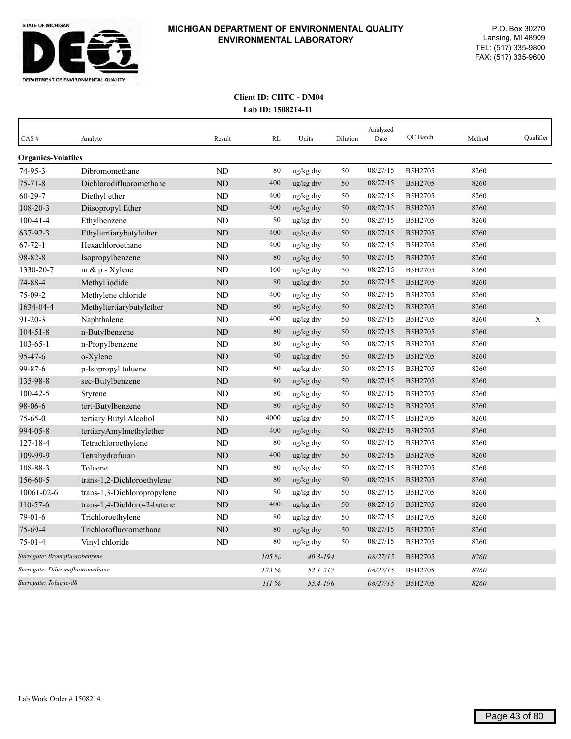

| CAS#                            | Analyte                     | Result         | <b>RL</b> | Units        | Dilution | Analyzed<br>Date | QC Batch | Method | Qualifier |
|---------------------------------|-----------------------------|----------------|-----------|--------------|----------|------------------|----------|--------|-----------|
| <b>Organics-Volatiles</b>       |                             |                |           |              |          |                  |          |        |           |
| $74 - 95 - 3$                   | Dibromomethane              | <b>ND</b>      | 80        | ug/kg dry    | 50       | 08/27/15         | B5H2705  | 8260   |           |
| $75 - 71 - 8$                   | Dichlorodifluoromethane     | ND             | 400       | ug/kg dry    | 50       | 08/27/15         | B5H2705  | 8260   |           |
| $60 - 29 - 7$                   | Diethyl ether               | ND             | 400       | ug/kg dry    | 50       | 08/27/15         | B5H2705  | 8260   |           |
| 108-20-3                        | Diisopropyl Ether           | N <sub>D</sub> | 400       | ug/kg dry    | 50       | 08/27/15         | B5H2705  | 8260   |           |
| $100 - 41 - 4$                  | Ethylbenzene                | ND             | 80        | ug/kg dry    | 50       | 08/27/15         | B5H2705  | 8260   |           |
| 637-92-3                        | Ethyltertiarybutylether     | ND             | 400       | ug/kg dry    | 50       | 08/27/15         | B5H2705  | 8260   |           |
| $67 - 72 - 1$                   | Hexachloroethane            | <b>ND</b>      | 400       | ug/kg dry    | 50       | 08/27/15         | B5H2705  | 8260   |           |
| 98-82-8                         | Isopropylbenzene            | <b>ND</b>      | 80        | ug/kg dry    | 50       | 08/27/15         | B5H2705  | 8260   |           |
| 1330-20-7                       | m & p - Xylene              | ND             | 160       | ug/kg dry    | 50       | 08/27/15         | B5H2705  | 8260   |           |
| 74-88-4                         | Methyl iodide               | <b>ND</b>      | 80        | ug/kg dry    | 50       | 08/27/15         | B5H2705  | 8260   |           |
| $75-09-2$                       | Methylene chloride          | ND             | 400       | ug/kg dry    | 50       | 08/27/15         | B5H2705  | 8260   |           |
| 1634-04-4                       | Methyltertiarybutylether    | ND             | 80        | ug/kg dry    | 50       | 08/27/15         | B5H2705  | 8260   |           |
| $91 - 20 - 3$                   | Naphthalene                 | ND             | 400       | ug/kg dry    | 50       | 08/27/15         | B5H2705  | 8260   | X         |
| $104 - 51 - 8$                  | n-Butylbenzene              | ND             | 80        | ug/kg dry    | 50       | 08/27/15         | B5H2705  | 8260   |           |
| $103 - 65 - 1$                  | n-Propylbenzene             | <b>ND</b>      | 80        | ug/kg dry    | 50       | 08/27/15         | B5H2705  | 8260   |           |
| 95-47-6                         | o-Xylene                    | <b>ND</b>      | 80        | ug/kg dry    | 50       | 08/27/15         | B5H2705  | 8260   |           |
| 99-87-6                         | p-Isopropyl toluene         | <b>ND</b>      | 80        | ug/kg dry    | 50       | 08/27/15         | B5H2705  | 8260   |           |
| 135-98-8                        | sec-Butylbenzene            | ND             | 80        | ug/kg dry    | 50       | 08/27/15         | B5H2705  | 8260   |           |
| $100 - 42 - 5$                  | Styrene                     | <b>ND</b>      | 80        | ug/kg dry    | 50       | 08/27/15         | B5H2705  | 8260   |           |
| 98-06-6                         | tert-Butylbenzene           | <b>ND</b>      | 80        | ug/kg dry    | 50       | 08/27/15         | B5H2705  | 8260   |           |
| $75 - 65 - 0$                   | tertiary Butyl Alcohol      | ND             | 4000      | ug/kg dry    | 50       | 08/27/15         | B5H2705  | 8260   |           |
| 994-05-8                        | tertiaryAmylmethylether     | ND             | 400       | ug/kg dry    | 50       | 08/27/15         | B5H2705  | 8260   |           |
| $127 - 18 - 4$                  | Tetrachloroethylene         | ND             | 80        | ug/kg dry    | 50       | 08/27/15         | B5H2705  | 8260   |           |
| 109-99-9                        | Tetrahydrofuran             | <b>ND</b>      | 400       | ug/kg dry    | 50       | 08/27/15         | B5H2705  | 8260   |           |
| 108-88-3                        | Toluene                     | <b>ND</b>      | 80        | ug/kg dry    | 50       | 08/27/15         | B5H2705  | 8260   |           |
| 156-60-5                        | trans-1,2-Dichloroethylene  | <b>ND</b>      | 80        | ug/kg dry    | 50       | 08/27/15         | B5H2705  | 8260   |           |
| 10061-02-6                      | trans-1,3-Dichloropropylene | ND             | 80        | ug/kg dry    | 50       | 08/27/15         | B5H2705  | 8260   |           |
| $110 - 57 - 6$                  | trans-1,4-Dichloro-2-butene | <b>ND</b>      | 400       | ug/kg dry    | 50       | 08/27/15         | B5H2705  | 8260   |           |
| $79-01-6$                       | Trichloroethylene           | <b>ND</b>      | 80        | ug/kg dry    | 50       | 08/27/15         | B5H2705  | 8260   |           |
| 75-69-4                         | Trichlorofluoromethane      | <b>ND</b>      | 80        | ug/kg dry    | 50       | 08/27/15         | B5H2705  | 8260   |           |
| $75 - 01 - 4$                   | Vinyl chloride              | N <sub>D</sub> | 80        | ug/kg dry    | 50       | 08/27/15         | B5H2705  | 8260   |           |
| Surrogate: Bromofluorobenzene   |                             |                | 105 %     | $40.3 - 194$ |          | 08/27/15         | B5H2705  | 8260   |           |
| Surrogate: Dibromofluoromethane |                             |                | 123%      | $52.1 - 217$ |          | 08/27/15         | B5H2705  | 8260   |           |
| Surrogate: Toluene-d8           |                             |                | III%      | 55.4-196     |          | 08/27/15         | B5H2705  | 8260   |           |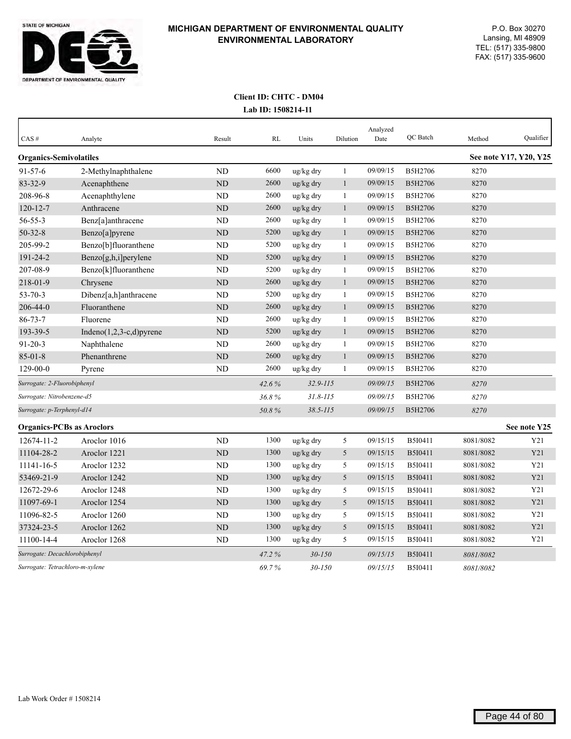

| CAS#                             | Analyte                     | Result    | RL    | Units        | Dilution     | Analyzed<br>Date | QC Batch       | Method    | Qualifier              |
|----------------------------------|-----------------------------|-----------|-------|--------------|--------------|------------------|----------------|-----------|------------------------|
| <b>Organics-Semivolatiles</b>    |                             |           |       |              |              |                  |                |           | See note Y17, Y20, Y25 |
| 91-57-6                          | 2-Methylnaphthalene         | <b>ND</b> | 6600  | ug/kg dry    | $\mathbf{1}$ | 09/09/15         | B5H2706        | 8270      |                        |
| 83-32-9                          | Acenaphthene                | ND        | 2600  | ug/kg dry    | $\mathbf{1}$ | 09/09/15         | <b>B5H2706</b> | 8270      |                        |
| 208-96-8                         | Acenaphthylene              | ND        | 2600  | ug/kg dry    | 1            | 09/09/15         | B5H2706        | 8270      |                        |
| $120 - 12 - 7$                   | Anthracene                  | ND        | 2600  | ug/kg dry    | $\mathbf{1}$ | 09/09/15         | B5H2706        | 8270      |                        |
| 56-55-3                          | Benz[a]anthracene           | ND        | 2600  | ug/kg dry    | 1            | 09/09/15         | B5H2706        | 8270      |                        |
| $50 - 32 - 8$                    | Benzo[a]pyrene              | $\rm ND$  | 5200  | ug/kg dry    | $\mathbf{1}$ | 09/09/15         | B5H2706        | 8270      |                        |
| 205-99-2                         | Benzo[b]fluoranthene        | <b>ND</b> | 5200  | ug/kg dry    | 1            | 09/09/15         | B5H2706        | 8270      |                        |
| 191-24-2                         | Benzo[g,h,i]perylene        | ND        | 5200  | ug/kg dry    | $\mathbf{1}$ | 09/09/15         | B5H2706        | 8270      |                        |
| 207-08-9                         | Benzo[k]fluoranthene        | ND        | 5200  | ug/kg dry    | 1            | 09/09/15         | B5H2706        | 8270      |                        |
| 218-01-9                         | Chrysene                    | <b>ND</b> | 2600  | ug/kg dry    | $\mathbf{1}$ | 09/09/15         | B5H2706        | 8270      |                        |
| $53 - 70 - 3$                    | Dibenz[a,h]anthracene       | ND        | 5200  | ug/kg dry    | 1            | 09/09/15         | B5H2706        | 8270      |                        |
| 206-44-0                         | Fluoranthene                | ND        | 2600  | ug/kg dry    | $\mathbf{1}$ | 09/09/15         | <b>B5H2706</b> | 8270      |                        |
| $86 - 73 - 7$                    | Fluorene                    | <b>ND</b> | 2600  | ug/kg dry    | $\mathbf{1}$ | 09/09/15         | B5H2706        | 8270      |                        |
| 193-39-5                         | Indeno $(1,2,3-c,d)$ pyrene | ND        | 5200  | ug/kg dry    | $\mathbf{1}$ | 09/09/15         | <b>B5H2706</b> | 8270      |                        |
| $91 - 20 - 3$                    | Naphthalene                 | ND        | 2600  | ug/kg dry    | $\mathbf{1}$ | 09/09/15         | B5H2706        | 8270      |                        |
| $85 - 01 - 8$                    | Phenanthrene                | ND        | 2600  | ug/kg dry    | $\mathbf{1}$ | 09/09/15         | <b>B5H2706</b> | 8270      |                        |
| $129 - 00 - 0$                   | Pyrene                      | <b>ND</b> | 2600  | ug/kg dry    | 1            | 09/09/15         | B5H2706        | 8270      |                        |
| Surrogate: 2-Fluorobiphenyl      |                             |           | 42.6% | $32.9 - 115$ |              | 09/09/15         | B5H2706        | 8270      |                        |
| Surrogate: Nitrobenzene-d5       |                             |           | 36.8% | $31.8 - 115$ |              | 09/09/15         | B5H2706        | 8270      |                        |
| Surrogate: p-Terphenyl-d14       |                             |           | 50.8% | $38.5 - 115$ |              | 09/09/15         | <b>B5H2706</b> | 8270      |                        |
| <b>Organics-PCBs as Aroclors</b> |                             |           |       |              |              |                  |                |           | See note Y25           |
| 12674-11-2                       | Aroclor 1016                | ND        | 1300  | ug/kg dry    | 5            | 09/15/15         | B5I0411        | 8081/8082 | Y21                    |
| 11104-28-2                       | Aroclor 1221                | ND        | 1300  | ug/kg dry    | 5            | 09/15/15         | <b>B5I0411</b> | 8081/8082 | Y21                    |
| 11141-16-5                       | Aroclor 1232                | ND        | 1300  | ug/kg dry    | 5            | 09/15/15         | B5I0411        | 8081/8082 | Y21                    |
| 53469-21-9                       | Aroclor 1242                | <b>ND</b> | 1300  | ug/kg dry    | 5            | 09/15/15         | B5I0411        | 8081/8082 | Y21                    |
| 12672-29-6                       | Aroclor 1248                | ND        | 1300  | ug/kg dry    | 5            | 09/15/15         | B5I0411        | 8081/8082 | Y21                    |
| 11097-69-1                       | Aroclor 1254                | <b>ND</b> | 1300  | ug/kg dry    | 5            | 09/15/15         | B5I0411        | 8081/8082 | Y21                    |
| 11096-82-5                       | Aroclor 1260                | <b>ND</b> | 1300  | ug/kg dry    | 5            | 09/15/15         | B5I0411        | 8081/8082 | Y21                    |
| 37324-23-5                       | Aroclor 1262                | <b>ND</b> | 1300  | ug/kg dry    | 5            | 09/15/15         | B5I0411        | 8081/8082 | Y21                    |
| 11100-14-4                       | Aroclor 1268                | <b>ND</b> | 1300  | ug/kg dry    | 5            | 09/15/15         | B5I0411        | 8081/8082 | Y21                    |
| Surrogate: Decachlorobiphenyl    |                             |           | 47.2% | $30 - 150$   |              | 09/15/15         | <b>B5I0411</b> | 8081/8082 |                        |
| Surrogate: Tetrachloro-m-xylene  |                             |           | 69.7% | $30 - 150$   |              | 09/15/15         | B5I0411        | 8081/8082 |                        |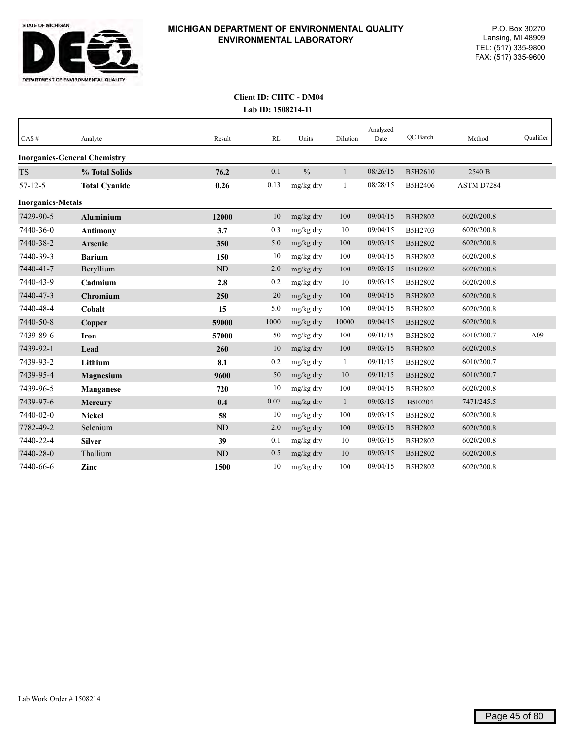

| CAS#                     | Analyte                             | Result    | RL   | Units         | Dilution     | Analyzed<br>Date | QC Batch | Method     | Qualifier |
|--------------------------|-------------------------------------|-----------|------|---------------|--------------|------------------|----------|------------|-----------|
|                          | <b>Inorganics-General Chemistry</b> |           |      |               |              |                  |          |            |           |
| <b>TS</b>                | % Total Solids                      | 76.2      | 0.1  | $\frac{0}{0}$ | 1            | 08/26/15         | B5H2610  | 2540 B     |           |
| $57 - 12 - 5$            | <b>Total Cyanide</b>                | 0.26      | 0.13 | mg/kg dry     | 1            | 08/28/15         | B5H2406  | ASTM D7284 |           |
| <b>Inorganics-Metals</b> |                                     |           |      |               |              |                  |          |            |           |
| 7429-90-5                | <b>Aluminium</b>                    | 12000     | 10   | mg/kg dry     | 100          | 09/04/15         | B5H2802  | 6020/200.8 |           |
| 7440-36-0                | <b>Antimony</b>                     | 3.7       | 0.3  | mg/kg dry     | 10           | 09/04/15         | B5H2703  | 6020/200.8 |           |
| 7440-38-2                | Arsenic                             | 350       | 5.0  | mg/kg dry     | 100          | 09/03/15         | B5H2802  | 6020/200.8 |           |
| 7440-39-3                | <b>Barium</b>                       | 150       | 10   | mg/kg dry     | 100          | 09/04/15         | B5H2802  | 6020/200.8 |           |
| 7440-41-7                | Beryllium                           | <b>ND</b> | 2.0  | mg/kg dry     | 100          | 09/03/15         | B5H2802  | 6020/200.8 |           |
| 7440-43-9                | Cadmium                             | 2.8       | 0.2  | mg/kg dry     | 10           | 09/03/15         | B5H2802  | 6020/200.8 |           |
| 7440-47-3                | <b>Chromium</b>                     | 250       | 20   | mg/kg dry     | 100          | 09/04/15         | B5H2802  | 6020/200.8 |           |
| 7440-48-4                | Cobalt                              | 15        | 5.0  | mg/kg dry     | 100          | 09/04/15         | B5H2802  | 6020/200.8 |           |
| 7440-50-8                | Copper                              | 59000     | 1000 | mg/kg dry     | 10000        | 09/04/15         | B5H2802  | 6020/200.8 |           |
| 7439-89-6                | Iron                                | 57000     | 50   | mg/kg dry     | 100          | 09/11/15         | B5H2802  | 6010/200.7 | A09       |
| 7439-92-1                | Lead                                | 260       | 10   | mg/kg dry     | 100          | 09/03/15         | B5H2802  | 6020/200.8 |           |
| 7439-93-2                | Lithium                             | 8.1       | 0.2  | mg/kg dry     | 1            | 09/11/15         | B5H2802  | 6010/200.7 |           |
| 7439-95-4                | <b>Magnesium</b>                    | 9600      | 50   | mg/kg dry     | 10           | 09/11/15         | B5H2802  | 6010/200.7 |           |
| 7439-96-5                | Manganese                           | 720       | 10   | mg/kg dry     | 100          | 09/04/15         | B5H2802  | 6020/200.8 |           |
| 7439-97-6                | Mercury                             | 0.4       | 0.07 | mg/kg dry     | $\mathbf{1}$ | 09/03/15         | B5I0204  | 7471/245.5 |           |
| 7440-02-0                | <b>Nickel</b>                       | 58        | 10   | mg/kg dry     | 100          | 09/03/15         | B5H2802  | 6020/200.8 |           |
| 7782-49-2                | Selenium                            | <b>ND</b> | 2.0  | mg/kg dry     | 100          | 09/03/15         | B5H2802  | 6020/200.8 |           |
| 7440-22-4                | <b>Silver</b>                       | 39        | 0.1  | mg/kg dry     | 10           | 09/03/15         | B5H2802  | 6020/200.8 |           |
| 7440-28-0                | Thallium                            | <b>ND</b> | 0.5  | mg/kg dry     | 10           | 09/03/15         | B5H2802  | 6020/200.8 |           |
| 7440-66-6                | Zinc                                | 1500      | 10   | mg/kg dry     | 100          | 09/04/15         | B5H2802  | 6020/200.8 |           |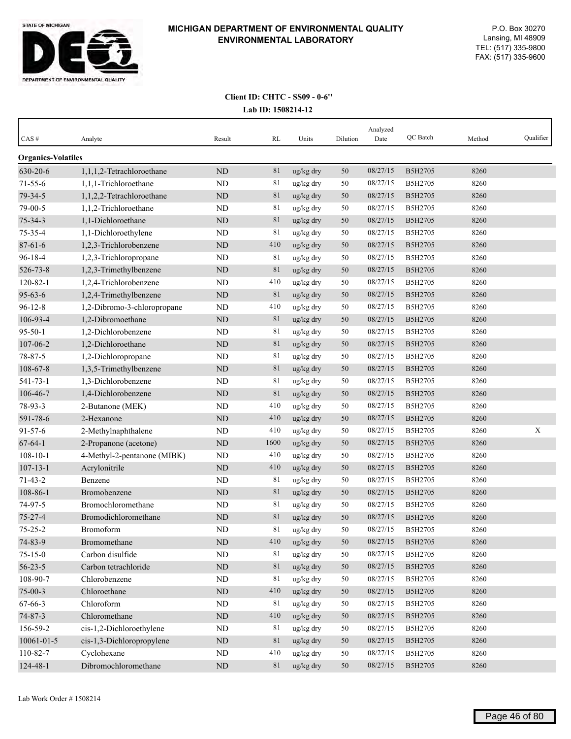

| $CAS \#$                  | Analyte                     | Result     | RL   | Units     | Dilution | Analyzed<br>Date | QC Batch | Method | Qualifier |
|---------------------------|-----------------------------|------------|------|-----------|----------|------------------|----------|--------|-----------|
| <b>Organics-Volatiles</b> |                             |            |      |           |          |                  |          |        |           |
| 630-20-6                  | 1,1,1,2-Tetrachloroethane   | ND         | 81   | ug/kg dry | 50       | 08/27/15         | B5H2705  | 8260   |           |
| $71 - 55 - 6$             | 1,1,1-Trichloroethane       | ND         | 81   | ug/kg dry | 50       | 08/27/15         | B5H2705  | 8260   |           |
| 79-34-5                   | 1,1,2,2-Tetrachloroethane   | <b>ND</b>  | 81   | ug/kg dry | 50       | 08/27/15         | B5H2705  | 8260   |           |
| 79-00-5                   | 1,1,2-Trichloroethane       | ND         | 81   | ug/kg dry | 50       | 08/27/15         | B5H2705  | 8260   |           |
| $75 - 34 - 3$             | 1,1-Dichloroethane          | ND         | 81   | ug/kg dry | 50       | 08/27/15         | B5H2705  | 8260   |           |
| 75-35-4                   | 1,1-Dichloroethylene        | ND         | 81   | ug/kg dry | 50       | 08/27/15         | B5H2705  | 8260   |           |
| $87 - 61 - 6$             | 1,2,3-Trichlorobenzene      | $\rm ND$   | 410  | ug/kg dry | 50       | 08/27/15         | B5H2705  | 8260   |           |
| $96 - 18 - 4$             | 1,2,3-Trichloropropane      | ND         | 81   | ug/kg dry | 50       | 08/27/15         | B5H2705  | 8260   |           |
| 526-73-8                  | 1,2,3-Trimethylbenzene      | <b>ND</b>  | 81   | ug/kg dry | 50       | 08/27/15         | B5H2705  | 8260   |           |
| $120 - 82 - 1$            | 1,2,4-Trichlorobenzene      | ND         | 410  | ug/kg dry | 50       | 08/27/15         | B5H2705  | 8260   |           |
| $95 - 63 - 6$             | 1,2,4-Trimethylbenzene      | ND         | 81   | ug/kg dry | 50       | 08/27/15         | B5H2705  | 8260   |           |
| $96 - 12 - 8$             | 1,2-Dibromo-3-chloropropane | ND         | 410  | ug/kg dry | 50       | 08/27/15         | B5H2705  | 8260   |           |
| 106-93-4                  | 1,2-Dibromoethane           | ND         | 81   | ug/kg dry | 50       | 08/27/15         | B5H2705  | 8260   |           |
| $95 - 50 - 1$             | 1,2-Dichlorobenzene         | ND         | 81   | ug/kg dry | 50       | 08/27/15         | B5H2705  | 8260   |           |
| 107-06-2                  | 1,2-Dichloroethane          | <b>ND</b>  | 81   | ug/kg dry | 50       | 08/27/15         | B5H2705  | 8260   |           |
| $78 - 87 - 5$             | 1,2-Dichloropropane         | ND         | 81   | ug/kg dry | 50       | 08/27/15         | B5H2705  | 8260   |           |
| 108-67-8                  | 1,3,5-Trimethylbenzene      | ${\rm ND}$ | 81   | ug/kg dry | 50       | 08/27/15         | B5H2705  | 8260   |           |
| $541 - 73 - 1$            | 1,3-Dichlorobenzene         | ND         | 81   | ug/kg dry | 50       | 08/27/15         | B5H2705  | 8260   |           |
| 106-46-7                  | 1,4-Dichlorobenzene         | $\rm ND$   | 81   | ug/kg dry | 50       | 08/27/15         | B5H2705  | 8260   |           |
| 78-93-3                   | 2-Butanone (MEK)            | ND         | 410  | ug/kg dry | 50       | 08/27/15         | B5H2705  | 8260   |           |
| 591-78-6                  | 2-Hexanone                  | ND         | 410  | ug/kg dry | 50       | 08/27/15         | B5H2705  | 8260   |           |
| $91 - 57 - 6$             | 2-Methylnaphthalene         | ND         | 410  | ug/kg dry | 50       | 08/27/15         | B5H2705  | 8260   | X         |
| $67 - 64 - 1$             | 2-Propanone (acetone)       | ND         | 1600 | ug/kg dry | 50       | 08/27/15         | B5H2705  | 8260   |           |
| $108 - 10 - 1$            | 4-Methyl-2-pentanone (MIBK) | ND         | 410  | ug/kg dry | 50       | 08/27/15         | B5H2705  | 8260   |           |
| $107 - 13 - 1$            | Acrylonitrile               | ND         | 410  | ug/kg dry | 50       | 08/27/15         | B5H2705  | 8260   |           |
| $71 - 43 - 2$             | Benzene                     | ND         | 81   | ug/kg dry | 50       | 08/27/15         | B5H2705  | 8260   |           |
| 108-86-1                  | Bromobenzene                | <b>ND</b>  | 81   | ug/kg dry | 50       | 08/27/15         | B5H2705  | 8260   |           |
| 74-97-5                   | Bromochloromethane          | ND         | 81   | ug/kg dry | 50       | 08/27/15         | B5H2705  | 8260   |           |
| $75 - 27 - 4$             | Bromodichloromethane        | ND         | 81   | ug/kg dry | 50       | 08/27/15         | B5H2705  | 8260   |           |
| $75 - 25 - 2$             | Bromoform                   | ND         | 81   | ug/kg dry | 50       | 08/27/15         | B5H2705  | 8260   |           |
| 74-83-9                   | Bromomethane                | $\rm ND$   | 410  | ug/kg dry | $50\,$   | 08/27/15         | B5H2705  | 8260   |           |
| $75 - 15 - 0$             | Carbon disulfide            | $\rm ND$   | 81   | ug/kg dry | 50       | 08/27/15         | B5H2705  | 8260   |           |
| $56 - 23 - 5$             | Carbon tetrachloride        | $\rm ND$   | 81   | ug/kg dry | $50\,$   | 08/27/15         | B5H2705  | 8260   |           |
| 108-90-7                  | Chlorobenzene               | ND         | 81   | ug/kg dry | 50       | 08/27/15         | B5H2705  | 8260   |           |
| $75 - 00 - 3$             | Chloroethane                | $\rm ND$   | 410  | ug/kg dry | 50       | 08/27/15         | B5H2705  | 8260   |           |
| 67-66-3                   | Chloroform                  | $\rm ND$   | 81   | ug/kg dry | 50       | 08/27/15         | B5H2705  | 8260   |           |
| 74-87-3                   | Chloromethane               | $\rm ND$   | 410  | ug/kg dry | 50       | 08/27/15         | B5H2705  | 8260   |           |
| 156-59-2                  | cis-1,2-Dichloroethylene    | $\rm ND$   | 81   | ug/kg dry | 50       | 08/27/15         | B5H2705  | 8260   |           |
| 10061-01-5                | cis-1,3-Dichloropropylene   | $\rm ND$   | 81   | ug/kg dry | $50\,$   | 08/27/15         | B5H2705  | 8260   |           |
| 110-82-7                  | Cyclohexane                 | ND         | 410  | ug/kg dry | 50       | 08/27/15         | B5H2705  | 8260   |           |
| 124-48-1                  | Dibromochloromethane        | $\rm ND$   | 81   | ug/kg dry | 50       | 08/27/15         | B5H2705  | 8260   |           |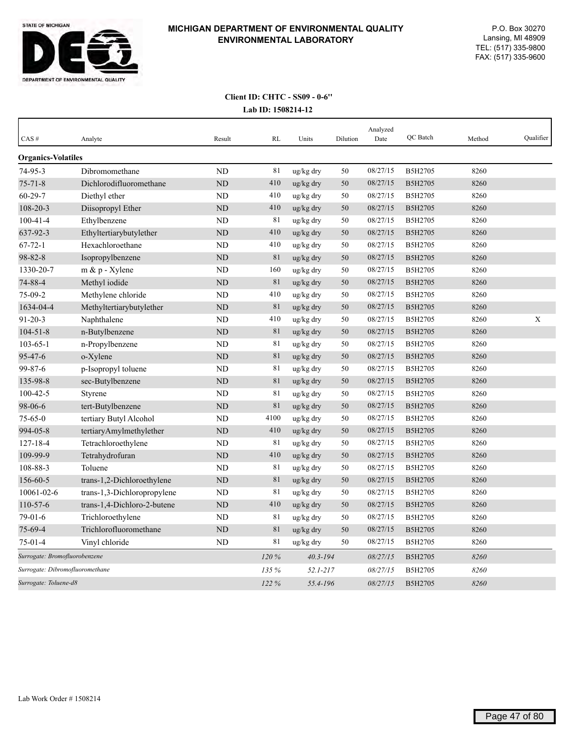

| CAS#                            | Analyte                     | Result         | <b>RL</b> | Units        | Dilution | Analyzed<br>Date | QC Batch       | Method | Qualifier   |
|---------------------------------|-----------------------------|----------------|-----------|--------------|----------|------------------|----------------|--------|-------------|
| <b>Organics-Volatiles</b>       |                             |                |           |              |          |                  |                |        |             |
| 74-95-3                         | Dibromomethane              | N <sub>D</sub> | 81        | ug/kg dry    | 50       | 08/27/15         | B5H2705        | 8260   |             |
| $75 - 71 - 8$                   | Dichlorodifluoromethane     | ND             | 410       | ug/kg dry    | 50       | 08/27/15         | B5H2705        | 8260   |             |
| $60 - 29 - 7$                   | Diethyl ether               | ND             | 410       | ug/kg dry    | 50       | 08/27/15         | B5H2705        | 8260   |             |
| $108 - 20 - 3$                  | Diisopropyl Ether           | ND             | 410       | ug/kg dry    | 50       | 08/27/15         | B5H2705        | 8260   |             |
| $100 - 41 - 4$                  | Ethylbenzene                | ND             | 81        | ug/kg dry    | 50       | 08/27/15         | B5H2705        | 8260   |             |
| 637-92-3                        | Ethyltertiarybutylether     | ND             | 410       | ug/kg dry    | 50       | 08/27/15         | B5H2705        | 8260   |             |
| $67 - 72 - 1$                   | Hexachloroethane            | <b>ND</b>      | 410       | ug/kg dry    | 50       | 08/27/15         | B5H2705        | 8260   |             |
| 98-82-8                         | Isopropylbenzene            | <b>ND</b>      | 81        | ug/kg dry    | 50       | 08/27/15         | <b>B5H2705</b> | 8260   |             |
| 1330-20-7                       | $m \& p$ - Xylene           | <b>ND</b>      | 160       | ug/kg dry    | 50       | 08/27/15         | B5H2705        | 8260   |             |
| 74-88-4                         | Methyl iodide               | <b>ND</b>      | 81        | ug/kg dry    | 50       | 08/27/15         | <b>B5H2705</b> | 8260   |             |
| 75-09-2                         | Methylene chloride          | <b>ND</b>      | 410       | ug/kg dry    | 50       | 08/27/15         | B5H2705        | 8260   |             |
| 1634-04-4                       | Methyltertiarybutylether    | ND             | 81        | ug/kg dry    | 50       | 08/27/15         | <b>B5H2705</b> | 8260   |             |
| $91 - 20 - 3$                   | Naphthalene                 | <b>ND</b>      | 410       | ug/kg dry    | 50       | 08/27/15         | B5H2705        | 8260   | $\mathbf X$ |
| $104 - 51 - 8$                  | n-Butylbenzene              | <b>ND</b>      | 81        | ug/kg dry    | 50       | 08/27/15         | B5H2705        | 8260   |             |
| $103 - 65 - 1$                  | n-Propylbenzene             | ND             | 81        | ug/kg dry    | 50       | 08/27/15         | B5H2705        | 8260   |             |
| 95-47-6                         | o-Xylene                    | <b>ND</b>      | 81        | ug/kg dry    | 50       | 08/27/15         | B5H2705        | 8260   |             |
| 99-87-6                         | p-Isopropyl toluene         | <b>ND</b>      | 81        | ug/kg dry    | 50       | 08/27/15         | B5H2705        | 8260   |             |
| 135-98-8                        | sec-Butylbenzene            | <b>ND</b>      | 81        | ug/kg dry    | 50       | 08/27/15         | <b>B5H2705</b> | 8260   |             |
| $100 - 42 - 5$                  | Styrene                     | <b>ND</b>      | 81        | ug/kg dry    | 50       | 08/27/15         | B5H2705        | 8260   |             |
| 98-06-6                         | tert-Butylbenzene           | ND             | 81        | ug/kg dry    | 50       | 08/27/15         | B5H2705        | 8260   |             |
| $75 - 65 - 0$                   | tertiary Butyl Alcohol      | <b>ND</b>      | 4100      | ug/kg dry    | 50       | 08/27/15         | B5H2705        | 8260   |             |
| 994-05-8                        | tertiaryAmylmethylether     | <b>ND</b>      | 410       | ug/kg dry    | 50       | 08/27/15         | B5H2705        | 8260   |             |
| $127 - 18 - 4$                  | Tetrachloroethylene         | <b>ND</b>      | 81        | ug/kg dry    | 50       | 08/27/15         | B5H2705        | 8260   |             |
| 109-99-9                        | Tetrahydrofuran             | N <sub>D</sub> | 410       | ug/kg dry    | 50       | 08/27/15         | B5H2705        | 8260   |             |
| 108-88-3                        | Toluene                     | <b>ND</b>      | 81        | ug/kg dry    | 50       | 08/27/15         | B5H2705        | 8260   |             |
| 156-60-5                        | trans-1,2-Dichloroethylene  | ND             | 81        | ug/kg dry    | 50       | 08/27/15         | B5H2705        | 8260   |             |
| 10061-02-6                      | trans-1,3-Dichloropropylene | <b>ND</b>      | 81        | ug/kg dry    | 50       | 08/27/15         | B5H2705        | 8260   |             |
| 110-57-6                        | trans-1,4-Dichloro-2-butene | <b>ND</b>      | 410       | ug/kg dry    | 50       | 08/27/15         | <b>B5H2705</b> | 8260   |             |
| $79-01-6$                       | Trichloroethylene           | <b>ND</b>      | 81        | ug/kg dry    | 50       | 08/27/15         | B5H2705        | 8260   |             |
| 75-69-4                         | Trichlorofluoromethane      | <b>ND</b>      | 81        | ug/kg dry    | 50       | 08/27/15         | <b>B5H2705</b> | 8260   |             |
| $75-01-4$                       | Vinyl chloride              | ND             | 81        | ug/kg dry    | 50       | 08/27/15         | B5H2705        | 8260   |             |
| Surrogate: Bromofluorobenzene   |                             |                | 120%      | $40.3 - 194$ |          | 08/27/15         | <b>B5H2705</b> | 8260   |             |
| Surrogate: Dibromofluoromethane |                             |                | 135 %     | $52.1 - 217$ |          | 08/27/15         | B5H2705        | 8260   |             |
| Surrogate: Toluene-d8           |                             |                | 122%      | 55.4-196     |          | 08/27/15         | <b>B5H2705</b> | 8260   |             |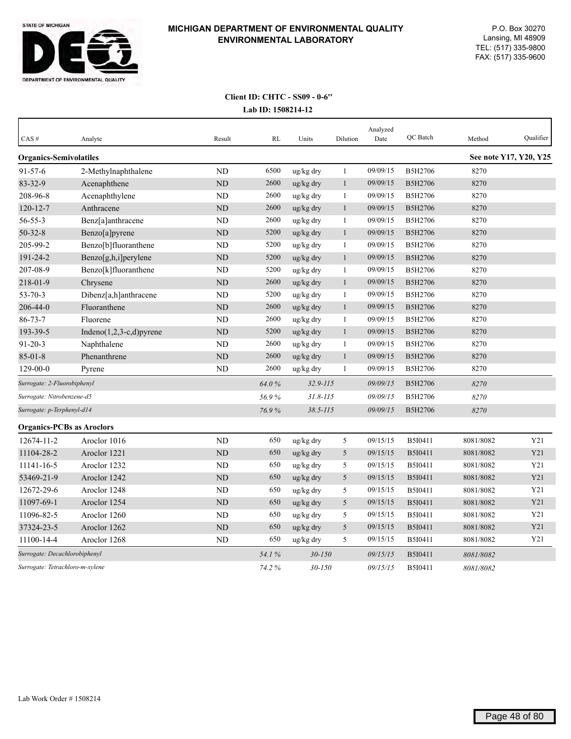

| CAS#                             | Analyte                     | Result         | RL    | Units        | Dilution     | Analyzed<br>Date | QC Batch | Method    | Qualifier              |
|----------------------------------|-----------------------------|----------------|-------|--------------|--------------|------------------|----------|-----------|------------------------|
| <b>Organics-Semivolatiles</b>    |                             |                |       |              |              |                  |          |           | See note Y17, Y20, Y25 |
| $91 - 57 - 6$                    | 2-Methylnaphthalene         | <b>ND</b>      | 6500  | ug/kg dry    | $\mathbf{1}$ | 09/09/15         | B5H2706  | 8270      |                        |
| 83-32-9                          | Acenaphthene                | ND             | 2600  | ug/kg dry    | $\mathbf{1}$ | 09/09/15         | B5H2706  | 8270      |                        |
| 208-96-8                         | Acenaphthylene              | ND             | 2600  | ug/kg dry    | 1            | 09/09/15         | B5H2706  | 8270      |                        |
| $120 - 12 - 7$                   | Anthracene                  | <b>ND</b>      | 2600  | ug/kg dry    | $\mathbf{1}$ | 09/09/15         | B5H2706  | 8270      |                        |
| $56 - 55 - 3$                    | Benz[a]anthracene           | <b>ND</b>      | 2600  | ug/kg dry    | 1            | 09/09/15         | B5H2706  | 8270      |                        |
| $50 - 32 - 8$                    | Benzo[a]pyrene              | $\rm ND$       | 5200  | ug/kg dry    | $\mathbf{1}$ | 09/09/15         | B5H2706  | 8270      |                        |
| 205-99-2                         | Benzo[b]fluoranthene        | <b>ND</b>      | 5200  | ug/kg dry    | $\mathbf{1}$ | 09/09/15         | B5H2706  | 8270      |                        |
| 191-24-2                         | Benzo[g,h,i]perylene        | ND             | 5200  | ug/kg dry    | $\mathbf{1}$ | 09/09/15         | B5H2706  | 8270      |                        |
| 207-08-9                         | Benzo[k]fluoranthene        | <b>ND</b>      | 5200  | ug/kg dry    | 1            | 09/09/15         | B5H2706  | 8270      |                        |
| 218-01-9                         | Chrysene                    | <b>ND</b>      | 2600  | ug/kg dry    | $\mathbf{1}$ | 09/09/15         | B5H2706  | 8270      |                        |
| $53 - 70 - 3$                    | Dibenz[a,h]anthracene       | <b>ND</b>      | 5200  | ug/kg dry    | 1            | 09/09/15         | B5H2706  | 8270      |                        |
| 206-44-0                         | Fluoranthene                | <b>ND</b>      | 2600  | ug/kg dry    | $\mathbf{1}$ | 09/09/15         | B5H2706  | 8270      |                        |
| $86 - 73 - 7$                    | Fluorene                    | <b>ND</b>      | 2600  | ug/kg dry    | $\mathbf{1}$ | 09/09/15         | B5H2706  | 8270      |                        |
| 193-39-5                         | Indeno $(1,2,3-c,d)$ pyrene | <b>ND</b>      | 5200  | ug/kg dry    | $\mathbf{1}$ | 09/09/15         | B5H2706  | 8270      |                        |
| $91 - 20 - 3$                    | Naphthalene                 | <b>ND</b>      | 2600  | ug/kg dry    | $\mathbf{1}$ | 09/09/15         | B5H2706  | 8270      |                        |
| $85 - 01 - 8$                    | Phenanthrene                | ND             | 2600  | ug/kg dry    | $\mathbf{1}$ | 09/09/15         | B5H2706  | 8270      |                        |
| 129-00-0                         | Pyrene                      | ND             | 2600  | ug/kg dry    | $\mathbf{1}$ | 09/09/15         | B5H2706  | 8270      |                        |
| Surrogate: 2-Fluorobiphenyl      |                             |                | 64.0% | $32.9 - 115$ |              | 09/09/15         | B5H2706  | 8270      |                        |
| Surrogate: Nitrobenzene-d5       |                             |                | 56.9% | $31.8 - 115$ |              | 09/09/15         | B5H2706  | 8270      |                        |
| Surrogate: p-Terphenyl-d14       |                             |                | 76.9% | $38.5 - 115$ |              | 09/09/15         | B5H2706  | 8270      |                        |
| <b>Organics-PCBs as Aroclors</b> |                             |                |       |              |              |                  |          |           |                        |
| 12674-11-2                       | Aroclor 1016                | N <sub>D</sub> | 650   | ug/kg dry    | $\sqrt{5}$   | 09/15/15         | B5I0411  | 8081/8082 | Y21                    |
| 11104-28-2                       | Aroclor 1221                | ND             | 650   | ug/kg dry    | 5            | 09/15/15         | B5I0411  | 8081/8082 | Y21                    |
| 11141-16-5                       | Aroclor 1232                | ND             | 650   | ug/kg dry    | 5            | 09/15/15         | B5I0411  | 8081/8082 | Y21                    |
| 53469-21-9                       | Aroclor 1242                | <b>ND</b>      | 650   | ug/kg dry    | 5            | 09/15/15         | B5I0411  | 8081/8082 | Y21                    |
| 12672-29-6                       | Aroclor 1248                | ND             | 650   | ug/kg dry    | 5            | 09/15/15         | B5I0411  | 8081/8082 | Y21                    |
| 11097-69-1                       | Aroclor 1254                | <b>ND</b>      | 650   | ug/kg dry    | 5            | 09/15/15         | B5I0411  | 8081/8082 | Y21                    |
| 11096-82-5                       | Aroclor 1260                | ND             | 650   | ug/kg dry    | 5            | 09/15/15         | B5I0411  | 8081/8082 | Y21                    |
| 37324-23-5                       | Aroclor 1262                | <b>ND</b>      | 650   | ug/kg dry    | 5            | 09/15/15         | B5I0411  | 8081/8082 | Y21                    |
| 11100-14-4                       | Aroclor 1268                | <b>ND</b>      | 650   | ug/kg dry    | 5            | 09/15/15         | B5I0411  | 8081/8082 | Y21                    |
| Surrogate: Decachlorobiphenyl    |                             |                | 54.1% | $30 - 150$   |              | 09/15/15         | B5I0411  | 8081/8082 |                        |
| Surrogate: Tetrachloro-m-xylene  |                             |                | 74.2% | $30 - 150$   |              | 09/15/15         | B5I0411  | 8081/8082 |                        |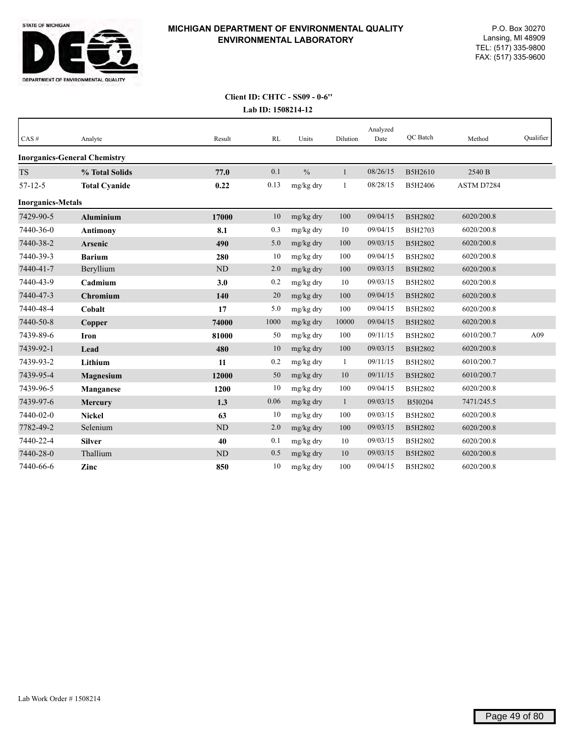

| $CAS \#$                 | Analyte                             | Result    | RL   | Units         | Dilution     | Analyzed<br>Date | QC Batch | Method     | Qualifier |
|--------------------------|-------------------------------------|-----------|------|---------------|--------------|------------------|----------|------------|-----------|
|                          | <b>Inorganics-General Chemistry</b> |           |      |               |              |                  |          |            |           |
| <b>TS</b>                | % Total Solids                      | 77.0      | 0.1  | $\frac{0}{0}$ | 1            | 08/26/15         | B5H2610  | 2540 B     |           |
| $57 - 12 - 5$            | <b>Total Cyanide</b>                | 0.22      | 0.13 | mg/kg dry     | $\mathbf{1}$ | 08/28/15         | B5H2406  | ASTM D7284 |           |
| <b>Inorganics-Metals</b> |                                     |           |      |               |              |                  |          |            |           |
| 7429-90-5                | <b>Aluminium</b>                    | 17000     | 10   | mg/kg dry     | 100          | 09/04/15         | B5H2802  | 6020/200.8 |           |
| 7440-36-0                | <b>Antimony</b>                     | 8.1       | 0.3  | mg/kg dry     | 10           | 09/04/15         | B5H2703  | 6020/200.8 |           |
| 7440-38-2                | <b>Arsenic</b>                      | 490       | 5.0  | mg/kg dry     | 100          | 09/03/15         | B5H2802  | 6020/200.8 |           |
| 7440-39-3                | <b>Barium</b>                       | 280       | 10   | mg/kg dry     | 100          | 09/04/15         | B5H2802  | 6020/200.8 |           |
| 7440-41-7                | Beryllium                           | <b>ND</b> | 2.0  | mg/kg dry     | 100          | 09/03/15         | B5H2802  | 6020/200.8 |           |
| 7440-43-9                | Cadmium                             | 3.0       | 0.2  | mg/kg dry     | 10           | 09/03/15         | B5H2802  | 6020/200.8 |           |
| 7440-47-3                | Chromium                            | 140       | 20   | mg/kg dry     | 100          | 09/04/15         | B5H2802  | 6020/200.8 |           |
| 7440-48-4                | Cobalt                              | 17        | 5.0  | mg/kg dry     | 100          | 09/04/15         | B5H2802  | 6020/200.8 |           |
| 7440-50-8                | Copper                              | 74000     | 1000 | mg/kg dry     | 10000        | 09/04/15         | B5H2802  | 6020/200.8 |           |
| 7439-89-6                | <b>Iron</b>                         | 81000     | 50   | mg/kg dry     | 100          | 09/11/15         | B5H2802  | 6010/200.7 | A09       |
| 7439-92-1                | Lead                                | 480       | 10   | mg/kg dry     | 100          | 09/03/15         | B5H2802  | 6020/200.8 |           |
| 7439-93-2                | Lithium                             | 11        | 0.2  | mg/kg dry     | 1            | 09/11/15         | B5H2802  | 6010/200.7 |           |
| 7439-95-4                | Magnesium                           | 12000     | 50   | mg/kg dry     | 10           | 09/11/15         | B5H2802  | 6010/200.7 |           |
| 7439-96-5                | Manganese                           | 1200      | 10   | mg/kg dry     | 100          | 09/04/15         | B5H2802  | 6020/200.8 |           |
| 7439-97-6                | <b>Mercury</b>                      | 1.3       | 0.06 | mg/kg dry     | $\mathbf{1}$ | 09/03/15         | B5I0204  | 7471/245.5 |           |
| 7440-02-0                | <b>Nickel</b>                       | 63        | 10   | mg/kg dry     | 100          | 09/03/15         | B5H2802  | 6020/200.8 |           |
| 7782-49-2                | Selenium                            | <b>ND</b> | 2.0  | mg/kg dry     | 100          | 09/03/15         | B5H2802  | 6020/200.8 |           |
| 7440-22-4                | <b>Silver</b>                       | 40        | 0.1  | mg/kg dry     | 10           | 09/03/15         | B5H2802  | 6020/200.8 |           |
| 7440-28-0                | Thallium                            | <b>ND</b> | 0.5  | mg/kg dry     | 10           | 09/03/15         | B5H2802  | 6020/200.8 |           |
| 7440-66-6                | Zinc                                | 850       | 10   | mg/kg dry     | 100          | 09/04/15         | B5H2802  | 6020/200.8 |           |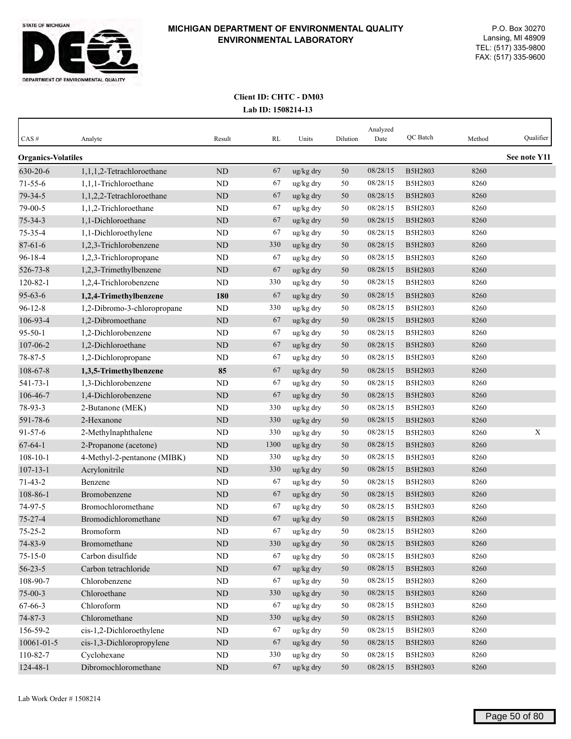

| CAS#                      | Analyte                     | Result    | RL   | Units                 | Dilution | Analyzed<br>Date | QC Batch       | Method | Qualifier    |
|---------------------------|-----------------------------|-----------|------|-----------------------|----------|------------------|----------------|--------|--------------|
| <b>Organics-Volatiles</b> |                             |           |      |                       |          |                  |                |        | See note Y11 |
| 630-20-6                  | 1,1,1,2-Tetrachloroethane   | $\rm ND$  | 67   | ug/kg dry             | 50       | 08/28/15         | <b>B5H2803</b> | 8260   |              |
| $71 - 55 - 6$             | 1,1,1-Trichloroethane       | ND        | 67   | ug/kg dry             | 50       | 08/28/15         | B5H2803        | 8260   |              |
| 79-34-5                   | 1,1,2,2-Tetrachloroethane   | <b>ND</b> | 67   | $\frac{u g}{k g}$ dry | 50       | 08/28/15         | B5H2803        | 8260   |              |
| 79-00-5                   | 1,1,2-Trichloroethane       | <b>ND</b> | 67   | ug/kg dry             | 50       | 08/28/15         | B5H2803        | 8260   |              |
| $75 - 34 - 3$             | 1,1-Dichloroethane          | <b>ND</b> | 67   | ug/kg dry             | 50       | 08/28/15         | B5H2803        | 8260   |              |
| 75-35-4                   | 1,1-Dichloroethylene        | <b>ND</b> | 67   | ug/kg dry             | 50       | 08/28/15         | B5H2803        | 8260   |              |
| $87 - 61 - 6$             | 1,2,3-Trichlorobenzene      | ND        | 330  | ug/kg dry             | 50       | 08/28/15         | B5H2803        | 8260   |              |
| $96 - 18 - 4$             | 1,2,3-Trichloropropane      | ND        | 67   | ug/kg dry             | 50       | 08/28/15         | B5H2803        | 8260   |              |
| 526-73-8                  | 1,2,3-Trimethylbenzene      | $\rm ND$  | 67   | ug/kg dry             | 50       | 08/28/15         | B5H2803        | 8260   |              |
| $120 - 82 - 1$            | 1,2,4-Trichlorobenzene      | <b>ND</b> | 330  | ug/kg dry             | 50       | 08/28/15         | B5H2803        | 8260   |              |
| $95 - 63 - 6$             | 1,2,4-Trimethylbenzene      | 180       | 67   | ug/kg dry             | 50       | 08/28/15         | B5H2803        | 8260   |              |
| $96 - 12 - 8$             | 1,2-Dibromo-3-chloropropane | ND        | 330  | ug/kg dry             | 50       | 08/28/15         | B5H2803        | 8260   |              |
| 106-93-4                  | 1,2-Dibromoethane           | ND        | 67   | ug/kg dry             | 50       | 08/28/15         | B5H2803        | 8260   |              |
| $95 - 50 - 1$             | 1,2-Dichlorobenzene         | <b>ND</b> | 67   | ug/kg dry             | 50       | 08/28/15         | B5H2803        | 8260   |              |
| 107-06-2                  | 1,2-Dichloroethane          | $\rm ND$  | 67   | ug/kg dry             | 50       | 08/28/15         | B5H2803        | 8260   |              |
| 78-87-5                   | 1,2-Dichloropropane         | ND        | 67   | ug/kg dry             | 50       | 08/28/15         | B5H2803        | 8260   |              |
| 108-67-8                  | 1,3,5-Trimethylbenzene      | 85        | 67   | ug/kg dry             | 50       | 08/28/15         | B5H2803        | 8260   |              |
| $541 - 73 - 1$            | 1,3-Dichlorobenzene         | <b>ND</b> | 67   | ug/kg dry             | 50       | 08/28/15         | B5H2803        | 8260   |              |
| 106-46-7                  | 1,4-Dichlorobenzene         | ND        | 67   | ug/kg dry             | 50       | 08/28/15         | B5H2803        | 8260   |              |
| 78-93-3                   | 2-Butanone (MEK)            | ND        | 330  | ug/kg dry             | 50       | 08/28/15         | B5H2803        | 8260   |              |
| 591-78-6                  | 2-Hexanone                  | ND        | 330  | ug/kg dry             | 50       | 08/28/15         | B5H2803        | 8260   |              |
| $91 - 57 - 6$             | 2-Methylnaphthalene         | <b>ND</b> | 330  | ug/kg dry             | 50       | 08/28/15         | B5H2803        | 8260   | X            |
| $67 - 64 - 1$             | 2-Propanone (acetone)       | ND        | 1300 | ug/kg dry             | 50       | 08/28/15         | B5H2803        | 8260   |              |
| $108 - 10 - 1$            | 4-Methyl-2-pentanone (MIBK) | ND        | 330  | ug/kg dry             | 50       | 08/28/15         | B5H2803        | 8260   |              |
| $107 - 13 - 1$            | Acrylonitrile               | <b>ND</b> | 330  | ug/kg dry             | 50       | 08/28/15         | B5H2803        | 8260   |              |
| $71 - 43 - 2$             | Benzene                     | ND        | 67   | ug/kg dry             | 50       | 08/28/15         | B5H2803        | 8260   |              |
| 108-86-1                  | Bromobenzene                | ND        | 67   | ug/kg dry             | 50       | 08/28/15         | B5H2803        | 8260   |              |
| 74-97-5                   | Bromochloromethane          | ND        | 67   | ug/kg dry             | 50       | 08/28/15         | B5H2803        | 8260   |              |
| $75 - 27 - 4$             | Bromodichloromethane        | <b>ND</b> | 67   | ug/kg dry             | 50       | 08/28/15         | B5H2803        | 8260   |              |
| $75 - 25 - 2$             | Bromoform                   | <b>ND</b> | 67   | ug/kg dry             | 50       | 08/28/15         | B5H2803        | 8260   |              |
| 74-83-9                   | Bromomethane                | $\rm ND$  | 330  | ug/kg dry             | 50       | 08/28/15         | B5H2803        | 8260   |              |
| $75 - 15 - 0$             | Carbon disulfide            | ND        | 67   | ug/kg dry             | 50       | 08/28/15         | B5H2803        | 8260   |              |
| $56 - 23 - 5$             | Carbon tetrachloride        | $\rm ND$  | 67   | ug/kg dry             | $50\,$   | 08/28/15         | B5H2803        | 8260   |              |
| 108-90-7                  | Chlorobenzene               | $\rm ND$  | 67   | ug/kg dry             | 50       | 08/28/15         | B5H2803        | 8260   |              |
| $75 - 00 - 3$             | Chloroethane                | $\rm ND$  | 330  | ug/kg dry             | 50       | 08/28/15         | B5H2803        | 8260   |              |
| 67-66-3                   | Chloroform                  | $\rm ND$  | 67   | ug/kg dry             | 50       | 08/28/15         | B5H2803        | 8260   |              |
| $74 - 87 - 3$             | Chloromethane               | $\rm ND$  | 330  | ug/kg dry             | 50       | 08/28/15         | B5H2803        | 8260   |              |
| 156-59-2                  | cis-1,2-Dichloroethylene    | ND        | 67   | ug/kg dry             | 50       | 08/28/15         | B5H2803        | 8260   |              |
| 10061-01-5                | cis-1,3-Dichloropropylene   | $\rm ND$  | 67   | ug/kg dry             | $50\,$   | 08/28/15         | B5H2803        | 8260   |              |
| 110-82-7                  | Cyclohexane                 | $\rm ND$  | 330  | ug/kg dry             | 50       | 08/28/15         | B5H2803        | 8260   |              |
| 124-48-1                  | Dibromochloromethane        | $\rm ND$  | 67   | ug/kg dry             | 50       | 08/28/15         | B5H2803        | 8260   |              |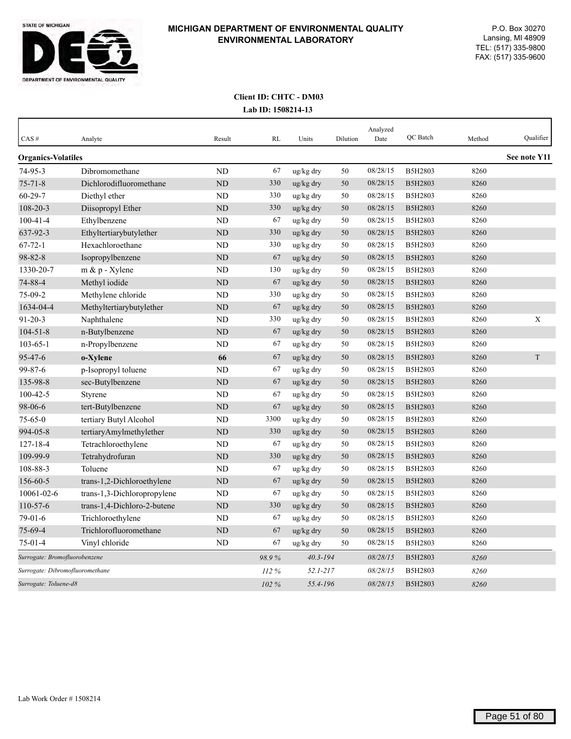

| CAS#                            | Analyte                     | Result         | <b>RL</b> | Units        | Dilution | Analyzed<br>Date | QC Batch       | Method | Qualifier    |
|---------------------------------|-----------------------------|----------------|-----------|--------------|----------|------------------|----------------|--------|--------------|
| <b>Organics-Volatiles</b>       |                             |                |           |              |          |                  |                |        | See note Y11 |
| 74-95-3                         | Dibromomethane              | <b>ND</b>      | 67        | ug/kg dry    | 50       | 08/28/15         | B5H2803        | 8260   |              |
| $75 - 71 - 8$                   | Dichlorodifluoromethane     | <b>ND</b>      | 330       | ug/kg dry    | 50       | 08/28/15         | B5H2803        | 8260   |              |
| $60 - 29 - 7$                   | Diethyl ether               | ND             | 330       | ug/kg dry    | 50       | 08/28/15         | <b>B5H2803</b> | 8260   |              |
| 108-20-3                        | Diisopropyl Ether           | <b>ND</b>      | 330       | ug/kg dry    | 50       | 08/28/15         | B5H2803        | 8260   |              |
| $100 - 41 - 4$                  | Ethylbenzene                | <b>ND</b>      | 67        | ug/kg dry    | 50       | 08/28/15         | B5H2803        | 8260   |              |
| 637-92-3                        | Ethyltertiarybutylether     | <b>ND</b>      | 330       | ug/kg dry    | 50       | 08/28/15         | B5H2803        | 8260   |              |
| $67 - 72 - 1$                   | Hexachloroethane            | ND             | 330       | ug/kg dry    | 50       | 08/28/15         | B5H2803        | 8260   |              |
| $98 - 82 - 8$                   | Isopropylbenzene            | <b>ND</b>      | 67        | ug/kg dry    | 50       | 08/28/15         | B5H2803        | 8260   |              |
| 1330-20-7                       | m & p - Xylene              | ND             | 130       | ug/kg dry    | 50       | 08/28/15         | B5H2803        | 8260   |              |
| 74-88-4                         | Methyl iodide               | N <sub>D</sub> | 67        | ug/kg dry    | 50       | 08/28/15         | B5H2803        | 8260   |              |
| 75-09-2                         | Methylene chloride          | <b>ND</b>      | 330       | ug/kg dry    | 50       | 08/28/15         | B5H2803        | 8260   |              |
| 1634-04-4                       | Methyltertiarybutylether    | <b>ND</b>      | 67        | ug/kg dry    | 50       | 08/28/15         | B5H2803        | 8260   |              |
| $91 - 20 - 3$                   | Naphthalene                 | <b>ND</b>      | 330       | ug/kg dry    | 50       | 08/28/15         | B5H2803        | 8260   | X            |
| $104 - 51 - 8$                  | n-Butylbenzene              | <b>ND</b>      | 67        | ug/kg dry    | 50       | 08/28/15         | B5H2803        | 8260   |              |
| $103 - 65 - 1$                  | n-Propylbenzene             | <b>ND</b>      | 67        | ug/kg dry    | 50       | 08/28/15         | B5H2803        | 8260   |              |
| 95-47-6                         | o-Xylene                    | 66             | 67        | ug/kg dry    | 50       | 08/28/15         | B5H2803        | 8260   | $\mathbf T$  |
| 99-87-6                         | p-Isopropyl toluene         | <b>ND</b>      | 67        | ug/kg dry    | 50       | 08/28/15         | B5H2803        | 8260   |              |
| 135-98-8                        | sec-Butylbenzene            | <b>ND</b>      | 67        | ug/kg dry    | 50       | 08/28/15         | B5H2803        | 8260   |              |
| $100 - 42 - 5$                  | Styrene                     | <b>ND</b>      | 67        | ug/kg dry    | 50       | 08/28/15         | B5H2803        | 8260   |              |
| 98-06-6                         | tert-Butylbenzene           | <b>ND</b>      | 67        | ug/kg dry    | 50       | 08/28/15         | B5H2803        | 8260   |              |
| $75 - 65 - 0$                   | tertiary Butyl Alcohol      | <b>ND</b>      | 3300      | ug/kg dry    | 50       | 08/28/15         | B5H2803        | 8260   |              |
| 994-05-8                        | tertiaryAmylmethylether     | ND             | 330       | ug/kg dry    | 50       | 08/28/15         | B5H2803        | 8260   |              |
| $127 - 18 - 4$                  | Tetrachloroethylene         | <b>ND</b>      | 67        | ug/kg dry    | 50       | 08/28/15         | B5H2803        | 8260   |              |
| 109-99-9                        | Tetrahydrofuran             | <b>ND</b>      | 330       | ug/kg dry    | 50       | 08/28/15         | B5H2803        | 8260   |              |
| 108-88-3                        | Toluene                     | <b>ND</b>      | 67        | ug/kg dry    | 50       | 08/28/15         | B5H2803        | 8260   |              |
| 156-60-5                        | trans-1,2-Dichloroethylene  | <b>ND</b>      | 67        | ug/kg dry    | 50       | 08/28/15         | B5H2803        | 8260   |              |
| 10061-02-6                      | trans-1,3-Dichloropropylene | ND             | 67        | ug/kg dry    | 50       | 08/28/15         | B5H2803        | 8260   |              |
| $110 - 57 - 6$                  | trans-1,4-Dichloro-2-butene | <b>ND</b>      | 330       | ug/kg dry    | 50       | 08/28/15         | B5H2803        | 8260   |              |
| $79-01-6$                       | Trichloroethylene           | ND             | 67        | ug/kg dry    | 50       | 08/28/15         | B5H2803        | 8260   |              |
| $75 - 69 - 4$                   | Trichlorofluoromethane      | <b>ND</b>      | 67        | ug/kg dry    | 50       | 08/28/15         | B5H2803        | 8260   |              |
| $75 - 01 - 4$                   | Vinyl chloride              | ND             | 67        | ug/kg dry    | 50       | 08/28/15         | B5H2803        | 8260   |              |
| Surrogate: Bromofluorobenzene   |                             |                | 98.9%     | $40.3 - 194$ |          | 08/28/15         | B5H2803        | 8260   |              |
| Surrogate: Dibromofluoromethane |                             |                | 112%      | $52.1 - 217$ |          | 08/28/15         | B5H2803        | 8260   |              |
| Surrogate: Toluene-d8           |                             |                | $102\%$   | 55.4-196     |          | 08/28/15         | B5H2803        | 8260   |              |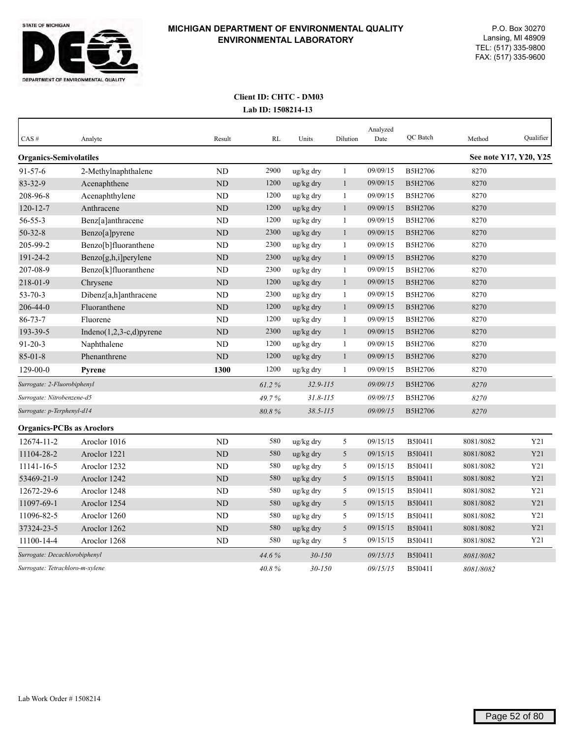

| CAS#                             | Analyte                     | Result         | RL    | Units        | Dilution     | Analyzed<br>Date | QC Batch       | Method    | Qualifier              |
|----------------------------------|-----------------------------|----------------|-------|--------------|--------------|------------------|----------------|-----------|------------------------|
| <b>Organics-Semivolatiles</b>    |                             |                |       |              |              |                  |                |           | See note Y17, Y20, Y25 |
| 91-57-6                          | 2-Methylnaphthalene         | <b>ND</b>      | 2900  | ug/kg dry    | 1            | 09/09/15         | B5H2706        | 8270      |                        |
| 83-32-9                          | Acenaphthene                | <b>ND</b>      | 1200  | ug/kg dry    | $\mathbf{1}$ | 09/09/15         | B5H2706        | 8270      |                        |
| 208-96-8                         | Acenaphthylene              | ND             | 1200  | ug/kg dry    | $\mathbf{1}$ | 09/09/15         | B5H2706        | 8270      |                        |
| $120 - 12 - 7$                   | Anthracene                  | ND             | 1200  | ug/kg dry    | $\mathbf{1}$ | 09/09/15         | <b>B5H2706</b> | 8270      |                        |
| 56-55-3                          | Benz[a]anthracene           | $\rm ND$       | 1200  | ug/kg dry    | $\mathbf{1}$ | 09/09/15         | B5H2706        | 8270      |                        |
| $50 - 32 - 8$                    | Benzo[a]pyrene              | $\rm ND$       | 2300  | ug/kg dry    | $\mathbf{1}$ | 09/09/15         | B5H2706        | 8270      |                        |
| 205-99-2                         | Benzo[b]fluoranthene        | N <sub>D</sub> | 2300  | ug/kg dry    | 1            | 09/09/15         | B5H2706        | 8270      |                        |
| 191-24-2                         | Benzo[g,h,i]perylene        | ND             | 2300  | ug/kg dry    | $\mathbf{1}$ | 09/09/15         | B5H2706        | 8270      |                        |
| 207-08-9                         | Benzo[k]fluoranthene        | <b>ND</b>      | 2300  | ug/kg dry    | $\mathbf{1}$ | 09/09/15         | B5H2706        | 8270      |                        |
| 218-01-9                         | Chrysene                    | N <sub>D</sub> | 1200  | ug/kg dry    | $\mathbf{1}$ | 09/09/15         | B5H2706        | 8270      |                        |
| $53 - 70 - 3$                    | Dibenz[a,h]anthracene       | <b>ND</b>      | 2300  | ug/kg dry    | $\mathbf{1}$ | 09/09/15         | B5H2706        | 8270      |                        |
| 206-44-0                         | Fluoranthene                | <b>ND</b>      | 1200  | ug/kg dry    | $\mathbf{1}$ | 09/09/15         | B5H2706        | 8270      |                        |
| $86 - 73 - 7$                    | Fluorene                    | <b>ND</b>      | 1200  | ug/kg dry    | $\mathbf{1}$ | 09/09/15         | B5H2706        | 8270      |                        |
| 193-39-5                         | Indeno $(1,2,3-c,d)$ pyrene | <b>ND</b>      | 2300  | ug/kg dry    | $\mathbf{1}$ | 09/09/15         | B5H2706        | 8270      |                        |
| $91 - 20 - 3$                    | Naphthalene                 | ND             | 1200  | ug/kg dry    | $\mathbf{1}$ | 09/09/15         | B5H2706        | 8270      |                        |
| $85 - 01 - 8$                    | Phenanthrene                | <b>ND</b>      | 1200  | ug/kg dry    | $\mathbf{1}$ | 09/09/15         | B5H2706        | 8270      |                        |
| $129 - 00 - 0$                   | Pyrene                      | 1300           | 1200  | ug/kg dry    | $\mathbf{1}$ | 09/09/15         | B5H2706        | 8270      |                        |
| Surrogate: 2-Fluorobiphenyl      |                             |                | 61.2% | 32.9-115     |              | 09/09/15         | B5H2706        | 8270      |                        |
| Surrogate: Nitrobenzene-d5       |                             |                | 49.7% | $31.8 - 115$ |              | 09/09/15         | <b>B5H2706</b> | 8270      |                        |
| Surrogate: p-Terphenyl-d14       |                             |                | 80.8% | $38.5 - 115$ |              | 09/09/15         | <b>B5H2706</b> | 8270      |                        |
| <b>Organics-PCBs as Aroclors</b> |                             |                |       |              |              |                  |                |           |                        |
| 12674-11-2                       | Aroclor 1016                | N <sub>D</sub> | 580   | ug/kg dry    | $\sqrt{5}$   | 09/15/15         | B5I0411        | 8081/8082 | Y21                    |
| 11104-28-2                       | Aroclor 1221                | $\rm ND$       | 580   | ug/kg dry    | 5            | 09/15/15         | B5I0411        | 8081/8082 | Y21                    |
| 11141-16-5                       | Aroclor 1232                | ND             | 580   | ug/kg dry    | 5            | 09/15/15         | B5I0411        | 8081/8082 | Y21                    |
| 53469-21-9                       | Aroclor 1242                | ND             | 580   | ug/kg dry    | $\sqrt{5}$   | 09/15/15         | B5I0411        | 8081/8082 | Y21                    |
| 12672-29-6                       | Aroclor 1248                | ND             | 580   | ug/kg dry    | 5            | 09/15/15         | B5I0411        | 8081/8082 | Y21                    |
| 11097-69-1                       | Aroclor 1254                | N <sub>D</sub> | 580   | ug/kg dry    | 5            | 09/15/15         | B5I0411        | 8081/8082 | Y21                    |
| 11096-82-5                       | Aroclor 1260                | ND             | 580   | ug/kg dry    | 5            | 09/15/15         | B5I0411        | 8081/8082 | Y21                    |
| 37324-23-5                       | Aroclor 1262                | <b>ND</b>      | 580   | ug/kg dry    | 5            | 09/15/15         | B5I0411        | 8081/8082 | Y21                    |
| 11100-14-4                       | Aroclor 1268                | ND             | 580   | ug/kg dry    | 5            | 09/15/15         | B5I0411        | 8081/8082 | Y21                    |
| Surrogate: Decachlorobiphenyl    |                             |                | 44.6% | $30 - 150$   |              | 09/15/15         | B5I0411        | 8081/8082 |                        |
| Surrogate: Tetrachloro-m-xylene  |                             |                | 40.8% | $30 - 150$   |              | 09/15/15         | B5I0411        | 8081/8082 |                        |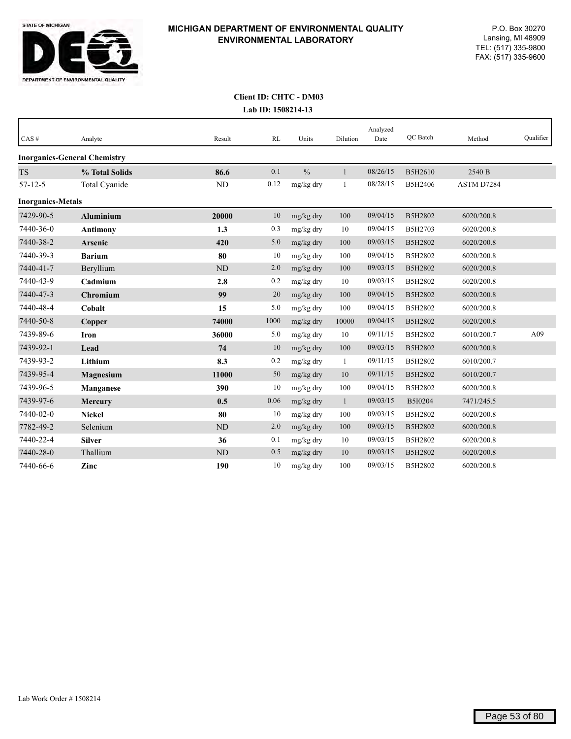

| CAS#                     | Analyte                             | Result    | RL   | Units         | Dilution     | Analyzed<br>Date | QC Batch | Method     | Qualifier |
|--------------------------|-------------------------------------|-----------|------|---------------|--------------|------------------|----------|------------|-----------|
|                          | <b>Inorganics-General Chemistry</b> |           |      |               |              |                  |          |            |           |
| <b>TS</b>                | % Total Solids                      | 86.6      | 0.1  | $\frac{0}{0}$ | 1            | 08/26/15         | B5H2610  | 2540 B     |           |
| $57 - 12 - 5$            | Total Cyanide                       | <b>ND</b> | 0.12 | mg/kg dry     | 1            | 08/28/15         | B5H2406  | ASTM D7284 |           |
| <b>Inorganics-Metals</b> |                                     |           |      |               |              |                  |          |            |           |
| 7429-90-5                | <b>Aluminium</b>                    | 20000     | 10   | mg/kg dry     | 100          | 09/04/15         | B5H2802  | 6020/200.8 |           |
| 7440-36-0                | <b>Antimony</b>                     | 1.3       | 0.3  | mg/kg dry     | 10           | 09/04/15         | B5H2703  | 6020/200.8 |           |
| 7440-38-2                | <b>Arsenic</b>                      | 420       | 5.0  | mg/kg dry     | 100          | 09/03/15         | B5H2802  | 6020/200.8 |           |
| 7440-39-3                | <b>Barium</b>                       | 80        | 10   | mg/kg dry     | 100          | 09/04/15         | B5H2802  | 6020/200.8 |           |
| 7440-41-7                | Beryllium                           | <b>ND</b> | 2.0  | mg/kg dry     | 100          | 09/03/15         | B5H2802  | 6020/200.8 |           |
| 7440-43-9                | Cadmium                             | 2.8       | 0.2  | mg/kg dry     | 10           | 09/03/15         | B5H2802  | 6020/200.8 |           |
| 7440-47-3                | Chromium                            | 99        | 20   | mg/kg dry     | 100          | 09/04/15         | B5H2802  | 6020/200.8 |           |
| 7440-48-4                | Cobalt                              | 15        | 5.0  | mg/kg dry     | 100          | 09/04/15         | B5H2802  | 6020/200.8 |           |
| 7440-50-8                | Copper                              | 74000     | 1000 | mg/kg dry     | 10000        | 09/04/15         | B5H2802  | 6020/200.8 |           |
| 7439-89-6                | Iron                                | 36000     | 5.0  | mg/kg dry     | 10           | 09/11/15         | B5H2802  | 6010/200.7 | A09       |
| 7439-92-1                | Lead                                | 74        | 10   | mg/kg dry     | 100          | 09/03/15         | B5H2802  | 6020/200.8 |           |
| 7439-93-2                | Lithium                             | 8.3       | 0.2  | mg/kg dry     | 1            | 09/11/15         | B5H2802  | 6010/200.7 |           |
| 7439-95-4                | Magnesium                           | 11000     | 50   | mg/kg dry     | 10           | 09/11/15         | B5H2802  | 6010/200.7 |           |
| 7439-96-5                | Manganese                           | 390       | 10   | mg/kg dry     | 100          | 09/04/15         | B5H2802  | 6020/200.8 |           |
| 7439-97-6                | Mercury                             | 0.5       | 0.06 | mg/kg dry     | $\mathbf{1}$ | 09/03/15         | B5I0204  | 7471/245.5 |           |
| 7440-02-0                | <b>Nickel</b>                       | 80        | 10   | mg/kg dry     | 100          | 09/03/15         | B5H2802  | 6020/200.8 |           |
| 7782-49-2                | Selenium                            | <b>ND</b> | 2.0  | mg/kg dry     | 100          | 09/03/15         | B5H2802  | 6020/200.8 |           |
| 7440-22-4                | <b>Silver</b>                       | 36        | 0.1  | mg/kg dry     | 10           | 09/03/15         | B5H2802  | 6020/200.8 |           |
| 7440-28-0                | Thallium                            | <b>ND</b> | 0.5  | mg/kg dry     | 10           | 09/03/15         | B5H2802  | 6020/200.8 |           |
| 7440-66-6                | Zinc                                | 190       | 10   | mg/kg dry     | 100          | 09/03/15         | B5H2802  | 6020/200.8 |           |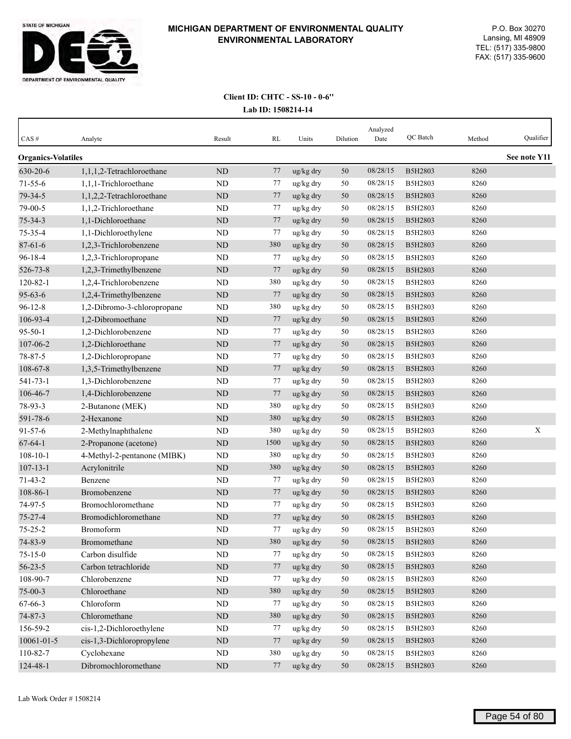

| $CAS \#$                  | Analyte                     | Result    | RL   | Units     | Dilution | Analyzed<br>Date | QC Batch | Method | Qualifier    |
|---------------------------|-----------------------------|-----------|------|-----------|----------|------------------|----------|--------|--------------|
| <b>Organics-Volatiles</b> |                             |           |      |           |          |                  |          |        | See note Y11 |
| 630-20-6                  | 1,1,1,2-Tetrachloroethane   | ND        | 77   | ug/kg dry | 50       | 08/28/15         | B5H2803  | 8260   |              |
| $71 - 55 - 6$             | 1,1,1-Trichloroethane       | ND        | 77   | ug/kg dry | 50       | 08/28/15         | B5H2803  | 8260   |              |
| 79-34-5                   | 1,1,2,2-Tetrachloroethane   | <b>ND</b> | 77   | ug/kg dry | 50       | 08/28/15         | B5H2803  | 8260   |              |
| 79-00-5                   | 1,1,2-Trichloroethane       | <b>ND</b> | 77   | ug/kg dry | 50       | 08/28/15         | B5H2803  | 8260   |              |
| $75 - 34 - 3$             | 1,1-Dichloroethane          | <b>ND</b> | 77   | ug/kg dry | 50       | 08/28/15         | B5H2803  | 8260   |              |
| 75-35-4                   | 1,1-Dichloroethylene        | <b>ND</b> | 77   | ug/kg dry | 50       | 08/28/15         | B5H2803  | 8260   |              |
| $87 - 61 - 6$             | 1,2,3-Trichlorobenzene      | $\rm ND$  | 380  | ug/kg dry | 50       | 08/28/15         | B5H2803  | 8260   |              |
| $96 - 18 - 4$             | 1,2,3-Trichloropropane      | <b>ND</b> | 77   | ug/kg dry | 50       | 08/28/15         | B5H2803  | 8260   |              |
| 526-73-8                  | 1,2,3-Trimethylbenzene      | ND        | 77   | ug/kg dry | 50       | 08/28/15         | B5H2803  | 8260   |              |
| $120 - 82 - 1$            | 1,2,4-Trichlorobenzene      | ND        | 380  | ug/kg dry | 50       | 08/28/15         | B5H2803  | 8260   |              |
| $95 - 63 - 6$             | 1,2,4-Trimethylbenzene      | ND        | 77   | ug/kg dry | 50       | 08/28/15         | B5H2803  | 8260   |              |
| $96 - 12 - 8$             | 1,2-Dibromo-3-chloropropane | ND        | 380  | ug/kg dry | 50       | 08/28/15         | B5H2803  | 8260   |              |
| 106-93-4                  | 1,2-Dibromoethane           | <b>ND</b> | 77   | ug/kg dry | 50       | 08/28/15         | B5H2803  | 8260   |              |
| $95 - 50 - 1$             | 1,2-Dichlorobenzene         | <b>ND</b> | 77   | ug/kg dry | 50       | 08/28/15         | B5H2803  | 8260   |              |
| 107-06-2                  | 1,2-Dichloroethane          | <b>ND</b> | 77   | ug/kg dry | 50       | 08/28/15         | B5H2803  | 8260   |              |
| 78-87-5                   | 1,2-Dichloropropane         | <b>ND</b> | 77   | ug/kg dry | 50       | 08/28/15         | B5H2803  | 8260   |              |
| $108 - 67 - 8$            | 1,3,5-Trimethylbenzene      | <b>ND</b> | 77   | ug/kg dry | 50       | 08/28/15         | B5H2803  | 8260   |              |
| $541 - 73 - 1$            | 1,3-Dichlorobenzene         | <b>ND</b> | 77   | ug/kg dry | 50       | 08/28/15         | B5H2803  | 8260   |              |
| 106-46-7                  | 1,4-Dichlorobenzene         | ND        | 77   | ug/kg dry | 50       | 08/28/15         | B5H2803  | 8260   |              |
| 78-93-3                   | 2-Butanone (MEK)            | <b>ND</b> | 380  | ug/kg dry | 50       | 08/28/15         | B5H2803  | 8260   |              |
| 591-78-6                  | 2-Hexanone                  | ND        | 380  | ug/kg dry | 50       | 08/28/15         | B5H2803  | 8260   |              |
| $91 - 57 - 6$             | 2-Methylnaphthalene         | ND        | 380  | ug/kg dry | 50       | 08/28/15         | B5H2803  | 8260   | X            |
| $67 - 64 - 1$             | 2-Propanone (acetone)       | <b>ND</b> | 1500 | ug/kg dry | 50       | 08/28/15         | B5H2803  | 8260   |              |
| $108 - 10 - 1$            | 4-Methyl-2-pentanone (MIBK) | <b>ND</b> | 380  | ug/kg dry | 50       | 08/28/15         | B5H2803  | 8260   |              |
| $107 - 13 - 1$            | Acrylonitrile               | <b>ND</b> | 380  | ug/kg dry | 50       | 08/28/15         | B5H2803  | 8260   |              |
| $71 - 43 - 2$             | Benzene                     | ND        | 77   | ug/kg dry | 50       | 08/28/15         | B5H2803  | 8260   |              |
| 108-86-1                  | Bromobenzene                | <b>ND</b> | 77   | ug/kg dry | 50       | 08/28/15         | B5H2803  | 8260   |              |
| 74-97-5                   | Bromochloromethane          | <b>ND</b> | 77   | ug/kg dry | 50       | 08/28/15         | B5H2803  | 8260   |              |
| $75 - 27 - 4$             | Bromodichloromethane        | <b>ND</b> | 77   | ug/kg dry | 50       | 08/28/15         | B5H2803  | 8260   |              |
| $75 - 25 - 2$             | Bromoform                   | <b>ND</b> | 77   | ug/kg dry | 50       | 08/28/15         | B5H2803  | 8260   |              |
| 74-83-9                   | Bromomethane                | $\rm ND$  | 380  | ug/kg dry | 50       | 08/28/15         | B5H2803  | 8260   |              |
| $75 - 15 - 0$             | Carbon disulfide            | ND        | 77   | ug/kg dry | 50       | 08/28/15         | B5H2803  | 8260   |              |
| $56 - 23 - 5$             | Carbon tetrachloride        | $\rm ND$  | 77   | ug/kg dry | 50       | 08/28/15         | B5H2803  | 8260   |              |
| 108-90-7                  | Chlorobenzene               | $\rm ND$  | 77   | ug/kg dry | 50       | 08/28/15         | B5H2803  | 8260   |              |
| $75 - 00 - 3$             | Chloroethane                | ND        | 380  | ug/kg dry | 50       | 08/28/15         | B5H2803  | 8260   |              |
| 67-66-3                   | Chloroform                  | $\rm ND$  | 77   | ug/kg dry | 50       | 08/28/15         | B5H2803  | 8260   |              |
| $74 - 87 - 3$             | Chloromethane               | $\rm ND$  | 380  | ug/kg dry | 50       | 08/28/15         | B5H2803  | 8260   |              |
| 156-59-2                  | cis-1,2-Dichloroethylene    | ND        | 77   | ug/kg dry | 50       | 08/28/15         | B5H2803  | 8260   |              |
| 10061-01-5                | cis-1,3-Dichloropropylene   | $\rm ND$  | 77   | ug/kg dry | $50\,$   | 08/28/15         | B5H2803  | 8260   |              |
| 110-82-7                  | Cyclohexane                 | $\rm ND$  | 380  | ug/kg dry | 50       | 08/28/15         | B5H2803  | 8260   |              |
| 124-48-1                  | Dibromochloromethane        | $\rm ND$  | 77   | ug/kg dry | 50       | 08/28/15         | B5H2803  | 8260   |              |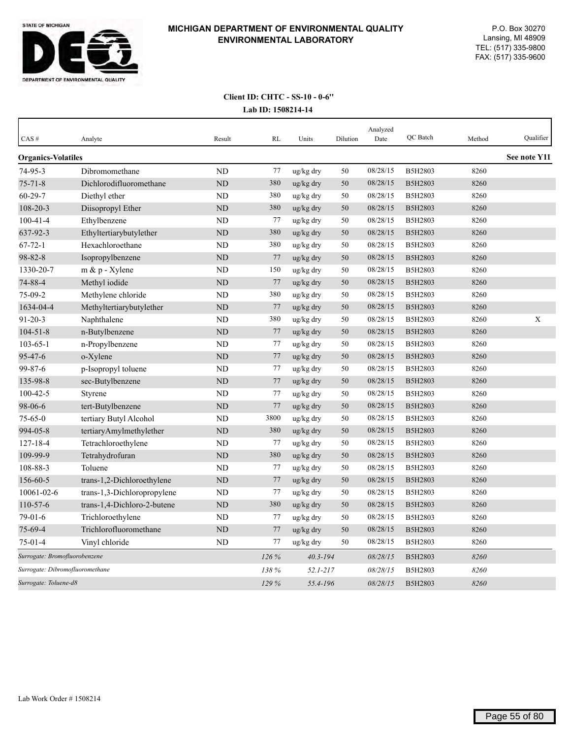

| CAS#                            | Analyte                     | Result    | <b>RL</b> | Units        | Dilution | Analyzed<br>Date | QC Batch | Method | Oualifier    |
|---------------------------------|-----------------------------|-----------|-----------|--------------|----------|------------------|----------|--------|--------------|
| <b>Organics-Volatiles</b>       |                             |           |           |              |          |                  |          |        | See note Y11 |
| $74 - 95 - 3$                   | Dibromomethane              | <b>ND</b> | 77        | ug/kg dry    | 50       | 08/28/15         | B5H2803  | 8260   |              |
| $75 - 71 - 8$                   | Dichlorodifluoromethane     | ND        | 380       | ug/kg dry    | 50       | 08/28/15         | B5H2803  | 8260   |              |
| $60 - 29 - 7$                   | Diethyl ether               | <b>ND</b> | 380       | ug/kg dry    | 50       | 08/28/15         | B5H2803  | 8260   |              |
| 108-20-3                        | Diisopropyl Ether           | ND        | 380       | ug/kg dry    | 50       | 08/28/15         | B5H2803  | 8260   |              |
| $100 - 41 - 4$                  | Ethylbenzene                | ND        | 77        | ug/kg dry    | 50       | 08/28/15         | B5H2803  | 8260   |              |
| 637-92-3                        | Ethyltertiarybutylether     | <b>ND</b> | 380       | ug/kg dry    | 50       | 08/28/15         | B5H2803  | 8260   |              |
| $67 - 72 - 1$                   | Hexachloroethane            | <b>ND</b> | 380       | ug/kg dry    | 50       | 08/28/15         | B5H2803  | 8260   |              |
| $98 - 82 - 8$                   | Isopropylbenzene            | <b>ND</b> | 77        | ug/kg dry    | 50       | 08/28/15         | B5H2803  | 8260   |              |
| 1330-20-7                       | $m \& p$ - Xylene           | <b>ND</b> | 150       | ug/kg dry    | 50       | 08/28/15         | B5H2803  | 8260   |              |
| 74-88-4                         | Methyl iodide               | <b>ND</b> | 77        | ug/kg dry    | 50       | 08/28/15         | B5H2803  | 8260   |              |
| 75-09-2                         | Methylene chloride          | <b>ND</b> | 380       | ug/kg dry    | 50       | 08/28/15         | B5H2803  | 8260   |              |
| 1634-04-4                       | Methyltertiarybutylether    | <b>ND</b> | 77        | ug/kg dry    | 50       | 08/28/15         | B5H2803  | 8260   |              |
| $91 - 20 - 3$                   | Naphthalene                 | ND        | 380       | ug/kg dry    | 50       | 08/28/15         | B5H2803  | 8260   | X            |
| $104 - 51 - 8$                  | n-Butylbenzene              | <b>ND</b> | 77        | ug/kg dry    | 50       | 08/28/15         | B5H2803  | 8260   |              |
| $103 - 65 - 1$                  | n-Propylbenzene             | ND        | 77        | ug/kg dry    | 50       | 08/28/15         | B5H2803  | 8260   |              |
| 95-47-6                         | o-Xylene                    | <b>ND</b> | 77        | ug/kg dry    | 50       | 08/28/15         | B5H2803  | 8260   |              |
| 99-87-6                         | p-Isopropyl toluene         | <b>ND</b> | 77        | ug/kg dry    | 50       | 08/28/15         | B5H2803  | 8260   |              |
| 135-98-8                        | sec-Butylbenzene            | <b>ND</b> | 77        | ug/kg dry    | 50       | 08/28/15         | B5H2803  | 8260   |              |
| $100 - 42 - 5$                  | Styrene                     | <b>ND</b> | 77        | ug/kg dry    | 50       | 08/28/15         | B5H2803  | 8260   |              |
| 98-06-6                         | tert-Butylbenzene           | <b>ND</b> | 77        | ug/kg dry    | 50       | 08/28/15         | B5H2803  | 8260   |              |
| $75 - 65 - 0$                   | tertiary Butyl Alcohol      | <b>ND</b> | 3800      | ug/kg dry    | 50       | 08/28/15         | B5H2803  | 8260   |              |
| 994-05-8                        | tertiaryAmylmethylether     | <b>ND</b> | 380       | ug/kg dry    | 50       | 08/28/15         | B5H2803  | 8260   |              |
| 127-18-4                        | Tetrachloroethylene         | <b>ND</b> | 77        | ug/kg dry    | 50       | 08/28/15         | B5H2803  | 8260   |              |
| 109-99-9                        | Tetrahydrofuran             | <b>ND</b> | 380       | ug/kg dry    | 50       | 08/28/15         | B5H2803  | 8260   |              |
| 108-88-3                        | Toluene                     | <b>ND</b> | 77        | ug/kg dry    | 50       | 08/28/15         | B5H2803  | 8260   |              |
| 156-60-5                        | trans-1,2-Dichloroethylene  | <b>ND</b> | 77        | ug/kg dry    | 50       | 08/28/15         | B5H2803  | 8260   |              |
| 10061-02-6                      | trans-1,3-Dichloropropylene | <b>ND</b> | 77        | ug/kg dry    | 50       | 08/28/15         | B5H2803  | 8260   |              |
| $110 - 57 - 6$                  | trans-1,4-Dichloro-2-butene | <b>ND</b> | 380       | ug/kg dry    | 50       | 08/28/15         | B5H2803  | 8260   |              |
| 79-01-6                         | Trichloroethylene           | <b>ND</b> | 77        | ug/kg dry    | 50       | 08/28/15         | B5H2803  | 8260   |              |
| 75-69-4                         | Trichlorofluoromethane      | <b>ND</b> | 77        | ug/kg dry    | 50       | 08/28/15         | B5H2803  | 8260   |              |
| 75-01-4                         | Vinyl chloride              | ND        | 77        | ug/kg dry    | 50       | 08/28/15         | B5H2803  | 8260   |              |
| Surrogate: Bromofluorobenzene   |                             |           | 126%      | $40.3 - 194$ |          | 08/28/15         | B5H2803  | 8260   |              |
| Surrogate: Dibromofluoromethane |                             |           | 138 %     | $52.1 - 217$ |          | 08/28/15         | B5H2803  | 8260   |              |
| Surrogate: Toluene-d8           |                             |           | 129%      | 55.4-196     |          | 08/28/15         | B5H2803  | 8260   |              |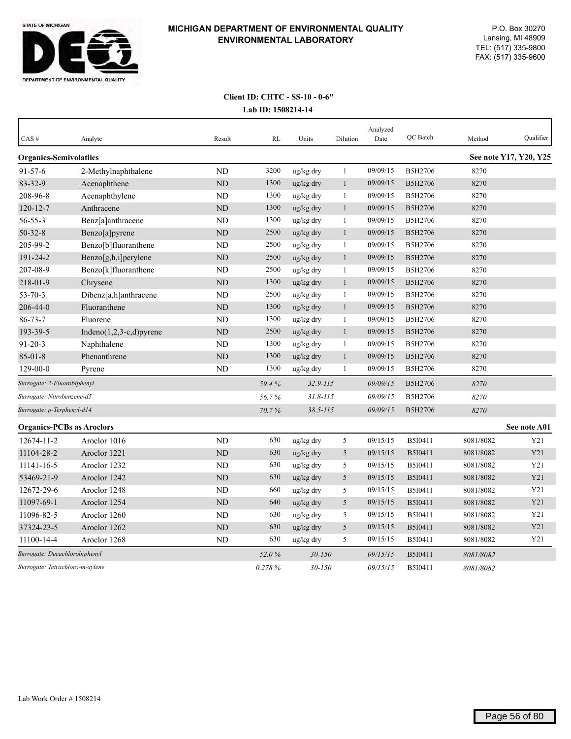

| CAS#                             | Analyte                     | Result         | RL     | Units        | Dilution     | Analyzed<br>Date | QC Batch       | Method    | Qualifier              |
|----------------------------------|-----------------------------|----------------|--------|--------------|--------------|------------------|----------------|-----------|------------------------|
| <b>Organics-Semivolatiles</b>    |                             |                |        |              |              |                  |                |           | See note Y17, Y20, Y25 |
| $91 - 57 - 6$                    | 2-Methylnaphthalene         | <b>ND</b>      | 3200   | ug/kg dry    | $\mathbf{1}$ | 09/09/15         | B5H2706        | 8270      |                        |
| 83-32-9                          | Acenaphthene                | ND             | 1300   | ug/kg dry    | $\mathbf{1}$ | 09/09/15         | B5H2706        | 8270      |                        |
| 208-96-8                         | Acenaphthylene              | <b>ND</b>      | 1300   | ug/kg dry    | $\mathbf{1}$ | 09/09/15         | B5H2706        | 8270      |                        |
| $120 - 12 - 7$                   | Anthracene                  | ND             | 1300   | ug/kg dry    | $\mathbf{1}$ | 09/09/15         | <b>B5H2706</b> | 8270      |                        |
| 56-55-3                          | Benz[a]anthracene           | N <sub>D</sub> | 1300   | ug/kg dry    | $\mathbf{1}$ | 09/09/15         | B5H2706        | 8270      |                        |
| $50 - 32 - 8$                    | Benzo[a]pyrene              | <b>ND</b>      | 2500   | ug/kg dry    | $\mathbf{1}$ | 09/09/15         | B5H2706        | 8270      |                        |
| 205-99-2                         | Benzo[b]fluoranthene        | <b>ND</b>      | 2500   | ug/kg dry    | $\mathbf{1}$ | 09/09/15         | B5H2706        | 8270      |                        |
| 191-24-2                         | Benzo[g,h,i]perylene        | <b>ND</b>      | 2500   | ug/kg dry    | $\mathbf{1}$ | 09/09/15         | B5H2706        | 8270      |                        |
| 207-08-9                         | Benzo[k]fluoranthene        | ND             | 2500   | ug/kg dry    | 1            | 09/09/15         | B5H2706        | 8270      |                        |
| 218-01-9                         | Chrysene                    | <b>ND</b>      | 1300   | ug/kg dry    | $\mathbf{1}$ | 09/09/15         | B5H2706        | 8270      |                        |
| $53 - 70 - 3$                    | Dibenz[a,h]anthracene       | <b>ND</b>      | 2500   | ug/kg dry    | $\mathbf{1}$ | 09/09/15         | B5H2706        | 8270      |                        |
| 206-44-0                         | Fluoranthene                | ND             | 1300   | ug/kg dry    | $\mathbf{1}$ | 09/09/15         | B5H2706        | 8270      |                        |
| $86 - 73 - 7$                    | Fluorene                    | <b>ND</b>      | 1300   | $ug/kg$ dry  | $\mathbf{1}$ | 09/09/15         | B5H2706        | 8270      |                        |
| 193-39-5                         | Indeno $(1,2,3-c,d)$ pyrene | <b>ND</b>      | 2500   | ug/kg dry    | $\mathbf{1}$ | 09/09/15         | <b>B5H2706</b> | 8270      |                        |
| $91 - 20 - 3$                    | Naphthalene                 | <b>ND</b>      | 1300   | ug/kg dry    | $\mathbf{1}$ | 09/09/15         | B5H2706        | 8270      |                        |
| $85 - 01 - 8$                    | Phenanthrene                | <b>ND</b>      | 1300   | ug/kg dry    | $\mathbf{1}$ | 09/09/15         | B5H2706        | 8270      |                        |
| $129 - 00 - 0$                   | Pyrene                      | ND             | 1300   | ug/kg dry    | $\mathbf{1}$ | 09/09/15         | B5H2706        | 8270      |                        |
| Surrogate: 2-Fluorobiphenyl      |                             |                | 59.4%  | $32.9 - 115$ |              | 09/09/15         | <b>B5H2706</b> | 8270      |                        |
| Surrogate: Nitrobenzene-d5       |                             |                | 56.7%  | $31.8 - 115$ |              | 09/09/15         | <b>B5H2706</b> | 8270      |                        |
| Surrogate: p-Terphenyl-d14       |                             |                | 70.7%  | $38.5 - 115$ |              | 09/09/15         | <b>B5H2706</b> | 8270      |                        |
| <b>Organics-PCBs as Aroclors</b> |                             |                |        |              |              |                  |                |           | See note A01           |
| 12674-11-2                       | Aroclor 1016                | <b>ND</b>      | 630    | ug/kg dry    | 5            | 09/15/15         | B5I0411        | 8081/8082 | Y21                    |
| 11104-28-2                       | Aroclor 1221                | <b>ND</b>      | 630    | ug/kg dry    | 5            | 09/15/15         | B5I0411        | 8081/8082 | Y21                    |
| 11141-16-5                       | Aroclor 1232                | ND             | 630    | ug/kg dry    | 5            | 09/15/15         | B5I0411        | 8081/8082 | Y21                    |
| 53469-21-9                       | Aroclor 1242                | <b>ND</b>      | 630    | ug/kg dry    | 5            | 09/15/15         | B5I0411        | 8081/8082 | Y21                    |
| 12672-29-6                       | Aroclor 1248                | <b>ND</b>      | 660    | ug/kg dry    | $\sqrt{5}$   | 09/15/15         | B5I0411        | 8081/8082 | Y21                    |
| 11097-69-1                       | Aroclor 1254                | <b>ND</b>      | 640    | ug/kg dry    | 5            | 09/15/15         | B5I0411        | 8081/8082 | Y21                    |
| 11096-82-5                       | Aroclor 1260                | ND             | 630    | ug/kg dry    | 5            | 09/15/15         | B5I0411        | 8081/8082 | Y21                    |
| 37324-23-5                       | Aroclor 1262                | <b>ND</b>      | 630    | ug/kg dry    | 5            | 09/15/15         | B5I0411        | 8081/8082 | Y21                    |
| 11100-14-4                       | Aroclor 1268                | ND             | 630    | ug/kg dry    | 5            | 09/15/15         | B5I0411        | 8081/8082 | Y21                    |
| Surrogate: Decachlorobiphenyl    |                             |                | 52.0%  | $30 - 150$   |              | 09/15/15         | B5I0411        | 8081/8082 |                        |
| Surrogate: Tetrachloro-m-xylene  |                             |                | 0.278% | $30 - 150$   |              | 09/15/15         | B5I0411        | 8081/8082 |                        |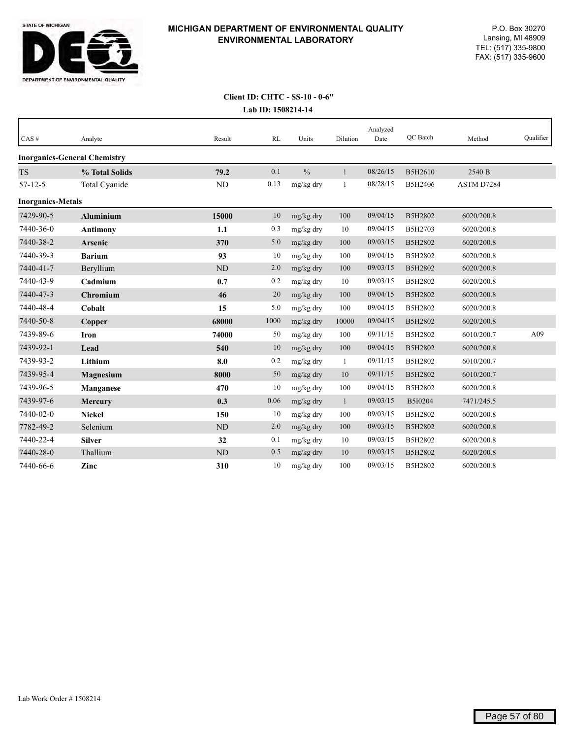

| CAS#                     | Analyte                             | Result    | <b>RL</b> | Units         | Dilution     | Analyzed<br>Date | QC Batch | Method     | Qualifier |
|--------------------------|-------------------------------------|-----------|-----------|---------------|--------------|------------------|----------|------------|-----------|
|                          | <b>Inorganics-General Chemistry</b> |           |           |               |              |                  |          |            |           |
| <b>TS</b>                | % Total Solids                      | 79.2      | 0.1       | $\frac{0}{0}$ | $\mathbf{1}$ | 08/26/15         | B5H2610  | 2540 B     |           |
| $57 - 12 - 5$            | Total Cyanide                       | ND        | 0.13      | mg/kg dry     | -1           | 08/28/15         | B5H2406  | ASTM D7284 |           |
| <b>Inorganics-Metals</b> |                                     |           |           |               |              |                  |          |            |           |
| 7429-90-5                | <b>Aluminium</b>                    | 15000     | 10        | mg/kg dry     | 100          | 09/04/15         | B5H2802  | 6020/200.8 |           |
| 7440-36-0                | <b>Antimony</b>                     | 1.1       | 0.3       | mg/kg dry     | 10           | 09/04/15         | B5H2703  | 6020/200.8 |           |
| 7440-38-2                | <b>Arsenic</b>                      | 370       | 5.0       | mg/kg dry     | 100          | 09/03/15         | B5H2802  | 6020/200.8 |           |
| 7440-39-3                | <b>Barium</b>                       | 93        | 10        | mg/kg dry     | 100          | 09/04/15         | B5H2802  | 6020/200.8 |           |
| 7440-41-7                | Beryllium                           | ND        | 2.0       | mg/kg dry     | 100          | 09/03/15         | B5H2802  | 6020/200.8 |           |
| 7440-43-9                | Cadmium                             | 0.7       | 0.2       | mg/kg dry     | 10           | 09/03/15         | B5H2802  | 6020/200.8 |           |
| 7440-47-3                | <b>Chromium</b>                     | 46        | 20        | mg/kg dry     | 100          | 09/04/15         | B5H2802  | 6020/200.8 |           |
| 7440-48-4                | Cobalt                              | 15        | 5.0       | mg/kg dry     | 100          | 09/04/15         | B5H2802  | 6020/200.8 |           |
| 7440-50-8                | Copper                              | 68000     | 1000      | mg/kg dry     | 10000        | 09/04/15         | B5H2802  | 6020/200.8 |           |
| 7439-89-6                | <b>Iron</b>                         | 74000     | 50        | mg/kg dry     | 100          | 09/11/15         | B5H2802  | 6010/200.7 | A09       |
| 7439-92-1                | Lead                                | 540       | 10        | mg/kg dry     | 100          | 09/04/15         | B5H2802  | 6020/200.8 |           |
| 7439-93-2                | Lithium                             | 8.0       | 0.2       | mg/kg dry     | $\mathbf{1}$ | 09/11/15         | B5H2802  | 6010/200.7 |           |
| 7439-95-4                | Magnesium                           | 8000      | 50        | mg/kg dry     | 10           | 09/11/15         | B5H2802  | 6010/200.7 |           |
| 7439-96-5                | <b>Manganese</b>                    | 470       | 10        | mg/kg dry     | 100          | 09/04/15         | B5H2802  | 6020/200.8 |           |
| 7439-97-6                | <b>Mercury</b>                      | 0.3       | 0.06      | mg/kg dry     | $\mathbf{1}$ | 09/03/15         | B5I0204  | 7471/245.5 |           |
| 7440-02-0                | <b>Nickel</b>                       | 150       | 10        | mg/kg dry     | 100          | 09/03/15         | B5H2802  | 6020/200.8 |           |
| 7782-49-2                | Selenium                            | ND        | 2.0       | mg/kg dry     | 100          | 09/03/15         | B5H2802  | 6020/200.8 |           |
| 7440-22-4                | <b>Silver</b>                       | 32        | 0.1       | mg/kg dry     | 10           | 09/03/15         | B5H2802  | 6020/200.8 |           |
| 7440-28-0                | Thallium                            | <b>ND</b> | 0.5       | mg/kg dry     | 10           | 09/03/15         | B5H2802  | 6020/200.8 |           |
| 7440-66-6                | Zinc                                | 310       | 10        | mg/kg dry     | 100          | 09/03/15         | B5H2802  | 6020/200.8 |           |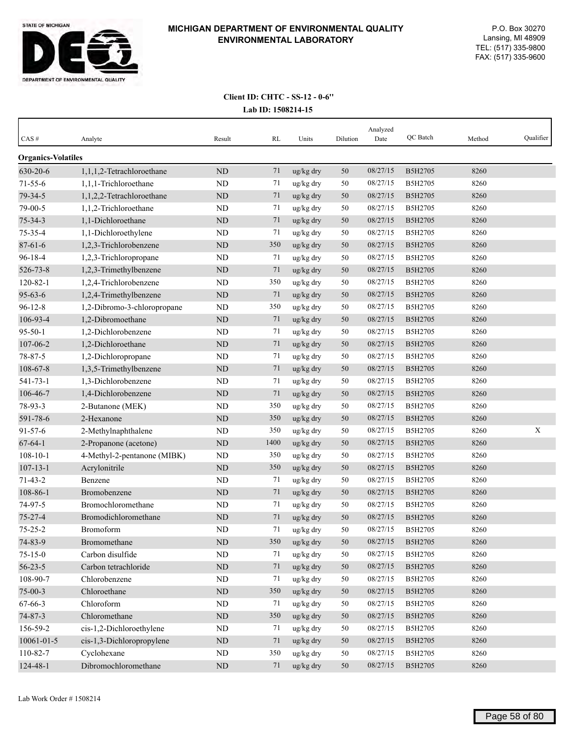

| $CAS \#$                  | Analyte                     | Result    | RL   | Units     | Dilution | Analyzed<br>Date | QC Batch       | Method | Qualifier |
|---------------------------|-----------------------------|-----------|------|-----------|----------|------------------|----------------|--------|-----------|
| <b>Organics-Volatiles</b> |                             |           |      |           |          |                  |                |        |           |
| 630-20-6                  | 1,1,1,2-Tetrachloroethane   | ND        | 71   | ug/kg dry | 50       | 08/27/15         | B5H2705        | 8260   |           |
| $71 - 55 - 6$             | 1,1,1-Trichloroethane       | ND        | 71   | ug/kg dry | 50       | 08/27/15         | B5H2705        | 8260   |           |
| 79-34-5                   | 1,1,2,2-Tetrachloroethane   | <b>ND</b> | 71   | ug/kg dry | 50       | 08/27/15         | B5H2705        | 8260   |           |
| 79-00-5                   | 1,1,2-Trichloroethane       | <b>ND</b> | 71   | ug/kg dry | 50       | 08/27/15         | B5H2705        | 8260   |           |
| $75 - 34 - 3$             | 1,1-Dichloroethane          | <b>ND</b> | 71   | ug/kg dry | 50       | 08/27/15         | B5H2705        | 8260   |           |
| 75-35-4                   | 1,1-Dichloroethylene        | ND        | 71   | ug/kg dry | 50       | 08/27/15         | B5H2705        | 8260   |           |
| $87 - 61 - 6$             | 1,2,3-Trichlorobenzene      | $\rm ND$  | 350  | ug/kg dry | 50       | 08/27/15         | B5H2705        | 8260   |           |
| $96 - 18 - 4$             | 1,2,3-Trichloropropane      | ND        | 71   | ug/kg dry | 50       | 08/27/15         | B5H2705        | 8260   |           |
| 526-73-8                  | 1,2,3-Trimethylbenzene      | <b>ND</b> | 71   | ug/kg dry | 50       | 08/27/15         | B5H2705        | 8260   |           |
| $120 - 82 - 1$            | 1,2,4-Trichlorobenzene      | ND        | 350  | ug/kg dry | 50       | 08/27/15         | B5H2705        | 8260   |           |
| $95 - 63 - 6$             | 1,2,4-Trimethylbenzene      | <b>ND</b> | 71   | ug/kg dry | 50       | 08/27/15         | B5H2705        | 8260   |           |
| $96 - 12 - 8$             | 1,2-Dibromo-3-chloropropane | ND        | 350  | ug/kg dry | 50       | 08/27/15         | B5H2705        | 8260   |           |
| 106-93-4                  | 1,2-Dibromoethane           | ND        | 71   | ug/kg dry | 50       | 08/27/15         | B5H2705        | 8260   |           |
| $95 - 50 - 1$             | 1,2-Dichlorobenzene         | <b>ND</b> | 71   | ug/kg dry | 50       | 08/27/15         | B5H2705        | 8260   |           |
| 107-06-2                  | 1,2-Dichloroethane          | <b>ND</b> | 71   | ug/kg dry | 50       | 08/27/15         | B5H2705        | 8260   |           |
| $78 - 87 - 5$             | 1,2-Dichloropropane         | ND        | 71   | ug/kg dry | 50       | 08/27/15         | B5H2705        | 8260   |           |
| 108-67-8                  | 1,3,5-Trimethylbenzene      | $\rm ND$  | 71   | ug/kg dry | 50       | 08/27/15         | B5H2705        | 8260   |           |
| 541-73-1                  | 1,3-Dichlorobenzene         | <b>ND</b> | 71   | ug/kg dry | 50       | 08/27/15         | B5H2705        | 8260   |           |
| 106-46-7                  | 1,4-Dichlorobenzene         | ND        | 71   | ug/kg dry | 50       | 08/27/15         | B5H2705        | 8260   |           |
| 78-93-3                   | 2-Butanone (MEK)            | ND        | 350  | ug/kg dry | 50       | 08/27/15         | B5H2705        | 8260   |           |
| 591-78-6                  | 2-Hexanone                  | <b>ND</b> | 350  | ug/kg dry | 50       | 08/27/15         | B5H2705        | 8260   |           |
| $91 - 57 - 6$             | 2-Methylnaphthalene         | ND        | 350  | ug/kg dry | 50       | 08/27/15         | B5H2705        | 8260   | X         |
| $67 - 64 - 1$             | 2-Propanone (acetone)       | <b>ND</b> | 1400 | ug/kg dry | 50       | 08/27/15         | B5H2705        | 8260   |           |
| $108 - 10 - 1$            | 4-Methyl-2-pentanone (MIBK) | <b>ND</b> | 350  | ug/kg dry | 50       | 08/27/15         | B5H2705        | 8260   |           |
| $107 - 13 - 1$            | Acrylonitrile               | ND        | 350  | ug/kg dry | 50       | 08/27/15         | B5H2705        | 8260   |           |
| $71 - 43 - 2$             | Benzene                     | ND        | 71   | ug/kg dry | 50       | 08/27/15         | B5H2705        | 8260   |           |
| 108-86-1                  | Bromobenzene                | <b>ND</b> | 71   | ug/kg dry | 50       | 08/27/15         | <b>B5H2705</b> | 8260   |           |
| 74-97-5                   | Bromochloromethane          | <b>ND</b> | 71   | ug/kg dry | 50       | 08/27/15         | B5H2705        | 8260   |           |
| $75 - 27 - 4$             | Bromodichloromethane        | ND        | 71   | ug/kg dry | 50       | 08/27/15         | B5H2705        | 8260   |           |
| $75 - 25 - 2$             | Bromoform                   | <b>ND</b> | 71   | ug/kg dry | 50       | 08/27/15         | B5H2705        | 8260   |           |
| 74-83-9                   | Bromomethane                | $\rm ND$  | 350  | ug/kg dry | $50\,$   | 08/27/15         | B5H2705        | 8260   |           |
| $75 - 15 - 0$             | Carbon disulfide            | $\rm ND$  | 71   | ug/kg dry | 50       | 08/27/15         | B5H2705        | 8260   |           |
| $56 - 23 - 5$             | Carbon tetrachloride        | $\rm ND$  | 71   | ug/kg dry | 50       | 08/27/15         | B5H2705        | 8260   |           |
| 108-90-7                  | Chlorobenzene               | $\rm ND$  | 71   | ug/kg dry | 50       | 08/27/15         | B5H2705        | 8260   |           |
| $75 - 00 - 3$             | Chloroethane                | $\rm ND$  | 350  | ug/kg dry | 50       | 08/27/15         | B5H2705        | 8260   |           |
| 67-66-3                   | Chloroform                  | $\rm ND$  | 71   | ug/kg dry | 50       | 08/27/15         | B5H2705        | 8260   |           |
| $74 - 87 - 3$             | Chloromethane               | $\rm ND$  | 350  | ug/kg dry | 50       | 08/27/15         | B5H2705        | 8260   |           |
| 156-59-2                  | cis-1,2-Dichloroethylene    | ND        | 71   | ug/kg dry | 50       | 08/27/15         | B5H2705        | 8260   |           |
| 10061-01-5                | cis-1,3-Dichloropropylene   | $\rm ND$  | 71   | ug/kg dry | $50\,$   | 08/27/15         | B5H2705        | 8260   |           |
| 110-82-7                  | Cyclohexane                 | ND        | 350  | ug/kg dry | 50       | 08/27/15         | B5H2705        | 8260   |           |
| 124-48-1                  | Dibromochloromethane        | $\rm ND$  | 71   | ug/kg dry | 50       | 08/27/15         | B5H2705        | 8260   |           |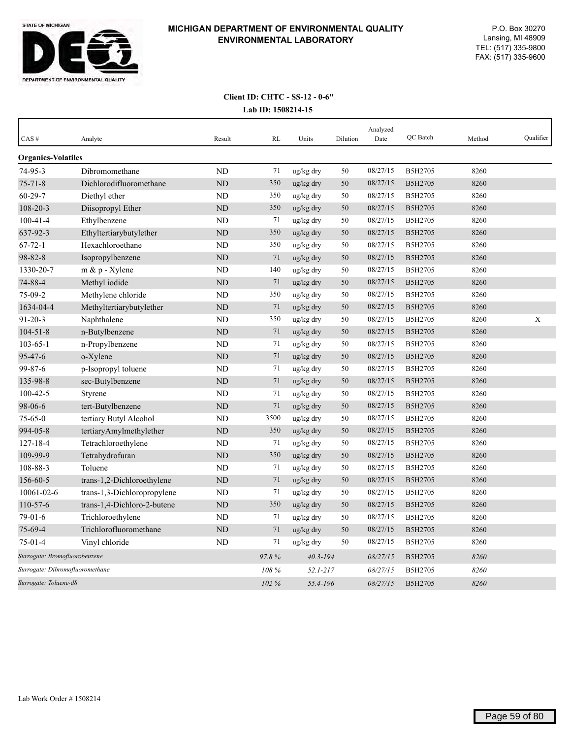

| CAS#                            | Analyte                     | Result     | RL    | Units        | Dilution | Analyzed<br>Date | QC Batch | Method | Oualifier |
|---------------------------------|-----------------------------|------------|-------|--------------|----------|------------------|----------|--------|-----------|
| <b>Organics-Volatiles</b>       |                             |            |       |              |          |                  |          |        |           |
| $74 - 95 - 3$                   | Dibromomethane              | <b>ND</b>  | 71    | ug/kg dry    | 50       | 08/27/15         | B5H2705  | 8260   |           |
| $75 - 71 - 8$                   | Dichlorodifluoromethane     | <b>ND</b>  | 350   | ug/kg dry    | 50       | 08/27/15         | B5H2705  | 8260   |           |
| $60 - 29 - 7$                   | Diethyl ether               | <b>ND</b>  | 350   | ug/kg dry    | 50       | 08/27/15         | B5H2705  | 8260   |           |
| 108-20-3                        | Diisopropyl Ether           | ${\rm ND}$ | 350   | ug/kg dry    | 50       | 08/27/15         | B5H2705  | 8260   |           |
| $100 - 41 - 4$                  | Ethylbenzene                | <b>ND</b>  | 71    | ug/kg dry    | 50       | 08/27/15         | B5H2705  | 8260   |           |
| 637-92-3                        | Ethyltertiarybutylether     | ND         | 350   | ug/kg dry    | 50       | 08/27/15         | B5H2705  | 8260   |           |
| $67 - 72 - 1$                   | Hexachloroethane            | <b>ND</b>  | 350   | ug/kg dry    | 50       | 08/27/15         | B5H2705  | 8260   |           |
| 98-82-8                         | Isopropylbenzene            | ND         | 71    | ug/kg dry    | 50       | 08/27/15         | B5H2705  | 8260   |           |
| 1330-20-7                       | $m \& p$ - Xylene           | ND         | 140   | ug/kg dry    | 50       | 08/27/15         | B5H2705  | 8260   |           |
| 74-88-4                         | Methyl iodide               | <b>ND</b>  | 71    | ug/kg dry    | 50       | 08/27/15         | B5H2705  | 8260   |           |
| $75-09-2$                       | Methylene chloride          | <b>ND</b>  | 350   | ug/kg dry    | 50       | 08/27/15         | B5H2705  | 8260   |           |
| 1634-04-4                       | Methyltertiarybutylether    | <b>ND</b>  | 71    | ug/kg dry    | 50       | 08/27/15         | B5H2705  | 8260   |           |
| $91 - 20 - 3$                   | Naphthalene                 | ND         | 350   | ug/kg dry    | 50       | 08/27/15         | B5H2705  | 8260   | X         |
| $104 - 51 - 8$                  | n-Butylbenzene              | <b>ND</b>  | 71    | ug/kg dry    | 50       | 08/27/15         | B5H2705  | 8260   |           |
| $103 - 65 - 1$                  | n-Propylbenzene             | ND         | 71    | ug/kg dry    | 50       | 08/27/15         | B5H2705  | 8260   |           |
| 95-47-6                         | o-Xylene                    | <b>ND</b>  | 71    | ug/kg dry    | 50       | 08/27/15         | B5H2705  | 8260   |           |
| 99-87-6                         | p-Isopropyl toluene         | ND         | 71    | ug/kg dry    | 50       | 08/27/15         | B5H2705  | 8260   |           |
| 135-98-8                        | sec-Butylbenzene            | <b>ND</b>  | 71    | ug/kg dry    | 50       | 08/27/15         | B5H2705  | 8260   |           |
| $100 - 42 - 5$                  | Styrene                     | ND         | 71    | ug/kg dry    | 50       | 08/27/15         | B5H2705  | 8260   |           |
| 98-06-6                         | tert-Butylbenzene           | <b>ND</b>  | 71    | ug/kg dry    | 50       | 08/27/15         | B5H2705  | 8260   |           |
| $75 - 65 - 0$                   | tertiary Butyl Alcohol      | <b>ND</b>  | 3500  | ug/kg dry    | 50       | 08/27/15         | B5H2705  | 8260   |           |
| 994-05-8                        | tertiaryAmylmethylether     | <b>ND</b>  | 350   | ug/kg dry    | 50       | 08/27/15         | B5H2705  | 8260   |           |
| $127 - 18 - 4$                  | Tetrachloroethylene         | <b>ND</b>  | 71    | ug/kg dry    | 50       | 08/27/15         | B5H2705  | 8260   |           |
| 109-99-9                        | Tetrahydrofuran             | <b>ND</b>  | 350   | ug/kg dry    | 50       | 08/27/15         | B5H2705  | 8260   |           |
| 108-88-3                        | Toluene                     | <b>ND</b>  | 71    | ug/kg dry    | 50       | 08/27/15         | B5H2705  | 8260   |           |
| 156-60-5                        | trans-1,2-Dichloroethylene  | <b>ND</b>  | 71    | ug/kg dry    | 50       | 08/27/15         | B5H2705  | 8260   |           |
| 10061-02-6                      | trans-1,3-Dichloropropylene | <b>ND</b>  | 71    | ug/kg dry    | 50       | 08/27/15         | B5H2705  | 8260   |           |
| $110-57-6$                      | trans-1,4-Dichloro-2-butene | <b>ND</b>  | 350   | ug/kg dry    | 50       | 08/27/15         | B5H2705  | 8260   |           |
| 79-01-6                         | Trichloroethylene           | <b>ND</b>  | 71    | ug/kg dry    | 50       | 08/27/15         | B5H2705  | 8260   |           |
| 75-69-4                         | Trichlorofluoromethane      | <b>ND</b>  | 71    | ug/kg dry    | 50       | 08/27/15         | B5H2705  | 8260   |           |
| $75-01-4$                       | Vinyl chloride              | <b>ND</b>  | 71    | ug/kg dry    | 50       | 08/27/15         | B5H2705  | 8260   |           |
| Surrogate: Bromofluorobenzene   |                             |            | 97.8% | $40.3 - 194$ |          | 08/27/15         | B5H2705  | 8260   |           |
| Surrogate: Dibromofluoromethane |                             |            | 108 % | $52.1 - 217$ |          | 08/27/15         | B5H2705  | 8260   |           |
| Surrogate: Toluene-d8           |                             |            | 102%  | 55.4-196     |          | 08/27/15         | B5H2705  | 8260   |           |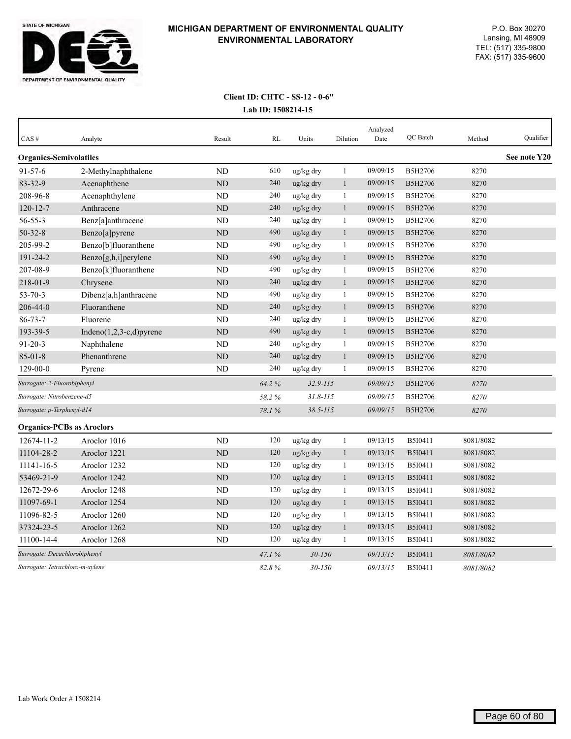

| CAS#                             | Analyte                     | Result         | <b>RL</b> | Units                | Dilution     | Analyzed<br>Date | QC Batch | Method    | Qualifier    |
|----------------------------------|-----------------------------|----------------|-----------|----------------------|--------------|------------------|----------|-----------|--------------|
| <b>Organics-Semivolatiles</b>    |                             |                |           |                      |              |                  |          |           | See note Y20 |
| $91 - 57 - 6$                    | 2-Methylnaphthalene         | ND             | 610       | ug/kg dry            | $\mathbf{1}$ | 09/09/15         | B5H2706  | 8270      |              |
| 83-32-9                          | Acenaphthene                | ND             | 240       | ug/kg dry            | $\mathbf{1}$ | 09/09/15         | B5H2706  | 8270      |              |
| 208-96-8                         | Acenaphthylene              | ND             | 240       | ug/kg dry            | $\mathbf{1}$ | 09/09/15         | B5H2706  | 8270      |              |
| $120 - 12 - 7$                   | Anthracene                  | ND             | 240       | ug/kg dry            | $\mathbf{1}$ | 09/09/15         | B5H2706  | 8270      |              |
| 56-55-3                          | Benz[a]anthracene           | N <sub>D</sub> | 240       | ug/kg dry            | $\mathbf{1}$ | 09/09/15         | B5H2706  | 8270      |              |
| $50 - 32 - 8$                    | Benzo[a]pyrene              | ND             | 490       | ug/kg dry            | $\mathbf{1}$ | 09/09/15         | B5H2706  | 8270      |              |
| 205-99-2                         | Benzo[b]fluoranthene        | <b>ND</b>      | 490       | ug/kg dry            | 1            | 09/09/15         | B5H2706  | 8270      |              |
| 191-24-2                         | Benzo[g,h,i]perylene        | <b>ND</b>      | 490       | ug/kg dry            | $\mathbf{1}$ | 09/09/15         | B5H2706  | 8270      |              |
| 207-08-9                         | Benzo[k]fluoranthene        | ND             | 490       | ug/kg dry            | 1            | 09/09/15         | B5H2706  | 8270      |              |
| 218-01-9                         | Chrysene                    | <b>ND</b>      | 240       | ug/kg dry            | $\mathbf{1}$ | 09/09/15         | B5H2706  | 8270      |              |
| $53 - 70 - 3$                    | Dibenz[a,h]anthracene       | <b>ND</b>      | 490       | ug/kg dry            | $\mathbf{1}$ | 09/09/15         | B5H2706  | 8270      |              |
| 206-44-0                         | Fluoranthene                | ND             | 240       | ug/kg dry            | $\mathbf{1}$ | 09/09/15         | B5H2706  | 8270      |              |
| $86 - 73 - 7$                    | Fluorene                    | ND             | 240       | ug/kg dry            | $\mathbf{1}$ | 09/09/15         | B5H2706  | 8270      |              |
| 193-39-5                         | Indeno $(1,2,3-c,d)$ pyrene | $\rm ND$       | 490       | $\frac{u}{g}$ kg dry | $\mathbf{1}$ | 09/09/15         | B5H2706  | 8270      |              |
| $91 - 20 - 3$                    | Naphthalene                 | ND             | 240       | ug/kg dry            | $\mathbf{1}$ | 09/09/15         | B5H2706  | 8270      |              |
| $85 - 01 - 8$                    | Phenanthrene                | $\rm ND$       | 240       | ug/kg dry            | $\mathbf{1}$ | 09/09/15         | B5H2706  | 8270      |              |
| $129-00-0$                       | Pyrene                      | <b>ND</b>      | 240       | ug/kg dry            | 1            | 09/09/15         | B5H2706  | 8270      |              |
| Surrogate: 2-Fluorobiphenyl      |                             |                | 64.2%     | $32.9 - 115$         |              | 09/09/15         | B5H2706  | 8270      |              |
| Surrogate: Nitrobenzene-d5       |                             |                | 58.2%     | $31.8 - 115$         |              | 09/09/15         | B5H2706  | 8270      |              |
| Surrogate: p-Terphenyl-d14       |                             |                | 78.1%     | $38.5 - 115$         |              | 09/09/15         | B5H2706  | 8270      |              |
| <b>Organics-PCBs as Aroclors</b> |                             |                |           |                      |              |                  |          |           |              |
| 12674-11-2                       | Aroclor 1016                | ND             | 120       | ug/kg dry            | $\mathbf{1}$ | 09/13/15         | B5I0411  | 8081/8082 |              |
| 11104-28-2                       | Aroclor 1221                | ND             | 120       | ug/kg dry            | $\mathbf{1}$ | 09/13/15         | B5I0411  | 8081/8082 |              |
| 11141-16-5                       | Aroclor 1232                | ND             | 120       | ug/kg dry            | $\mathbf{1}$ | 09/13/15         | B5I0411  | 8081/8082 |              |
| 53469-21-9                       | Aroclor 1242                | ND             | 120       | ug/kg dry            | $\mathbf{1}$ | 09/13/15         | B5I0411  | 8081/8082 |              |
| 12672-29-6                       | Aroclor 1248                | N <sub>D</sub> | 120       | ug/kg dry            | $\mathbf{1}$ | 09/13/15         | B5I0411  | 8081/8082 |              |
| 11097-69-1                       | Aroclor 1254                | <b>ND</b>      | 120       | ug/kg dry            | $\mathbf{1}$ | 09/13/15         | B5I0411  | 8081/8082 |              |
| 11096-82-5                       | Aroclor 1260                | ND             | 120       | ug/kg dry            | 1            | 09/13/15         | B5I0411  | 8081/8082 |              |
| 37324-23-5                       | Aroclor 1262                | <b>ND</b>      | 120       | ug/kg dry            | $\mathbf{1}$ | 09/13/15         | B5I0411  | 8081/8082 |              |
| 11100-14-4                       | Aroclor 1268                | <b>ND</b>      | 120       | ug/kg dry            | 1            | 09/13/15         | B5I0411  | 8081/8082 |              |
| Surrogate: Decachlorobiphenyl    |                             |                | 47.1%     | $30 - 150$           |              | 09/13/15         | B5I0411  | 8081/8082 |              |
| Surrogate: Tetrachloro-m-xylene  |                             |                | 82.8%     | $30 - 150$           |              | 09/13/15         | B5I0411  | 8081/8082 |              |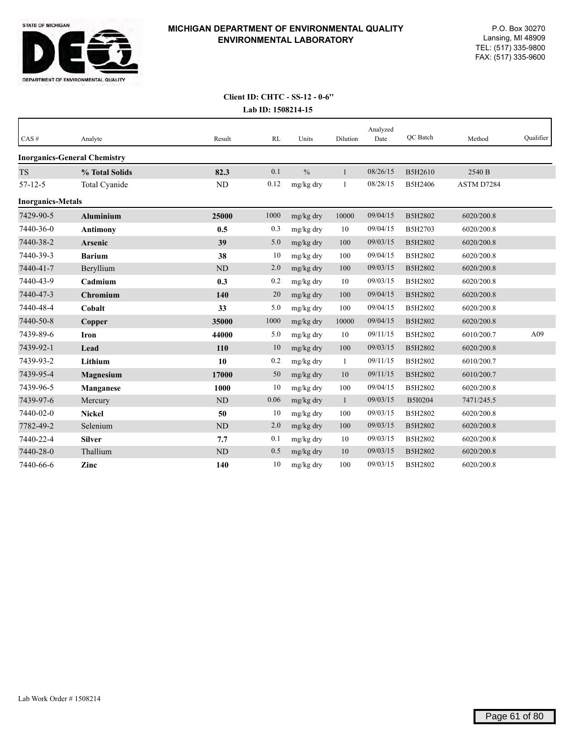

| CAS#                     | Analyte                             | Result         | RL   | Units         | Dilution     | Analyzed<br>Date | QC Batch | Method     | Qualifier |
|--------------------------|-------------------------------------|----------------|------|---------------|--------------|------------------|----------|------------|-----------|
|                          | <b>Inorganics-General Chemistry</b> |                |      |               |              |                  |          |            |           |
| <b>TS</b>                | % Total Solids                      | 82.3           | 0.1  | $\frac{0}{0}$ | $\mathbf{1}$ | 08/26/15         | B5H2610  | 2540 B     |           |
| $57 - 12 - 5$            | Total Cyanide                       | ND             | 0.12 | mg/kg dry     | $\mathbf{1}$ | 08/28/15         | B5H2406  | ASTM D7284 |           |
| <b>Inorganics-Metals</b> |                                     |                |      |               |              |                  |          |            |           |
| 7429-90-5                | <b>Aluminium</b>                    | 25000          | 1000 | mg/kg dry     | 10000        | 09/04/15         | B5H2802  | 6020/200.8 |           |
| 7440-36-0                | <b>Antimony</b>                     | 0.5            | 0.3  | mg/kg dry     | 10           | 09/04/15         | B5H2703  | 6020/200.8 |           |
| 7440-38-2                | <b>Arsenic</b>                      | 39             | 5.0  | mg/kg dry     | 100          | 09/03/15         | B5H2802  | 6020/200.8 |           |
| 7440-39-3                | <b>Barium</b>                       | 38             | 10   | mg/kg dry     | 100          | 09/04/15         | B5H2802  | 6020/200.8 |           |
| 7440-41-7                | Beryllium                           | N <sub>D</sub> | 2.0  | mg/kg dry     | 100          | 09/03/15         | B5H2802  | 6020/200.8 |           |
| 7440-43-9                | Cadmium                             | 0.3            | 0.2  | mg/kg dry     | 10           | 09/03/15         | B5H2802  | 6020/200.8 |           |
| 7440-47-3                | Chromium                            | 140            | 20   | mg/kg dry     | 100          | 09/04/15         | B5H2802  | 6020/200.8 |           |
| 7440-48-4                | Cobalt                              | 33             | 5.0  | mg/kg dry     | 100          | 09/04/15         | B5H2802  | 6020/200.8 |           |
| 7440-50-8                | Copper                              | 35000          | 1000 | mg/kg dry     | 10000        | 09/04/15         | B5H2802  | 6020/200.8 |           |
| 7439-89-6                | <b>Iron</b>                         | 44000          | 5.0  | mg/kg dry     | 10           | 09/11/15         | B5H2802  | 6010/200.7 | A09       |
| 7439-92-1                | Lead                                | 110            | 10   | mg/kg dry     | 100          | 09/03/15         | B5H2802  | 6020/200.8 |           |
| 7439-93-2                | Lithium                             | 10             | 0.2  | mg/kg dry     | $\mathbf{1}$ | 09/11/15         | B5H2802  | 6010/200.7 |           |
| 7439-95-4                | Magnesium                           | 17000          | 50   | mg/kg dry     | 10           | 09/11/15         | B5H2802  | 6010/200.7 |           |
| 7439-96-5                | Manganese                           | 1000           | 10   | mg/kg dry     | 100          | 09/04/15         | B5H2802  | 6020/200.8 |           |
| 7439-97-6                | Mercury                             | ND             | 0.06 | mg/kg dry     | $\mathbf{1}$ | 09/03/15         | B5I0204  | 7471/245.5 |           |
| 7440-02-0                | <b>Nickel</b>                       | 50             | 10   | mg/kg dry     | 100          | 09/03/15         | B5H2802  | 6020/200.8 |           |
| 7782-49-2                | Selenium                            | $\rm ND$       | 2.0  | mg/kg dry     | 100          | 09/03/15         | B5H2802  | 6020/200.8 |           |
| 7440-22-4                | <b>Silver</b>                       | 7.7            | 0.1  | mg/kg dry     | 10           | 09/03/15         | B5H2802  | 6020/200.8 |           |
| 7440-28-0                | Thallium                            | <b>ND</b>      | 0.5  | mg/kg dry     | 10           | 09/03/15         | B5H2802  | 6020/200.8 |           |
| 7440-66-6                | Zinc                                | 140            | 10   | mg/kg dry     | 100          | 09/03/15         | B5H2802  | 6020/200.8 |           |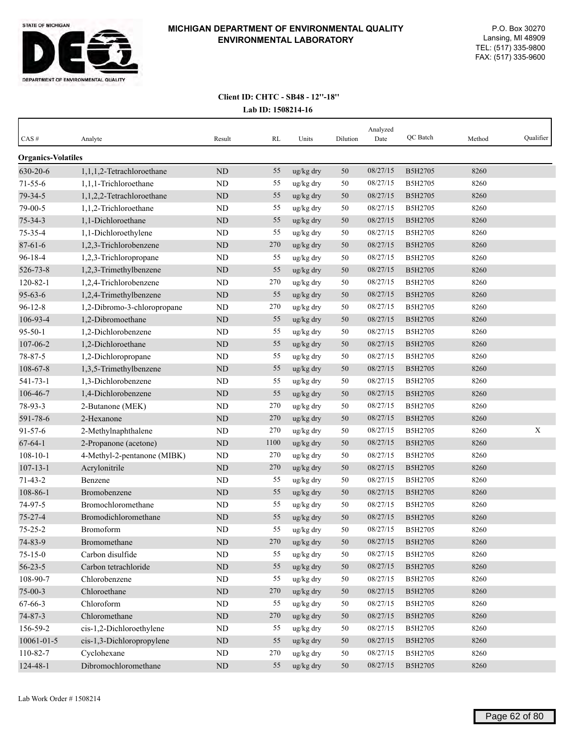

| $CAS \#$                  | Analyte                         | Result      | RL   | Units     | Dilution | Analyzed<br>Date | QC Batch       | Method | Qualifier   |
|---------------------------|---------------------------------|-------------|------|-----------|----------|------------------|----------------|--------|-------------|
| <b>Organics-Volatiles</b> |                                 |             |      |           |          |                  |                |        |             |
| 630-20-6                  | $1, 1, 1, 2$ -Tetrachloroethane | $\rm ND$    | 55   | ug/kg dry | 50       | 08/27/15         | B5H2705        | 8260   |             |
| $71 - 55 - 6$             | 1,1,1-Trichloroethane           | ND          | 55   | ug/kg dry | 50       | 08/27/15         | B5H2705        | 8260   |             |
| 79-34-5                   | 1,1,2,2-Tetrachloroethane       | ND          | 55   | ug/kg dry | 50       | 08/27/15         | B5H2705        | 8260   |             |
| 79-00-5                   | 1,1,2-Trichloroethane           | <b>ND</b>   | 55   | ug/kg dry | 50       | 08/27/15         | B5H2705        | 8260   |             |
| $75 - 34 - 3$             | 1,1-Dichloroethane              | <b>ND</b>   | 55   | ug/kg dry | 50       | 08/27/15         | B5H2705        | 8260   |             |
| 75-35-4                   | 1,1-Dichloroethylene            | ND          | 55   | ug/kg dry | 50       | 08/27/15         | B5H2705        | 8260   |             |
| $87 - 61 - 6$             | 1,2,3-Trichlorobenzene          | $\rm ND$    | 270  | ug/kg dry | 50       | 08/27/15         | B5H2705        | 8260   |             |
| $96 - 18 - 4$             | 1,2,3-Trichloropropane          | ND          | 55   | ug/kg dry | 50       | 08/27/15         | B5H2705        | 8260   |             |
| 526-73-8                  | 1,2,3-Trimethylbenzene          | $\rm ND$    | 55   | ug/kg dry | 50       | 08/27/15         | B5H2705        | 8260   |             |
| $120 - 82 - 1$            | 1,2,4-Trichlorobenzene          | ND          | 270  | ug/kg dry | 50       | 08/27/15         | B5H2705        | 8260   |             |
| $95 - 63 - 6$             | 1,2,4-Trimethylbenzene          | ND          | 55   | ug/kg dry | 50       | 08/27/15         | B5H2705        | 8260   |             |
| $96 - 12 - 8$             | 1,2-Dibromo-3-chloropropane     | ND          | 270  | ug/kg dry | 50       | 08/27/15         | B5H2705        | 8260   |             |
| 106-93-4                  | 1,2-Dibromoethane               | <b>ND</b>   | 55   | ug/kg dry | 50       | 08/27/15         | <b>B5H2705</b> | 8260   |             |
| $95 - 50 - 1$             | 1,2-Dichlorobenzene             | ND          | 55   | ug/kg dry | 50       | 08/27/15         | B5H2705        | 8260   |             |
| 107-06-2                  | 1,2-Dichloroethane              | ND          | 55   | ug/kg dry | 50       | 08/27/15         | B5H2705        | 8260   |             |
| 78-87-5                   | 1,2-Dichloropropane             | ND          | 55   | ug/kg dry | 50       | 08/27/15         | B5H2705        | 8260   |             |
| 108-67-8                  | 1,3,5-Trimethylbenzene          | $\rm ND$    | 55   | ug/kg dry | 50       | 08/27/15         | B5H2705        | 8260   |             |
| $541 - 73 - 1$            | 1,3-Dichlorobenzene             | ND          | 55   | ug/kg dry | 50       | 08/27/15         | B5H2705        | 8260   |             |
| 106-46-7                  | 1,4-Dichlorobenzene             | $\rm ND$    | 55   | ug/kg dry | 50       | 08/27/15         | B5H2705        | 8260   |             |
| 78-93-3                   | 2-Butanone (MEK)                | ND          | 270  | ug/kg dry | 50       | 08/27/15         | B5H2705        | 8260   |             |
| 591-78-6                  | 2-Hexanone                      | $\rm ND$    | 270  | ug/kg dry | 50       | 08/27/15         | B5H2705        | 8260   |             |
| $91 - 57 - 6$             | 2-Methylnaphthalene             | ND          | 270  | ug/kg dry | 50       | 08/27/15         | B5H2705        | 8260   | $\mathbf X$ |
| $67 - 64 - 1$             | 2-Propanone (acetone)           | <b>ND</b>   | 1100 | ug/kg dry | 50       | 08/27/15         | B5H2705        | 8260   |             |
| $108 - 10 - 1$            | 4-Methyl-2-pentanone (MIBK)     | ND          | 270  | ug/kg dry | 50       | 08/27/15         | B5H2705        | 8260   |             |
| $107 - 13 - 1$            | Acrylonitrile                   | ND          | 270  | ug/kg dry | 50       | 08/27/15         | B5H2705        | 8260   |             |
| $71 - 43 - 2$             | Benzene                         | ND          | 55   | ug/kg dry | 50       | 08/27/15         | B5H2705        | 8260   |             |
| 108-86-1                  | Bromobenzene                    | ND          | 55   | ug/kg dry | 50       | 08/27/15         | <b>B5H2705</b> | 8260   |             |
| 74-97-5                   | Bromochloromethane              | <b>ND</b>   | 55   | ug/kg dry | 50       | 08/27/15         | B5H2705        | 8260   |             |
| $75 - 27 - 4$             | Bromodichloromethane            | <b>ND</b>   | 55   | ug/kg dry | 50       | 08/27/15         | B5H2705        | 8260   |             |
| $75 - 25 - 2$             | Bromoform                       | ND          | 55   | ug/kg dry | 50       | 08/27/15         | B5H2705        | 8260   |             |
| 74-83-9                   | Bromomethane                    | $\mbox{ND}$ | 270  | ug/kg dry | 50       | 08/27/15         | B5H2705        | 8260   |             |
| $75 - 15 - 0$             | Carbon disulfide                | ND          | 55   | ug/kg dry | 50       | 08/27/15         | B5H2705        | 8260   |             |
| $56 - 23 - 5$             | Carbon tetrachloride            | $\rm ND$    | 55   | ug/kg dry | 50       | 08/27/15         | B5H2705        | 8260   |             |
| 108-90-7                  | Chlorobenzene                   | ND          | 55   | ug/kg dry | 50       | 08/27/15         | B5H2705        | 8260   |             |
| $75 - 00 - 3$             | Chloroethane                    | $\rm ND$    | 270  | ug/kg dry | 50       | 08/27/15         | B5H2705        | 8260   |             |
| 67-66-3                   | Chloroform                      | $\rm ND$    | 55   | ug/kg dry | 50       | 08/27/15         | B5H2705        | 8260   |             |
| $74 - 87 - 3$             | Chloromethane                   | $\rm ND$    | 270  | ug/kg dry | 50       | 08/27/15         | B5H2705        | 8260   |             |
| 156-59-2                  | cis-1,2-Dichloroethylene        | ND          | 55   | ug/kg dry | $50\,$   | 08/27/15         | B5H2705        | 8260   |             |
| 10061-01-5                | cis-1,3-Dichloropropylene       | $\rm ND$    | 55   | ug/kg dry | $50\,$   | 08/27/15         | B5H2705        | 8260   |             |
| 110-82-7                  | Cyclohexane                     | ND          | 270  | ug/kg dry | 50       | 08/27/15         | B5H2705        | 8260   |             |
| 124-48-1                  | Dibromochloromethane            | $\rm ND$    | 55   | ug/kg dry | 50       | 08/27/15         | B5H2705        | 8260   |             |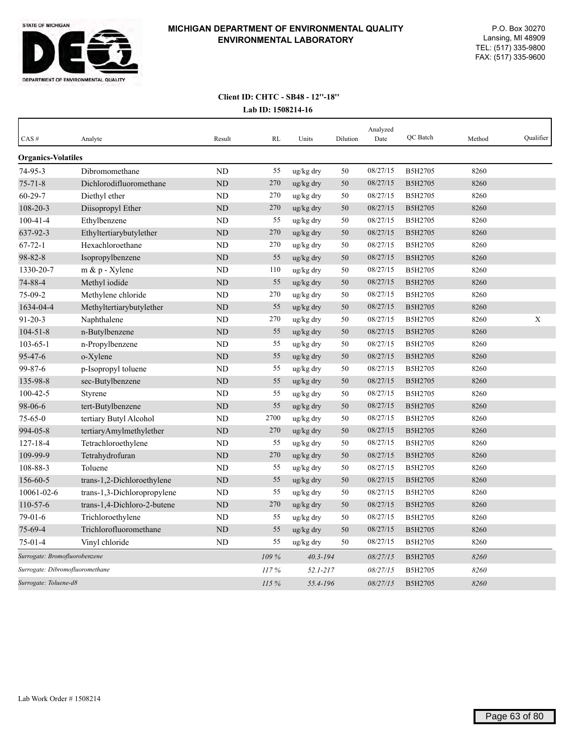

|                                 |                             |                |       |              |          | Analyzed | QC Batch |        | Oualifier |
|---------------------------------|-----------------------------|----------------|-------|--------------|----------|----------|----------|--------|-----------|
| CAS#                            | Analyte                     | Result         | RL    | Units        | Dilution | Date     |          | Method |           |
| <b>Organics-Volatiles</b>       |                             |                |       |              |          |          |          |        |           |
| 74-95-3                         | Dibromomethane              | <b>ND</b>      | 55    | ug/kg dry    | 50       | 08/27/15 | B5H2705  | 8260   |           |
| $75 - 71 - 8$                   | Dichlorodifluoromethane     | <b>ND</b>      | 270   | ug/kg dry    | 50       | 08/27/15 | B5H2705  | 8260   |           |
| $60 - 29 - 7$                   | Diethyl ether               | <b>ND</b>      | 270   | ug/kg dry    | 50       | 08/27/15 | B5H2705  | 8260   |           |
| 108-20-3                        | Diisopropyl Ether           | <b>ND</b>      | 270   | ug/kg dry    | 50       | 08/27/15 | B5H2705  | 8260   |           |
| $100 - 41 - 4$                  | Ethylbenzene                | <b>ND</b>      | 55    | ug/kg dry    | 50       | 08/27/15 | B5H2705  | 8260   |           |
| 637-92-3                        | Ethyltertiarybutylether     | <b>ND</b>      | 270   | ug/kg dry    | 50       | 08/27/15 | B5H2705  | 8260   |           |
| $67 - 72 - 1$                   | Hexachloroethane            | <b>ND</b>      | 270   | ug/kg dry    | 50       | 08/27/15 | B5H2705  | 8260   |           |
| $98 - 82 - 8$                   | Isopropylbenzene            | <b>ND</b>      | 55    | ug/kg dry    | 50       | 08/27/15 | B5H2705  | 8260   |           |
| 1330-20-7                       | m & p - Xylene              | ND             | 110   | ug/kg dry    | 50       | 08/27/15 | B5H2705  | 8260   |           |
| 74-88-4                         | Methyl iodide               | $\rm ND$       | 55    | ug/kg dry    | 50       | 08/27/15 | B5H2705  | 8260   |           |
| 75-09-2                         | Methylene chloride          | <b>ND</b>      | 270   | ug/kg dry    | 50       | 08/27/15 | B5H2705  | 8260   |           |
| 1634-04-4                       | Methyltertiarybutylether    | $\rm ND$       | 55    | ug/kg dry    | 50       | 08/27/15 | B5H2705  | 8260   |           |
| $91 - 20 - 3$                   | Naphthalene                 | <b>ND</b>      | 270   | ug/kg dry    | 50       | 08/27/15 | B5H2705  | 8260   | X         |
| $104 - 51 - 8$                  | n-Butylbenzene              | $\rm ND$       | 55    | ug/kg dry    | 50       | 08/27/15 | B5H2705  | 8260   |           |
| $103 - 65 - 1$                  | n-Propylbenzene             | <b>ND</b>      | 55    | ug/kg dry    | 50       | 08/27/15 | B5H2705  | 8260   |           |
| 95-47-6                         | o-Xylene                    | ND             | 55    | ug/kg dry    | 50       | 08/27/15 | B5H2705  | 8260   |           |
| 99-87-6                         | p-Isopropyl toluene         | <b>ND</b>      | 55    | ug/kg dry    | 50       | 08/27/15 | B5H2705  | 8260   |           |
| 135-98-8                        | sec-Butylbenzene            | ND             | 55    | ug/kg dry    | 50       | 08/27/15 | B5H2705  | 8260   |           |
| $100 - 42 - 5$                  | Styrene                     | ND             | 55    | ug/kg dry    | 50       | 08/27/15 | B5H2705  | 8260   |           |
| 98-06-6                         | tert-Butylbenzene           | ND             | 55    | ug/kg dry    | 50       | 08/27/15 | B5H2705  | 8260   |           |
| $75 - 65 - 0$                   | tertiary Butyl Alcohol      | ND             | 2700  | ug/kg dry    | 50       | 08/27/15 | B5H2705  | 8260   |           |
| 994-05-8                        | tertiaryAmylmethylether     | ND             | 270   | ug/kg dry    | 50       | 08/27/15 | B5H2705  | 8260   |           |
| $127 - 18 - 4$                  | Tetrachloroethylene         | ND             | 55    | ug/kg dry    | 50       | 08/27/15 | B5H2705  | 8260   |           |
| 109-99-9                        | Tetrahydrofuran             | ND             | 270   | ug/kg dry    | 50       | 08/27/15 | B5H2705  | 8260   |           |
| 108-88-3                        | Toluene                     | N <sub>D</sub> | 55    | ug/kg dry    | 50       | 08/27/15 | B5H2705  | 8260   |           |
| 156-60-5                        | trans-1,2-Dichloroethylene  | <b>ND</b>      | 55    | ug/kg dry    | 50       | 08/27/15 | B5H2705  | 8260   |           |
| 10061-02-6                      | trans-1,3-Dichloropropylene | ND             | 55    | ug/kg dry    | 50       | 08/27/15 | B5H2705  | 8260   |           |
| 110-57-6                        | trans-1,4-Dichloro-2-butene | <b>ND</b>      | 270   | ug/kg dry    | 50       | 08/27/15 | B5H2705  | 8260   |           |
| $79-01-6$                       | Trichloroethylene           | ND             | 55    | ug/kg dry    | 50       | 08/27/15 | B5H2705  | 8260   |           |
| 75-69-4                         | Trichlorofluoromethane      | ND             | 55    | ug/kg dry    | 50       | 08/27/15 | B5H2705  | 8260   |           |
| $75-01-4$                       | Vinyl chloride              | <b>ND</b>      | 55    | ug/kg dry    | 50       | 08/27/15 | B5H2705  | 8260   |           |
| Surrogate: Bromofluorobenzene   |                             |                | 109 % | $40.3 - 194$ |          | 08/27/15 | B5H2705  | 8260   |           |
| Surrogate: Dibromofluoromethane |                             |                | 117%  | 52.1-217     |          | 08/27/15 | B5H2705  | 8260   |           |
| Surrogate: Toluene-d8           |                             |                | 115%  | 55.4-196     |          | 08/27/15 | B5H2705  | 8260   |           |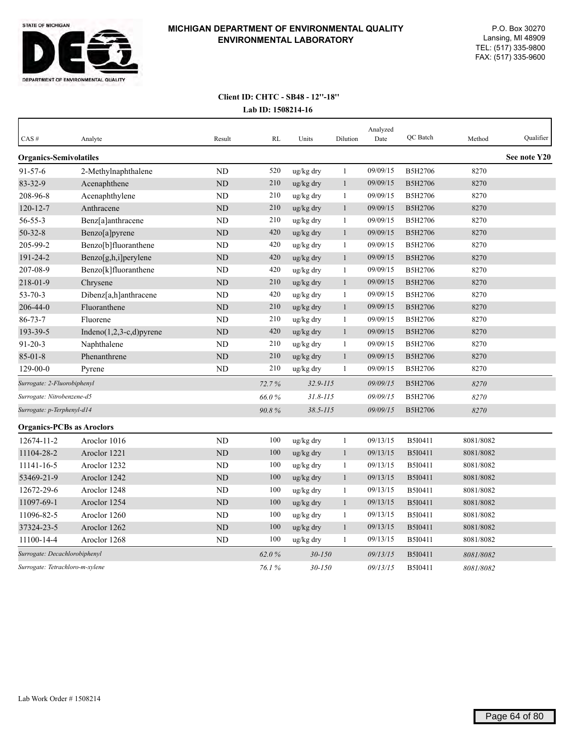

| CAS#                             | Analyte                     | Result         | <b>RL</b> | Units        | Dilution     | Analyzed<br>Date | QC Batch | Method    | Qualifier    |
|----------------------------------|-----------------------------|----------------|-----------|--------------|--------------|------------------|----------|-----------|--------------|
| <b>Organics-Semivolatiles</b>    |                             |                |           |              |              |                  |          |           | See note Y20 |
| $91 - 57 - 6$                    | 2-Methylnaphthalene         | <b>ND</b>      | 520       | ug/kg dry    | $\mathbf{1}$ | 09/09/15         | B5H2706  | 8270      |              |
| 83-32-9                          | Acenaphthene                | ND             | 210       | ug/kg dry    | $\mathbf{1}$ | 09/09/15         | B5H2706  | 8270      |              |
| 208-96-8                         | Acenaphthylene              | <b>ND</b>      | 210       | ug/kg dry    | $\mathbf{1}$ | 09/09/15         | B5H2706  | 8270      |              |
| $120 - 12 - 7$                   | Anthracene                  | <b>ND</b>      | 210       | ug/kg dry    | $\mathbf{1}$ | 09/09/15         | B5H2706  | 8270      |              |
| $56 - 55 - 3$                    | Benz[a]anthracene           | N <sub>D</sub> | 210       | ug/kg dry    | 1            | 09/09/15         | B5H2706  | 8270      |              |
| $50 - 32 - 8$                    | Benzo[a]pyrene              | ND             | 420       | ug/kg dry    | $\mathbf{1}$ | 09/09/15         | B5H2706  | 8270      |              |
| 205-99-2                         | Benzo[b]fluoranthene        | ND             | 420       | ug/kg dry    | 1            | 09/09/15         | B5H2706  | 8270      |              |
| 191-24-2                         | Benzo[g,h,i]perylene        | <b>ND</b>      | 420       | ug/kg dry    | $\mathbf{1}$ | 09/09/15         | B5H2706  | 8270      |              |
| 207-08-9                         | Benzo[k]fluoranthene        | <b>ND</b>      | 420       | ug/kg dry    | $\mathbf{1}$ | 09/09/15         | B5H2706  | 8270      |              |
| 218-01-9                         | Chrysene                    | <b>ND</b>      | 210       | ug/kg dry    | $\mathbf{1}$ | 09/09/15         | B5H2706  | 8270      |              |
| $53 - 70 - 3$                    | Dibenz[a,h]anthracene       | ND             | 420       | ug/kg dry    | $\mathbf{1}$ | 09/09/15         | B5H2706  | 8270      |              |
| 206-44-0                         | Fluoranthene                | <b>ND</b>      | 210       | ug/kg dry    | $\mathbf{1}$ | 09/09/15         | B5H2706  | 8270      |              |
| $86 - 73 - 7$                    | Fluorene                    | ND             | 210       | ug/kg dry    | 1            | 09/09/15         | B5H2706  | 8270      |              |
| 193-39-5                         | Indeno $(1,2,3-c,d)$ pyrene | $\rm ND$       | 420       | ug/kg dry    | $\mathbf{1}$ | 09/09/15         | B5H2706  | 8270      |              |
| $91 - 20 - 3$                    | Naphthalene                 | ND             | 210       | ug/kg dry    | $\mathbf{1}$ | 09/09/15         | B5H2706  | 8270      |              |
| $85 - 01 - 8$                    | Phenanthrene                | ND             | 210       | ug/kg dry    | $\mathbf{1}$ | 09/09/15         | B5H2706  | 8270      |              |
| 129-00-0                         | Pyrene                      | ND             | 210       | ug/kg dry    | $\mathbf{1}$ | 09/09/15         | B5H2706  | 8270      |              |
| Surrogate: 2-Fluorobiphenyl      |                             |                | 72.7%     | $32.9 - 115$ |              | 09/09/15         | B5H2706  | 8270      |              |
| Surrogate: Nitrobenzene-d5       |                             |                | 66.0%     | $31.8 - 115$ |              | 09/09/15         | B5H2706  | 8270      |              |
| Surrogate: p-Terphenyl-d14       |                             |                | 90.8%     | $38.5 - 115$ |              | 09/09/15         | B5H2706  | 8270      |              |
| <b>Organics-PCBs as Aroclors</b> |                             |                |           |              |              |                  |          |           |              |
| 12674-11-2                       | Aroclor 1016                | ND             | 100       | ug/kg dry    | $\mathbf{1}$ | 09/13/15         | B5I0411  | 8081/8082 |              |
| 11104-28-2                       | Aroclor 1221                | $\rm ND$       | 100       | ug/kg dry    | $\mathbf{1}$ | 09/13/15         | B5I0411  | 8081/8082 |              |
| 11141-16-5                       | Aroclor 1232                | <b>ND</b>      | 100       | ug/kg dry    | $\mathbf{1}$ | 09/13/15         | B5I0411  | 8081/8082 |              |
| 53469-21-9                       | Aroclor 1242                | ND             | 100       | ug/kg dry    | $\mathbf{1}$ | 09/13/15         | B5I0411  | 8081/8082 |              |
| 12672-29-6                       | Aroclor 1248                | ND             | 100       | ug/kg dry    | 1            | 09/13/15         | B5I0411  | 8081/8082 |              |
| 11097-69-1                       | Aroclor 1254                | <b>ND</b>      | 100       | ug/kg dry    | $\mathbf{1}$ | 09/13/15         | B5I0411  | 8081/8082 |              |
| 11096-82-5                       | Aroclor 1260                | <b>ND</b>      | 100       | ug/kg dry    | $\mathbf{1}$ | 09/13/15         | B5I0411  | 8081/8082 |              |
| 37324-23-5                       | Aroclor 1262                | <b>ND</b>      | 100       | ug/kg dry    | $\mathbf{1}$ | 09/13/15         | B5I0411  | 8081/8082 |              |
| 11100-14-4                       | Aroclor 1268                | ND             | 100       | ug/kg dry    | 1            | 09/13/15         | B5I0411  | 8081/8082 |              |
| Surrogate: Decachlorobiphenyl    |                             |                | 62.0%     | $30 - 150$   |              | 09/13/15         | B5I0411  | 8081/8082 |              |
| Surrogate: Tetrachloro-m-xylene  |                             |                | 76.1%     | $30 - 150$   |              | 09/13/15         | B5I0411  | 8081/8082 |              |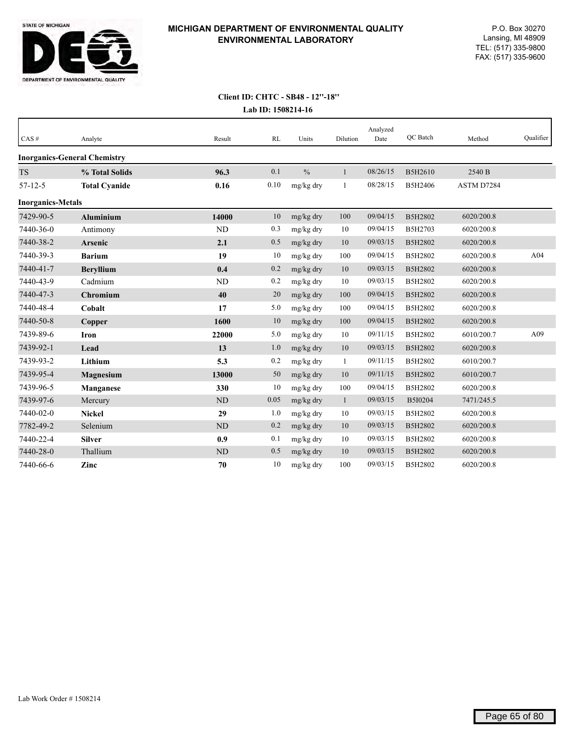

# **Client ID: CHTC - SB48 - 12''-18''**

**Lab ID: 1508214-16**

| CAS#                     | Analyte                             | Result    | RL   | Units         | Dilution     | Analyzed<br>Date | QC Batch | Method     | Qualifier |
|--------------------------|-------------------------------------|-----------|------|---------------|--------------|------------------|----------|------------|-----------|
|                          | <b>Inorganics-General Chemistry</b> |           |      |               |              |                  |          |            |           |
| <b>TS</b>                | % Total Solids                      | 96.3      | 0.1  | $\frac{0}{0}$ | $\mathbf{1}$ | 08/26/15         | B5H2610  | 2540 B     |           |
| $57 - 12 - 5$            | <b>Total Cyanide</b>                | 0.16      | 0.10 | mg/kg dry     | 1            | 08/28/15         | B5H2406  | ASTM D7284 |           |
| <b>Inorganics-Metals</b> |                                     |           |      |               |              |                  |          |            |           |
| 7429-90-5                | <b>Aluminium</b>                    | 14000     | 10   | mg/kg dry     | 100          | 09/04/15         | B5H2802  | 6020/200.8 |           |
| 7440-36-0                | Antimony                            | <b>ND</b> | 0.3  | mg/kg dry     | 10           | 09/04/15         | B5H2703  | 6020/200.8 |           |
| 7440-38-2                | Arsenic                             | 2.1       | 0.5  | mg/kg dry     | 10           | 09/03/15         | B5H2802  | 6020/200.8 |           |
| 7440-39-3                | <b>Barium</b>                       | 19        | 10   | mg/kg dry     | 100          | 09/04/15         | B5H2802  | 6020/200.8 | A04       |
| 7440-41-7                | <b>Beryllium</b>                    | 0.4       | 0.2  | mg/kg dry     | 10           | 09/03/15         | B5H2802  | 6020/200.8 |           |
| 7440-43-9                | Cadmium                             | <b>ND</b> | 0.2  | mg/kg dry     | 10           | 09/03/15         | B5H2802  | 6020/200.8 |           |
| 7440-47-3                | Chromium                            | 40        | 20   | mg/kg dry     | 100          | 09/04/15         | B5H2802  | 6020/200.8 |           |
| 7440-48-4                | Cobalt                              | 17        | 5.0  | mg/kg dry     | 100          | 09/04/15         | B5H2802  | 6020/200.8 |           |
| 7440-50-8                | Copper                              | 1600      | 10   | mg/kg dry     | 100          | 09/04/15         | B5H2802  | 6020/200.8 |           |
| 7439-89-6                | Iron                                | 22000     | 5.0  | mg/kg dry     | 10           | 09/11/15         | B5H2802  | 6010/200.7 | A09       |
| 7439-92-1                | Lead                                | 13        | 1.0  | mg/kg dry     | 10           | 09/03/15         | B5H2802  | 6020/200.8 |           |
| 7439-93-2                | Lithium                             | 5.3       | 0.2  | mg/kg dry     | $\mathbf{1}$ | 09/11/15         | B5H2802  | 6010/200.7 |           |
| 7439-95-4                | <b>Magnesium</b>                    | 13000     | 50   | mg/kg dry     | 10           | 09/11/15         | B5H2802  | 6010/200.7 |           |
| 7439-96-5                | <b>Manganese</b>                    | 330       | 10   | mg/kg dry     | 100          | 09/04/15         | B5H2802  | 6020/200.8 |           |
| 7439-97-6                | Mercury                             | <b>ND</b> | 0.05 | mg/kg dry     | $\mathbf{1}$ | 09/03/15         | B5I0204  | 7471/245.5 |           |
| 7440-02-0                | <b>Nickel</b>                       | 29        | 1.0  | mg/kg dry     | 10           | 09/03/15         | B5H2802  | 6020/200.8 |           |
| 7782-49-2                | Selenium                            | <b>ND</b> | 0.2  | mg/kg dry     | 10           | 09/03/15         | B5H2802  | 6020/200.8 |           |
| 7440-22-4                | <b>Silver</b>                       | 0.9       | 0.1  | mg/kg dry     | 10           | 09/03/15         | B5H2802  | 6020/200.8 |           |
| 7440-28-0                | Thallium                            | ND        | 0.5  | mg/kg dry     | 10           | 09/03/15         | B5H2802  | 6020/200.8 |           |
| 7440-66-6                | Zinc                                | 70        | 10   | mg/kg dry     | 100          | 09/03/15         | B5H2802  | 6020/200.8 |           |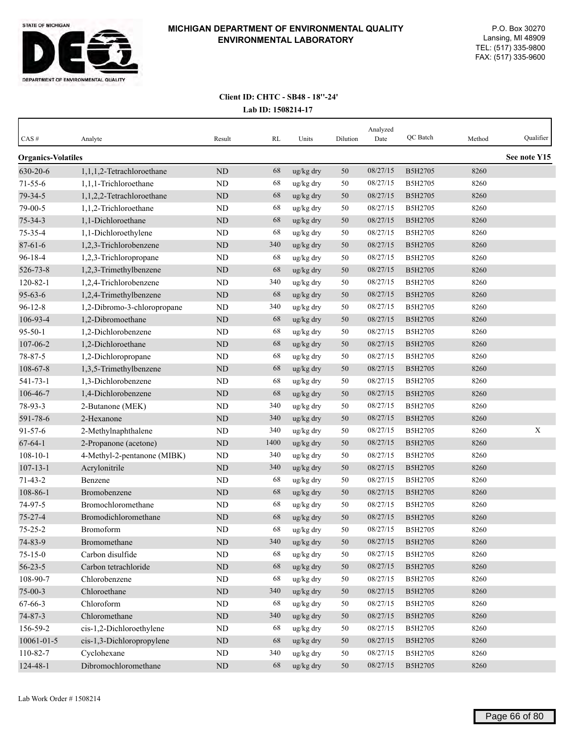

| CAS#                      | Analyte                     | Result    | RL   | Units     | Dilution | Analyzed<br>Date | QC Batch       | Method | Qualifier    |
|---------------------------|-----------------------------|-----------|------|-----------|----------|------------------|----------------|--------|--------------|
| <b>Organics-Volatiles</b> |                             |           |      |           |          |                  |                |        | See note Y15 |
| 630-20-6                  | 1,1,1,2-Tetrachloroethane   | <b>ND</b> | 68   | ug/kg dry | 50       | 08/27/15         | B5H2705        | 8260   |              |
| $71 - 55 - 6$             | 1,1,1-Trichloroethane       | ND        | 68   | ug/kg dry | 50       | 08/27/15         | B5H2705        | 8260   |              |
| 79-34-5                   | 1,1,2,2-Tetrachloroethane   | <b>ND</b> | 68   | ug/kg dry | 50       | 08/27/15         | B5H2705        | 8260   |              |
| $79 - 00 - 5$             | 1,1,2-Trichloroethane       | <b>ND</b> | 68   | ug/kg dry | 50       | 08/27/15         | B5H2705        | 8260   |              |
| $75 - 34 - 3$             | 1.1-Dichloroethane          | <b>ND</b> | 68   | ug/kg dry | 50       | 08/27/15         | <b>B5H2705</b> | 8260   |              |
| 75-35-4                   | 1,1-Dichloroethylene        | ND        | 68   | ug/kg dry | 50       | 08/27/15         | B5H2705        | 8260   |              |
| $87 - 61 - 6$             | 1,2,3-Trichlorobenzene      | <b>ND</b> | 340  | ug/kg dry | $50\,$   | 08/27/15         | B5H2705        | 8260   |              |
| $96 - 18 - 4$             | 1,2,3-Trichloropropane      | <b>ND</b> | 68   | ug/kg dry | 50       | 08/27/15         | B5H2705        | 8260   |              |
| 526-73-8                  | 1,2,3-Trimethylbenzene      | <b>ND</b> | 68   | ug/kg dry | 50       | 08/27/15         | B5H2705        | 8260   |              |
| $120 - 82 - 1$            | 1,2,4-Trichlorobenzene      | ND        | 340  | ug/kg dry | 50       | 08/27/15         | B5H2705        | 8260   |              |
| $95 - 63 - 6$             | 1,2,4-Trimethylbenzene      | <b>ND</b> | 68   | ug/kg dry | 50       | 08/27/15         | B5H2705        | 8260   |              |
| $96 - 12 - 8$             | 1,2-Dibromo-3-chloropropane | ND        | 340  | ug/kg dry | 50       | 08/27/15         | B5H2705        | 8260   |              |
| 106-93-4                  | 1,2-Dibromoethane           | <b>ND</b> | 68   | ug/kg dry | 50       | 08/27/15         | B5H2705        | 8260   |              |
| $95 - 50 - 1$             | 1,2-Dichlorobenzene         | <b>ND</b> | 68   | ug/kg dry | 50       | 08/27/15         | B5H2705        | 8260   |              |
| 107-06-2                  | 1,2-Dichloroethane          | <b>ND</b> | 68   | ug/kg dry | 50       | 08/27/15         | B5H2705        | 8260   |              |
| 78-87-5                   | 1,2-Dichloropropane         | <b>ND</b> | 68   | ug/kg dry | 50       | 08/27/15         | B5H2705        | 8260   |              |
| 108-67-8                  | 1,3,5-Trimethylbenzene      | ND        | 68   | ug/kg dry | 50       | 08/27/15         | B5H2705        | 8260   |              |
| 541-73-1                  | 1,3-Dichlorobenzene         | ND        | 68   | ug/kg dry | 50       | 08/27/15         | B5H2705        | 8260   |              |
| 106-46-7                  | 1,4-Dichlorobenzene         | <b>ND</b> | 68   | ug/kg dry | 50       | 08/27/15         | B5H2705        | 8260   |              |
| 78-93-3                   | 2-Butanone (MEK)            | <b>ND</b> | 340  | ug/kg dry | 50       | 08/27/15         | B5H2705        | 8260   |              |
| 591-78-6                  | 2-Hexanone                  | <b>ND</b> | 340  | ug/kg dry | 50       | 08/27/15         | B5H2705        | 8260   |              |
| $91 - 57 - 6$             | 2-Methylnaphthalene         | <b>ND</b> | 340  | ug/kg dry | 50       | 08/27/15         | B5H2705        | 8260   | X            |
| $67 - 64 - 1$             | 2-Propanone (acetone)       | <b>ND</b> | 1400 | ug/kg dry | 50       | 08/27/15         | B5H2705        | 8260   |              |
| $108 - 10 - 1$            | 4-Methyl-2-pentanone (MIBK) | <b>ND</b> | 340  | ug/kg dry | 50       | 08/27/15         | B5H2705        | 8260   |              |
| $107 - 13 - 1$            | Acrylonitrile               | <b>ND</b> | 340  | ug/kg dry | 50       | 08/27/15         | B5H2705        | 8260   |              |
| $71 - 43 - 2$             | Benzene                     | ND        | 68   | ug/kg dry | 50       | 08/27/15         | B5H2705        | 8260   |              |
| 108-86-1                  | Bromobenzene                | <b>ND</b> | 68   | ug/kg dry | 50       | 08/27/15         | B5H2705        | 8260   |              |
| 74-97-5                   | Bromochloromethane          | <b>ND</b> | 68   | ug/kg dry | 50       | 08/27/15         | B5H2705        | 8260   |              |
| $75 - 27 - 4$             | Bromodichloromethane        | <b>ND</b> | 68   | ug/kg dry | 50       | 08/27/15         | <b>B5H2705</b> | 8260   |              |
| $75 - 25 - 2$             | Bromoform                   | <b>ND</b> | 68   | ug/kg dry | 50       | 08/27/15         | B5H2705        | 8260   |              |
| 74-83-9                   | Bromomethane                | $\rm ND$  | 340  | ug/kg dry | $50\,$   | 08/27/15         | B5H2705        | 8260   |              |
| $75 - 15 - 0$             | Carbon disulfide            | <b>ND</b> | 68   | ug/kg dry | 50       | 08/27/15         | B5H2705        | 8260   |              |
| $56 - 23 - 5$             | Carbon tetrachloride        | $\rm ND$  | 68   | ug/kg dry | 50       | 08/27/15         | B5H2705        | 8260   |              |
| 108-90-7                  | Chlorobenzene               | ND        | 68   | ug/kg dry | 50       | 08/27/15         | B5H2705        | 8260   |              |
| $75 - 00 - 3$             | Chloroethane                | ND        | 340  | ug/kg dry | 50       | 08/27/15         | B5H2705        | 8260   |              |
| 67-66-3                   | Chloroform                  | $\rm ND$  | 68   | ug/kg dry | 50       | 08/27/15         | B5H2705        | 8260   |              |
| $74 - 87 - 3$             | Chloromethane               | $\rm ND$  | 340  | ug/kg dry | 50       | 08/27/15         | B5H2705        | 8260   |              |
| 156-59-2                  | cis-1,2-Dichloroethylene    | ND        | 68   | ug/kg dry | 50       | 08/27/15         | B5H2705        | 8260   |              |
| 10061-01-5                | cis-1,3-Dichloropropylene   | $\rm ND$  | 68   | ug/kg dry | $50\,$   | 08/27/15         | B5H2705        | 8260   |              |
| 110-82-7                  | Cyclohexane                 | ND        | 340  | ug/kg dry | 50       | 08/27/15         | B5H2705        | 8260   |              |
| 124-48-1                  | Dibromochloromethane        | $\rm ND$  | 68   | ug/kg dry | 50       | 08/27/15         | B5H2705        | 8260   |              |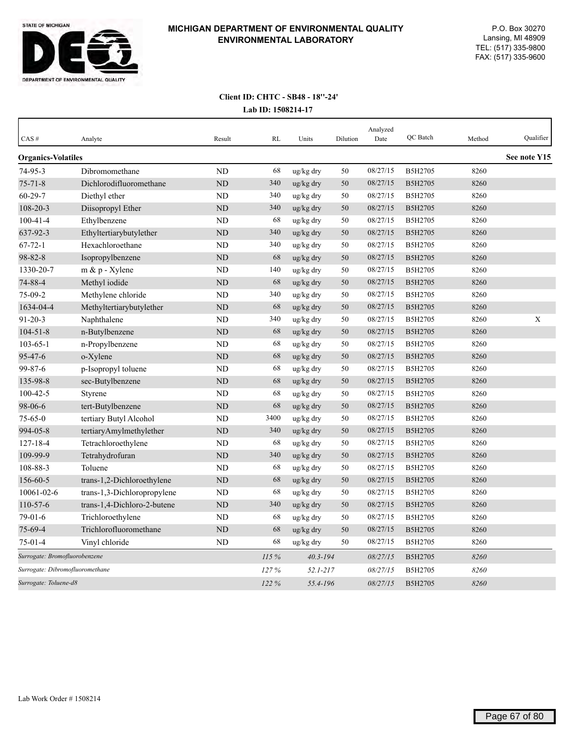

| CAS#                            | Analyte                     | Result    | RL    | Units        | Dilution | Analyzed<br>Date | QC Batch | Method | Qualifier    |
|---------------------------------|-----------------------------|-----------|-------|--------------|----------|------------------|----------|--------|--------------|
| <b>Organics-Volatiles</b>       |                             |           |       |              |          |                  |          |        | See note Y15 |
| $74 - 95 - 3$                   | Dibromomethane              | <b>ND</b> | 68    | ug/kg dry    | 50       | 08/27/15         | B5H2705  | 8260   |              |
| $75 - 71 - 8$                   | Dichlorodifluoromethane     | <b>ND</b> | 340   | ug/kg dry    | 50       | 08/27/15         | B5H2705  | 8260   |              |
| $60 - 29 - 7$                   | Diethyl ether               | ND        | 340   | ug/kg dry    | 50       | 08/27/15         | B5H2705  | 8260   |              |
| 108-20-3                        | Diisopropyl Ether           | <b>ND</b> | 340   | ug/kg dry    | 50       | 08/27/15         | B5H2705  | 8260   |              |
| $100 - 41 - 4$                  | Ethylbenzene                | <b>ND</b> | 68    | ug/kg dry    | 50       | 08/27/15         | B5H2705  | 8260   |              |
| 637-92-3                        | Ethyltertiarybutylether     | <b>ND</b> | 340   | ug/kg dry    | 50       | 08/27/15         | B5H2705  | 8260   |              |
| $67 - 72 - 1$                   | Hexachloroethane            | <b>ND</b> | 340   | ug/kg dry    | 50       | 08/27/15         | B5H2705  | 8260   |              |
| 98-82-8                         | Isopropylbenzene            | <b>ND</b> | 68    | ug/kg dry    | 50       | 08/27/15         | B5H2705  | 8260   |              |
| 1330-20-7                       | m & p - Xylene              | <b>ND</b> | 140   | ug/kg dry    | 50       | 08/27/15         | B5H2705  | 8260   |              |
| 74-88-4                         | Methyl iodide               | <b>ND</b> | 68    | ug/kg dry    | 50       | 08/27/15         | B5H2705  | 8260   |              |
| $75-09-2$                       | Methylene chloride          | ND        | 340   | ug/kg dry    | 50       | 08/27/15         | B5H2705  | 8260   |              |
| 1634-04-4                       | Methyltertiarybutylether    | <b>ND</b> | 68    | ug/kg dry    | 50       | 08/27/15         | B5H2705  | 8260   |              |
| $91 - 20 - 3$                   | Naphthalene                 | ND        | 340   | ug/kg dry    | 50       | 08/27/15         | B5H2705  | 8260   | X            |
| $104 - 51 - 8$                  | n-Butylbenzene              | <b>ND</b> | 68    | ug/kg dry    | 50       | 08/27/15         | B5H2705  | 8260   |              |
| $103 - 65 - 1$                  | n-Propylbenzene             | ND        | 68    | ug/kg dry    | 50       | 08/27/15         | B5H2705  | 8260   |              |
| 95-47-6                         | o-Xylene                    | ND        | 68    | ug/kg dry    | 50       | 08/27/15         | B5H2705  | 8260   |              |
| 99-87-6                         | p-Isopropyl toluene         | <b>ND</b> | 68    | ug/kg dry    | 50       | 08/27/15         | B5H2705  | 8260   |              |
| 135-98-8                        | sec-Butylbenzene            | <b>ND</b> | 68    | ug/kg dry    | 50       | 08/27/15         | B5H2705  | 8260   |              |
| $100 - 42 - 5$                  | Styrene                     | <b>ND</b> | 68    | ug/kg dry    | 50       | 08/27/15         | B5H2705  | 8260   |              |
| 98-06-6                         | tert-Butylbenzene           | <b>ND</b> | 68    | ug/kg dry    | 50       | 08/27/15         | B5H2705  | 8260   |              |
| $75 - 65 - 0$                   | tertiary Butyl Alcohol      | <b>ND</b> | 3400  | ug/kg dry    | 50       | 08/27/15         | B5H2705  | 8260   |              |
| 994-05-8                        | tertiaryAmylmethylether     | <b>ND</b> | 340   | ug/kg dry    | 50       | 08/27/15         | B5H2705  | 8260   |              |
| $127 - 18 - 4$                  | Tetrachloroethylene         | <b>ND</b> | 68    | ug/kg dry    | 50       | 08/27/15         | B5H2705  | 8260   |              |
| 109-99-9                        | Tetrahydrofuran             | ND        | 340   | ug/kg dry    | 50       | 08/27/15         | B5H2705  | 8260   |              |
| 108-88-3                        | Toluene                     | <b>ND</b> | 68    | ug/kg dry    | 50       | 08/27/15         | B5H2705  | 8260   |              |
| 156-60-5                        | trans-1,2-Dichloroethylene  | <b>ND</b> | 68    | ug/kg dry    | 50       | 08/27/15         | B5H2705  | 8260   |              |
| 10061-02-6                      | trans-1,3-Dichloropropylene | <b>ND</b> | 68    | ug/kg dry    | 50       | 08/27/15         | B5H2705  | 8260   |              |
| $110-57-6$                      | trans-1,4-Dichloro-2-butene | <b>ND</b> | 340   | ug/kg dry    | 50       | 08/27/15         | B5H2705  | 8260   |              |
| 79-01-6                         | Trichloroethylene           | ND        | 68    | ug/kg dry    | 50       | 08/27/15         | B5H2705  | 8260   |              |
| $75 - 69 - 4$                   | Trichlorofluoromethane      | <b>ND</b> | 68    | ug/kg dry    | 50       | 08/27/15         | B5H2705  | 8260   |              |
| $75 - 01 - 4$                   | Vinyl chloride              | ND        | 68    | ug/kg dry    | 50       | 08/27/15         | B5H2705  | 8260   |              |
| Surrogate: Bromofluorobenzene   |                             |           | 115 % | $40.3 - 194$ |          | 08/27/15         | B5H2705  | 8260   |              |
| Surrogate: Dibromofluoromethane |                             |           | 127%  | 52.1-217     |          | 08/27/15         | B5H2705  | 8260   |              |
| Surrogate: Toluene-d8           |                             |           | 122%  | 55.4-196     |          | 08/27/15         | B5H2705  | 8260   |              |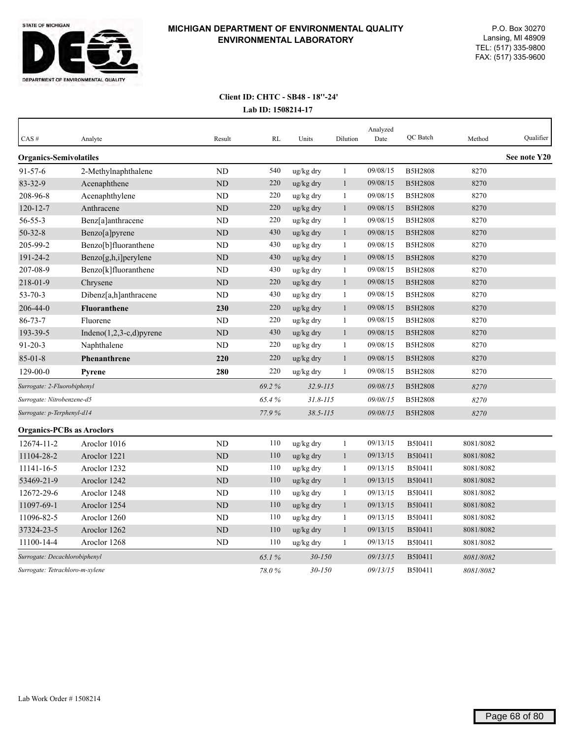

| CAS#                             | Analyte                     | Result         | RL    | Units        | Dilution     | Analyzed<br>Date | OC Batch       | Method    | Qualifier    |
|----------------------------------|-----------------------------|----------------|-------|--------------|--------------|------------------|----------------|-----------|--------------|
| <b>Organics-Semivolatiles</b>    |                             |                |       |              |              |                  |                |           | See note Y20 |
| $91 - 57 - 6$                    | 2-Methylnaphthalene         | N <sub>D</sub> | 540   | ug/kg dry    | $\mathbf{1}$ | 09/08/15         | <b>B5H2808</b> | 8270      |              |
| 83-32-9                          | Acenaphthene                | ND             | 220   | ug/kg dry    | $\mathbf{1}$ | 09/08/15         | <b>B5H2808</b> | 8270      |              |
| 208-96-8                         | Acenaphthylene              | <b>ND</b>      | 220   | ug/kg dry    | $\mathbf{1}$ | 09/08/15         | <b>B5H2808</b> | 8270      |              |
| $120 - 12 - 7$                   | Anthracene                  | <b>ND</b>      | 220   | ug/kg dry    | $\mathbf{1}$ | 09/08/15         | <b>B5H2808</b> | 8270      |              |
| $56 - 55 - 3$                    | Benz[a]anthracene           | <b>ND</b>      | 220   | ug/kg dry    | $\mathbf{1}$ | 09/08/15         | <b>B5H2808</b> | 8270      |              |
| $50 - 32 - 8$                    | Benzo[a]pyrene              | ND             | 430   | ug/kg dry    | $\mathbf{1}$ | 09/08/15         | <b>B5H2808</b> | 8270      |              |
| 205-99-2                         | Benzo[b]fluoranthene        | <b>ND</b>      | 430   | ug/kg dry    | $\mathbf{1}$ | 09/08/15         | <b>B5H2808</b> | 8270      |              |
| 191-24-2                         | Benzo[g,h,i]perylene        | ND             | 430   | ug/kg dry    | $\mathbf{1}$ | 09/08/15         | <b>B5H2808</b> | 8270      |              |
| 207-08-9                         | Benzo[k]fluoranthene        | ND             | 430   | ug/kg dry    | $\mathbf{1}$ | 09/08/15         | <b>B5H2808</b> | 8270      |              |
| 218-01-9                         | Chrysene                    | ND             | 220   | ug/kg dry    | $\mathbf{1}$ | 09/08/15         | <b>B5H2808</b> | 8270      |              |
| $53 - 70 - 3$                    | Dibenz[a,h]anthracene       | <b>ND</b>      | 430   | ug/kg dry    | $\mathbf{1}$ | 09/08/15         | <b>B5H2808</b> | 8270      |              |
| 206-44-0                         | <b>Fluoranthene</b>         | 230            | 220   | ug/kg dry    | $\mathbf{1}$ | 09/08/15         | <b>B5H2808</b> | 8270      |              |
| $86 - 73 - 7$                    | Fluorene                    | <b>ND</b>      | 220   | ug/kg dry    | $\mathbf{1}$ | 09/08/15         | <b>B5H2808</b> | 8270      |              |
| 193-39-5                         | Indeno $(1,2,3-c,d)$ pyrene | ND             | 430   | ug/kg dry    | $\mathbf{1}$ | 09/08/15         | <b>B5H2808</b> | 8270      |              |
| $91 - 20 - 3$                    | Naphthalene                 | <b>ND</b>      | 220   | ug/kg dry    | -1           | 09/08/15         | <b>B5H2808</b> | 8270      |              |
| $85 - 01 - 8$                    | <b>Phenanthrene</b>         | 220            | 220   | ug/kg dry    | $\mathbf{1}$ | 09/08/15         | <b>B5H2808</b> | 8270      |              |
| $129 - 00 - 0$                   | <b>Pyrene</b>               | 280            | 220   | ug/kg dry    | 1            | 09/08/15         | <b>B5H2808</b> | 8270      |              |
| Surrogate: 2-Fluorobiphenyl      |                             |                | 69.2% | $32.9 - 115$ |              | 09/08/15         | <b>B5H2808</b> | 8270      |              |
| Surrogate: Nitrobenzene-d5       |                             |                | 65.4% | $31.8 - 115$ |              | 09/08/15         | <b>B5H2808</b> | 8270      |              |
| Surrogate: p-Terphenyl-d14       |                             |                | 77.9% | $38.5 - 115$ |              | 09/08/15         | <b>B5H2808</b> | 8270      |              |
| <b>Organics-PCBs as Aroclors</b> |                             |                |       |              |              |                  |                |           |              |
| 12674-11-2                       | Aroclor 1016                | <b>ND</b>      | 110   | ug/kg dry    | $\mathbf{1}$ | 09/13/15         | B5I0411        | 8081/8082 |              |
| 11104-28-2                       | Aroclor 1221                | <b>ND</b>      | 110   | ug/kg dry    | $\mathbf{1}$ | 09/13/15         | B5I0411        | 8081/8082 |              |
| 11141-16-5                       | Aroclor 1232                | <b>ND</b>      | 110   | ug/kg dry    | 1            | 09/13/15         | B5I0411        | 8081/8082 |              |
| 53469-21-9                       | Aroclor 1242                | <b>ND</b>      | 110   | ug/kg dry    | $\mathbf{1}$ | 09/13/15         | B5I0411        | 8081/8082 |              |
| 12672-29-6                       | Aroclor 1248                | <b>ND</b>      | 110   | ug/kg dry    | $\mathbf{1}$ | 09/13/15         | B5I0411        | 8081/8082 |              |
| 11097-69-1                       | Aroclor 1254                | ND             | 110   | ug/kg dry    | $\mathbf{1}$ | 09/13/15         | B5I0411        | 8081/8082 |              |
| 11096-82-5                       | Aroclor 1260                | ND             | 110   | ug/kg dry    | 1            | 09/13/15         | B5I0411        | 8081/8082 |              |
| 37324-23-5                       | Aroclor 1262                | ND             | 110   | ug/kg dry    | $\mathbf{1}$ | 09/13/15         | <b>B5I0411</b> | 8081/8082 |              |
| 11100-14-4                       | Aroclor 1268                | N <sub>D</sub> | 110   | ug/kg dry    | $\mathbf{1}$ | 09/13/15         | B5I0411        | 8081/8082 |              |
| Surrogate: Decachlorobiphenyl    |                             |                | 65.1% | $30 - 150$   |              | 09/13/15         | B5I0411        | 8081/8082 |              |
| Surrogate: Tetrachloro-m-xylene  |                             |                | 78.0% | $30 - 150$   |              | 09/13/15         | B5I0411        | 8081/8082 |              |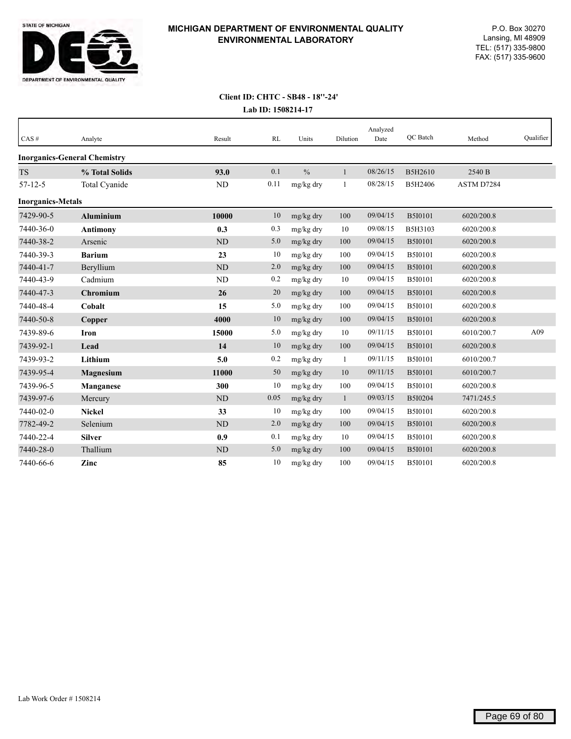

| CAS#                     | Analyte                             | Result    | RL   | Units         | Dilution     | Analyzed<br>Date | OC Batch       | Method     | Qualifier |
|--------------------------|-------------------------------------|-----------|------|---------------|--------------|------------------|----------------|------------|-----------|
|                          | <b>Inorganics-General Chemistry</b> |           |      |               |              |                  |                |            |           |
| <b>TS</b>                | % Total Solids                      | 93.0      | 0.1  | $\frac{0}{0}$ | 1            | 08/26/15         | B5H2610        | 2540 B     |           |
| $57 - 12 - 5$            | Total Cyanide                       | ND        | 0.11 | mg/kg dry     | $\mathbf{1}$ | 08/28/15         | B5H2406        | ASTM D7284 |           |
| <b>Inorganics-Metals</b> |                                     |           |      |               |              |                  |                |            |           |
| 7429-90-5                | <b>Aluminium</b>                    | 10000     | 10   | mg/kg dry     | 100          | 09/04/15         | <b>B5I0101</b> | 6020/200.8 |           |
| 7440-36-0                | <b>Antimony</b>                     | 0.3       | 0.3  | mg/kg dry     | 10           | 09/08/15         | B5H3103        | 6020/200.8 |           |
| 7440-38-2                | Arsenic                             | <b>ND</b> | 5.0  | mg/kg dry     | 100          | 09/04/15         | <b>B5I0101</b> | 6020/200.8 |           |
| 7440-39-3                | <b>Barium</b>                       | 23        | 10   | mg/kg dry     | 100          | 09/04/15         | B5I0101        | 6020/200.8 |           |
| 7440-41-7                | Beryllium                           | ND        | 2.0  | mg/kg dry     | 100          | 09/04/15         | <b>B5I0101</b> | 6020/200.8 |           |
| 7440-43-9                | Cadmium                             | <b>ND</b> | 0.2  | mg/kg dry     | 10           | 09/04/15         | B5I0101        | 6020/200.8 |           |
| 7440-47-3                | Chromium                            | 26        | 20   | mg/kg dry     | 100          | 09/04/15         | <b>B5I0101</b> | 6020/200.8 |           |
| 7440-48-4                | Cobalt                              | 15        | 5.0  | mg/kg dry     | 100          | 09/04/15         | B5I0101        | 6020/200.8 |           |
| 7440-50-8                | Copper                              | 4000      | 10   | mg/kg dry     | 100          | 09/04/15         | <b>B5I0101</b> | 6020/200.8 |           |
| 7439-89-6                | <b>Iron</b>                         | 15000     | 5.0  | mg/kg dry     | 10           | 09/11/15         | B5I0101        | 6010/200.7 | A09       |
| 7439-92-1                | Lead                                | 14        | 10   | mg/kg dry     | 100          | 09/04/15         | <b>B5I0101</b> | 6020/200.8 |           |
| 7439-93-2                | Lithium                             | 5.0       | 0.2  | mg/kg dry     | $\mathbf{1}$ | 09/11/15         | B5I0101        | 6010/200.7 |           |
| 7439-95-4                | Magnesium                           | 11000     | 50   | mg/kg dry     | 10           | 09/11/15         | <b>B5I0101</b> | 6010/200.7 |           |
| 7439-96-5                | <b>Manganese</b>                    | 300       | 10   | mg/kg dry     | 100          | 09/04/15         | B5I0101        | 6020/200.8 |           |
| 7439-97-6                | Mercury                             | <b>ND</b> | 0.05 | mg/kg dry     | $\mathbf{1}$ | 09/03/15         | B5I0204        | 7471/245.5 |           |
| 7440-02-0                | <b>Nickel</b>                       | 33        | 10   | mg/kg dry     | 100          | 09/04/15         | <b>B5I0101</b> | 6020/200.8 |           |
| 7782-49-2                | Selenium                            | <b>ND</b> | 2.0  | mg/kg dry     | 100          | 09/04/15         | <b>B5I0101</b> | 6020/200.8 |           |
| 7440-22-4                | <b>Silver</b>                       | 0.9       | 0.1  | mg/kg dry     | 10           | 09/04/15         | B5I0101        | 6020/200.8 |           |
| 7440-28-0                | Thallium                            | <b>ND</b> | 5.0  | mg/kg dry     | 100          | 09/04/15         | <b>B5I0101</b> | 6020/200.8 |           |
| 7440-66-6                | Zinc                                | 85        | 10   | mg/kg dry     | 100          | 09/04/15         | <b>B5I0101</b> | 6020/200.8 |           |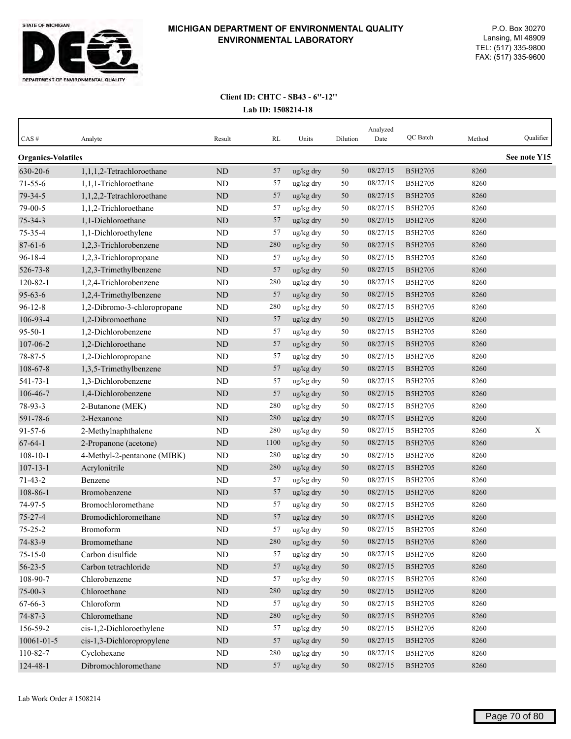

| $CAS \#$                  | Analyte                     | Result    | RL   | Units     | Dilution | Analyzed<br>Date | QC Batch | Method | Qualifier    |
|---------------------------|-----------------------------|-----------|------|-----------|----------|------------------|----------|--------|--------------|
| <b>Organics-Volatiles</b> |                             |           |      |           |          |                  |          |        | See note Y15 |
| 630-20-6                  | 1,1,1,2-Tetrachloroethane   | <b>ND</b> | 57   | ug/kg dry | 50       | 08/27/15         | B5H2705  | 8260   |              |
| $71 - 55 - 6$             | 1,1,1-Trichloroethane       | ND        | 57   | ug/kg dry | 50       | 08/27/15         | B5H2705  | 8260   |              |
| 79-34-5                   | 1,1,2,2-Tetrachloroethane   | ND        | 57   | ug/kg dry | 50       | 08/27/15         | B5H2705  | 8260   |              |
| 79-00-5                   | 1,1,2-Trichloroethane       | ND        | 57   | ug/kg dry | 50       | 08/27/15         | B5H2705  | 8260   |              |
| $75 - 34 - 3$             | 1,1-Dichloroethane          | <b>ND</b> | 57   | ug/kg dry | 50       | 08/27/15         | B5H2705  | 8260   |              |
| 75-35-4                   | 1,1-Dichloroethylene        | <b>ND</b> | 57   | ug/kg dry | 50       | 08/27/15         | B5H2705  | 8260   |              |
| $87 - 61 - 6$             | 1,2,3-Trichlorobenzene      | ND        | 280  | ug/kg dry | 50       | 08/27/15         | B5H2705  | 8260   |              |
| $96 - 18 - 4$             | 1,2,3-Trichloropropane      | ND        | 57   | ug/kg dry | 50       | 08/27/15         | B5H2705  | 8260   |              |
| 526-73-8                  | 1,2,3-Trimethylbenzene      | <b>ND</b> | 57   | ug/kg dry | 50       | 08/27/15         | B5H2705  | 8260   |              |
| $120 - 82 - 1$            | 1,2,4-Trichlorobenzene      | <b>ND</b> | 280  | ug/kg dry | 50       | 08/27/15         | B5H2705  | 8260   |              |
| $95 - 63 - 6$             | 1,2,4-Trimethylbenzene      | <b>ND</b> | 57   | ug/kg dry | 50       | 08/27/15         | B5H2705  | 8260   |              |
| $96 - 12 - 8$             | 1,2-Dibromo-3-chloropropane | <b>ND</b> | 280  | ug/kg dry | 50       | 08/27/15         | B5H2705  | 8260   |              |
| 106-93-4                  | 1,2-Dibromoethane           | ND        | 57   | ug/kg dry | 50       | 08/27/15         | B5H2705  | 8260   |              |
| $95 - 50 - 1$             | 1,2-Dichlorobenzene         | <b>ND</b> | 57   | ug/kg dry | 50       | 08/27/15         | B5H2705  | 8260   |              |
| 107-06-2                  | 1,2-Dichloroethane          | ND        | 57   | ug/kg dry | 50       | 08/27/15         | B5H2705  | 8260   |              |
| 78-87-5                   | 1,2-Dichloropropane         | <b>ND</b> | 57   | ug/kg dry | 50       | 08/27/15         | B5H2705  | 8260   |              |
| 108-67-8                  | 1,3,5-Trimethylbenzene      | ND        | 57   | ug/kg dry | 50       | 08/27/15         | B5H2705  | 8260   |              |
| $541 - 73 - 1$            | 1,3-Dichlorobenzene         | <b>ND</b> | 57   | ug/kg dry | 50       | 08/27/15         | B5H2705  | 8260   |              |
| 106-46-7                  | 1,4-Dichlorobenzene         | <b>ND</b> | 57   | ug/kg dry | 50       | 08/27/15         | B5H2705  | 8260   |              |
| 78-93-3                   | 2-Butanone (MEK)            | <b>ND</b> | 280  | ug/kg dry | 50       | 08/27/15         | B5H2705  | 8260   |              |
| 591-78-6                  | 2-Hexanone                  | ND        | 280  | ug/kg dry | 50       | 08/27/15         | B5H2705  | 8260   |              |
| $91 - 57 - 6$             | 2-Methylnaphthalene         | <b>ND</b> | 280  | ug/kg dry | 50       | 08/27/15         | B5H2705  | 8260   | $\mathbf X$  |
| $67 - 64 - 1$             | 2-Propanone (acetone)       | <b>ND</b> | 1100 | ug/kg dry | 50       | 08/27/15         | B5H2705  | 8260   |              |
| $108 - 10 - 1$            | 4-Methyl-2-pentanone (MIBK) | ND        | 280  | ug/kg dry | 50       | 08/27/15         | B5H2705  | 8260   |              |
| $107 - 13 - 1$            | Acrylonitrile               | ND        | 280  | ug/kg dry | 50       | 08/27/15         | B5H2705  | 8260   |              |
| $71 - 43 - 2$             | Benzene                     | <b>ND</b> | 57   | ug/kg dry | 50       | 08/27/15         | B5H2705  | 8260   |              |
| 108-86-1                  | Bromobenzene                | ND        | 57   | ug/kg dry | 50       | 08/27/15         | B5H2705  | 8260   |              |
| 74-97-5                   | Bromochloromethane          | <b>ND</b> | 57   | ug/kg dry | 50       | 08/27/15         | B5H2705  | 8260   |              |
| $75 - 27 - 4$             | Bromodichloromethane        | ND        | 57   | ug/kg dry | 50       | 08/27/15         | B5H2705  | 8260   |              |
| $75 - 25 - 2$             | Bromoform                   | ND        | 57   | ug/kg dry | 50       | 08/27/15         | B5H2705  | 8260   |              |
| 74-83-9                   | Bromomethane                | ND        | 280  | ug/kg dry | 50       | 08/27/15         | B5H2705  | 8260   |              |
| $75 - 15 - 0$             | Carbon disulfide            | ND        | 57   | ug/kg dry | 50       | 08/27/15         | B5H2705  | 8260   |              |
| $56 - 23 - 5$             | Carbon tetrachloride        | $\rm ND$  | 57   | ug/kg dry | 50       | 08/27/15         | B5H2705  | 8260   |              |
| 108-90-7                  | Chlorobenzene               | ND        | 57   | ug/kg dry | 50       | 08/27/15         | B5H2705  | 8260   |              |
| $75 - 00 - 3$             | Chloroethane                | $\rm ND$  | 280  | ug/kg dry | $50\,$   | 08/27/15         | B5H2705  | 8260   |              |
| 67-66-3                   | Chloroform                  | $\rm ND$  | 57   | ug/kg dry | 50       | 08/27/15         | B5H2705  | 8260   |              |
| 74-87-3                   | Chloromethane               | ND        | 280  | ug/kg dry | 50       | 08/27/15         | B5H2705  | 8260   |              |
| 156-59-2                  | cis-1,2-Dichloroethylene    | ND        | 57   | ug/kg dry | 50       | 08/27/15         | B5H2705  | 8260   |              |
| $10061 - 01 - 5$          | cis-1,3-Dichloropropylene   | $\rm ND$  | 57   | ug/kg dry | 50       | 08/27/15         | B5H2705  | 8260   |              |
| 110-82-7                  | Cyclohexane                 | $\rm ND$  | 280  | ug/kg dry | 50       | 08/27/15         | B5H2705  | 8260   |              |
| 124-48-1                  | Dibromochloromethane        | $\rm ND$  | 57   | ug/kg dry | 50       | 08/27/15         | B5H2705  | 8260   |              |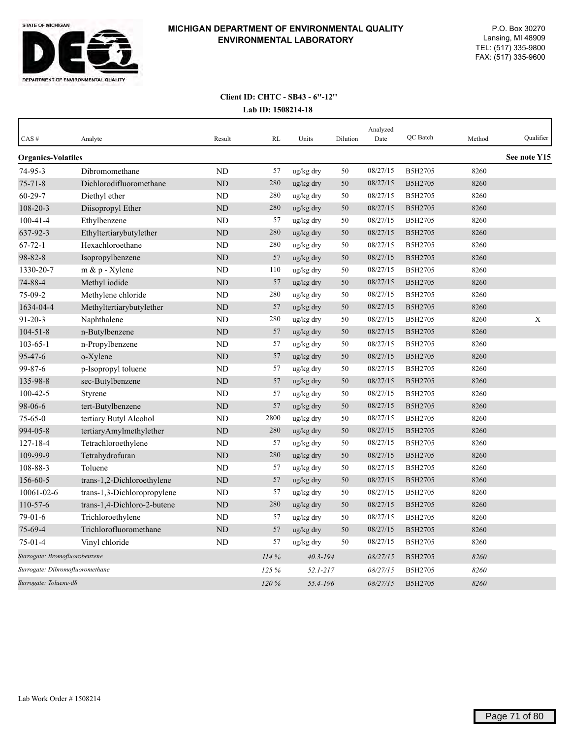

| CAS#                            | Analyte                     | Result         | <b>RL</b> | Units        | Dilution | Analyzed<br>Date | QC Batch       | Method | Qualifier    |
|---------------------------------|-----------------------------|----------------|-----------|--------------|----------|------------------|----------------|--------|--------------|
| <b>Organics-Volatiles</b>       |                             |                |           |              |          |                  |                |        | See note Y15 |
| 74-95-3                         | Dibromomethane              | <b>ND</b>      | 57        | ug/kg dry    | 50       | 08/27/15         | B5H2705        | 8260   |              |
| $75 - 71 - 8$                   | Dichlorodifluoromethane     | ND             | 280       | ug/kg dry    | 50       | 08/27/15         | <b>B5H2705</b> | 8260   |              |
| $60 - 29 - 7$                   | Diethyl ether               | <b>ND</b>      | 280       | ug/kg dry    | 50       | 08/27/15         | B5H2705        | 8260   |              |
| 108-20-3                        | Diisopropyl Ether           | ND             | 280       | ug/kg dry    | 50       | 08/27/15         | <b>B5H2705</b> | 8260   |              |
| $100 - 41 - 4$                  | Ethylbenzene                | <b>ND</b>      | 57        | ug/kg dry    | 50       | 08/27/15         | B5H2705        | 8260   |              |
| 637-92-3                        | Ethyltertiarybutylether     | <b>ND</b>      | 280       | ug/kg dry    | 50       | 08/27/15         | B5H2705        | 8260   |              |
| $67 - 72 - 1$                   | Hexachloroethane            | ND             | 280       | ug/kg dry    | 50       | 08/27/15         | B5H2705        | 8260   |              |
| 98-82-8                         | Isopropylbenzene            | <b>ND</b>      | 57        | ug/kg dry    | 50       | 08/27/15         | B5H2705        | 8260   |              |
| 1330-20-7                       | $m \& p$ - Xylene           | <b>ND</b>      | 110       | ug/kg dry    | 50       | 08/27/15         | B5H2705        | 8260   |              |
| 74-88-4                         | Methyl iodide               | <b>ND</b>      | 57        | ug/kg dry    | 50       | 08/27/15         | B5H2705        | 8260   |              |
| $75-09-2$                       | Methylene chloride          | ND             | 280       | ug/kg dry    | 50       | 08/27/15         | B5H2705        | 8260   |              |
| 1634-04-4                       | Methyltertiarybutylether    | <b>ND</b>      | 57        | ug/kg dry    | 50       | 08/27/15         | B5H2705        | 8260   |              |
| $91 - 20 - 3$                   | Naphthalene                 | <b>ND</b>      | 280       | ug/kg dry    | 50       | 08/27/15         | B5H2705        | 8260   | X            |
| $104 - 51 - 8$                  | n-Butylbenzene              | <b>ND</b>      | 57        | ug/kg dry    | 50       | 08/27/15         | B5H2705        | 8260   |              |
| $103 - 65 - 1$                  | n-Propylbenzene             | <b>ND</b>      | 57        | ug/kg dry    | 50       | 08/27/15         | B5H2705        | 8260   |              |
| $95 - 47 - 6$                   | o-Xylene                    | <b>ND</b>      | 57        | ug/kg dry    | 50       | 08/27/15         | B5H2705        | 8260   |              |
| 99-87-6                         | p-Isopropyl toluene         | <b>ND</b>      | 57        | ug/kg dry    | 50       | 08/27/15         | B5H2705        | 8260   |              |
| 135-98-8                        | sec-Butylbenzene            | ND             | 57        | ug/kg dry    | 50       | 08/27/15         | B5H2705        | 8260   |              |
| $100 - 42 - 5$                  | Styrene                     | <b>ND</b>      | 57        | ug/kg dry    | 50       | 08/27/15         | B5H2705        | 8260   |              |
| 98-06-6                         | tert-Butylbenzene           | N <sub>D</sub> | 57        | ug/kg dry    | 50       | 08/27/15         | B5H2705        | 8260   |              |
| $75 - 65 - 0$                   | tertiary Butyl Alcohol      | <b>ND</b>      | 2800      | ug/kg dry    | 50       | 08/27/15         | B5H2705        | 8260   |              |
| 994-05-8                        | tertiaryAmylmethylether     | <b>ND</b>      | 280       | ug/kg dry    | 50       | 08/27/15         | B5H2705        | 8260   |              |
| 127-18-4                        | Tetrachloroethylene         | <b>ND</b>      | 57        | ug/kg dry    | 50       | 08/27/15         | B5H2705        | 8260   |              |
| 109-99-9                        | Tetrahydrofuran             | ND             | 280       | ug/kg dry    | 50       | 08/27/15         | B5H2705        | 8260   |              |
| 108-88-3                        | Toluene                     | <b>ND</b>      | 57        | ug/kg dry    | 50       | 08/27/15         | B5H2705        | 8260   |              |
| 156-60-5                        | trans-1,2-Dichloroethylene  | <b>ND</b>      | 57        | ug/kg dry    | 50       | 08/27/15         | B5H2705        | 8260   |              |
| 10061-02-6                      | trans-1,3-Dichloropropylene | <b>ND</b>      | 57        | ug/kg dry    | 50       | 08/27/15         | B5H2705        | 8260   |              |
| $110 - 57 - 6$                  | trans-1,4-Dichloro-2-butene | <b>ND</b>      | 280       | ug/kg dry    | 50       | 08/27/15         | B5H2705        | 8260   |              |
| $79-01-6$                       | Trichloroethylene           | <b>ND</b>      | 57        | ug/kg dry    | 50       | 08/27/15         | B5H2705        | 8260   |              |
| 75-69-4                         | Trichlorofluoromethane      | <b>ND</b>      | 57        | ug/kg dry    | 50       | 08/27/15         | B5H2705        | 8260   |              |
| 75-01-4                         | Vinyl chloride              | ND             | 57        | ug/kg dry    | 50       | 08/27/15         | B5H2705        | 8260   |              |
| Surrogate: Bromofluorobenzene   |                             |                | 114%      | $40.3 - 194$ |          | 08/27/15         | B5H2705        | 8260   |              |
| Surrogate: Dibromofluoromethane |                             |                | 125%      | $52.1 - 217$ |          | 08/27/15         | B5H2705        | 8260   |              |
| Surrogate: Toluene-d8           |                             |                | 120%      | 55.4-196     |          | 08/27/15         | B5H2705        | 8260   |              |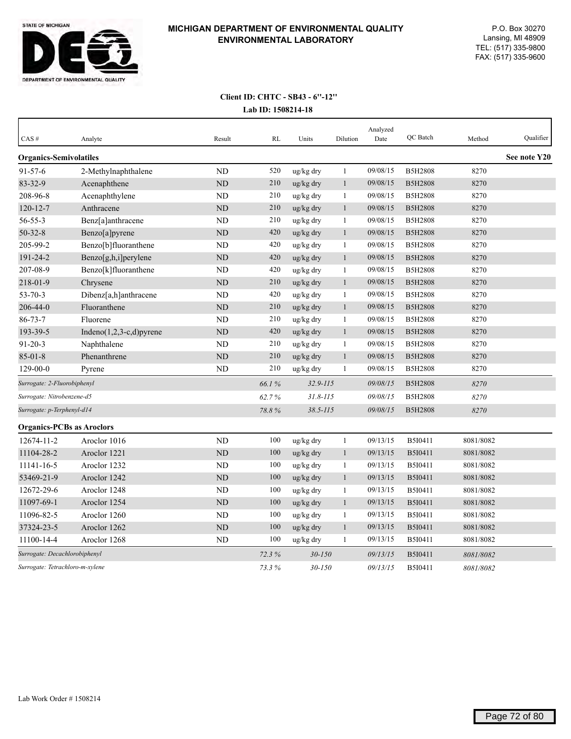

| CAS#                             | Analyte                     | Result         | <b>RL</b> | Units                 | Dilution     | Analyzed<br>Date | QC Batch       | Method    | Qualifier    |
|----------------------------------|-----------------------------|----------------|-----------|-----------------------|--------------|------------------|----------------|-----------|--------------|
| <b>Organics-Semivolatiles</b>    |                             |                |           |                       |              |                  |                |           | See note Y20 |
| $91 - 57 - 6$                    | 2-Methylnaphthalene         | <b>ND</b>      | 520       | ug/kg dry             | $\mathbf{1}$ | 09/08/15         | <b>B5H2808</b> | 8270      |              |
| 83-32-9                          | Acenaphthene                | ND             | 210       | ug/kg dry             | $\mathbf{1}$ | 09/08/15         | <b>B5H2808</b> | 8270      |              |
| 208-96-8                         | Acenaphthylene              | N <sub>D</sub> | 210       | ug/kg dry             | $\mathbf{1}$ | 09/08/15         | <b>B5H2808</b> | 8270      |              |
| $120 - 12 - 7$                   | Anthracene                  | <b>ND</b>      | 210       | ug/kg dry             | $\mathbf{1}$ | 09/08/15         | <b>B5H2808</b> | 8270      |              |
| $56 - 55 - 3$                    | Benz[a]anthracene           | <b>ND</b>      | 210       | ug/kg dry             | $\mathbf{1}$ | 09/08/15         | <b>B5H2808</b> | 8270      |              |
| $50 - 32 - 8$                    | Benzo[a]pyrene              | ND             | 420       | ug/kg dry             | $\mathbf{1}$ | 09/08/15         | <b>B5H2808</b> | 8270      |              |
| 205-99-2                         | Benzo[b]fluoranthene        | <b>ND</b>      | 420       | ug/kg dry             | $\mathbf{1}$ | 09/08/15         | <b>B5H2808</b> | 8270      |              |
| 191-24-2                         | Benzo[g,h,i]perylene        | ND             | 420       | ug/kg dry             | $\mathbf{1}$ | 09/08/15         | <b>B5H2808</b> | 8270      |              |
| 207-08-9                         | Benzo[k]fluoranthene        | ND             | 420       | ug/kg dry             | $\mathbf{1}$ | 09/08/15         | <b>B5H2808</b> | 8270      |              |
| 218-01-9                         | Chrysene                    | <b>ND</b>      | 210       | ug/kg dry             | $\mathbf{1}$ | 09/08/15         | <b>B5H2808</b> | 8270      |              |
| $53 - 70 - 3$                    | Dibenz[a,h]anthracene       | <b>ND</b>      | 420       | ug/kg dry             | 1            | 09/08/15         | <b>B5H2808</b> | 8270      |              |
| 206-44-0                         | Fluoranthene                | <b>ND</b>      | 210       | ug/kg dry             | $\mathbf{1}$ | 09/08/15         | <b>B5H2808</b> | 8270      |              |
| $86 - 73 - 7$                    | Fluorene                    | <b>ND</b>      | 210       | ug/kg dry             | $\mathbf{1}$ | 09/08/15         | <b>B5H2808</b> | 8270      |              |
| 193-39-5                         | Indeno $(1,2,3-c,d)$ pyrene | ND             | 420       | $\frac{u g}{k g}$ dry | $\mathbf{1}$ | 09/08/15         | <b>B5H2808</b> | 8270      |              |
| $91 - 20 - 3$                    | Naphthalene                 | <b>ND</b>      | 210       | ug/kg dry             | $\mathbf{1}$ | 09/08/15         | <b>B5H2808</b> | 8270      |              |
| $85 - 01 - 8$                    | Phenanthrene                | <b>ND</b>      | 210       | ug/kg dry             | $\mathbf{1}$ | 09/08/15         | <b>B5H2808</b> | 8270      |              |
| $129 - 00 - 0$                   | Pyrene                      | ND             | 210       | ug/kg dry             | 1            | 09/08/15         | <b>B5H2808</b> | 8270      |              |
| Surrogate: 2-Fluorobiphenyl      |                             |                | 66.1%     | $32.9 - 115$          |              | 09/08/15         | <b>B5H2808</b> | 8270      |              |
| Surrogate: Nitrobenzene-d5       |                             |                | 62.7%     | $31.8 - 115$          |              | 09/08/15         | <b>B5H2808</b> | 8270      |              |
| Surrogate: p-Terphenyl-d14       |                             |                | 78.8%     | $38.5 - 115$          |              | 09/08/15         | <b>B5H2808</b> | 8270      |              |
| <b>Organics-PCBs as Aroclors</b> |                             |                |           |                       |              |                  |                |           |              |
| 12674-11-2                       | Aroclor 1016                | <b>ND</b>      | 100       | ug/kg dry             | $\mathbf{1}$ | 09/13/15         | B5I0411        | 8081/8082 |              |
| 11104-28-2                       | Aroclor 1221                | <b>ND</b>      | 100       | ug/kg dry             | $\mathbf{1}$ | 09/13/15         | B5I0411        | 8081/8082 |              |
| 11141-16-5                       | Aroclor 1232                | <b>ND</b>      | 100       | ug/kg dry             | $\mathbf{1}$ | 09/13/15         | B5I0411        | 8081/8082 |              |
| 53469-21-9                       | Aroclor 1242                | <b>ND</b>      | 100       | ug/kg dry             | $\mathbf{1}$ | 09/13/15         | B5I0411        | 8081/8082 |              |
| 12672-29-6                       | Aroclor 1248                | <b>ND</b>      | 100       | ug/kg dry             | $\mathbf{1}$ | 09/13/15         | B5I0411        | 8081/8082 |              |
| 11097-69-1                       | Aroclor 1254                | ND             | 100       | ug/kg dry             | $\mathbf{1}$ | 09/13/15         | B5I0411        | 8081/8082 |              |
| 11096-82-5                       | Aroclor 1260                | ND             | 100       | ug/kg dry             | $\mathbf{1}$ | 09/13/15         | B5I0411        | 8081/8082 |              |
| 37324-23-5                       | Aroclor 1262                | <b>ND</b>      | 100       | ug/kg dry             | $\mathbf{1}$ | 09/13/15         | B5I0411        | 8081/8082 |              |
| 11100-14-4                       | Aroclor 1268                | <b>ND</b>      | 100       | ug/kg dry             | $\mathbf{1}$ | 09/13/15         | B5I0411        | 8081/8082 |              |
| Surrogate: Decachlorobiphenyl    |                             |                | 72.3%     | $30 - 150$            |              | 09/13/15         | B5I0411        | 8081/8082 |              |
| Surrogate: Tetrachloro-m-xylene  |                             |                | 73.3%     | $30 - 150$            |              | 09/13/15         | <b>B5I0411</b> | 8081/8082 |              |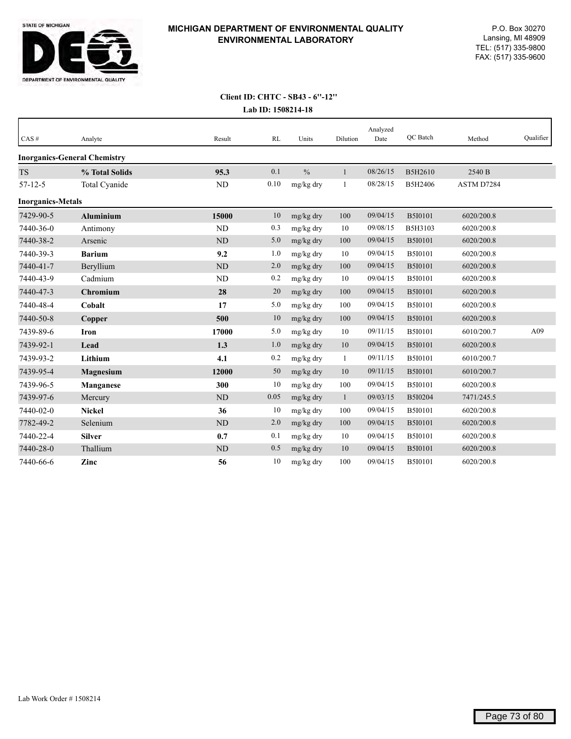

| CAS#                     | Analyte                             | Result    | RL   | Units         | Dilution     | Analyzed<br>Date | QC Batch       | Method     | Qualifier |
|--------------------------|-------------------------------------|-----------|------|---------------|--------------|------------------|----------------|------------|-----------|
|                          | <b>Inorganics-General Chemistry</b> |           |      |               |              |                  |                |            |           |
| <b>TS</b>                | % Total Solids                      | 95.3      | 0.1  | $\frac{0}{0}$ | $\mathbf{1}$ | 08/26/15         | B5H2610        | 2540 B     |           |
| $57 - 12 - 5$            | Total Cyanide                       | ND        | 0.10 | mg/kg dry     | $\mathbf{1}$ | 08/28/15         | B5H2406        | ASTM D7284 |           |
| <b>Inorganics-Metals</b> |                                     |           |      |               |              |                  |                |            |           |
| 7429-90-5                | <b>Aluminium</b>                    | 15000     | 10   | mg/kg dry     | 100          | 09/04/15         | <b>B5I0101</b> | 6020/200.8 |           |
| 7440-36-0                | Antimony                            | <b>ND</b> | 0.3  | mg/kg dry     | 10           | 09/08/15         | B5H3103        | 6020/200.8 |           |
| 7440-38-2                | Arsenic                             | <b>ND</b> | 5.0  | mg/kg dry     | 100          | 09/04/15         | <b>B5I0101</b> | 6020/200.8 |           |
| 7440-39-3                | <b>Barium</b>                       | 9.2       | 1.0  | mg/kg dry     | 10           | 09/04/15         | B5I0101        | 6020/200.8 |           |
| 7440-41-7                | Beryllium                           | <b>ND</b> | 2.0  | mg/kg dry     | 100          | 09/04/15         | <b>B5I0101</b> | 6020/200.8 |           |
| 7440-43-9                | Cadmium                             | <b>ND</b> | 0.2  | mg/kg dry     | 10           | 09/04/15         | B5I0101        | 6020/200.8 |           |
| 7440-47-3                | <b>Chromium</b>                     | 28        | 20   | mg/kg dry     | 100          | 09/04/15         | B5I0101        | 6020/200.8 |           |
| 7440-48-4                | Cobalt                              | 17        | 5.0  | mg/kg dry     | 100          | 09/04/15         | B5I0101        | 6020/200.8 |           |
| 7440-50-8                | Copper                              | 500       | 10   | mg/kg dry     | 100          | 09/04/15         | <b>B5I0101</b> | 6020/200.8 |           |
| 7439-89-6                | <b>Iron</b>                         | 17000     | 5.0  | mg/kg dry     | 10           | 09/11/15         | <b>B5I0101</b> | 6010/200.7 | A09       |
| 7439-92-1                | Lead                                | 1.3       | 1.0  | mg/kg dry     | 10           | 09/04/15         | <b>B5I0101</b> | 6020/200.8 |           |
| 7439-93-2                | Lithium                             | 4.1       | 0.2  | mg/kg dry     | $\mathbf{1}$ | 09/11/15         | <b>B5I0101</b> | 6010/200.7 |           |
| 7439-95-4                | Magnesium                           | 12000     | 50   | mg/kg dry     | 10           | 09/11/15         | <b>B5I0101</b> | 6010/200.7 |           |
| 7439-96-5                | Manganese                           | 300       | 10   | mg/kg dry     | 100          | 09/04/15         | B5I0101        | 6020/200.8 |           |
| 7439-97-6                | Mercury                             | <b>ND</b> | 0.05 | mg/kg dry     | $\mathbf{1}$ | 09/03/15         | B5I0204        | 7471/245.5 |           |
| 7440-02-0                | <b>Nickel</b>                       | 36        | 10   | mg/kg dry     | 100          | 09/04/15         | B5I0101        | 6020/200.8 |           |
| 7782-49-2                | Selenium                            | ND        | 2.0  | mg/kg dry     | 100          | 09/04/15         | <b>B5I0101</b> | 6020/200.8 |           |
| 7440-22-4                | <b>Silver</b>                       | 0.7       | 0.1  | mg/kg dry     | 10           | 09/04/15         | <b>B5I0101</b> | 6020/200.8 |           |
| 7440-28-0                | Thallium                            | <b>ND</b> | 0.5  | mg/kg dry     | 10           | 09/04/15         | <b>B5I0101</b> | 6020/200.8 |           |
| 7440-66-6                | Zinc                                | 56        | 10   | mg/kg dry     | 100          | 09/04/15         | B5I0101        | 6020/200.8 |           |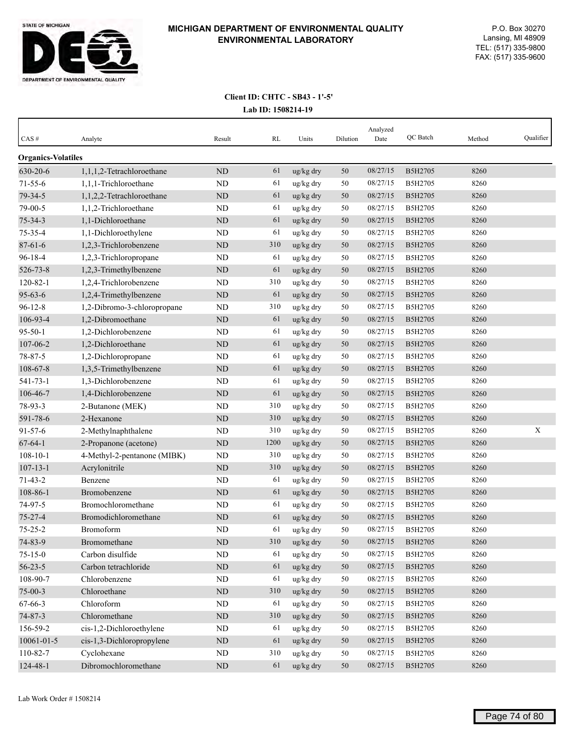

| CAS#                      | Analyte                     | Result     | RL   | Units     | Dilution | Analyzed<br>Date | QC Batch       | Method | Qualifier |
|---------------------------|-----------------------------|------------|------|-----------|----------|------------------|----------------|--------|-----------|
| <b>Organics-Volatiles</b> |                             |            |      |           |          |                  |                |        |           |
| 630-20-6                  | 1,1,1,2-Tetrachloroethane   | ND         | 61   | ug/kg dry | 50       | 08/27/15         | B5H2705        | 8260   |           |
| $71 - 55 - 6$             | 1,1,1-Trichloroethane       | ND         | 61   | ug/kg dry | 50       | 08/27/15         | B5H2705        | 8260   |           |
| 79-34-5                   | 1,1,2,2-Tetrachloroethane   | <b>ND</b>  | 61   | ug/kg dry | 50       | 08/27/15         | B5H2705        | 8260   |           |
| 79-00-5                   | 1,1,2-Trichloroethane       | <b>ND</b>  | 61   | ug/kg dry | 50       | 08/27/15         | B5H2705        | 8260   |           |
| $75 - 34 - 3$             | 1,1-Dichloroethane          | <b>ND</b>  | 61   | ug/kg dry | 50       | 08/27/15         | B5H2705        | 8260   |           |
| 75-35-4                   | 1,1-Dichloroethylene        | ND         | 61   | ug/kg dry | 50       | 08/27/15         | B5H2705        | 8260   |           |
| $87 - 61 - 6$             | 1,2,3-Trichlorobenzene      | ND         | 310  | ug/kg dry | 50       | 08/27/15         | B5H2705        | 8260   |           |
| $96 - 18 - 4$             | 1,2,3-Trichloropropane      | ND         | 61   | ug/kg dry | 50       | 08/27/15         | B5H2705        | 8260   |           |
| 526-73-8                  | 1,2,3-Trimethylbenzene      | ND         | 61   | ug/kg dry | 50       | 08/27/15         | B5H2705        | 8260   |           |
| $120 - 82 - 1$            | 1,2,4-Trichlorobenzene      | ND         | 310  | ug/kg dry | 50       | 08/27/15         | B5H2705        | 8260   |           |
| $95 - 63 - 6$             | 1,2,4-Trimethylbenzene      | ND         | 61   | ug/kg dry | 50       | 08/27/15         | B5H2705        | 8260   |           |
| $96 - 12 - 8$             | 1,2-Dibromo-3-chloropropane | ND         | 310  | ug/kg dry | 50       | 08/27/15         | B5H2705        | 8260   |           |
| 106-93-4                  | 1,2-Dibromoethane           | ND         | 61   | ug/kg dry | 50       | 08/27/15         | B5H2705        | 8260   |           |
| $95 - 50 - 1$             | 1,2-Dichlorobenzene         | <b>ND</b>  | 61   | ug/kg dry | 50       | 08/27/15         | B5H2705        | 8260   |           |
| 107-06-2                  | 1,2-Dichloroethane          | ND         | 61   | ug/kg dry | 50       | 08/27/15         | B5H2705        | 8260   |           |
| $78 - 87 - 5$             | 1,2-Dichloropropane         | ND         | 61   | ug/kg dry | 50       | 08/27/15         | B5H2705        | 8260   |           |
| 108-67-8                  | 1,3,5-Trimethylbenzene      | $\rm ND$   | 61   | ug/kg dry | 50       | 08/27/15         | B5H2705        | 8260   |           |
| 541-73-1                  | 1,3-Dichlorobenzene         | <b>ND</b>  | 61   | ug/kg dry | 50       | 08/27/15         | B5H2705        | 8260   |           |
| 106-46-7                  | 1,4-Dichlorobenzene         | ND         | 61   | ug/kg dry | 50       | 08/27/15         | B5H2705        | 8260   |           |
| 78-93-3                   | 2-Butanone (MEK)            | ND         | 310  | ug/kg dry | 50       | 08/27/15         | B5H2705        | 8260   |           |
| 591-78-6                  | 2-Hexanone                  | ND         | 310  | ug/kg dry | 50       | 08/27/15         | B5H2705        | 8260   |           |
| $91 - 57 - 6$             | 2-Methylnaphthalene         | ND         | 310  | ug/kg dry | 50       | 08/27/15         | B5H2705        | 8260   | X         |
| $67 - 64 - 1$             | 2-Propanone (acetone)       | ND         | 1200 | ug/kg dry | 50       | 08/27/15         | B5H2705        | 8260   |           |
| $108 - 10 - 1$            | 4-Methyl-2-pentanone (MIBK) | <b>ND</b>  | 310  | ug/kg dry | 50       | 08/27/15         | B5H2705        | 8260   |           |
| $107 - 13 - 1$            | Acrylonitrile               | ND         | 310  | ug/kg dry | 50       | 08/27/15         | B5H2705        | 8260   |           |
| $71 - 43 - 2$             | Benzene                     | ND         | 61   | ug/kg dry | 50       | 08/27/15         | B5H2705        | 8260   |           |
| 108-86-1                  | Bromobenzene                | ND         | 61   | ug/kg dry | 50       | 08/27/15         | <b>B5H2705</b> | 8260   |           |
| 74-97-5                   | Bromochloromethane          | <b>ND</b>  | 61   | ug/kg dry | 50       | 08/27/15         | B5H2705        | 8260   |           |
| $75 - 27 - 4$             | Bromodichloromethane        | ND         | 61   | ug/kg dry | 50       | 08/27/15         | B5H2705        | 8260   |           |
| $75 - 25 - 2$             | Bromoform                   | <b>ND</b>  | 61   | ug/kg dry | 50       | 08/27/15         | B5H2705        | 8260   |           |
| 74-83-9                   | Bromomethane                | $\rm ND$   | 310  | ug/kg dry | $50\,$   | 08/27/15         | B5H2705        | 8260   |           |
| $75 - 15 - 0$             | Carbon disulfide            | $\rm ND$   | 61   | ug/kg dry | 50       | 08/27/15         | B5H2705        | 8260   |           |
| $56 - 23 - 5$             | Carbon tetrachloride        | $\rm ND$   | 61   | ug/kg dry | 50       | 08/27/15         | B5H2705        | 8260   |           |
| 108-90-7                  | Chlorobenzene               | $\rm ND$   | 61   | ug/kg dry | 50       | 08/27/15         | B5H2705        | 8260   |           |
| $75 - 00 - 3$             | Chloroethane                | $\rm ND$   | 310  | ug/kg dry | 50       | 08/27/15         | B5H2705        | 8260   |           |
| 67-66-3                   | Chloroform                  | $\rm ND$   | 61   | ug/kg dry | 50       | 08/27/15         | B5H2705        | 8260   |           |
| $74 - 87 - 3$             | Chloromethane               | $\rm ND$   | 310  | ug/kg dry | 50       | 08/27/15         | B5H2705        | 8260   |           |
| 156-59-2                  | cis-1,2-Dichloroethylene    | ND         | 61   | ug/kg dry | 50       | 08/27/15         | B5H2705        | 8260   |           |
| 10061-01-5                | cis-1,3-Dichloropropylene   | ${\rm ND}$ | 61   | ug/kg dry | $50\,$   | 08/27/15         | B5H2705        | 8260   |           |
| 110-82-7                  | Cyclohexane                 | ND         | 310  | ug/kg dry | 50       | 08/27/15         | B5H2705        | 8260   |           |
| 124-48-1                  | Dibromochloromethane        | $\rm ND$   | 61   | ug/kg dry | 50       | 08/27/15         | B5H2705        | 8260   |           |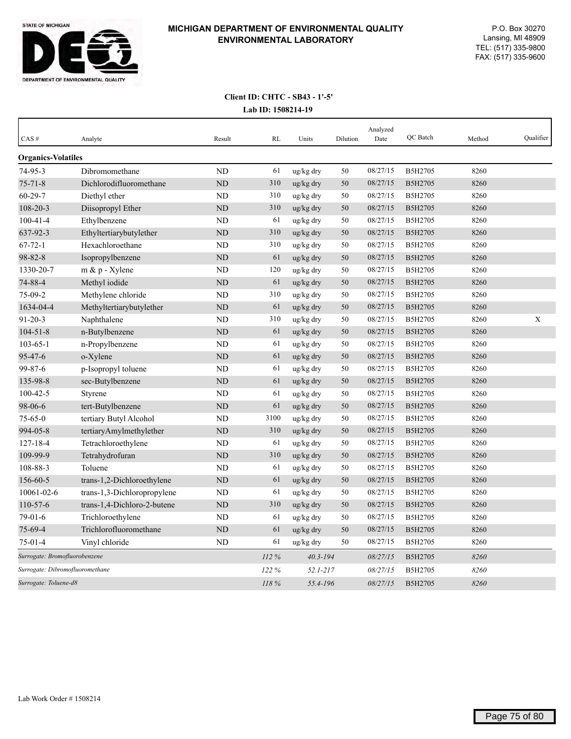

| CAS#                            | Analyte                     | Result         | RL    | Units        | Dilution | Analyzed<br>Date | QC Batch       | Method | Qualifier |
|---------------------------------|-----------------------------|----------------|-------|--------------|----------|------------------|----------------|--------|-----------|
| <b>Organics-Volatiles</b>       |                             |                |       |              |          |                  |                |        |           |
| 74-95-3                         | Dibromomethane              | N <sub>D</sub> | 61    | ug/kg dry    | 50       | 08/27/15         | B5H2705        | 8260   |           |
| $75 - 71 - 8$                   | Dichlorodifluoromethane     | ND             | 310   | ug/kg dry    | 50       | 08/27/15         | B5H2705        | 8260   |           |
| $60 - 29 - 7$                   | Diethyl ether               | ND             | 310   | ug/kg dry    | 50       | 08/27/15         | B5H2705        | 8260   |           |
| 108-20-3                        | Diisopropyl Ether           | ND             | 310   | ug/kg dry    | 50       | 08/27/15         | B5H2705        | 8260   |           |
| $100 - 41 - 4$                  | Ethylbenzene                | ND             | 61    | ug/kg dry    | 50       | 08/27/15         | B5H2705        | 8260   |           |
| 637-92-3                        | Ethyltertiarybutylether     | ND             | 310   | ug/kg dry    | 50       | 08/27/15         | B5H2705        | 8260   |           |
| $67 - 72 - 1$                   | Hexachloroethane            | <b>ND</b>      | 310   | ug/kg dry    | 50       | 08/27/15         | B5H2705        | 8260   |           |
| 98-82-8                         | Isopropylbenzene            | <b>ND</b>      | 61    | ug/kg dry    | 50       | 08/27/15         | <b>B5H2705</b> | 8260   |           |
| 1330-20-7                       | m & p - Xylene              | <b>ND</b>      | 120   | ug/kg dry    | 50       | 08/27/15         | B5H2705        | 8260   |           |
| 74-88-4                         | Methyl iodide               | ND             | 61    | ug/kg dry    | 50       | 08/27/15         | <b>B5H2705</b> | 8260   |           |
| 75-09-2                         | Methylene chloride          | <b>ND</b>      | 310   | ug/kg dry    | 50       | 08/27/15         | B5H2705        | 8260   |           |
| 1634-04-4                       | Methyltertiarybutylether    | <b>ND</b>      | 61    | ug/kg dry    | 50       | 08/27/15         | B5H2705        | 8260   |           |
| $91 - 20 - 3$                   | Naphthalene                 | ND             | 310   | ug/kg dry    | 50       | 08/27/15         | B5H2705        | 8260   | X         |
| $104 - 51 - 8$                  | n-Butylbenzene              | <b>ND</b>      | 61    | ug/kg dry    | 50       | 08/27/15         | B5H2705        | 8260   |           |
| $103 - 65 - 1$                  | n-Propylbenzene             | <b>ND</b>      | 61    | ug/kg dry    | 50       | 08/27/15         | B5H2705        | 8260   |           |
| 95-47-6                         | o-Xylene                    | <b>ND</b>      | 61    | ug/kg dry    | 50       | 08/27/15         | B5H2705        | 8260   |           |
| 99-87-6                         | p-Isopropyl toluene         | <b>ND</b>      | 61    | ug/kg dry    | 50       | 08/27/15         | B5H2705        | 8260   |           |
| 135-98-8                        | sec-Butylbenzene            | <b>ND</b>      | 61    | ug/kg dry    | 50       | 08/27/15         | <b>B5H2705</b> | 8260   |           |
| $100 - 42 - 5$                  | Styrene                     | <b>ND</b>      | 61    | ug/kg dry    | 50       | 08/27/15         | B5H2705        | 8260   |           |
| 98-06-6                         | tert-Butylbenzene           | <b>ND</b>      | 61    | ug/kg dry    | 50       | 08/27/15         | B5H2705        | 8260   |           |
| $75 - 65 - 0$                   | tertiary Butyl Alcohol      | <b>ND</b>      | 3100  | ug/kg dry    | 50       | 08/27/15         | B5H2705        | 8260   |           |
| 994-05-8                        | tertiaryAmylmethylether     | ND             | 310   | ug/kg dry    | 50       | 08/27/15         | B5H2705        | 8260   |           |
| $127 - 18 - 4$                  | Tetrachloroethylene         | <b>ND</b>      | 61    | ug/kg dry    | 50       | 08/27/15         | B5H2705        | 8260   |           |
| 109-99-9                        | Tetrahydrofuran             | ND             | 310   | ug/kg dry    | 50       | 08/27/15         | B5H2705        | 8260   |           |
| 108-88-3                        | Toluene                     | <b>ND</b>      | 61    | ug/kg dry    | 50       | 08/27/15         | B5H2705        | 8260   |           |
| 156-60-5                        | trans-1,2-Dichloroethylene  | ND             | 61    | ug/kg dry    | 50       | 08/27/15         | B5H2705        | 8260   |           |
| 10061-02-6                      | trans-1,3-Dichloropropylene | N <sub>D</sub> | 61    | ug/kg dry    | 50       | 08/27/15         | B5H2705        | 8260   |           |
| $110-57-6$                      | trans-1,4-Dichloro-2-butene | <b>ND</b>      | 310   | ug/kg dry    | 50       | 08/27/15         | B5H2705        | 8260   |           |
| $79-01-6$                       | Trichloroethylene           | ND             | 61    | ug/kg dry    | 50       | 08/27/15         | B5H2705        | 8260   |           |
| 75-69-4                         | Trichlorofluoromethane      | <b>ND</b>      | 61    | ug/kg dry    | 50       | 08/27/15         | B5H2705        | 8260   |           |
| $75-01-4$                       | Vinyl chloride              | <b>ND</b>      | 61    | ug/kg dry    | 50       | 08/27/15         | B5H2705        | 8260   |           |
| Surrogate: Bromofluorobenzene   |                             |                | 112%  | $40.3 - 194$ |          | 08/27/15         | B5H2705        | 8260   |           |
| Surrogate: Dibromofluoromethane |                             |                | 122 % | $52.1 - 217$ |          | 08/27/15         | B5H2705        | 8260   |           |
| Surrogate: Toluene-d8           |                             |                | 118 % | 55.4-196     |          | 08/27/15         | <b>B5H2705</b> | 8260   |           |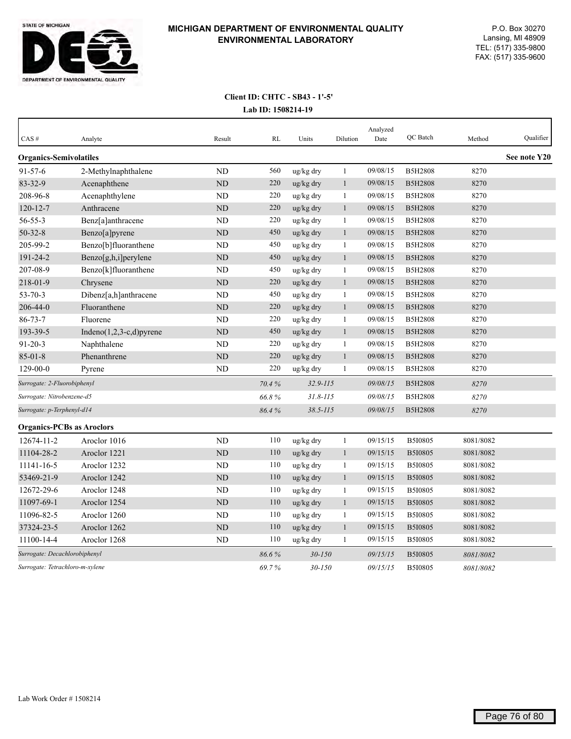

| CAS#                             | Analyte                     | Result         | RL         | Units        | Dilution     | Analyzed<br>Date | QC Batch       | Method    | Qualifier    |
|----------------------------------|-----------------------------|----------------|------------|--------------|--------------|------------------|----------------|-----------|--------------|
| <b>Organics-Semivolatiles</b>    |                             |                |            |              |              |                  |                |           | See note Y20 |
| $91 - 57 - 6$                    | 2-Methylnaphthalene         | <b>ND</b>      | 560        | ug/kg dry    | $\mathbf{1}$ | 09/08/15         | <b>B5H2808</b> | 8270      |              |
| 83-32-9                          | Acenaphthene                | ND             | 220        | ug/kg dry    | $\mathbf{1}$ | 09/08/15         | <b>B5H2808</b> | 8270      |              |
| 208-96-8                         | Acenaphthylene              | ND             | 220        | ug/kg dry    | 1            | 09/08/15         | <b>B5H2808</b> | 8270      |              |
| $120 - 12 - 7$                   | Anthracene                  | <b>ND</b>      | 220        | ug/kg dry    | $\mathbf{1}$ | 09/08/15         | <b>B5H2808</b> | 8270      |              |
| $56 - 55 - 3$                    | Benz[a]anthracene           | <b>ND</b>      | 220        | ug/kg dry    | 1            | 09/08/15         | <b>B5H2808</b> | 8270      |              |
| $50 - 32 - 8$                    | Benzo[a]pyrene              | $\rm ND$       | 450        | ug/kg dry    | $\mathbf{1}$ | 09/08/15         | <b>B5H2808</b> | 8270      |              |
| 205-99-2                         | Benzo[b]fluoranthene        | <b>ND</b>      | 450        | ug/kg dry    | $\mathbf{1}$ | 09/08/15         | <b>B5H2808</b> | 8270      |              |
| 191-24-2                         | Benzo[g,h,i]perylene        | ND             | 450        | ug/kg dry    | $\,1$        | 09/08/15         | <b>B5H2808</b> | 8270      |              |
| 207-08-9                         | Benzo[k]fluoranthene        | <b>ND</b>      | 450        | ug/kg dry    | $\mathbf{1}$ | 09/08/15         | <b>B5H2808</b> | 8270      |              |
| 218-01-9                         | Chrysene                    | <b>ND</b>      | 220        | ug/kg dry    | $\mathbf{1}$ | 09/08/15         | <b>B5H2808</b> | 8270      |              |
| $53 - 70 - 3$                    | Dibenz[a,h]anthracene       | <b>ND</b>      | 450        | ug/kg dry    | 1            | 09/08/15         | <b>B5H2808</b> | 8270      |              |
| 206-44-0                         | Fluoranthene                | <b>ND</b>      | 220        | ug/kg dry    | $\mathbf{1}$ | 09/08/15         | <b>B5H2808</b> | 8270      |              |
| $86 - 73 - 7$                    | Fluorene                    | <b>ND</b>      | 220        | ug/kg dry    | $\mathbf{1}$ | 09/08/15         | <b>B5H2808</b> | 8270      |              |
| 193-39-5                         | Indeno $(1,2,3-c,d)$ pyrene | <b>ND</b>      | 450        | ug/kg dry    | $\mathbf{1}$ | 09/08/15         | <b>B5H2808</b> | 8270      |              |
| $91 - 20 - 3$                    | Naphthalene                 | <b>ND</b>      | 220        | ug/kg dry    | $\mathbf{1}$ | 09/08/15         | <b>B5H2808</b> | 8270      |              |
| $85 - 01 - 8$                    | Phenanthrene                | ND             | 220        | ug/kg dry    | $\mathbf{1}$ | 09/08/15         | <b>B5H2808</b> | 8270      |              |
| $129 - 00 - 0$                   | Pyrene                      | ND             | 220        | ug/kg dry    | $\mathbf{1}$ | 09/08/15         | <b>B5H2808</b> | 8270      |              |
| Surrogate: 2-Fluorobiphenyl      |                             |                | 70.4%      | $32.9 - 115$ |              | 09/08/15         | <b>B5H2808</b> | 8270      |              |
| Surrogate: Nitrobenzene-d5       |                             |                | 66.8%      | $31.8 - 115$ |              | 09/08/15         | <b>B5H2808</b> | 8270      |              |
| Surrogate: p-Terphenyl-d14       |                             |                | 86.4%      | $38.5 - 115$ |              | 09/08/15         | <b>B5H2808</b> | 8270      |              |
| <b>Organics-PCBs as Aroclors</b> |                             |                |            |              |              |                  |                |           |              |
| 12674-11-2                       | Aroclor 1016                | N <sub>D</sub> | 110        | ug/kg dry    | $\,1\,$      | 09/15/15         | B5I0805        | 8081/8082 |              |
| 11104-28-2                       | Aroclor 1221                | ND             | 110        | ug/kg dry    | $\mathbf{1}$ | 09/15/15         | <b>B5I0805</b> | 8081/8082 |              |
| 11141-16-5                       | Aroclor 1232                | ND             | 110        | ug/kg dry    | $\mathbf{1}$ | 09/15/15         | B5I0805        | 8081/8082 |              |
| 53469-21-9                       | Aroclor 1242                | ND             | 110        | ug/kg dry    | $\mathbf{1}$ | 09/15/15         | B5I0805        | 8081/8082 |              |
| 12672-29-6                       | Aroclor 1248                | ND             | 110        | ug/kg dry    | 1            | 09/15/15         | B5I0805        | 8081/8082 |              |
| 11097-69-1                       | Aroclor 1254                | <b>ND</b>      | 110        | ug/kg dry    | $\mathbf{1}$ | 09/15/15         | B5I0805        | 8081/8082 |              |
| 11096-82-5                       | Aroclor 1260                | ND             | 110        | ug/kg dry    | 1            | 09/15/15         | <b>B5I0805</b> | 8081/8082 |              |
| 37324-23-5                       | Aroclor 1262                | <b>ND</b>      | 110        | ug/kg dry    | $\mathbf{1}$ | 09/15/15         | B5I0805        | 8081/8082 |              |
| 11100-14-4                       | Aroclor 1268                | <b>ND</b>      | 110        | ug/kg dry    | $\mathbf{1}$ | 09/15/15         | <b>B5I0805</b> | 8081/8082 |              |
| Surrogate: Decachlorobiphenyl    |                             |                | 86.6%      | $30 - 150$   |              | 09/15/15         | <b>B5I0805</b> | 8081/8082 |              |
| Surrogate: Tetrachloro-m-xylene  |                             | 69.7%          | $30 - 150$ |              | 09/15/15     | <b>B5I0805</b>   | 8081/8082      |           |              |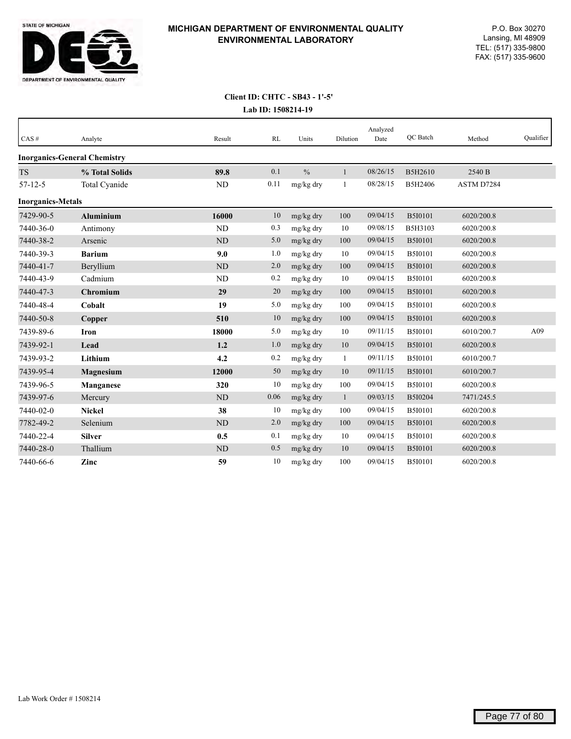

| CAS#                     | Analyte                             | Result         | RL   | Units         | Dilution     | Analyzed<br>Date | QC Batch       | Method     | Qualifier |
|--------------------------|-------------------------------------|----------------|------|---------------|--------------|------------------|----------------|------------|-----------|
|                          | <b>Inorganics-General Chemistry</b> |                |      |               |              |                  |                |            |           |
| <b>TS</b>                | % Total Solids                      | 89.8           | 0.1  | $\frac{0}{0}$ | $\mathbf{1}$ | 08/26/15         | B5H2610        | 2540 B     |           |
| $57 - 12 - 5$            | Total Cyanide                       | ND             | 0.11 | mg/kg dry     | 1            | 08/28/15         | B5H2406        | ASTM D7284 |           |
| <b>Inorganics-Metals</b> |                                     |                |      |               |              |                  |                |            |           |
| 7429-90-5                | <b>Aluminium</b>                    | 16000          | 10   | mg/kg dry     | 100          | 09/04/15         | <b>B5I0101</b> | 6020/200.8 |           |
| 7440-36-0                | Antimony                            | ND             | 0.3  | mg/kg dry     | 10           | 09/08/15         | B5H3103        | 6020/200.8 |           |
| 7440-38-2                | Arsenic                             | N <sub>D</sub> | 5.0  | mg/kg dry     | 100          | 09/04/15         | <b>B5I0101</b> | 6020/200.8 |           |
| 7440-39-3                | <b>Barium</b>                       | 9.0            | 1.0  | mg/kg dry     | 10           | 09/04/15         | B5I0101        | 6020/200.8 |           |
| 7440-41-7                | Beryllium                           | ND             | 2.0  | mg/kg dry     | 100          | 09/04/15         | <b>B5I0101</b> | 6020/200.8 |           |
| 7440-43-9                | Cadmium                             | ND             | 0.2  | mg/kg dry     | 10           | 09/04/15         | B5I0101        | 6020/200.8 |           |
| 7440-47-3                | <b>Chromium</b>                     | 29             | 20   | mg/kg dry     | 100          | 09/04/15         | <b>B5I0101</b> | 6020/200.8 |           |
| 7440-48-4                | Cobalt                              | 19             | 5.0  | mg/kg dry     | 100          | 09/04/15         | B5I0101        | 6020/200.8 |           |
| 7440-50-8                | Copper                              | 510            | 10   | mg/kg dry     | 100          | 09/04/15         | <b>B5I0101</b> | 6020/200.8 |           |
| 7439-89-6                | Iron                                | 18000          | 5.0  | mg/kg dry     | 10           | 09/11/15         | B5I0101        | 6010/200.7 | A09       |
| 7439-92-1                | Lead                                | 1.2            | 1.0  | mg/kg dry     | 10           | 09/04/15         | <b>B5I0101</b> | 6020/200.8 |           |
| 7439-93-2                | Lithium                             | 4.2            | 0.2  | mg/kg dry     | 1            | 09/11/15         | B5I0101        | 6010/200.7 |           |
| 7439-95-4                | Magnesium                           | 12000          | 50   | mg/kg dry     | 10           | 09/11/15         | <b>B5I0101</b> | 6010/200.7 |           |
| 7439-96-5                | Manganese                           | 320            | 10   | mg/kg dry     | 100          | 09/04/15         | B5I0101        | 6020/200.8 |           |
| 7439-97-6                | Mercury                             | ND             | 0.06 | mg/kg dry     | $\mathbf{1}$ | 09/03/15         | B5I0204        | 7471/245.5 |           |
| 7440-02-0                | <b>Nickel</b>                       | 38             | 10   | mg/kg dry     | 100          | 09/04/15         | B5I0101        | 6020/200.8 |           |
| 7782-49-2                | Selenium                            | ND             | 2.0  | mg/kg dry     | 100          | 09/04/15         | <b>B5I0101</b> | 6020/200.8 |           |
| 7440-22-4                | <b>Silver</b>                       | 0.5            | 0.1  | mg/kg dry     | 10           | 09/04/15         | B5I0101        | 6020/200.8 |           |
| 7440-28-0                | Thallium                            | <b>ND</b>      | 0.5  | mg/kg dry     | 10           | 09/04/15         | <b>B5I0101</b> | 6020/200.8 |           |
| 7440-66-6                | Zinc                                | 59             | 10   | mg/kg dry     | 100          | 09/04/15         | B5I0101        | 6020/200.8 |           |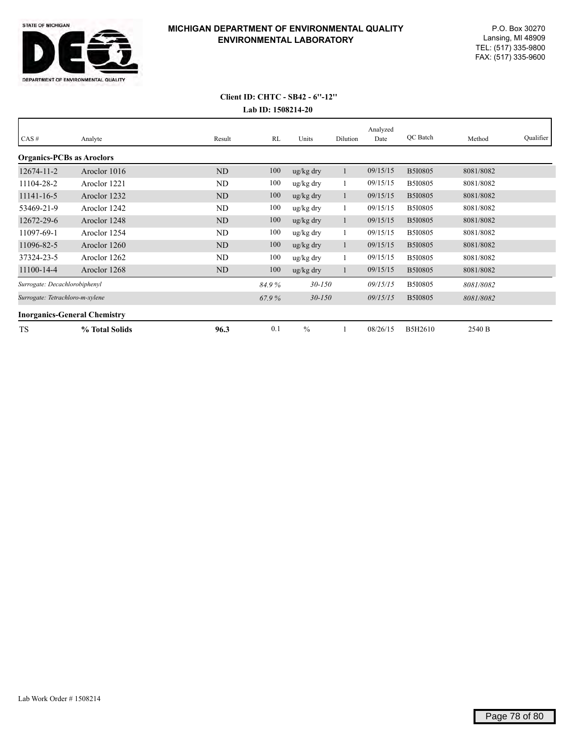

# **Lab ID: 1508214-20 Client ID: CHTC - SB42 - 6''-12''**

| CAS#                                | Analyte        | Result    | RL    | Units                 | Dilution | Analyzed<br>Date | QC Batch       | Method    | Qualifier |
|-------------------------------------|----------------|-----------|-------|-----------------------|----------|------------------|----------------|-----------|-----------|
|                                     |                |           |       |                       |          |                  |                |           |           |
| <b>Organics-PCBs as Aroclors</b>    |                |           |       |                       |          |                  |                |           |           |
| $12674 - 11 - 2$                    | Aroclor 1016   | <b>ND</b> | 100   | $\frac{u g}{k g}$ dry |          | 09/15/15         | <b>B5I0805</b> | 8081/8082 |           |
| 11104-28-2                          | Aroclor 1221   | ND        | 100   | ug/kg dry             |          | 09/15/15         | <b>B5I0805</b> | 8081/8082 |           |
| $11141 - 16 - 5$                    | Aroclor 1232   | <b>ND</b> | 100   | $\frac{u g}{k g}$ dry |          | 09/15/15         | <b>B5I0805</b> | 8081/8082 |           |
| 53469-21-9                          | Aroclor 1242   | ND        | 100   | ug/kg dry             |          | 09/15/15         | <b>B5I0805</b> | 8081/8082 |           |
| 12672-29-6                          | Aroclor 1248   | ND        | 100   | ug/kg dry             | -1       | 09/15/15         | <b>B5I0805</b> | 8081/8082 |           |
| 11097-69-1                          | Aroclor 1254   | ND        | 100   | ug/kg dry             |          | 09/15/15         | <b>B5I0805</b> | 8081/8082 |           |
| 11096-82-5                          | Aroclor 1260   | <b>ND</b> | 100   | $\frac{u g}{k g}$ dry |          | 09/15/15         | <b>B5I0805</b> | 8081/8082 |           |
| 37324-23-5                          | Aroclor 1262   | ND        | 100   | ug/kg dry             |          | 09/15/15         | <b>B5I0805</b> | 8081/8082 |           |
| 11100-14-4                          | Aroclor 1268   | ND        | 100   | $\frac{u g}{k g}$ dry |          | 09/15/15         | <b>B5I0805</b> | 8081/8082 |           |
| Surrogate: Decachlorobiphenyl       |                |           | 84.9% | $30 - 150$            |          | 09/15/15         | <b>B5I0805</b> | 8081/8082 |           |
| Surrogate: Tetrachloro-m-xylene     |                |           | 67.9% | $30 - 150$            |          | 09/15/15         | <b>B5I0805</b> | 8081/8082 |           |
| <b>Inorganics-General Chemistry</b> |                |           |       |                       |          |                  |                |           |           |
| <b>TS</b>                           | % Total Solids | 96.3      | 0.1   | $\frac{0}{0}$         |          | 08/26/15         | B5H2610        | 2540 B    |           |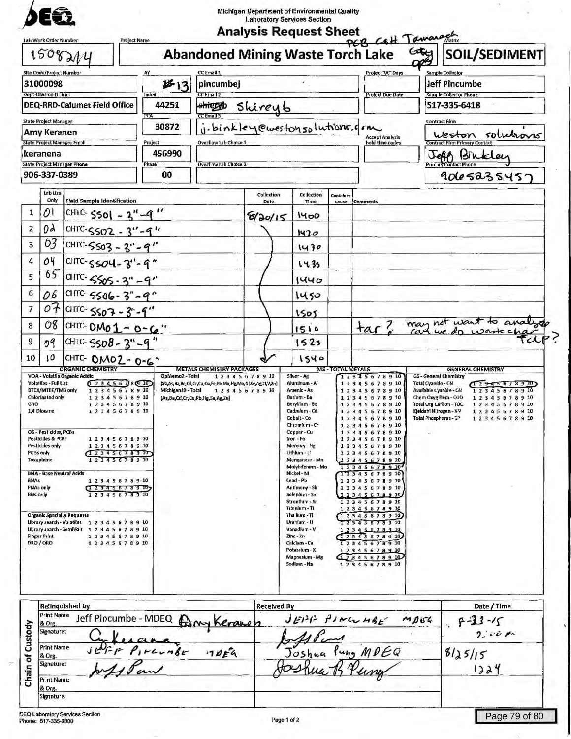| 1508214                                                                                                                                                                                                                                                                                                                                                                                                                                                                                                                                                                                                          | <b>Abandoned Mining Waste Torch Lake</b>   |                               |                                                                                                                                                                                                                                                                                                                                                                                                            |                             | PCB Catt Tawarach                                                                                                                                                                                                                                                                                                                                                                   | $G_{\text{eff}}$                                       | SOIL/SEDIMENT                                                                                                    |
|------------------------------------------------------------------------------------------------------------------------------------------------------------------------------------------------------------------------------------------------------------------------------------------------------------------------------------------------------------------------------------------------------------------------------------------------------------------------------------------------------------------------------------------------------------------------------------------------------------------|--------------------------------------------|-------------------------------|------------------------------------------------------------------------------------------------------------------------------------------------------------------------------------------------------------------------------------------------------------------------------------------------------------------------------------------------------------------------------------------------------------|-----------------------------|-------------------------------------------------------------------------------------------------------------------------------------------------------------------------------------------------------------------------------------------------------------------------------------------------------------------------------------------------------------------------------------|--------------------------------------------------------|------------------------------------------------------------------------------------------------------------------|
| <b>Site Code/Project Number</b>                                                                                                                                                                                                                                                                                                                                                                                                                                                                                                                                                                                  | CC Email 1<br>AY                           |                               |                                                                                                                                                                                                                                                                                                                                                                                                            |                             | <b>Project TAT Days</b>                                                                                                                                                                                                                                                                                                                                                             |                                                        | Sample Collector                                                                                                 |
| 31000098<br>Dept-Division-District                                                                                                                                                                                                                                                                                                                                                                                                                                                                                                                                                                               | 813<br>pincumbej<br>CC Email 2<br>Index    |                               |                                                                                                                                                                                                                                                                                                                                                                                                            |                             | <b>Project Due Date</b>                                                                                                                                                                                                                                                                                                                                                             |                                                        | <b>Jeff Pincumbe</b><br><b>Sample Collector Phone</b>                                                            |
| <b>DEQ-RRD-Calumet Field Office</b>                                                                                                                                                                                                                                                                                                                                                                                                                                                                                                                                                                              | 44251<br>shiggyb<br>PCA<br>CC Email 3      | Shireyb                       |                                                                                                                                                                                                                                                                                                                                                                                                            |                             |                                                                                                                                                                                                                                                                                                                                                                                     |                                                        | 517-335-6418                                                                                                     |
| <b>State Project Manager</b><br>Amy Keranen                                                                                                                                                                                                                                                                                                                                                                                                                                                                                                                                                                      | 30872                                      | i.binkley@westonsolutions.com |                                                                                                                                                                                                                                                                                                                                                                                                            |                             | <b>Accept Analysis</b>                                                                                                                                                                                                                                                                                                                                                              |                                                        | <b>Contract Firm</b><br>Weston solutions                                                                         |
| <b>State Project Manager Email</b><br>keranena                                                                                                                                                                                                                                                                                                                                                                                                                                                                                                                                                                   | Project<br>Overflow Lab Choice 1<br>456990 |                               |                                                                                                                                                                                                                                                                                                                                                                                                            |                             | hold time codes                                                                                                                                                                                                                                                                                                                                                                     |                                                        | <b>Contract Firm Primary Contact</b><br>Bin                                                                      |
| <b>State Project Manager Phone</b><br>906-337-0389                                                                                                                                                                                                                                                                                                                                                                                                                                                                                                                                                               | Overflow Lab Choice 2<br>Phase<br>00       |                               |                                                                                                                                                                                                                                                                                                                                                                                                            |                             |                                                                                                                                                                                                                                                                                                                                                                                     |                                                        |                                                                                                                  |
| Lab Use                                                                                                                                                                                                                                                                                                                                                                                                                                                                                                                                                                                                          |                                            | Collection                    | Collection                                                                                                                                                                                                                                                                                                                                                                                                 |                             |                                                                                                                                                                                                                                                                                                                                                                                     |                                                        | 9065235457                                                                                                       |
| Only<br><b>Field Sample Identification</b><br>01<br>$\mathbf{1}$                                                                                                                                                                                                                                                                                                                                                                                                                                                                                                                                                 |                                            | Date                          | Time                                                                                                                                                                                                                                                                                                                                                                                                       | Container<br>Count Comments |                                                                                                                                                                                                                                                                                                                                                                                     |                                                        |                                                                                                                  |
| CHTC- $5501 - 3'' - 9$<br>0d<br>$\overline{z}$                                                                                                                                                                                                                                                                                                                                                                                                                                                                                                                                                                   |                                            | 8120/15                       | 1400                                                                                                                                                                                                                                                                                                                                                                                                       |                             |                                                                                                                                                                                                                                                                                                                                                                                     |                                                        |                                                                                                                  |
| CHTC-SSO2 -<br>63<br>3<br>CHTC-5503 - 3" - 9"                                                                                                                                                                                                                                                                                                                                                                                                                                                                                                                                                                    |                                            |                               | 1420<br>1430                                                                                                                                                                                                                                                                                                                                                                                               |                             |                                                                                                                                                                                                                                                                                                                                                                                     |                                                        |                                                                                                                  |
| 04<br>4<br>CHTC-5504-3'-9"                                                                                                                                                                                                                                                                                                                                                                                                                                                                                                                                                                                       |                                            |                               | 1435                                                                                                                                                                                                                                                                                                                                                                                                       |                             |                                                                                                                                                                                                                                                                                                                                                                                     |                                                        |                                                                                                                  |
| 65<br>5<br>CHTC-5505-3"-9"                                                                                                                                                                                                                                                                                                                                                                                                                                                                                                                                                                                       |                                            |                               | 1440                                                                                                                                                                                                                                                                                                                                                                                                       |                             |                                                                                                                                                                                                                                                                                                                                                                                     |                                                        |                                                                                                                  |
| $\overline{6}$<br>06<br>CHTC-5506-3"-9"                                                                                                                                                                                                                                                                                                                                                                                                                                                                                                                                                                          |                                            |                               | 1450                                                                                                                                                                                                                                                                                                                                                                                                       |                             |                                                                                                                                                                                                                                                                                                                                                                                     |                                                        |                                                                                                                  |
| 07<br>CHTC- 5507 - 3" - 9"<br>7                                                                                                                                                                                                                                                                                                                                                                                                                                                                                                                                                                                  |                                            |                               | 1505                                                                                                                                                                                                                                                                                                                                                                                                       |                             |                                                                                                                                                                                                                                                                                                                                                                                     |                                                        |                                                                                                                  |
| 08<br>8<br>CHTC- $0M_01 - 0 - 6$ "                                                                                                                                                                                                                                                                                                                                                                                                                                                                                                                                                                               |                                            |                               | 1510                                                                                                                                                                                                                                                                                                                                                                                                       |                             |                                                                                                                                                                                                                                                                                                                                                                                     |                                                        | tar? may not want to analyze                                                                                     |
| 9<br>CHTC-5508-3"-9"<br>09                                                                                                                                                                                                                                                                                                                                                                                                                                                                                                                                                                                       |                                            |                               | 1523                                                                                                                                                                                                                                                                                                                                                                                                       |                             |                                                                                                                                                                                                                                                                                                                                                                                     |                                                        |                                                                                                                  |
| 10<br>ı٥<br>CHTC- OMOZ- 0-6"<br><b>ORGANIC CHEMISTRY</b>                                                                                                                                                                                                                                                                                                                                                                                                                                                                                                                                                         | <b>METALS CHEMISTRY PACKAGES</b>           |                               | 1540                                                                                                                                                                                                                                                                                                                                                                                                       | <b>MS-TOTAL METALS</b>      |                                                                                                                                                                                                                                                                                                                                                                                     |                                                        | <b>GENERAL CHEMISTRY</b>                                                                                         |
| Chlorinated only<br>12345678910<br>GRO<br>12345678910<br>1,4 Dloxane<br>12345678910<br>OS - Pesticides, PCBs<br>Pesticides & PCBs<br>12345678910<br>Pesticides only<br>1 2 3 4 5 6 7 8 9 10<br>PCBs only<br>12345678910<br>12345678910<br>Toxaphene<br><b>BNA - Base Neutral Acids</b><br><b>BNAs</b><br>12345678910<br><b>PNAs only</b><br>(1, 2, 3, 4, 5, 6, 7, 8, 9, 10)<br>12345678910<br><b>BNs only</b><br><b>Organic Specially Requests</b><br>Library search - Volatiles 12345678910<br>Library search - SemiVols 1 2 3 4 5 6 7 8 9 10<br><b>Finger Print</b><br>12345678910<br>DRO / ORO<br>12345678910 | (As, Ba, Cd, Cr, Cu, Pb, Hg, Se, Ag, Zn)   |                               | Barium - Ba<br>Beryllum-Be<br>Cadmium - Cd<br>Cobalt - Co<br>Chromium - Cr<br>Copper - Cu<br>Iron-Fe<br>Mercury - Hg<br>Lithlum - LI<br>Manganese - Mn<br>Malyhdenum - Ma<br>Nickel - NI<br>Lead - Pb<br>Antimony - Sb<br>Selenium - Se<br>Strontlum - Sr<br>Titanium - Ti<br>Thallum - TI<br>Uranlum - U<br>Vanadium - V<br>$Zinc - Zn$<br>Calclum - Ca<br>Potassium - K<br>Magnesium - Mg<br>Sodlum - Na |                             | 12345678910<br>12345678910<br>12345678910<br>12345678910<br>12345678910<br>12345678910<br>12345678910<br>12345678910<br>12345678910<br>12345678910<br>12345678910<br>12345678910<br>12345678910<br>12345678910<br>12345678910<br>12345678910<br>12345678910<br>12345678910<br>12345678910<br>12345678910<br>12345678910<br>12345678910<br>12345678910<br>42345678910<br>12345678910 | Kieldahl Nitrogen - KN<br><b>Total Phosphorus - TP</b> | Chem Oxyg Dem - COD<br>1 2 3 4 5 6 7 8 9 10<br>Total Org Carbon-TOC<br>12345678910<br>12345678910<br>12345678910 |
| <b>Relinquished by</b><br><b>Print Name</b><br>Jeff Pincumbe - MDEQ<br>& Org.<br>Signature:                                                                                                                                                                                                                                                                                                                                                                                                                                                                                                                      |                                            | <b>Received By</b><br>Keranen | $JEPF$ FINCUMBE                                                                                                                                                                                                                                                                                                                                                                                            |                             |                                                                                                                                                                                                                                                                                                                                                                                     | MDEG                                                   | Date / Time<br>$5 - 23 - 15$<br>2.001                                                                            |
| Chain of Custody<br><b>Print Name</b><br>& Org.<br>Signature:<br><b>Print Name</b><br>& Org.                                                                                                                                                                                                                                                                                                                                                                                                                                                                                                                     | reunbe<br>70F4                             |                               |                                                                                                                                                                                                                                                                                                                                                                                                            |                             | Joshua Pung MDEQ                                                                                                                                                                                                                                                                                                                                                                    |                                                        | 8125115<br>1224                                                                                                  |